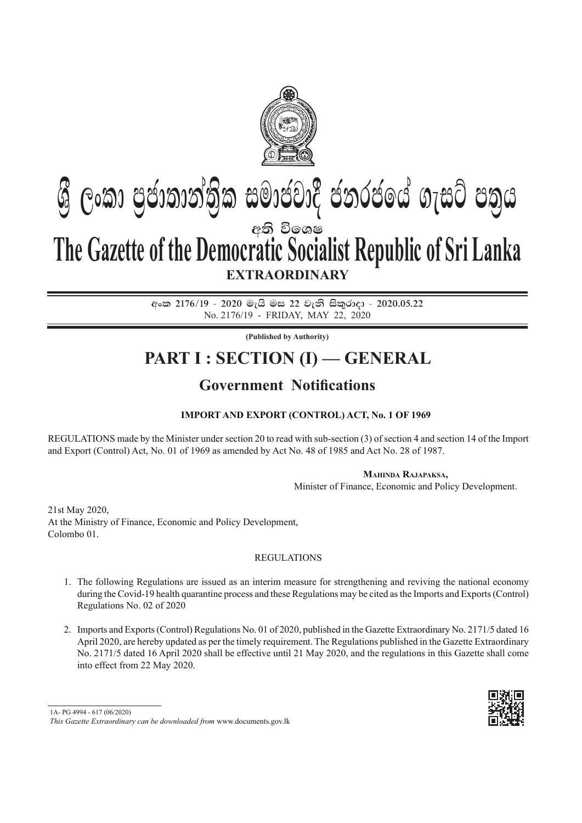

# අති වි**ඉ**ශෂ **EXTRAORDINARY Gී ලංකා පුජාතාන්තික සමාජවාදී ජනරජයේ ගැසට් පතුය The Gazette of the Democratic Socialist Republic of Sri Lanka**

අංක 2176/19 - 2020 මැයි මස 22 වැනි සිකුරාදා - 2020.05.22 No. 2176/19 - friday, may 22, 2020

**(Published by Authority)**

## **PART I : SECTION (I) — GENERAL**

## **Government Notifications**

## **Import and Export (Control) Act, No. 1 of 1969**

Regulations made by the Minister under section 20 to read with sub-section (3) of section 4 and section 14 of the Import and Export (Control) Act, No. 01 of 1969 as amended by Act No. 48 of 1985 and Act No. 28 of 1987.

#### **Mahinda Rajapaksa,**

Minister of Finance, Economic and Policy Development.

21st May 2020, At the Ministry of Finance, Economic and Policy Development, Colombo 01.

#### **REGULATIONS**

- 1. The following Regulations are issued as an interim measure for strengthening and reviving the national economy during the Covid-19 health quarantine process and these Regulations may be cited as the Imports and Exports (Control) Regulations No. 02 of 2020
- 2. Imports and Exports (Control) Regulations No. 01 of 2020, published in the Gazette Extraordinary No. 2171/5 dated 16 April 2020, are hereby updated as per the timely requirement. The Regulations published in the Gazette Extraordinary No. 2171/5 dated 16 April 2020 shall be effective until 21 May 2020, and the regulations in this Gazette shall come into effect from 22 May 2020.



<sup>1</sup>A- PG 4994 - 617 (06/2020)

*This Gazette Extraordinary can be downloaded from* www.documents.gov.lk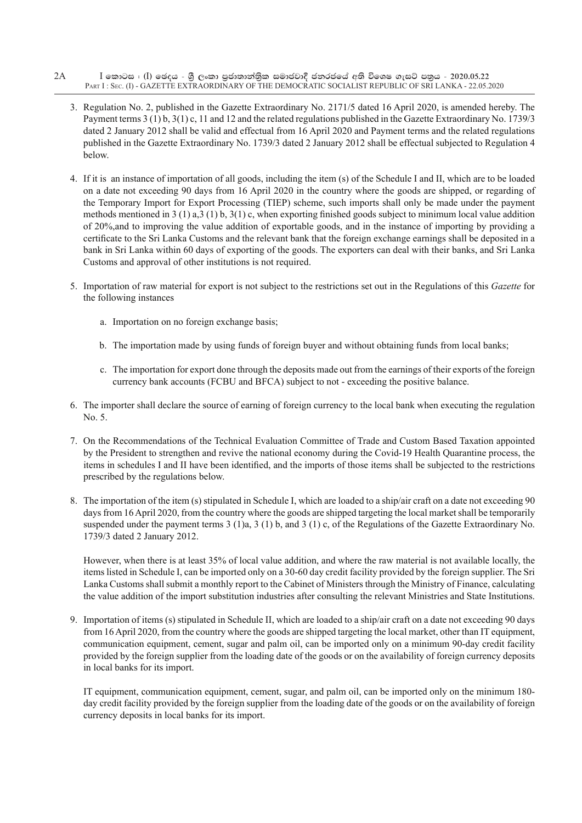- $I$  කොටස : (I) ඡෙදය ශීු ලංකා පුජාතාන්තිුක සමාජවාදී ජනරජයේ අති විශෙෂ ගැසට් පතුය 2020.05.22 PART I : SEC. (I) - GAZETTE EXTRAORDINARY OF THE DEMOCRATIC SOCIALIST REPUBLIC OF SRI LANKA - 22.05.2020 2A
	- 3. Regulation No. 2, published in the Gazette Extraordinary No. 2171/5 dated 16 April 2020, is amended hereby. The Payment terms 3 (1) b, 3(1) c, 11 and 12 and the related regulations published in the Gazette Extraordinary No. 1739/3 dated 2 January 2012 shall be valid and effectual from 16 April 2020 and Payment terms and the related regulations published in the Gazette Extraordinary No. 1739/3 dated 2 January 2012 shall be effectual subjected to Regulation 4 below.
	- 4. If it is an instance of importation of all goods, including the item (s) of the Schedule I and II, which are to be loaded on a date not exceeding 90 days from 16 April 2020 in the country where the goods are shipped, or regarding of the Temporary Import for Export Processing (TIEP) scheme, such imports shall only be made under the payment methods mentioned in 3 (1) a,3 (1) b, 3(1) c, when exporting finished goods subject to minimum local value addition of 20%,and to improving the value addition of exportable goods, and in the instance of importing by providing a certificate to the Sri Lanka Customs and the relevant bank that the foreign exchange earnings shall be deposited in a bank in Sri Lanka within 60 days of exporting of the goods. The exporters can deal with their banks, and Sri Lanka Customs and approval of other institutions is not required.
	- 5. Importation of raw material for export is not subject to the restrictions set out in the Regulations of this *Gazette* for the following instances
		- a. Importation on no foreign exchange basis;
		- b. The importation made by using funds of foreign buyer and without obtaining funds from local banks;
		- c. The importation for export done through the deposits made out from the earnings of their exports of the foreign currency bank accounts (FCBU and BFCA) subject to not - exceeding the positive balance.
	- 6. The importer shall declare the source of earning of foreign currency to the local bank when executing the regulation No. 5.
	- 7. On the Recommendations of the Technical Evaluation Committee of Trade and Custom Based Taxation appointed by the President to strengthen and revive the national economy during the Covid-19 Health Quarantine process, the items in schedules I and II have been identified, and the imports of those items shall be subjected to the restrictions prescribed by the regulations below.
	- 8. The importation of the item (s) stipulated in Schedule I, which are loaded to a ship/air craft on a date not exceeding 90 days from 16 April 2020, from the country where the goods are shipped targeting the local market shall be temporarily suspended under the payment terms  $3$  (1)a,  $3$  (1) b, and  $3$  (1) c, of the Regulations of the Gazette Extraordinary No. 1739/3 dated 2 January 2012.

 However, when there is at least 35% of local value addition, and where the raw material is not available locally, the items listed in Schedule I, can be imported only on a 30-60 day credit facility provided by the foreign supplier. The Sri Lanka Customs shall submit a monthly report to the Cabinet of Ministers through the Ministry of Finance, calculating the value addition of the import substitution industries after consulting the relevant Ministries and State Institutions.

9. Importation of items (s) stipulated in Schedule II, which are loaded to a ship/air craft on a date not exceeding 90 days from 16 April 2020, from the country where the goods are shipped targeting the local market, other than IT equipment, communication equipment, cement, sugar and palm oil, can be imported only on a minimum 90-day credit facility provided by the foreign supplier from the loading date of the goods or on the availability of foreign currency deposits in local banks for its import.

 IT equipment, communication equipment, cement, sugar, and palm oil, can be imported only on the minimum 180 day credit facility provided by the foreign supplier from the loading date of the goods or on the availability of foreign currency deposits in local banks for its import.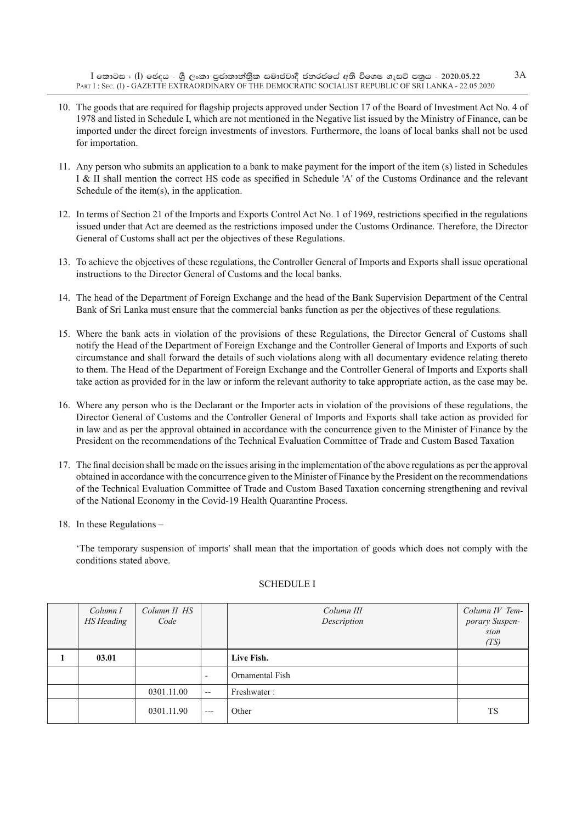- 10. The goods that are required for flagship projects approved under Section 17 of the Board of Investment Act No. 4 of 1978 and listed in Schedule I, which are not mentioned in the Negative list issued by the Ministry of Finance, can be imported under the direct foreign investments of investors. Furthermore, the loans of local banks shall not be used for importation.
- 11. Any person who submits an application to a bank to make payment for the import of the item (s) listed in Schedules I & II shall mention the correct HS code as specified in Schedule 'A' of the Customs Ordinance and the relevant Schedule of the item(s), in the application.
- 12. In terms of Section 21 of the Imports and Exports Control Act No. 1 of 1969, restrictions specified in the regulations issued under that Act are deemed as the restrictions imposed under the Customs Ordinance. Therefore, the Director General of Customs shall act per the objectives of these Regulations.
- 13. To achieve the objectives of these regulations, the Controller General of Imports and Exports shall issue operational instructions to the Director General of Customs and the local banks.
- 14. The head of the Department of Foreign Exchange and the head of the Bank Supervision Department of the Central Bank of Sri Lanka must ensure that the commercial banks function as per the objectives of these regulations.
- 15. Where the bank acts in violation of the provisions of these Regulations, the Director General of Customs shall notify the Head of the Department of Foreign Exchange and the Controller General of Imports and Exports of such circumstance and shall forward the details of such violations along with all documentary evidence relating thereto to them. The Head of the Department of Foreign Exchange and the Controller General of Imports and Exports shall take action as provided for in the law or inform the relevant authority to take appropriate action, as the case may be.
- 16. Where any person who is the Declarant or the Importer acts in violation of the provisions of these regulations, the Director General of Customs and the Controller General of Imports and Exports shall take action as provided for in law and as per the approval obtained in accordance with the concurrence given to the Minister of Finance by the President on the recommendations of the Technical Evaluation Committee of Trade and Custom Based Taxation
- 17. The final decision shall be made on the issues arising in the implementation of the above regulations as per the approval obtained in accordance with the concurrence given to the Minister of Finance by the President on the recommendations of the Technical Evaluation Committee of Trade and Custom Based Taxation concerning strengthening and revival of the National Economy in the Covid-19 Health Quarantine Process.
- 18. In these Regulations –

'The temporary suspension of imports' shall mean that the importation of goods which does not comply with the conditions stated above.

| Column I          | Column II HS |                          | Column III      | Column IV Tem-         |
|-------------------|--------------|--------------------------|-----------------|------------------------|
| <b>HS</b> Heading | Code         |                          | Description     | porary Suspen-<br>sion |
|                   |              |                          |                 |                        |
|                   |              |                          |                 | (TS)                   |
| 03.01             |              |                          | Live Fish.      |                        |
|                   |              | $\overline{\phantom{a}}$ | Ornamental Fish |                        |
|                   | 0301.11.00   | $- -$                    | Freshwater:     |                        |
|                   | 0301.11.90   | $---$                    | Other           | <b>TS</b>              |

#### Schedule I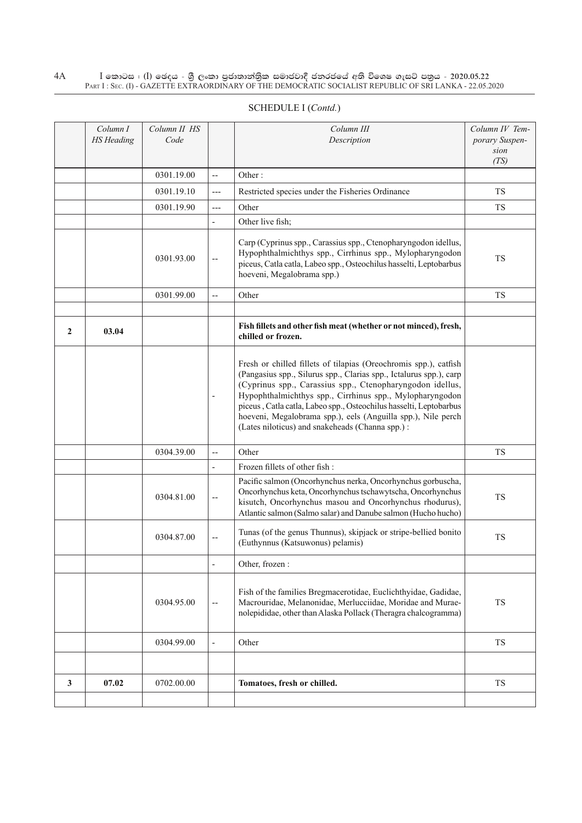|              | Column I<br><b>HS</b> Heading | Column II HS<br>Code |                          | Column III<br>Description                                                                                                                                                                                                                                                                                                                                                                                                                                | Column IV Tem-<br>porary Suspen-<br>sion<br>(TS) |
|--------------|-------------------------------|----------------------|--------------------------|----------------------------------------------------------------------------------------------------------------------------------------------------------------------------------------------------------------------------------------------------------------------------------------------------------------------------------------------------------------------------------------------------------------------------------------------------------|--------------------------------------------------|
|              |                               | 0301.19.00           | $\overline{a}$           | Other:                                                                                                                                                                                                                                                                                                                                                                                                                                                   |                                                  |
|              |                               | 0301.19.10           | $---$                    | Restricted species under the Fisheries Ordinance                                                                                                                                                                                                                                                                                                                                                                                                         | <b>TS</b>                                        |
|              |                               | 0301.19.90           | $---$                    | Other                                                                                                                                                                                                                                                                                                                                                                                                                                                    | TS                                               |
|              |                               |                      |                          | Other live fish;                                                                                                                                                                                                                                                                                                                                                                                                                                         |                                                  |
|              |                               | 0301.93.00           |                          | Carp (Cyprinus spp., Carassius spp., Ctenopharyngodon idellus,<br>Hypophthalmichthys spp., Cirrhinus spp., Mylopharyngodon<br>piceus, Catla catla, Labeo spp., Osteochilus hasselti, Leptobarbus<br>hoeveni, Megalobrama spp.)                                                                                                                                                                                                                           | TS                                               |
|              |                               | 0301.99.00           | $\overline{\phantom{a}}$ | Other                                                                                                                                                                                                                                                                                                                                                                                                                                                    | <b>TS</b>                                        |
|              |                               |                      |                          |                                                                                                                                                                                                                                                                                                                                                                                                                                                          |                                                  |
| $\mathbf{2}$ | 03.04                         |                      |                          | Fish fillets and other fish meat (whether or not minced), fresh,<br>chilled or frozen.                                                                                                                                                                                                                                                                                                                                                                   |                                                  |
|              |                               |                      |                          | Fresh or chilled fillets of tilapias (Oreochromis spp.), catfish<br>(Pangasius spp., Silurus spp., Clarias spp., Ictalurus spp.), carp<br>(Cyprinus spp., Carassius spp., Ctenopharyngodon idellus,<br>Hypophthalmichthys spp., Cirrhinus spp., Mylopharyngodon<br>piceus, Catla catla, Labeo spp., Osteochilus hasselti, Leptobarbus<br>hoeveni, Megalobrama spp.), eels (Anguilla spp.), Nile perch<br>(Lates niloticus) and snakeheads (Channa spp.): |                                                  |
|              |                               | 0304.39.00           | $\overline{\phantom{a}}$ | Other                                                                                                                                                                                                                                                                                                                                                                                                                                                    | <b>TS</b>                                        |
|              |                               |                      | $\overline{\phantom{a}}$ | Frozen fillets of other fish:                                                                                                                                                                                                                                                                                                                                                                                                                            |                                                  |
|              |                               | 0304.81.00           | $\overline{\phantom{a}}$ | Pacific salmon (Oncorhynchus nerka, Oncorhynchus gorbuscha,<br>Oncorhynchus keta, Oncorhynchus tschawytscha, Oncorhynchus<br>kisutch, Oncorhynchus masou and Oncorhynchus rhodurus),<br>Atlantic salmon (Salmo salar) and Danube salmon (Hucho hucho)                                                                                                                                                                                                    | <b>TS</b>                                        |
|              |                               | 0304.87.00           | $\overline{\phantom{a}}$ | Tunas (of the genus Thunnus), skipjack or stripe-bellied bonito<br>(Euthynnus (Katsuwonus) pelamis)                                                                                                                                                                                                                                                                                                                                                      | <b>TS</b>                                        |
|              |                               |                      | $\overline{\phantom{a}}$ | Other, frozen :                                                                                                                                                                                                                                                                                                                                                                                                                                          |                                                  |
|              |                               | 0304.95.00           | $\overline{\phantom{a}}$ | Fish of the families Bregmacerotidae, Euclichthyidae, Gadidae,<br>Macrouridae, Melanonidae, Merlucciidae, Moridae and Murae-<br>nolepididae, other than Alaska Pollack (Theragra chalcogramma)                                                                                                                                                                                                                                                           | TS                                               |
|              |                               | 0304.99.00           | $\overline{\phantom{a}}$ | Other                                                                                                                                                                                                                                                                                                                                                                                                                                                    | TS                                               |
|              |                               |                      |                          |                                                                                                                                                                                                                                                                                                                                                                                                                                                          |                                                  |
| $\mathbf{3}$ | 07.02                         | 0702.00.00           |                          | Tomatoes, fresh or chilled.                                                                                                                                                                                                                                                                                                                                                                                                                              | <b>TS</b>                                        |
|              |                               |                      |                          |                                                                                                                                                                                                                                                                                                                                                                                                                                                          |                                                  |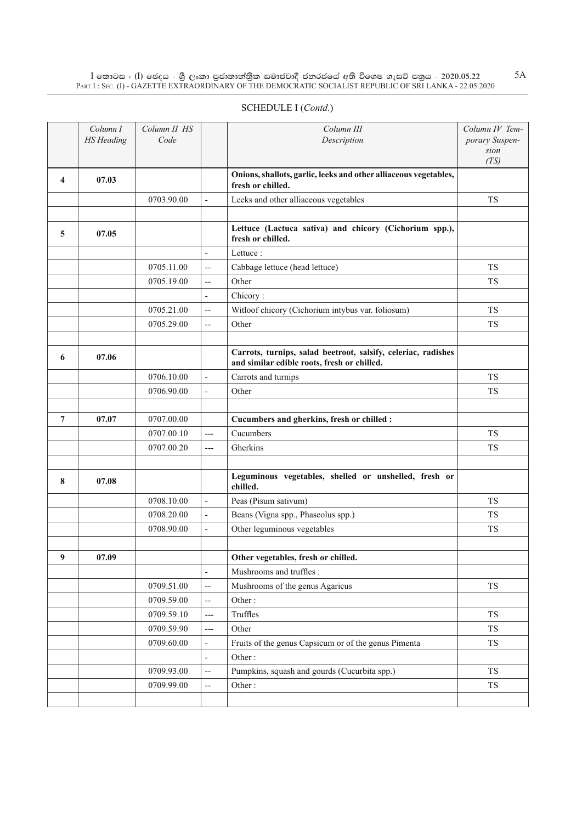$\overline{\phantom{a}}$ 

|   |                               |                      |                          | SCHEDULE I (Contd.)                                                                   |                                                  |
|---|-------------------------------|----------------------|--------------------------|---------------------------------------------------------------------------------------|--------------------------------------------------|
|   | Column I<br><b>HS</b> Heading | Column II HS<br>Code |                          | Column III<br>Description                                                             | Column IV Tem-<br>porary Suspen-<br>sion<br>(TS) |
| 4 | 07.03                         |                      |                          | Onions, shallots, garlic, leeks and other alliaceous vegetables,<br>fresh or chilled. |                                                  |
|   |                               | 0703.90.00           | $\blacksquare$           | Leeks and other alliaceous vegetables                                                 | <b>TS</b>                                        |
|   |                               |                      |                          |                                                                                       |                                                  |
| 5 | 07.05                         |                      |                          | Lettuce (Lactuca sativa) and chicory (Cichorium spp.),<br>fresh or chilled.           |                                                  |
|   |                               |                      | $\overline{\phantom{a}}$ | Lettuce :                                                                             |                                                  |
|   |                               | 0705.11.00           | $\overline{\phantom{a}}$ | Cabbage lettuce (head lettuce)                                                        | <b>TS</b>                                        |
|   |                               | 0705.19.00           | $- -$                    | Other                                                                                 | <b>TS</b>                                        |
|   |                               |                      | ٠                        | Chicory:                                                                              |                                                  |
|   |                               | 0705.21.00           | $\overline{\phantom{a}}$ | Witloof chicory (Cichorium intybus var. foliosum)                                     | <b>TS</b>                                        |
|   |                               | 0705.29.00           | $-$                      | Other                                                                                 | <b>TS</b>                                        |
|   |                               |                      |                          | Counte turning color heatwart coloify colonias nodiches                               |                                                  |

| 6 | 07.06 |            |                          | Carrots, turnips, salad beetroot, salsify, celeriac, radishes<br>and similar edible roots, fresh or chilled. |           |
|---|-------|------------|--------------------------|--------------------------------------------------------------------------------------------------------------|-----------|
|   |       | 0706.10.00 | $\overline{\phantom{a}}$ | Carrots and turnips                                                                                          | <b>TS</b> |
|   |       | 0706.90.00 |                          | Other                                                                                                        | <b>TS</b> |
| 7 | 07.07 | 0707.00.00 |                          | Cucumbers and gherkins, fresh or chilled :                                                                   |           |
|   |       | 0707.00.10 | $---$                    | Cucumbers                                                                                                    | <b>TS</b> |
|   |       | 0707.00.20 | $---$                    | Gherkins                                                                                                     | <b>TS</b> |
| 8 | 07.08 |            |                          | Leguminous vegetables, shelled or unshelled, fresh or<br>chilled.                                            |           |
|   |       | 0708.10.00 | $\overline{a}$           | Peas (Pisum sativum)                                                                                         | <b>TS</b> |
|   |       | 0708.20.00 | $\overline{\phantom{0}}$ | Beans (Vigna spp., Phaseolus spp.)                                                                           | <b>TS</b> |
|   |       | 0708.90.00 | $\overline{\phantom{a}}$ | Other leguminous vegetables                                                                                  | <b>TS</b> |
| 9 | 07.09 |            |                          | Other vegetables, fresh or chilled.                                                                          |           |
|   |       |            | $\overline{a}$           | Mushrooms and truffles:                                                                                      |           |
|   |       | 0709.51.00 | $\overline{\phantom{a}}$ | Mushrooms of the genus Agaricus                                                                              | <b>TS</b> |
|   |       | 0709.59.00 | $\overline{\phantom{a}}$ | Other:                                                                                                       |           |
|   |       | 0709.59.10 | $---$                    | Truffles                                                                                                     | <b>TS</b> |
|   |       | 0709.59.90 | $---$                    | Other                                                                                                        | <b>TS</b> |
|   |       | 0709.60.00 | $\overline{\phantom{a}}$ | Fruits of the genus Capsicum or of the genus Pimenta                                                         | <b>TS</b> |
|   |       |            | $\overline{a}$           | Other:                                                                                                       |           |
|   |       | 0709.93.00 | $\overline{\phantom{a}}$ | Pumpkins, squash and gourds (Cucurbita spp.)                                                                 | <b>TS</b> |
|   |       | 0709.99.00 | $\overline{\phantom{a}}$ | Other:                                                                                                       | <b>TS</b> |
|   |       |            |                          |                                                                                                              |           |
|   |       |            |                          |                                                                                                              |           |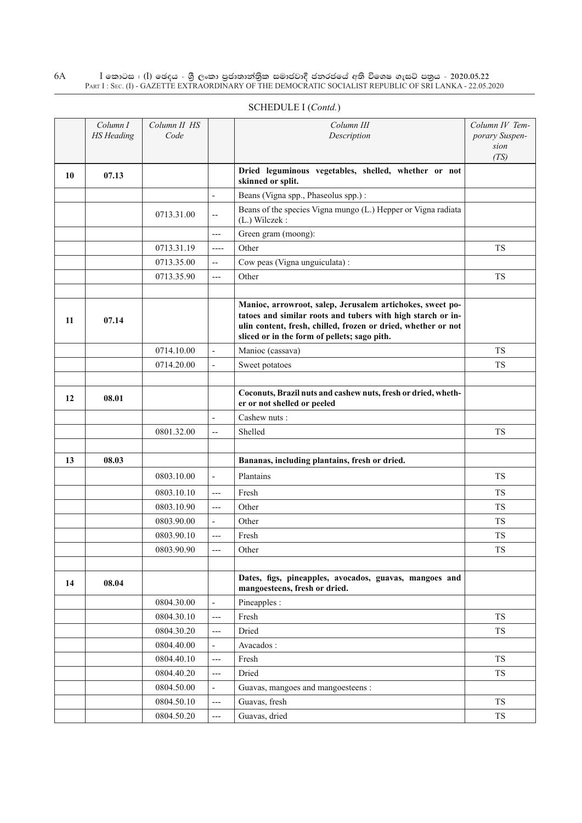|    | Column I<br><b>HS</b> Heading | Column II HS<br>Code |                          | Column III<br>Description                                                                                                                                                                                                                 | Column IV Tem-<br>porary Suspen-<br>sion<br>(TS) |
|----|-------------------------------|----------------------|--------------------------|-------------------------------------------------------------------------------------------------------------------------------------------------------------------------------------------------------------------------------------------|--------------------------------------------------|
| 10 | 07.13                         |                      |                          | Dried leguminous vegetables, shelled, whether or not<br>skinned or split.                                                                                                                                                                 |                                                  |
|    |                               |                      | $\overline{a}$           | Beans (Vigna spp., Phaseolus spp.):                                                                                                                                                                                                       |                                                  |
|    |                               | 0713.31.00           | --                       | Beans of the species Vigna mungo (L.) Hepper or Vigna radiata<br>(L.) Wilczek:                                                                                                                                                            |                                                  |
|    |                               |                      | ---                      | Green gram (moong):                                                                                                                                                                                                                       |                                                  |
|    |                               | 0713.31.19           | ----                     | Other                                                                                                                                                                                                                                     | <b>TS</b>                                        |
|    |                               | 0713.35.00           | --                       | Cow peas (Vigna unguiculata):                                                                                                                                                                                                             |                                                  |
|    |                               | 0713.35.90           | $---$                    | Other                                                                                                                                                                                                                                     | <b>TS</b>                                        |
|    |                               |                      |                          |                                                                                                                                                                                                                                           |                                                  |
| 11 | 07.14                         |                      |                          | Manioc, arrowroot, salep, Jerusalem artichokes, sweet po-<br>tatoes and similar roots and tubers with high starch or in-<br>ulin content, fresh, chilled, frozen or dried, whether or not<br>sliced or in the form of pellets; sago pith. |                                                  |
|    |                               | 0714.10.00           | $\overline{a}$           | Manioc (cassava)                                                                                                                                                                                                                          | <b>TS</b>                                        |
|    |                               | 0714.20.00           | $\overline{a}$           | Sweet potatoes                                                                                                                                                                                                                            | <b>TS</b>                                        |
|    |                               |                      |                          |                                                                                                                                                                                                                                           |                                                  |
| 12 | 08.01                         |                      |                          | Coconuts, Brazil nuts and cashew nuts, fresh or dried, wheth-<br>er or not shelled or peeled                                                                                                                                              |                                                  |
|    |                               |                      | $\overline{a}$           | Cashew nuts:                                                                                                                                                                                                                              |                                                  |
|    |                               | 0801.32.00           | --                       | Shelled                                                                                                                                                                                                                                   | <b>TS</b>                                        |
|    |                               |                      |                          |                                                                                                                                                                                                                                           |                                                  |
| 13 | 08.03                         |                      |                          | Bananas, including plantains, fresh or dried.                                                                                                                                                                                             |                                                  |
|    |                               | 0803.10.00           | $\overline{a}$           | Plantains                                                                                                                                                                                                                                 | <b>TS</b>                                        |
|    |                               | 0803.10.10           | $---$                    | Fresh                                                                                                                                                                                                                                     | <b>TS</b>                                        |
|    |                               | 0803.10.90           | $---$                    | Other                                                                                                                                                                                                                                     | <b>TS</b>                                        |
|    |                               | 0803.90.00           | $\overline{\phantom{a}}$ | Other                                                                                                                                                                                                                                     | <b>TS</b>                                        |
|    |                               | 0803.90.10           | ---                      | Fresh                                                                                                                                                                                                                                     | <b>TS</b>                                        |
|    |                               | 0803.90.90           | $---$                    | Other                                                                                                                                                                                                                                     | <b>TS</b>                                        |
|    |                               |                      |                          |                                                                                                                                                                                                                                           |                                                  |
| 14 | 08.04                         |                      |                          | Dates, figs, pineapples, avocados, guavas, mangoes and<br>mangoesteens, fresh or dried.                                                                                                                                                   |                                                  |
|    |                               | 0804.30.00           | $\overline{a}$           | Pineapples :                                                                                                                                                                                                                              |                                                  |
|    |                               | 0804.30.10           | ---                      | Fresh                                                                                                                                                                                                                                     | TS                                               |
|    |                               | 0804.30.20           | ---                      | Dried                                                                                                                                                                                                                                     | TS                                               |
|    |                               | 0804.40.00           | $\overline{\phantom{0}}$ | Avacados:                                                                                                                                                                                                                                 |                                                  |
|    |                               | 0804.40.10           | ---                      | Fresh                                                                                                                                                                                                                                     | <b>TS</b>                                        |
|    |                               | 0804.40.20           | ---                      | Dried                                                                                                                                                                                                                                     | <b>TS</b>                                        |
|    |                               | 0804.50.00           | ÷,                       | Guavas, mangoes and mangoesteens :                                                                                                                                                                                                        |                                                  |
|    |                               | 0804.50.10           | ---                      | Guavas, fresh                                                                                                                                                                                                                             | ${\rm TS}$                                       |
|    |                               | 0804.50.20           | ---                      | Guavas, dried                                                                                                                                                                                                                             | TS                                               |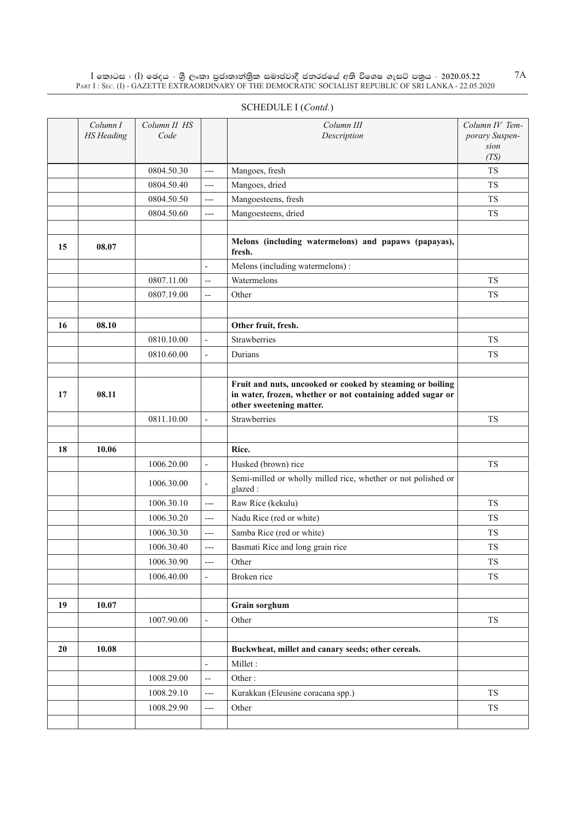## Schedule I (*Contd.*)

|    | Column I<br><b>HS</b> Heading | Column II HS<br>Code |                              | Column III<br>Description                                                                                                                           | Column IV Tem-<br>porary Suspen-<br>sion |
|----|-------------------------------|----------------------|------------------------------|-----------------------------------------------------------------------------------------------------------------------------------------------------|------------------------------------------|
|    |                               | 0804.50.30           | $---$                        | Mangoes, fresh                                                                                                                                      | (TS)<br><b>TS</b>                        |
|    |                               | 0804.50.40           | $---$                        | Mangoes, dried                                                                                                                                      | <b>TS</b>                                |
|    |                               | 0804.50.50           | $---$                        | Mangoesteens, fresh                                                                                                                                 | <b>TS</b>                                |
|    |                               | 0804.50.60           | $---$                        | Mangoesteens, dried                                                                                                                                 | <b>TS</b>                                |
|    |                               |                      |                              |                                                                                                                                                     |                                          |
| 15 | 08.07                         |                      |                              | Melons (including watermelons) and papaws (papayas),<br>fresh.                                                                                      |                                          |
|    |                               |                      | $\frac{1}{2}$                | Melons (including watermelons):                                                                                                                     |                                          |
|    |                               | 0807.11.00           | $\overline{\phantom{a}}$     | Watermelons                                                                                                                                         | <b>TS</b>                                |
|    |                               | 0807.19.00           | $\overline{a}$               | Other                                                                                                                                               | <b>TS</b>                                |
|    |                               |                      |                              |                                                                                                                                                     |                                          |
| 16 | 08.10                         |                      |                              | Other fruit, fresh.                                                                                                                                 |                                          |
|    |                               | 0810.10.00           | $\frac{1}{2}$                | <b>Strawberries</b>                                                                                                                                 | <b>TS</b>                                |
|    |                               | 0810.60.00           | $\overline{\phantom{a}}$     | Durians                                                                                                                                             | <b>TS</b>                                |
|    |                               |                      |                              |                                                                                                                                                     |                                          |
| 17 | 08.11                         |                      |                              | Fruit and nuts, uncooked or cooked by steaming or boiling<br>in water, frozen, whether or not containing added sugar or<br>other sweetening matter. |                                          |
|    |                               | 0811.10.00           | $\overline{a}$               | Strawberries                                                                                                                                        | <b>TS</b>                                |
|    |                               |                      |                              |                                                                                                                                                     |                                          |
| 18 | 10.06                         |                      |                              | Rice.                                                                                                                                               |                                          |
|    |                               | 1006.20.00           | $\qquad \qquad \blacksquare$ | Husked (brown) rice                                                                                                                                 | <b>TS</b>                                |
|    |                               | 1006.30.00           | $\overline{\phantom{a}}$     | Semi-milled or wholly milled rice, whether or not polished or<br>glazed:                                                                            |                                          |
|    |                               | 1006.30.10           | $---$                        | Raw Rice (kekulu)                                                                                                                                   | <b>TS</b>                                |
|    |                               | 1006.30.20           | $---$                        | Nadu Rice (red or white)                                                                                                                            | <b>TS</b>                                |
|    |                               | 1006.30.30           | $---$                        | Samba Rice (red or white)                                                                                                                           | <b>TS</b>                                |
|    |                               | 1006.30.40           | $---$                        | Basmati Rice and long grain rice                                                                                                                    | <b>TS</b>                                |
|    |                               | 1006.30.90           | $---$                        | Other                                                                                                                                               | <b>TS</b>                                |
|    |                               | 1006.40.00           | $\overline{\phantom{a}}$     | Broken rice                                                                                                                                         | ${\rm TS}$                               |
|    |                               |                      |                              |                                                                                                                                                     |                                          |
| 19 | 10.07                         |                      |                              | Grain sorghum                                                                                                                                       |                                          |
|    |                               | 1007.90.00           | $\frac{1}{2}$                | Other                                                                                                                                               | <b>TS</b>                                |
|    |                               |                      |                              |                                                                                                                                                     |                                          |
| 20 | 10.08                         |                      |                              | Buckwheat, millet and canary seeds; other cereals.                                                                                                  |                                          |
|    |                               |                      | $\overline{\phantom{a}}$     | Millet:                                                                                                                                             |                                          |
|    |                               | 1008.29.00           | $\overline{\phantom{a}}$     | Other:                                                                                                                                              |                                          |
|    |                               | 1008.29.10           | ---                          | Kurakkan (Eleusine coracana spp.)                                                                                                                   | TS                                       |
|    |                               | 1008.29.90           | $---$                        | Other                                                                                                                                               | ${\rm TS}$                               |
|    |                               |                      |                              |                                                                                                                                                     |                                          |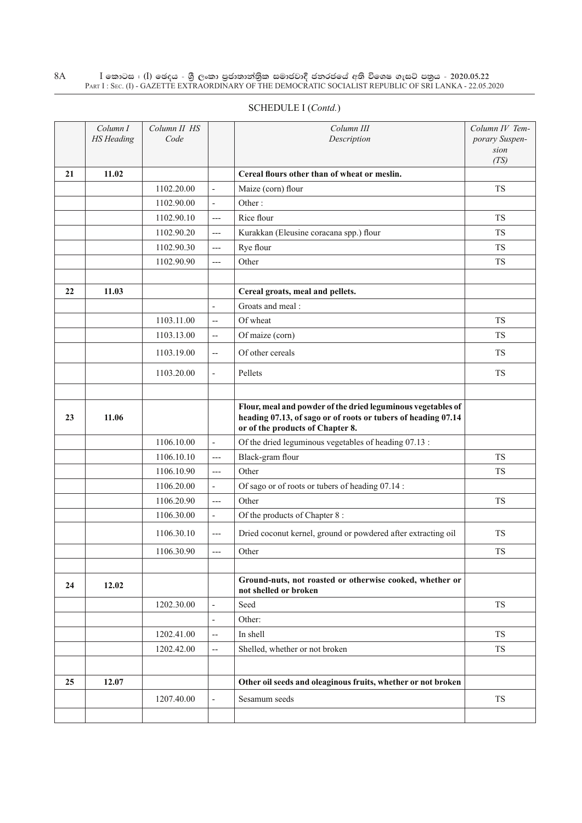|    | Column I<br><b>HS</b> Heading | Column II HS<br>Code |                          | Column III<br>Description                                                                                                                                         | Column IV Tem-<br>porary Suspen-<br>sion<br>(TS) |
|----|-------------------------------|----------------------|--------------------------|-------------------------------------------------------------------------------------------------------------------------------------------------------------------|--------------------------------------------------|
| 21 | 11.02                         |                      |                          | Cereal flours other than of wheat or meslin.                                                                                                                      |                                                  |
|    |                               | 1102.20.00           | $\overline{\phantom{a}}$ | Maize (corn) flour                                                                                                                                                | <b>TS</b>                                        |
|    |                               | 1102.90.00           | $\overline{\phantom{a}}$ | Other:                                                                                                                                                            |                                                  |
|    |                               | 1102.90.10           | $---$                    | Rice flour                                                                                                                                                        | <b>TS</b>                                        |
|    |                               | 1102.90.20           | $---$                    | Kurakkan (Eleusine coracana spp.) flour                                                                                                                           | <b>TS</b>                                        |
|    |                               | 1102.90.30           | $---$                    | Rye flour                                                                                                                                                         | <b>TS</b>                                        |
|    |                               | 1102.90.90           | $---$                    | Other                                                                                                                                                             | <b>TS</b>                                        |
|    |                               |                      |                          |                                                                                                                                                                   |                                                  |
| 22 | 11.03                         |                      |                          | Cereal groats, meal and pellets.                                                                                                                                  |                                                  |
|    |                               |                      | $\blacksquare$           | Groats and meal:                                                                                                                                                  |                                                  |
|    |                               | 1103.11.00           | $-$                      | Of wheat                                                                                                                                                          | <b>TS</b>                                        |
|    |                               | 1103.13.00           | $\overline{\phantom{a}}$ | Of maize (corn)                                                                                                                                                   | <b>TS</b>                                        |
|    |                               | 1103.19.00           | $\overline{\phantom{m}}$ | Of other cereals                                                                                                                                                  | <b>TS</b>                                        |
|    |                               | 1103.20.00           | $\overline{\phantom{a}}$ | Pellets                                                                                                                                                           | <b>TS</b>                                        |
| 23 | 11.06                         |                      |                          | Flour, meal and powder of the dried leguminous vegetables of<br>heading 07.13, of sago or of roots or tubers of heading 07.14<br>or of the products of Chapter 8. |                                                  |
|    |                               | 1106.10.00           | $\overline{\phantom{a}}$ | Of the dried leguminous vegetables of heading 07.13 :                                                                                                             |                                                  |
|    |                               | 1106.10.10           | $---$                    | Black-gram flour                                                                                                                                                  | <b>TS</b>                                        |
|    |                               | 1106.10.90           | $---$                    | Other                                                                                                                                                             | <b>TS</b>                                        |
|    |                               | 1106.20.00           | $\blacksquare$           | Of sago or of roots or tubers of heading 07.14 :                                                                                                                  |                                                  |
|    |                               | 1106.20.90           | $---$                    | Other                                                                                                                                                             | <b>TS</b>                                        |
|    |                               | 1106.30.00           | $\frac{1}{2}$            | Of the products of Chapter 8:                                                                                                                                     |                                                  |
|    |                               | 1106.30.10           | ---                      | Dried coconut kernel, ground or powdered after extracting oil                                                                                                     | <b>TS</b>                                        |
|    |                               | 1106.30.90           | $---$                    | Other                                                                                                                                                             | TS                                               |
| 24 | 12.02                         |                      |                          | Ground-nuts, not roasted or otherwise cooked, whether or<br>not shelled or broken                                                                                 |                                                  |
|    |                               | 1202.30.00           | $\overline{\phantom{a}}$ | Seed                                                                                                                                                              | <b>TS</b>                                        |
|    |                               |                      | $\blacksquare$           | Other:                                                                                                                                                            |                                                  |
|    |                               | 1202.41.00           | --                       | In shell                                                                                                                                                          | <b>TS</b>                                        |
|    |                               | 1202.42.00           | $\overline{\phantom{a}}$ | Shelled, whether or not broken                                                                                                                                    | <b>TS</b>                                        |
|    |                               |                      |                          |                                                                                                                                                                   |                                                  |

**25 12.07 12.07 Other oil seeds and oleaginous fruits, whether or not broken** 

1207.40.00 - Sesamum seeds TS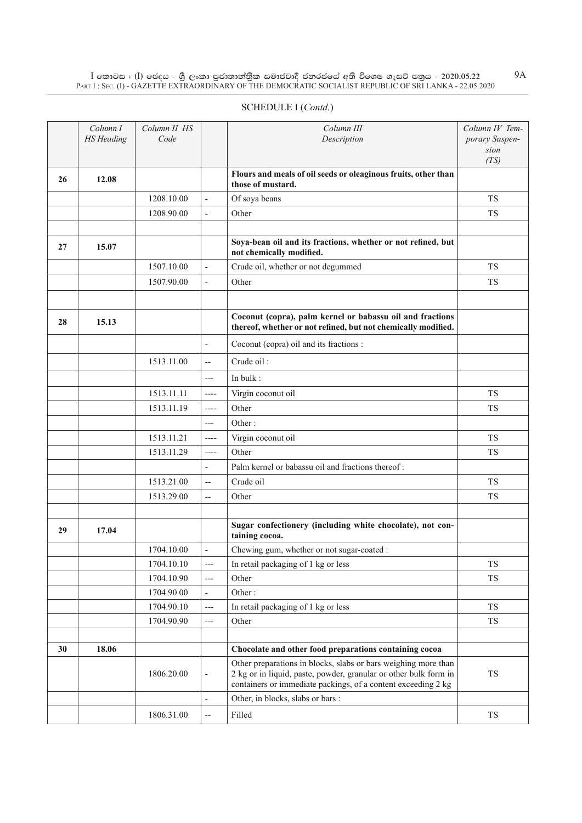| SCHEDULE I (Contd.) |  |
|---------------------|--|
|---------------------|--|

|    | Column I<br><b>HS</b> Heading | Column II HS<br>Code |                          | Column III<br>Description                                                                                                                                                                           | Column IV Tem-<br>porary Suspen-<br>sion |
|----|-------------------------------|----------------------|--------------------------|-----------------------------------------------------------------------------------------------------------------------------------------------------------------------------------------------------|------------------------------------------|
|    |                               |                      |                          |                                                                                                                                                                                                     | (TS)                                     |
| 26 | 12.08                         |                      |                          | Flours and meals of oil seeds or oleaginous fruits, other than<br>those of mustard.                                                                                                                 |                                          |
|    |                               | 1208.10.00           | $\overline{a}$           | Of soya beans                                                                                                                                                                                       | <b>TS</b>                                |
|    |                               | 1208.90.00           | $\overline{\phantom{a}}$ | Other                                                                                                                                                                                               | <b>TS</b>                                |
|    |                               |                      |                          |                                                                                                                                                                                                     |                                          |
| 27 | 15.07                         |                      |                          | Soya-bean oil and its fractions, whether or not refined, but<br>not chemically modified.                                                                                                            |                                          |
|    |                               | 1507.10.00           | $\overline{a}$           | Crude oil, whether or not degummed                                                                                                                                                                  | <b>TS</b>                                |
|    |                               | 1507.90.00           | $\bar{a}$                | Other                                                                                                                                                                                               | <b>TS</b>                                |
|    |                               |                      |                          |                                                                                                                                                                                                     |                                          |
| 28 | 15.13                         |                      |                          | Coconut (copra), palm kernel or babassu oil and fractions<br>thereof, whether or not refined, but not chemically modified.                                                                          |                                          |
|    |                               |                      | $\overline{\phantom{a}}$ | Coconut (copra) oil and its fractions :                                                                                                                                                             |                                          |
|    |                               | 1513.11.00           | $\overline{\phantom{a}}$ | Crude oil:                                                                                                                                                                                          |                                          |
|    |                               |                      | $---$                    | In bulk:                                                                                                                                                                                            |                                          |
|    |                               | 1513.11.11           | ----                     | Virgin coconut oil                                                                                                                                                                                  | <b>TS</b>                                |
|    |                               | 1513.11.19           | $---$                    | Other                                                                                                                                                                                               | <b>TS</b>                                |
|    |                               |                      | $---$                    | Other:                                                                                                                                                                                              |                                          |
|    |                               | 1513.11.21           | $---$                    | Virgin coconut oil                                                                                                                                                                                  | <b>TS</b>                                |
|    |                               | 1513.11.29           | $---$                    | Other                                                                                                                                                                                               | <b>TS</b>                                |
|    |                               |                      | $\overline{\phantom{a}}$ | Palm kernel or babassu oil and fractions thereof:                                                                                                                                                   |                                          |
|    |                               | 1513.21.00           | $\overline{a}$           | Crude oil                                                                                                                                                                                           | <b>TS</b>                                |
|    |                               | 1513.29.00           | $\overline{\phantom{a}}$ | Other                                                                                                                                                                                               | <b>TS</b>                                |
|    |                               |                      |                          |                                                                                                                                                                                                     |                                          |
| 29 | 17.04                         |                      |                          | Sugar confectionery (including white chocolate), not con-<br>taining cocoa.                                                                                                                         |                                          |
|    |                               | 1704.10.00           | $\overline{a}$           | Chewing gum, whether or not sugar-coated :                                                                                                                                                          |                                          |
|    |                               | 1704.10.10           | $---$                    | In retail packaging of 1 kg or less                                                                                                                                                                 | TS                                       |
|    |                               | 1704.10.90           | $---$                    | Other                                                                                                                                                                                               | <b>TS</b>                                |
|    |                               | 1704.90.00           | $\overline{\phantom{a}}$ | Other:                                                                                                                                                                                              |                                          |
|    |                               | 1704.90.10           | $---$                    | In retail packaging of 1 kg or less                                                                                                                                                                 | TS                                       |
|    |                               | 1704.90.90           | $---$                    | Other                                                                                                                                                                                               | TS                                       |
|    |                               |                      |                          |                                                                                                                                                                                                     |                                          |
| 30 | 18.06                         |                      |                          | Chocolate and other food preparations containing cocoa                                                                                                                                              |                                          |
|    |                               | 1806.20.00           | $\overline{\phantom{a}}$ | Other preparations in blocks, slabs or bars weighing more than<br>2 kg or in liquid, paste, powder, granular or other bulk form in<br>containers or immediate packings, of a content exceeding 2 kg | TS                                       |
|    |                               |                      | $\overline{\phantom{a}}$ | Other, in blocks, slabs or bars :                                                                                                                                                                   |                                          |
|    |                               | 1806.31.00           | $\overline{a}$           | Filled                                                                                                                                                                                              | TS                                       |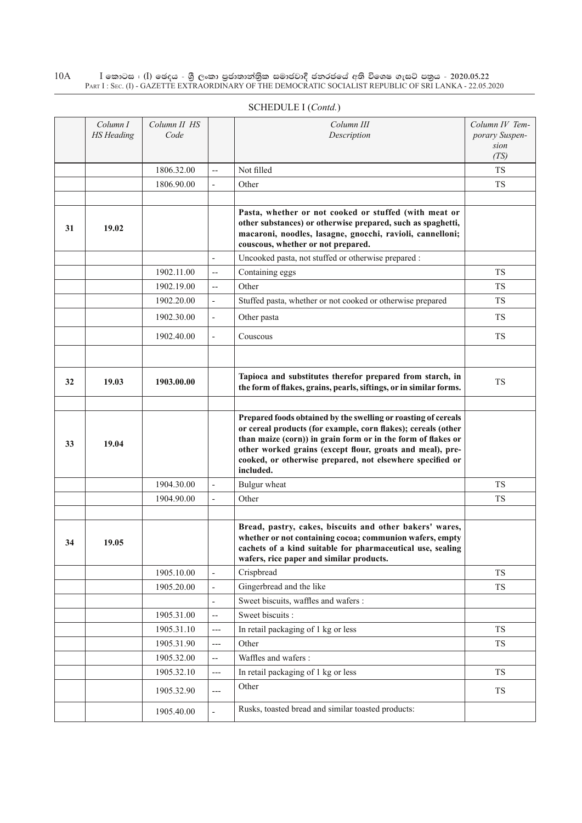|    | Column I<br><b>HS</b> Heading | Column II HS<br>Code |                          | Column III<br>Description                                                                                                                                                                                                                                                                                                              | Column IV Tem-<br>porary Suspen-<br>sion<br>(TS) |
|----|-------------------------------|----------------------|--------------------------|----------------------------------------------------------------------------------------------------------------------------------------------------------------------------------------------------------------------------------------------------------------------------------------------------------------------------------------|--------------------------------------------------|
|    |                               | 1806.32.00           | $\overline{\phantom{a}}$ | Not filled                                                                                                                                                                                                                                                                                                                             | TS                                               |
|    |                               | 1806.90.00           | $\overline{\phantom{a}}$ | Other                                                                                                                                                                                                                                                                                                                                  | TS                                               |
|    |                               |                      |                          |                                                                                                                                                                                                                                                                                                                                        |                                                  |
| 31 | 19.02                         |                      |                          | Pasta, whether or not cooked or stuffed (with meat or<br>other substances) or otherwise prepared, such as spaghetti,<br>macaroni, noodles, lasagne, gnocchi, ravioli, cannelloni;<br>couscous, whether or not prepared.                                                                                                                |                                                  |
|    |                               |                      | $\overline{\phantom{a}}$ | Uncooked pasta, not stuffed or otherwise prepared :                                                                                                                                                                                                                                                                                    |                                                  |
|    |                               | 1902.11.00           | $\overline{\phantom{m}}$ | Containing eggs                                                                                                                                                                                                                                                                                                                        | TS                                               |
|    |                               | 1902.19.00           | $\overline{\phantom{m}}$ | Other                                                                                                                                                                                                                                                                                                                                  | TS                                               |
|    |                               | 1902.20.00           | $\overline{\phantom{a}}$ | Stuffed pasta, whether or not cooked or otherwise prepared                                                                                                                                                                                                                                                                             | <b>TS</b>                                        |
|    |                               | 1902.30.00           | $\overline{\phantom{a}}$ | Other pasta                                                                                                                                                                                                                                                                                                                            | <b>TS</b>                                        |
|    |                               | 1902.40.00           | $\overline{\phantom{a}}$ | Couscous                                                                                                                                                                                                                                                                                                                               | TS                                               |
|    |                               |                      |                          |                                                                                                                                                                                                                                                                                                                                        |                                                  |
| 32 | 19.03                         | 1903.00.00           |                          | Tapioca and substitutes therefor prepared from starch, in<br>the form of flakes, grains, pearls, siftings, or in similar forms.                                                                                                                                                                                                        | <b>TS</b>                                        |
|    |                               |                      |                          |                                                                                                                                                                                                                                                                                                                                        |                                                  |
| 33 | 19.04                         |                      |                          | Prepared foods obtained by the swelling or roasting of cereals<br>or cereal products (for example, corn flakes); cereals (other<br>than maize (corn)) in grain form or in the form of flakes or<br>other worked grains (except flour, groats and meal), pre-<br>cooked, or otherwise prepared, not elsewhere specified or<br>included. |                                                  |
|    |                               | 1904.30.00           |                          | Bulgur wheat                                                                                                                                                                                                                                                                                                                           | <b>TS</b>                                        |
|    |                               | 1904.90.00           | $\overline{\phantom{a}}$ | Other                                                                                                                                                                                                                                                                                                                                  | TS                                               |
| 34 | 19.05                         |                      |                          | Bread, pastry, cakes, biscuits and other bakers' wares,<br>whether or not containing cocoa; communion wafers, empty<br>cachets of a kind suitable for pharmaceutical use, sealing<br>wafers, rice paper and similar products.                                                                                                          |                                                  |
|    |                               | 1905.10.00           |                          | Crispbread                                                                                                                                                                                                                                                                                                                             | TS                                               |
|    |                               | 1905.20.00           | $\overline{\phantom{a}}$ | Gingerbread and the like                                                                                                                                                                                                                                                                                                               | <b>TS</b>                                        |
|    |                               |                      | $\overline{\phantom{a}}$ | Sweet biscuits, waffles and wafers :                                                                                                                                                                                                                                                                                                   |                                                  |
|    |                               | 1905.31.00           | $\overline{\phantom{a}}$ | Sweet biscuits :                                                                                                                                                                                                                                                                                                                       |                                                  |
|    |                               | 1905.31.10           | $---$                    | In retail packaging of 1 kg or less                                                                                                                                                                                                                                                                                                    | <b>TS</b>                                        |
|    |                               | 1905.31.90           | $---$                    | Other                                                                                                                                                                                                                                                                                                                                  | <b>TS</b>                                        |
|    |                               | 1905.32.00           | $\overline{\phantom{a}}$ | Waffles and wafers :                                                                                                                                                                                                                                                                                                                   |                                                  |
|    |                               | 1905.32.10           | $---$                    | In retail packaging of 1 kg or less                                                                                                                                                                                                                                                                                                    | TS                                               |
|    |                               | 1905.32.90           | $---$                    | Other                                                                                                                                                                                                                                                                                                                                  | TS                                               |
|    |                               | 1905.40.00           |                          | Rusks, toasted bread and similar toasted products:                                                                                                                                                                                                                                                                                     |                                                  |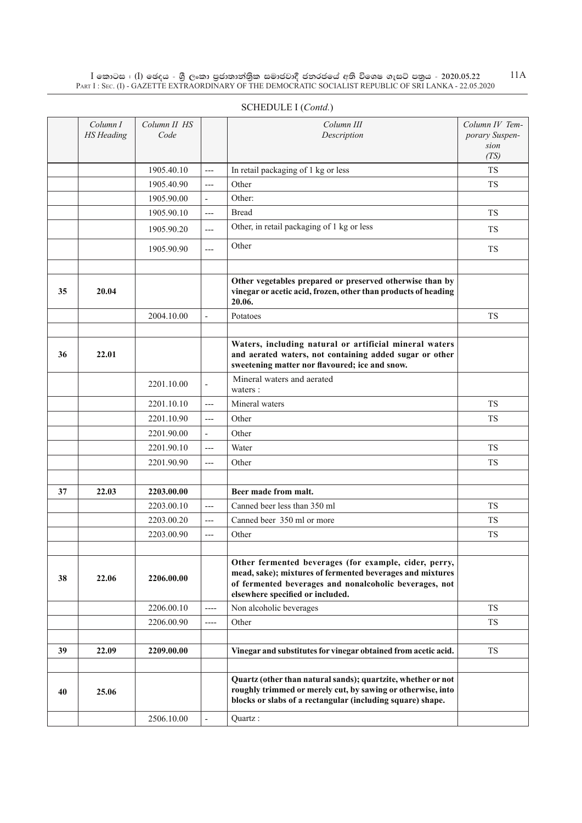|    | Column I<br><b>HS</b> Heading | Column II HS<br>Code |                          | Column III<br>Description                                                                                                                                                                                        | Column IV Tem-<br>porary Suspen-<br>sion<br>(TS) |
|----|-------------------------------|----------------------|--------------------------|------------------------------------------------------------------------------------------------------------------------------------------------------------------------------------------------------------------|--------------------------------------------------|
|    |                               | 1905.40.10           | $---$                    | In retail packaging of 1 kg or less                                                                                                                                                                              | <b>TS</b>                                        |
|    |                               | 1905.40.90           | $---$                    | Other                                                                                                                                                                                                            | <b>TS</b>                                        |
|    |                               | 1905.90.00           | $\frac{1}{2}$            | Other:                                                                                                                                                                                                           |                                                  |
|    |                               | 1905.90.10           | $---$                    | <b>Bread</b>                                                                                                                                                                                                     | <b>TS</b>                                        |
|    |                               | 1905.90.20           | $---$                    | Other, in retail packaging of 1 kg or less                                                                                                                                                                       | TS                                               |
|    |                               | 1905.90.90           | $---$                    | Other                                                                                                                                                                                                            | <b>TS</b>                                        |
|    |                               |                      |                          |                                                                                                                                                                                                                  |                                                  |
| 35 | 20.04                         |                      |                          | Other vegetables prepared or preserved otherwise than by<br>vinegar or acetic acid, frozen, other than products of heading<br>20.06.                                                                             |                                                  |
|    |                               | 2004.10.00           | $\blacksquare$           | Potatoes                                                                                                                                                                                                         | <b>TS</b>                                        |
|    |                               |                      |                          |                                                                                                                                                                                                                  |                                                  |
| 36 | 22.01                         |                      |                          | Waters, including natural or artificial mineral waters<br>and aerated waters, not containing added sugar or other<br>sweetening matter nor flavoured; ice and snow.                                              |                                                  |
|    |                               | 2201.10.00           | $\overline{\phantom{a}}$ | Mineral waters and aerated<br>waters:                                                                                                                                                                            |                                                  |
|    |                               | 2201.10.10           | $---$                    | Mineral waters                                                                                                                                                                                                   | <b>TS</b>                                        |
|    |                               | 2201.10.90           | $---$                    | Other                                                                                                                                                                                                            | <b>TS</b>                                        |
|    |                               | 2201.90.00           | $\overline{\phantom{a}}$ | Other                                                                                                                                                                                                            |                                                  |
|    |                               | 2201.90.10           | $---$                    | Water                                                                                                                                                                                                            | <b>TS</b>                                        |
|    |                               | 2201.90.90           | $---$                    | Other                                                                                                                                                                                                            | TS                                               |
|    |                               |                      |                          |                                                                                                                                                                                                                  |                                                  |
| 37 | 22.03                         | 2203.00.00           |                          | Beer made from malt.                                                                                                                                                                                             |                                                  |
|    |                               | 2203.00.10           | $---$                    | Canned beer less than 350 ml                                                                                                                                                                                     | <b>TS</b>                                        |
|    |                               | 2203.00.20           | $---$                    | Canned beer 350 ml or more                                                                                                                                                                                       | <b>TS</b>                                        |
|    |                               | 2203.00.90           | $---$                    | Other                                                                                                                                                                                                            | <b>TS</b>                                        |
| 38 | 22.06                         | 2206.00.00           |                          | Other fermented beverages (for example, cider, perry,<br>mead, sake); mixtures of fermented beverages and mixtures<br>of fermented beverages and nonalcoholic beverages, not<br>elsewhere specified or included. |                                                  |
|    |                               | 2206.00.10           | ----                     | Non alcoholic beverages                                                                                                                                                                                          | <b>TS</b>                                        |
|    |                               | 2206.00.90           | $---$                    | Other                                                                                                                                                                                                            | <b>TS</b>                                        |
|    |                               |                      |                          |                                                                                                                                                                                                                  |                                                  |
| 39 | 22.09                         | 2209.00.00           |                          | Vinegar and substitutes for vinegar obtained from acetic acid.                                                                                                                                                   | <b>TS</b>                                        |
|    |                               |                      |                          |                                                                                                                                                                                                                  |                                                  |
| 40 | 25.06                         |                      |                          | Quartz (other than natural sands); quartzite, whether or not<br>roughly trimmed or merely cut, by sawing or otherwise, into<br>blocks or slabs of a rectangular (including square) shape.                        |                                                  |
|    |                               | 2506.10.00           | $\overline{\phantom{a}}$ | Quartz:                                                                                                                                                                                                          |                                                  |

## SCHEDULE I (*Contd.*)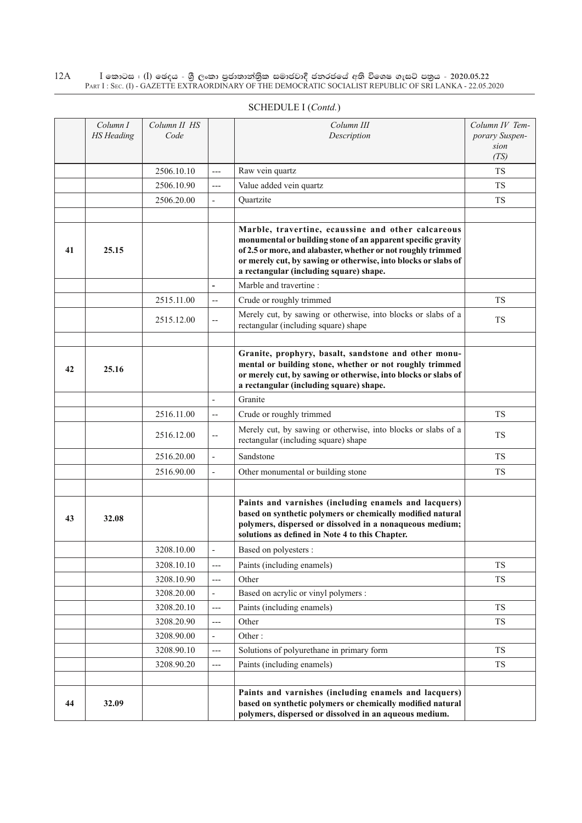|    |                               |                      |                          | SCHEDULE I (Contd.)                                                                                                                                                                                                                                                                              |                                                  |
|----|-------------------------------|----------------------|--------------------------|--------------------------------------------------------------------------------------------------------------------------------------------------------------------------------------------------------------------------------------------------------------------------------------------------|--------------------------------------------------|
|    | Column I<br><b>HS</b> Heading | Column II HS<br>Code |                          | Column III<br>Description                                                                                                                                                                                                                                                                        | Column IV Tem-<br>porary Suspen-<br>sion<br>(TS) |
|    |                               | 2506.10.10           | $---$                    | Raw vein quartz                                                                                                                                                                                                                                                                                  | <b>TS</b>                                        |
|    |                               | 2506.10.90           | $---$                    | Value added vein quartz                                                                                                                                                                                                                                                                          | <b>TS</b>                                        |
|    |                               | 2506.20.00           |                          | Ouartzite                                                                                                                                                                                                                                                                                        | <b>TS</b>                                        |
| 41 | 25.15                         |                      |                          | Marble, travertine, ecaussine and other calcareous<br>monumental or building stone of an apparent specific gravity<br>of 2.5 or more, and alabaster, whether or not roughly trimmed<br>or merely cut, by sawing or otherwise, into blocks or slabs of<br>a rectangular (including square) shape. |                                                  |
|    |                               |                      | $\blacksquare$           | Marble and travertine:                                                                                                                                                                                                                                                                           |                                                  |
|    |                               | 2515.11.00           | $\overline{\phantom{a}}$ | Crude or roughly trimmed                                                                                                                                                                                                                                                                         | <b>TS</b>                                        |
|    |                               | 2515.12.00           | $\overline{\phantom{a}}$ | Merely cut, by sawing or otherwise, into blocks or slabs of a<br>rectangular (including square) shape                                                                                                                                                                                            | <b>TS</b>                                        |
| 42 | 25.16                         |                      |                          | Granite, prophyry, basalt, sandstone and other monu-<br>mental or building stone, whether or not roughly trimmed<br>or merely cut, by sawing or otherwise, into blocks or slabs of                                                                                                               |                                                  |

|    |       | 2515.11.00 |                          | Crude or roughly trimmed                                                                                                                                                                                                           | <b>TS</b> |
|----|-------|------------|--------------------------|------------------------------------------------------------------------------------------------------------------------------------------------------------------------------------------------------------------------------------|-----------|
|    |       | 2515.12.00 | $\overline{a}$           | Merely cut, by sawing or otherwise, into blocks or slabs of a<br>rectangular (including square) shape                                                                                                                              | <b>TS</b> |
|    |       |            |                          |                                                                                                                                                                                                                                    |           |
| 42 | 25.16 |            |                          | Granite, prophyry, basalt, sandstone and other monu-<br>mental or building stone, whether or not roughly trimmed<br>or merely cut, by sawing or otherwise, into blocks or slabs of<br>a rectangular (including square) shape.      |           |
|    |       |            |                          | Granite                                                                                                                                                                                                                            |           |
|    |       | 2516.11.00 | $\overline{\phantom{a}}$ | Crude or roughly trimmed                                                                                                                                                                                                           | <b>TS</b> |
|    |       | 2516.12.00 | $\overline{\phantom{a}}$ | Merely cut, by sawing or otherwise, into blocks or slabs of a<br>rectangular (including square) shape                                                                                                                              | TS        |
|    |       | 2516.20.00 | $\overline{a}$           | Sandstone                                                                                                                                                                                                                          | <b>TS</b> |
|    |       | 2516.90.00 | $\overline{\phantom{a}}$ | Other monumental or building stone                                                                                                                                                                                                 | TS        |
|    |       |            |                          |                                                                                                                                                                                                                                    |           |
| 43 | 32.08 |            |                          | Paints and varnishes (including enamels and lacquers)<br>based on synthetic polymers or chemically modified natural<br>polymers, dispersed or dissolved in a nonaqueous medium;<br>solutions as defined in Note 4 to this Chapter. |           |
|    |       | 3208.10.00 | $\overline{a}$           | Based on polyesters :                                                                                                                                                                                                              |           |
|    |       | 3208.10.10 | $---$                    | Paints (including enamels)                                                                                                                                                                                                         | <b>TS</b> |
|    |       | 3208.10.90 | $---$                    | Other                                                                                                                                                                                                                              | <b>TS</b> |
|    |       | 3208.20.00 | $\overline{a}$           | Based on acrylic or vinyl polymers :                                                                                                                                                                                               |           |
|    |       | 3208.20.10 | $---$                    | Paints (including enamels)                                                                                                                                                                                                         | <b>TS</b> |
|    |       | 3208.20.90 | $---$                    | Other                                                                                                                                                                                                                              | <b>TS</b> |
|    |       | 3208.90.00 | $\blacksquare$           | Other:                                                                                                                                                                                                                             |           |
|    |       | 3208.90.10 | $---$                    | Solutions of polyurethane in primary form                                                                                                                                                                                          | <b>TS</b> |
|    |       | 3208.90.20 | $---$                    | Paints (including enamels)                                                                                                                                                                                                         | <b>TS</b> |
| 44 | 32.09 |            |                          | Paints and varnishes (including enamels and lacquers)<br>based on synthetic polymers or chemically modified natural<br>polymers, dispersed or dissolved in an aqueous medium.                                                      |           |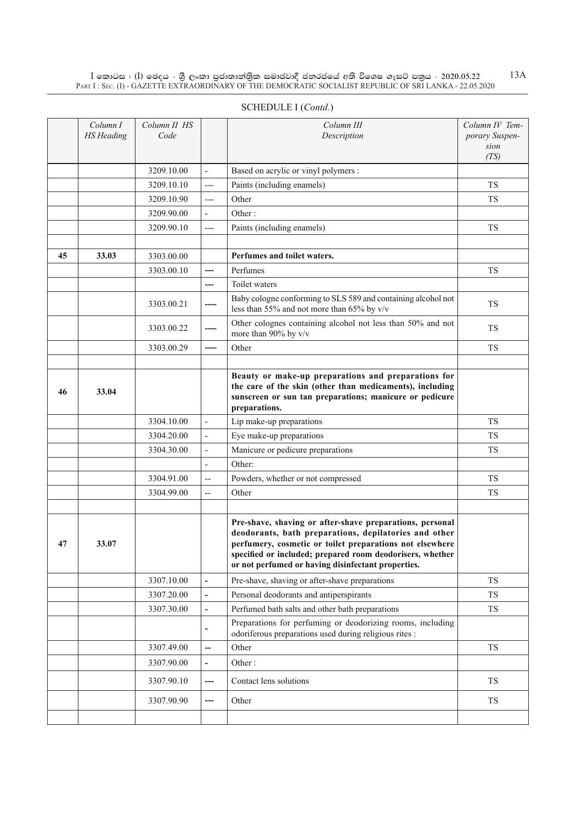|    | Column I<br><b>HS</b> Heading | Column II HS<br>Code |                              | Column III<br>Description                                                                                                                                                                                                                                                                        | Column IV Tem-<br>porary Suspen-<br>sion<br>(TS) |
|----|-------------------------------|----------------------|------------------------------|--------------------------------------------------------------------------------------------------------------------------------------------------------------------------------------------------------------------------------------------------------------------------------------------------|--------------------------------------------------|
|    |                               | 3209.10.00           | ÷,                           | Based on acrylic or vinyl polymers :                                                                                                                                                                                                                                                             |                                                  |
|    |                               | 3209.10.10           | $---$                        | Paints (including enamels)                                                                                                                                                                                                                                                                       | <b>TS</b>                                        |
|    |                               | 3209.10.90           | $---$                        | Other                                                                                                                                                                                                                                                                                            | <b>TS</b>                                        |
|    |                               | 3209.90.00           | $\overline{\phantom{a}}$     | Other:                                                                                                                                                                                                                                                                                           |                                                  |
|    |                               | 3209.90.10           | $---$                        | Paints (including enamels)                                                                                                                                                                                                                                                                       | <b>TS</b>                                        |
|    |                               |                      |                              |                                                                                                                                                                                                                                                                                                  |                                                  |
| 45 | 33.03                         | 3303.00.00           |                              | Perfumes and toilet waters.                                                                                                                                                                                                                                                                      |                                                  |
|    |                               | 3303.00.10           | ---                          | Perfumes                                                                                                                                                                                                                                                                                         | <b>TS</b>                                        |
|    |                               |                      | ---                          | Toilet waters                                                                                                                                                                                                                                                                                    |                                                  |
|    |                               | 3303.00.21           | ----                         | Baby cologne conforming to SLS 589 and containing alcohol not<br>less than 55% and not more than 65% by v/v                                                                                                                                                                                      | <b>TS</b>                                        |
|    |                               | 3303.00.22           |                              | Other colognes containing alcohol not less than 50% and not<br>more than 90% by v/v                                                                                                                                                                                                              | <b>TS</b>                                        |
|    |                               | 3303.00.29           | ----                         | Other                                                                                                                                                                                                                                                                                            | <b>TS</b>                                        |
|    |                               |                      |                              |                                                                                                                                                                                                                                                                                                  |                                                  |
| 46 | 33.04                         |                      |                              | Beauty or make-up preparations and preparations for<br>the care of the skin (other than medicaments), including<br>sunscreen or sun tan preparations; manicure or pedicure<br>preparations.                                                                                                      |                                                  |
|    |                               | 3304.10.00           | $\qquad \qquad \blacksquare$ | Lip make-up preparations                                                                                                                                                                                                                                                                         | <b>TS</b>                                        |
|    |                               | 3304.20.00           | $\overline{\phantom{a}}$     | Eye make-up preparations                                                                                                                                                                                                                                                                         | <b>TS</b>                                        |
|    |                               | 3304.30.00           | $\frac{1}{2}$                | Manicure or pedicure preparations                                                                                                                                                                                                                                                                | <b>TS</b>                                        |
|    |                               |                      | L,                           | Other:                                                                                                                                                                                                                                                                                           |                                                  |
|    |                               | 3304.91.00           | $\overline{a}$               | Powders, whether or not compressed                                                                                                                                                                                                                                                               | <b>TS</b>                                        |
|    |                               | 3304.99.00           | $\overline{\phantom{a}}$     | Other                                                                                                                                                                                                                                                                                            | <b>TS</b>                                        |
|    |                               |                      |                              |                                                                                                                                                                                                                                                                                                  |                                                  |
| 47 | 33.07                         |                      |                              | Pre-shave, shaving or after-shave preparations, personal<br>deodorants, bath preparations, depilatories and other<br>perfumery, cosmetic or toilet preparations not elsewhere<br>specified or included; prepared room deodorisers, whether<br>or not perfumed or having disinfectant properties. |                                                  |
|    |                               | 3307.10.00           | $\overline{\phantom{a}}$     | Pre-shave, shaving or after-shave preparations                                                                                                                                                                                                                                                   | TS                                               |
|    |                               | 3307.20.00           | $\overline{\phantom{a}}$     | Personal deodorants and antiperspirants                                                                                                                                                                                                                                                          | TS                                               |
|    |                               | 3307.30.00           | $\overline{\phantom{a}}$     | Perfumed bath salts and other bath preparations                                                                                                                                                                                                                                                  | TS                                               |
|    |                               |                      |                              | Preparations for perfuming or deodorizing rooms, including<br>odoriferous preparations used during religious rites :                                                                                                                                                                             |                                                  |
|    |                               | 3307.49.00           | $\overline{\phantom{a}}$     | Other                                                                                                                                                                                                                                                                                            | TS                                               |
|    |                               | 3307.90.00           | $\overline{\phantom{a}}$     | Other:                                                                                                                                                                                                                                                                                           |                                                  |
|    |                               | 3307.90.10           | $---$                        | Contact lens solutions                                                                                                                                                                                                                                                                           | TS                                               |
|    |                               | 3307.90.90           | ---                          | Other                                                                                                                                                                                                                                                                                            | TS                                               |
|    |                               |                      |                              |                                                                                                                                                                                                                                                                                                  |                                                  |

## SCHEDULE I (*Contd.*)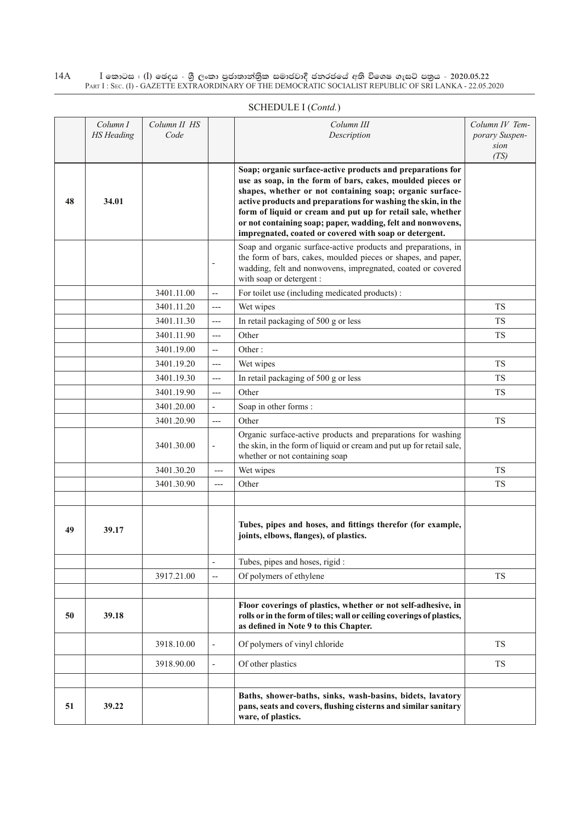|    | Column I<br><b>HS</b> Heading | Column II HS<br>Code |                          | Column III<br>Description                                                                                                                                                                                                                                                                                                                                                                                                                     | Column IV Tem-<br>porary Suspen-<br>sion<br>(TS) |
|----|-------------------------------|----------------------|--------------------------|-----------------------------------------------------------------------------------------------------------------------------------------------------------------------------------------------------------------------------------------------------------------------------------------------------------------------------------------------------------------------------------------------------------------------------------------------|--------------------------------------------------|
| 48 | 34.01                         |                      |                          | Soap; organic surface-active products and preparations for<br>use as soap, in the form of bars, cakes, moulded pieces or<br>shapes, whether or not containing soap; organic surface-<br>active products and preparations for washing the skin, in the<br>form of liquid or cream and put up for retail sale, whether<br>or not containing soap; paper, wadding, felt and nonwovens,<br>impregnated, coated or covered with soap or detergent. |                                                  |
|    |                               |                      | $\overline{\phantom{a}}$ | Soap and organic surface-active products and preparations, in<br>the form of bars, cakes, moulded pieces or shapes, and paper,<br>wadding, felt and nonwovens, impregnated, coated or covered<br>with soap or detergent :                                                                                                                                                                                                                     |                                                  |
|    |                               | 3401.11.00           | $\hspace{0.05cm} \dashv$ | For toilet use (including medicated products):                                                                                                                                                                                                                                                                                                                                                                                                |                                                  |
|    |                               | 3401.11.20           | $---$                    | Wet wipes                                                                                                                                                                                                                                                                                                                                                                                                                                     | <b>TS</b>                                        |
|    |                               | 3401.11.30           | ---                      | In retail packaging of 500 g or less                                                                                                                                                                                                                                                                                                                                                                                                          | <b>TS</b>                                        |
|    |                               | 3401.11.90           | $---$                    | Other                                                                                                                                                                                                                                                                                                                                                                                                                                         | <b>TS</b>                                        |
|    |                               | 3401.19.00           | $\overline{\phantom{a}}$ | Other:                                                                                                                                                                                                                                                                                                                                                                                                                                        |                                                  |
|    |                               | 3401.19.20           | $---$                    | Wet wipes                                                                                                                                                                                                                                                                                                                                                                                                                                     | <b>TS</b>                                        |
|    |                               | 3401.19.30           | $---$                    | In retail packaging of 500 g or less                                                                                                                                                                                                                                                                                                                                                                                                          | <b>TS</b>                                        |
|    |                               | 3401.19.90           | $---$                    | Other                                                                                                                                                                                                                                                                                                                                                                                                                                         | <b>TS</b>                                        |
|    |                               | 3401.20.00           | $\overline{\phantom{a}}$ | Soap in other forms:                                                                                                                                                                                                                                                                                                                                                                                                                          |                                                  |
|    |                               | 3401.20.90           | $\overline{a}$           | Other                                                                                                                                                                                                                                                                                                                                                                                                                                         | <b>TS</b>                                        |
|    |                               | 3401.30.00           | $\overline{\phantom{a}}$ | Organic surface-active products and preparations for washing<br>the skin, in the form of liquid or cream and put up for retail sale,<br>whether or not containing soap                                                                                                                                                                                                                                                                        |                                                  |
|    |                               | 3401.30.20           | $---$                    | Wet wipes                                                                                                                                                                                                                                                                                                                                                                                                                                     | <b>TS</b>                                        |
|    |                               | 3401.30.90           | $---$                    | Other                                                                                                                                                                                                                                                                                                                                                                                                                                         | <b>TS</b>                                        |
|    |                               |                      |                          |                                                                                                                                                                                                                                                                                                                                                                                                                                               |                                                  |
| 49 | 39.17                         |                      |                          | Tubes, pipes and hoses, and fittings therefor (for example,<br>joints, elbows, flanges), of plastics.                                                                                                                                                                                                                                                                                                                                         |                                                  |
|    |                               |                      | $\overline{\phantom{a}}$ | Tubes, pipes and hoses, rigid:                                                                                                                                                                                                                                                                                                                                                                                                                |                                                  |
|    |                               | 3917.21.00           | $\overline{\phantom{a}}$ | Of polymers of ethylene                                                                                                                                                                                                                                                                                                                                                                                                                       | <b>TS</b>                                        |
|    |                               |                      |                          |                                                                                                                                                                                                                                                                                                                                                                                                                                               |                                                  |
| 50 | 39.18                         |                      |                          | Floor coverings of plastics, whether or not self-adhesive, in<br>rolls or in the form of tiles; wall or ceiling coverings of plastics,<br>as defined in Note 9 to this Chapter.                                                                                                                                                                                                                                                               |                                                  |
|    |                               | 3918.10.00           | $\overline{\phantom{a}}$ | Of polymers of vinyl chloride                                                                                                                                                                                                                                                                                                                                                                                                                 | <b>TS</b>                                        |
|    |                               | 3918.90.00           | $\Box$                   | Of other plastics                                                                                                                                                                                                                                                                                                                                                                                                                             | <b>TS</b>                                        |
|    |                               |                      |                          |                                                                                                                                                                                                                                                                                                                                                                                                                                               |                                                  |
| 51 | 39.22                         |                      |                          | Baths, shower-baths, sinks, wash-basins, bidets, lavatory<br>pans, seats and covers, flushing cisterns and similar sanitary<br>ware, of plastics.                                                                                                                                                                                                                                                                                             |                                                  |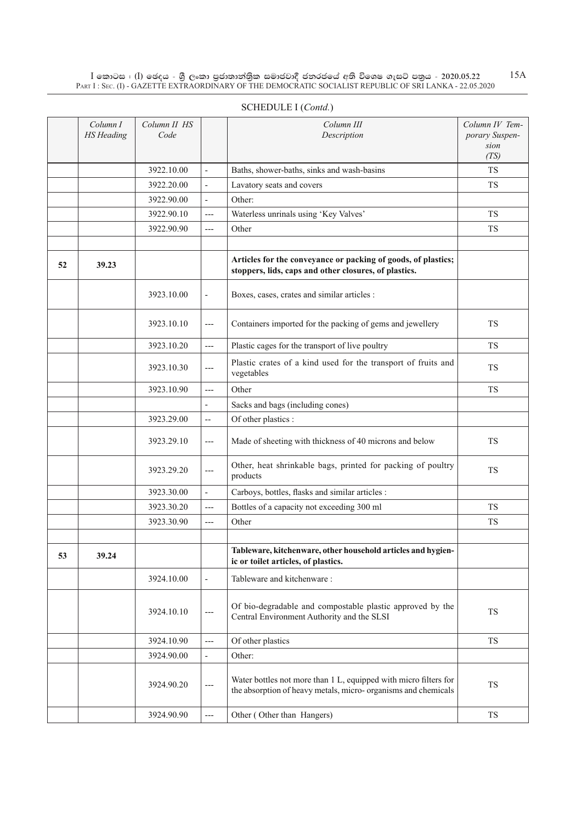|    | Column I<br><b>HS</b> Heading | Column II HS<br>Code |                          | Column III<br>Description                                                                                                          | Column IV Tem-<br>porary Suspen-<br>sion<br>(TS) |
|----|-------------------------------|----------------------|--------------------------|------------------------------------------------------------------------------------------------------------------------------------|--------------------------------------------------|
|    |                               | 3922.10.00           | $\overline{\phantom{a}}$ | Baths, shower-baths, sinks and wash-basins                                                                                         | <b>TS</b>                                        |
|    |                               | 3922.20.00           | $\overline{\phantom{a}}$ | Lavatory seats and covers                                                                                                          | <b>TS</b>                                        |
|    |                               | 3922.90.00           | $\blacksquare$           | Other:                                                                                                                             |                                                  |
|    |                               | 3922.90.10           | ---                      | Waterless unrinals using 'Key Valves'                                                                                              | <b>TS</b>                                        |
|    |                               | 3922.90.90           | ---                      | Other                                                                                                                              | <b>TS</b>                                        |
|    |                               |                      |                          |                                                                                                                                    |                                                  |
| 52 | 39.23                         |                      |                          | Articles for the conveyance or packing of goods, of plastics;<br>stoppers, lids, caps and other closures, of plastics.             |                                                  |
|    |                               | 3923.10.00           | $\overline{\phantom{a}}$ | Boxes, cases, crates and similar articles :                                                                                        |                                                  |
|    |                               | 3923.10.10           | ---                      | Containers imported for the packing of gems and jewellery                                                                          | <b>TS</b>                                        |
|    |                               | 3923.10.20           | ---                      | Plastic cages for the transport of live poultry                                                                                    | <b>TS</b>                                        |
|    |                               | 3923.10.30           | ---                      | Plastic crates of a kind used for the transport of fruits and<br>vegetables                                                        | <b>TS</b>                                        |
|    |                               | 3923.10.90           | $---$                    | Other                                                                                                                              | <b>TS</b>                                        |
|    |                               |                      | $\overline{\phantom{0}}$ | Sacks and bags (including cones)                                                                                                   |                                                  |
|    |                               | 3923.29.00           | $\overline{\phantom{a}}$ | Of other plastics :                                                                                                                |                                                  |
|    |                               | 3923.29.10           | ---                      | Made of sheeting with thickness of 40 microns and below                                                                            | <b>TS</b>                                        |
|    |                               | 3923.29.20           | ---                      | Other, heat shrinkable bags, printed for packing of poultry<br>products                                                            | <b>TS</b>                                        |
|    |                               | 3923.30.00           | $\blacksquare$           | Carboys, bottles, flasks and similar articles :                                                                                    |                                                  |
|    |                               | 3923.30.20           | ---                      | Bottles of a capacity not exceeding 300 ml                                                                                         | <b>TS</b>                                        |
|    |                               | 3923.30.90           | ---                      | Other                                                                                                                              | <b>TS</b>                                        |
|    |                               |                      |                          |                                                                                                                                    |                                                  |
| 53 | 39.24                         |                      |                          | Tableware, kitchenware, other household articles and hygien-<br>ic or toilet articles, of plastics.                                |                                                  |
|    |                               | 3924.10.00           | $\overline{a}$           | Tableware and kitchenware:                                                                                                         |                                                  |
|    |                               | 3924.10.10           | ---                      | Of bio-degradable and compostable plastic approved by the<br>Central Environment Authority and the SLSI                            | <b>TS</b>                                        |
|    |                               | 3924.10.90           | $---$                    | Of other plastics                                                                                                                  | <b>TS</b>                                        |
|    |                               | 3924.90.00           | $\overline{\phantom{0}}$ | Other:                                                                                                                             |                                                  |
|    |                               | 3924.90.20           | $---$                    | Water bottles not more than 1 L, equipped with micro filters for<br>the absorption of heavy metals, micro- organisms and chemicals | <b>TS</b>                                        |
|    |                               | 3924.90.90           | ---                      | Other (Other than Hangers)                                                                                                         | TS                                               |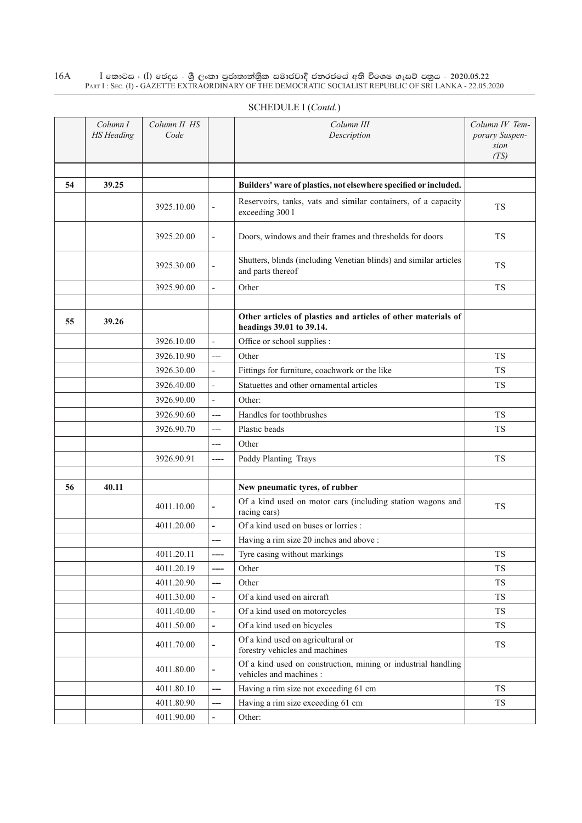|    | Column I<br><b>HS</b> Heading | Column II HS<br>Code |                              | Column III<br>Description                                                                 | Column IV Tem-<br>porary Suspen-<br>sion<br>(TS) |
|----|-------------------------------|----------------------|------------------------------|-------------------------------------------------------------------------------------------|--------------------------------------------------|
| 54 | 39.25                         |                      |                              | Builders' ware of plastics, not elsewhere specified or included.                          |                                                  |
|    |                               | 3925.10.00           | $\overline{\phantom{a}}$     | Reservoirs, tanks, vats and similar containers, of a capacity<br>exceeding 300 l          | <b>TS</b>                                        |
|    |                               | 3925.20.00           | $\overline{\phantom{a}}$     | Doors, windows and their frames and thresholds for doors                                  | <b>TS</b>                                        |
|    |                               | 3925.30.00           |                              | Shutters, blinds (including Venetian blinds) and similar articles<br>and parts thereof    | TS                                               |
|    |                               | 3925.90.00           |                              | Other                                                                                     | <b>TS</b>                                        |
|    |                               |                      |                              |                                                                                           |                                                  |
| 55 | 39.26                         |                      |                              | Other articles of plastics and articles of other materials of<br>headings 39.01 to 39.14. |                                                  |
|    |                               | 3926.10.00           | ÷,                           | Office or school supplies :                                                               |                                                  |
|    |                               | 3926.10.90           | $---$                        | Other                                                                                     | TS.                                              |
|    |                               | 3926.30.00           | $\overline{\phantom{a}}$     | Fittings for furniture, coachwork or the like                                             | <b>TS</b>                                        |
|    |                               | 3926.40.00           | $\overline{\phantom{a}}$     | Statuettes and other ornamental articles                                                  | <b>TS</b>                                        |
|    |                               | 3926.90.00           | $\overline{\phantom{a}}$     | Other:                                                                                    |                                                  |
|    |                               | 3926.90.60           | $---$                        | Handles for toothbrushes                                                                  | <b>TS</b>                                        |
|    |                               | 3926.90.70           | $---$                        | Plastic beads                                                                             | <b>TS</b>                                        |
|    |                               |                      | $---$                        | Other                                                                                     |                                                  |
|    |                               | 3926.90.91           | $---$                        | Paddy Planting Trays                                                                      | <b>TS</b>                                        |
|    |                               |                      |                              |                                                                                           |                                                  |
| 56 | 40.11                         |                      |                              | New pneumatic tyres, of rubber                                                            |                                                  |
|    |                               | 4011.10.00           | $\overline{a}$               | Of a kind used on motor cars (including station wagons and<br>racing cars)                | <b>TS</b>                                        |
|    |                               | 4011.20.00           | $\overline{\phantom{a}}$     | Of a kind used on buses or lorries :                                                      |                                                  |
|    |                               |                      | ---                          | Having a rim size 20 inches and above :                                                   |                                                  |
|    |                               | 4011.20.11           | ----                         | Tyre casing without markings                                                              | TS                                               |
|    |                               | 4011.20.19           | ----                         | Other                                                                                     | TS                                               |
|    |                               | 4011.20.90           | ---                          | Other                                                                                     | TS                                               |
|    |                               | 4011.30.00           | $\blacksquare$               | Of a kind used on aircraft                                                                | TS                                               |
|    |                               | 4011.40.00           | $\overline{\phantom{a}}$     | Of a kind used on motorcycles                                                             | <b>TS</b>                                        |
|    |                               | 4011.50.00           | $\overline{\phantom{a}}$     | Of a kind used on bicycles                                                                | <b>TS</b>                                        |
|    |                               | 4011.70.00           | $\qquad \qquad \blacksquare$ | Of a kind used on agricultural or<br>forestry vehicles and machines                       | TS                                               |
|    |                               | 4011.80.00           | $\overline{\phantom{a}}$     | Of a kind used on construction, mining or industrial handling<br>vehicles and machines :  |                                                  |
|    |                               | 4011.80.10           | ---                          | Having a rim size not exceeding 61 cm                                                     | TS                                               |
|    |                               | 4011.80.90           | ---                          | Having a rim size exceeding 61 cm                                                         | <b>TS</b>                                        |
|    |                               | 4011.90.00           |                              | Other:                                                                                    |                                                  |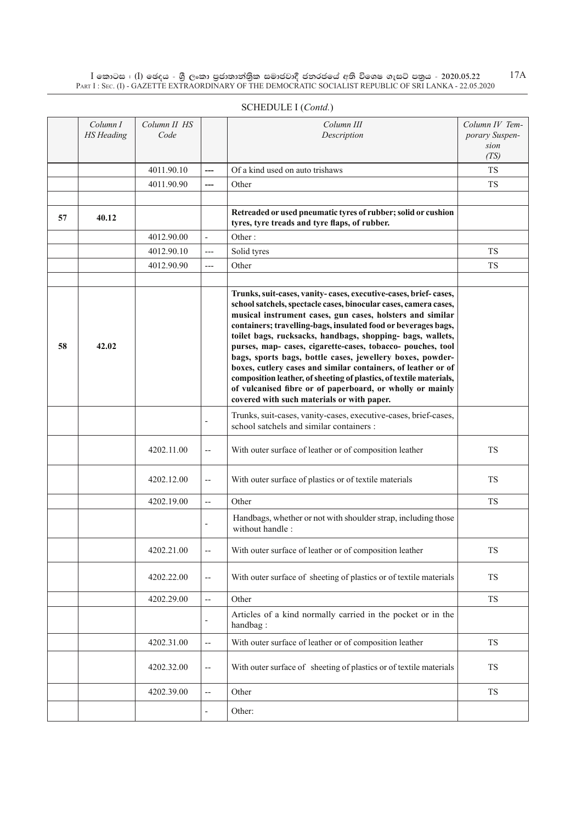|    | Column I<br><b>HS</b> Heading | Column II HS<br>Code |                          | Column III<br>Description                                                                                                                                                                                                                                                                                                                                                                                                                                                                                                                                                                                                                                                                                       | Column IV Tem-<br>porary Suspen-<br>sion<br>(TS) |
|----|-------------------------------|----------------------|--------------------------|-----------------------------------------------------------------------------------------------------------------------------------------------------------------------------------------------------------------------------------------------------------------------------------------------------------------------------------------------------------------------------------------------------------------------------------------------------------------------------------------------------------------------------------------------------------------------------------------------------------------------------------------------------------------------------------------------------------------|--------------------------------------------------|
|    |                               | 4011.90.10           |                          | Of a kind used on auto trishaws                                                                                                                                                                                                                                                                                                                                                                                                                                                                                                                                                                                                                                                                                 | <b>TS</b>                                        |
|    |                               | 4011.90.90           | ---                      | Other                                                                                                                                                                                                                                                                                                                                                                                                                                                                                                                                                                                                                                                                                                           | <b>TS</b>                                        |
|    |                               |                      |                          |                                                                                                                                                                                                                                                                                                                                                                                                                                                                                                                                                                                                                                                                                                                 |                                                  |
| 57 | 40.12                         |                      |                          | Retreaded or used pneumatic tyres of rubber; solid or cushion<br>tyres, tyre treads and tyre flaps, of rubber.                                                                                                                                                                                                                                                                                                                                                                                                                                                                                                                                                                                                  |                                                  |
|    |                               | 4012.90.00           | $\overline{a}$           | Other:                                                                                                                                                                                                                                                                                                                                                                                                                                                                                                                                                                                                                                                                                                          |                                                  |
|    |                               | 4012.90.10           | ---                      | Solid tyres                                                                                                                                                                                                                                                                                                                                                                                                                                                                                                                                                                                                                                                                                                     | <b>TS</b>                                        |
|    |                               | 4012.90.90           | $---$                    | Other                                                                                                                                                                                                                                                                                                                                                                                                                                                                                                                                                                                                                                                                                                           | <b>TS</b>                                        |
|    |                               |                      |                          |                                                                                                                                                                                                                                                                                                                                                                                                                                                                                                                                                                                                                                                                                                                 |                                                  |
| 58 | 42.02                         |                      |                          | Trunks, suit-cases, vanity-cases, executive-cases, brief-cases,<br>school satchels, spectacle cases, binocular cases, camera cases,<br>musical instrument cases, gun cases, holsters and similar<br>containers; travelling-bags, insulated food or beverages bags,<br>toilet bags, rucksacks, handbags, shopping- bags, wallets,<br>purses, map- cases, cigarette-cases, tobacco- pouches, tool<br>bags, sports bags, bottle cases, jewellery boxes, powder-<br>boxes, cutlery cases and similar containers, of leather or of<br>composition leather, of sheeting of plastics, of textile materials,<br>of vulcanised fibre or of paperboard, or wholly or mainly<br>covered with such materials or with paper. |                                                  |
|    |                               |                      |                          | Trunks, suit-cases, vanity-cases, executive-cases, brief-cases,<br>school satchels and similar containers :                                                                                                                                                                                                                                                                                                                                                                                                                                                                                                                                                                                                     |                                                  |
|    |                               | 4202.11.00           | --                       | With outer surface of leather or of composition leather                                                                                                                                                                                                                                                                                                                                                                                                                                                                                                                                                                                                                                                         | <b>TS</b>                                        |
|    |                               | 4202.12.00           | $\qquad \qquad -$        | With outer surface of plastics or of textile materials                                                                                                                                                                                                                                                                                                                                                                                                                                                                                                                                                                                                                                                          | TS                                               |
|    |                               | 4202.19.00           | Ш,                       | Other                                                                                                                                                                                                                                                                                                                                                                                                                                                                                                                                                                                                                                                                                                           | <b>TS</b>                                        |
|    |                               |                      |                          | Handbags, whether or not with shoulder strap, including those<br>without handle:                                                                                                                                                                                                                                                                                                                                                                                                                                                                                                                                                                                                                                |                                                  |
|    |                               | 4202.21.00           |                          | With outer surface of leather or of composition leather                                                                                                                                                                                                                                                                                                                                                                                                                                                                                                                                                                                                                                                         | TS                                               |
|    |                               | 4202.22.00           | --                       | With outer surface of sheeting of plastics or of textile materials                                                                                                                                                                                                                                                                                                                                                                                                                                                                                                                                                                                                                                              | <b>TS</b>                                        |
|    |                               | 4202.29.00           | $\overline{a}$           | Other                                                                                                                                                                                                                                                                                                                                                                                                                                                                                                                                                                                                                                                                                                           | ${\rm TS}$                                       |
|    |                               |                      |                          | Articles of a kind normally carried in the pocket or in the<br>handbag:                                                                                                                                                                                                                                                                                                                                                                                                                                                                                                                                                                                                                                         |                                                  |
|    |                               | 4202.31.00           | --                       | With outer surface of leather or of composition leather                                                                                                                                                                                                                                                                                                                                                                                                                                                                                                                                                                                                                                                         | ${\rm TS}$                                       |
|    |                               | 4202.32.00           | $\overline{\phantom{a}}$ | With outer surface of sheeting of plastics or of textile materials                                                                                                                                                                                                                                                                                                                                                                                                                                                                                                                                                                                                                                              | ${\rm TS}$                                       |
|    |                               | 4202.39.00           | $\overline{a}$           | Other                                                                                                                                                                                                                                                                                                                                                                                                                                                                                                                                                                                                                                                                                                           | ${\rm TS}$                                       |
|    |                               |                      |                          | Other:                                                                                                                                                                                                                                                                                                                                                                                                                                                                                                                                                                                                                                                                                                          |                                                  |
|    |                               |                      |                          |                                                                                                                                                                                                                                                                                                                                                                                                                                                                                                                                                                                                                                                                                                                 |                                                  |

## SCHEDULE I (*Contd.*)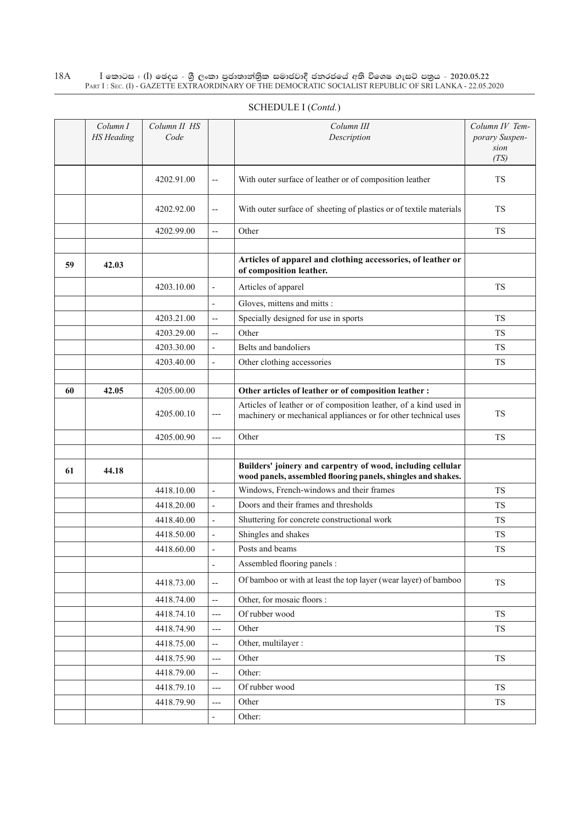|    | Column I<br><b>HS</b> Heading | Column II HS<br>Code |                          | Column III<br>Description                                                                                                          | Column IV Tem-<br>porary Suspen-<br>sion<br>(TS) |
|----|-------------------------------|----------------------|--------------------------|------------------------------------------------------------------------------------------------------------------------------------|--------------------------------------------------|
|    |                               | 4202.91.00           | $\overline{\phantom{a}}$ | With outer surface of leather or of composition leather                                                                            | TS                                               |
|    |                               | 4202.92.00           | $\overline{\phantom{m}}$ | With outer surface of sheeting of plastics or of textile materials                                                                 | TS                                               |
|    |                               | 4202.99.00           | $\overline{a}$           | Other                                                                                                                              | <b>TS</b>                                        |
| 59 | 42.03                         |                      |                          | Articles of apparel and clothing accessories, of leather or<br>of composition leather.                                             |                                                  |
|    |                               | 4203.10.00           | $\overline{\phantom{a}}$ | Articles of apparel                                                                                                                | <b>TS</b>                                        |
|    |                               |                      | $\overline{\phantom{a}}$ | Gloves, mittens and mitts :                                                                                                        |                                                  |
|    |                               | 4203.21.00           | $\overline{a}$           | Specially designed for use in sports                                                                                               | <b>TS</b>                                        |
|    |                               | 4203.29.00           | $-$                      | Other                                                                                                                              | <b>TS</b>                                        |
|    |                               | 4203.30.00           | $\overline{\phantom{a}}$ | Belts and bandoliers                                                                                                               | <b>TS</b>                                        |
|    |                               | 4203.40.00           | $\overline{a}$           | Other clothing accessories                                                                                                         | <b>TS</b>                                        |
|    |                               |                      |                          |                                                                                                                                    |                                                  |
| 60 | 42.05                         | 4205.00.00           |                          | Other articles of leather or of composition leather :                                                                              |                                                  |
|    |                               | 4205.00.10           | ---                      | Articles of leather or of composition leather, of a kind used in<br>machinery or mechanical appliances or for other technical uses | TS                                               |
|    |                               | 4205.00.90           | $---$                    | Other                                                                                                                              | ${\rm TS}$                                       |
|    |                               |                      |                          |                                                                                                                                    |                                                  |
| 61 | 44.18                         |                      |                          | Builders' joinery and carpentry of wood, including cellular<br>wood panels, assembled flooring panels, shingles and shakes.        |                                                  |
|    |                               | 4418.10.00           | $\overline{\phantom{a}}$ | Windows, French-windows and their frames                                                                                           | <b>TS</b>                                        |
|    |                               | 4418.20.00           | $\overline{\phantom{a}}$ | Doors and their frames and thresholds                                                                                              | TS                                               |
|    |                               | 4418.40.00           | $\overline{\phantom{a}}$ | Shuttering for concrete constructional work                                                                                        | <b>TS</b>                                        |
|    |                               | 4418.50.00           | $\overline{\phantom{a}}$ | Shingles and shakes                                                                                                                | TS                                               |
|    |                               | 4418.60.00           | $\overline{\phantom{a}}$ | Posts and beams                                                                                                                    | <b>TS</b>                                        |
|    |                               |                      | $\overline{\phantom{a}}$ | Assembled flooring panels :                                                                                                        |                                                  |
|    |                               | 4418.73.00           | $\overline{\phantom{a}}$ | Of bamboo or with at least the top layer (wear layer) of bamboo                                                                    | ${\rm TS}$                                       |
|    |                               | 4418.74.00           | $\overline{\phantom{a}}$ | Other, for mosaic floors :                                                                                                         |                                                  |
|    |                               | 4418.74.10           | $---$                    | Of rubber wood                                                                                                                     | ${\rm TS}$                                       |
|    |                               | 4418.74.90           | $\qquad \qquad -$        | Other                                                                                                                              | TS                                               |
|    |                               | 4418.75.00           | $\overline{\phantom{a}}$ | Other, multilayer :                                                                                                                |                                                  |
|    |                               | 4418.75.90           | $\overline{a}$           | Other                                                                                                                              | ${\rm TS}$                                       |
|    |                               | 4418.79.00           | $\overline{\phantom{a}}$ | Other:                                                                                                                             |                                                  |
|    |                               | 4418.79.10           | $\qquad \qquad -$        | Of rubber wood                                                                                                                     | TS                                               |
|    |                               | 4418.79.90           | $---$                    | Other                                                                                                                              | <b>TS</b>                                        |
|    |                               |                      | $\overline{\phantom{a}}$ | Other:                                                                                                                             |                                                  |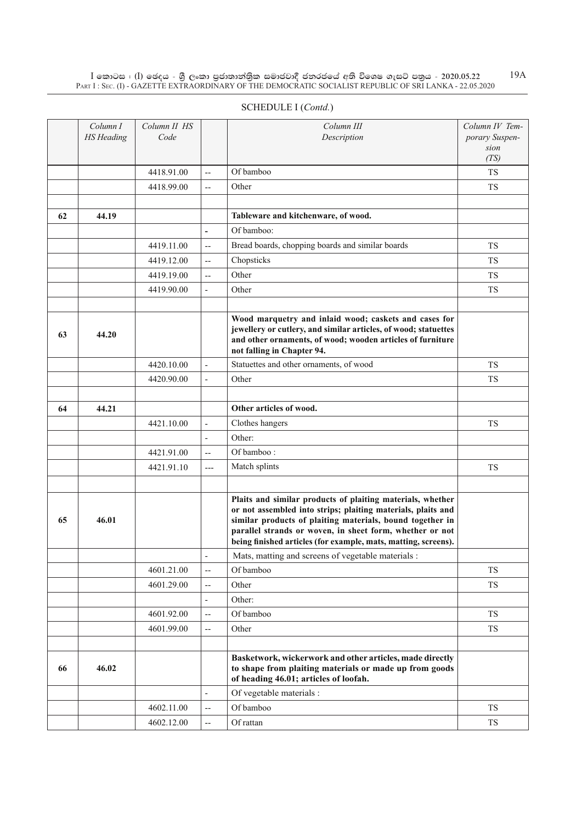|    | Column I<br><b>HS</b> Heading | Column II HS<br>Code |                          | Column III<br>Description                                                                                                                                                                                                                                                                                             | Column IV Tem-<br>porary Suspen-<br>sion |
|----|-------------------------------|----------------------|--------------------------|-----------------------------------------------------------------------------------------------------------------------------------------------------------------------------------------------------------------------------------------------------------------------------------------------------------------------|------------------------------------------|
|    |                               |                      |                          |                                                                                                                                                                                                                                                                                                                       | (TS)                                     |
|    |                               | 4418.91.00           | --                       | Of bamboo                                                                                                                                                                                                                                                                                                             | <b>TS</b>                                |
|    |                               | 4418.99.00           | --                       | Other                                                                                                                                                                                                                                                                                                                 | <b>TS</b>                                |
|    |                               |                      |                          |                                                                                                                                                                                                                                                                                                                       |                                          |
| 62 | 44.19                         |                      |                          | Tableware and kitchenware, of wood.                                                                                                                                                                                                                                                                                   |                                          |
|    |                               |                      | $\overline{\phantom{0}}$ | Of bamboo:                                                                                                                                                                                                                                                                                                            |                                          |
|    |                               | 4419.11.00           | --                       | Bread boards, chopping boards and similar boards                                                                                                                                                                                                                                                                      | <b>TS</b>                                |
|    |                               | 4419.12.00           | --                       | Chopsticks                                                                                                                                                                                                                                                                                                            | <b>TS</b>                                |
|    |                               | 4419.19.00           | --                       | Other                                                                                                                                                                                                                                                                                                                 | <b>TS</b>                                |
|    |                               | 4419.90.00           | $\frac{1}{2}$            | Other                                                                                                                                                                                                                                                                                                                 | <b>TS</b>                                |
|    |                               |                      |                          |                                                                                                                                                                                                                                                                                                                       |                                          |
| 63 | 44.20                         |                      |                          | Wood marquetry and inlaid wood; caskets and cases for<br>jewellery or cutlery, and similar articles, of wood; statuettes<br>and other ornaments, of wood; wooden articles of furniture<br>not falling in Chapter 94.                                                                                                  |                                          |
|    |                               | 4420.10.00           |                          | Statuettes and other ornaments, of wood                                                                                                                                                                                                                                                                               | <b>TS</b>                                |
|    |                               | 4420.90.00           | $\overline{a}$           | Other                                                                                                                                                                                                                                                                                                                 | <b>TS</b>                                |
|    |                               |                      |                          |                                                                                                                                                                                                                                                                                                                       |                                          |
| 64 | 44.21                         |                      |                          | Other articles of wood.                                                                                                                                                                                                                                                                                               |                                          |
|    |                               | 4421.10.00           | $\overline{a}$           | Clothes hangers                                                                                                                                                                                                                                                                                                       | <b>TS</b>                                |
|    |                               |                      | L,                       | Other:                                                                                                                                                                                                                                                                                                                |                                          |
|    |                               | 4421.91.00           | $\overline{\phantom{a}}$ | Of bamboo:                                                                                                                                                                                                                                                                                                            |                                          |
|    |                               | 4421.91.10           | $---$                    | Match splints                                                                                                                                                                                                                                                                                                         | <b>TS</b>                                |
|    |                               |                      |                          |                                                                                                                                                                                                                                                                                                                       |                                          |
| 65 | 46.01                         |                      |                          | Plaits and similar products of plaiting materials, whether<br>or not assembled into strips; plaiting materials, plaits and<br>similar products of plaiting materials, bound together in<br>parallel strands or woven, in sheet form, whether or not<br>being finished articles (for example, mats, matting, screens). |                                          |
|    |                               |                      | $\overline{a}$           | Mats, matting and screens of vegetable materials :                                                                                                                                                                                                                                                                    |                                          |
|    |                               | 4601.21.00           | $\overline{\phantom{a}}$ | Of bamboo                                                                                                                                                                                                                                                                                                             | <b>TS</b>                                |
|    |                               | 4601.29.00           | --                       | Other                                                                                                                                                                                                                                                                                                                 | TS                                       |
|    |                               |                      | $\overline{\phantom{0}}$ | Other:                                                                                                                                                                                                                                                                                                                |                                          |
|    |                               | 4601.92.00           | --                       | Of bamboo                                                                                                                                                                                                                                                                                                             | TS                                       |
|    |                               | 4601.99.00           | --                       | Other                                                                                                                                                                                                                                                                                                                 | <b>TS</b>                                |
|    |                               |                      |                          |                                                                                                                                                                                                                                                                                                                       |                                          |
| 66 | 46.02                         |                      |                          | Basketwork, wickerwork and other articles, made directly<br>to shape from plaiting materials or made up from goods<br>of heading 46.01; articles of loofah.                                                                                                                                                           |                                          |
|    |                               |                      | $\overline{a}$           | Of vegetable materials :                                                                                                                                                                                                                                                                                              |                                          |
|    |                               | 4602.11.00           |                          | Of bamboo                                                                                                                                                                                                                                                                                                             | ${\rm TS}$                               |

 $4602.12.00$   $\left| \begin{array}{c} \text{-} \\ \text{-} \end{array} \right|$  Of rattan TS

#### Schedule I (*Contd.*)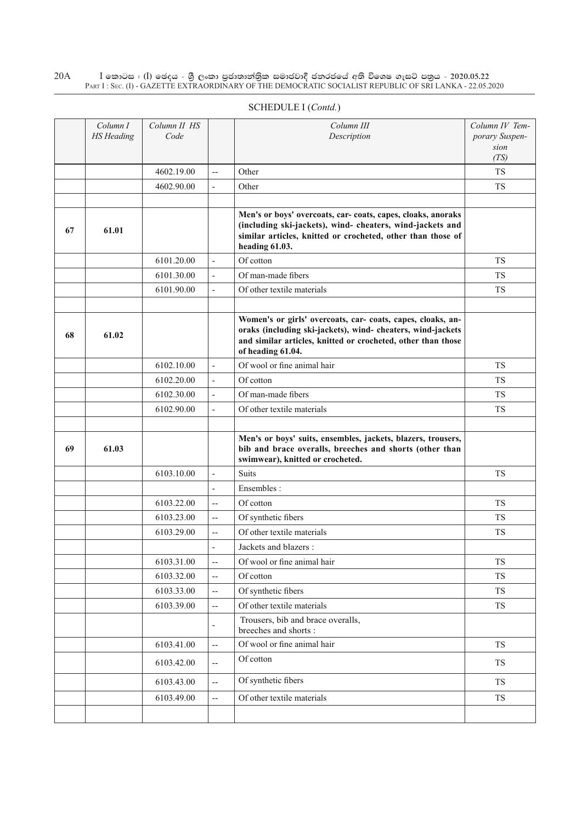| SCHEDULE I (Contd.) |  |
|---------------------|--|
|---------------------|--|

|    | Column I<br><b>HS</b> Heading | Column II HS<br>Code |                           | Column III<br>Description                                                                                                                                                                                       | Column IV Tem-<br>porary Suspen-<br>sion<br>(TS) |
|----|-------------------------------|----------------------|---------------------------|-----------------------------------------------------------------------------------------------------------------------------------------------------------------------------------------------------------------|--------------------------------------------------|
|    |                               | 4602.19.00           | $\overline{\phantom{a}}$  | Other                                                                                                                                                                                                           | <b>TS</b>                                        |
|    |                               | 4602.90.00           | $\overline{\phantom{a}}$  | Other                                                                                                                                                                                                           | <b>TS</b>                                        |
|    |                               |                      |                           |                                                                                                                                                                                                                 |                                                  |
| 67 | 61.01                         |                      |                           | Men's or boys' overcoats, car-coats, capes, cloaks, anoraks<br>(including ski-jackets), wind- cheaters, wind-jackets and<br>similar articles, knitted or crocheted, other than those of<br>heading 61.03.       |                                                  |
|    |                               | 6101.20.00           | $\overline{\phantom{a}}$  | Of cotton                                                                                                                                                                                                       | <b>TS</b>                                        |
|    |                               | 6101.30.00           | $\blacksquare$            | Of man-made fibers                                                                                                                                                                                              | <b>TS</b>                                        |
|    |                               | 6101.90.00           | $\blacksquare$            | Of other textile materials                                                                                                                                                                                      | <b>TS</b>                                        |
|    |                               |                      |                           |                                                                                                                                                                                                                 |                                                  |
| 68 | 61.02                         |                      |                           | Women's or girls' overcoats, car- coats, capes, cloaks, an-<br>oraks (including ski-jackets), wind- cheaters, wind-jackets<br>and similar articles, knitted or crocheted, other than those<br>of heading 61.04. |                                                  |
|    |                               | 6102.10.00           | $\overline{\phantom{a}}$  | Of wool or fine animal hair                                                                                                                                                                                     | <b>TS</b>                                        |
|    |                               | 6102.20.00           | $\overline{\phantom{a}}$  | Of cotton                                                                                                                                                                                                       | <b>TS</b>                                        |
|    |                               | 6102.30.00           | $\overline{\phantom{a}}$  | Of man-made fibers                                                                                                                                                                                              | <b>TS</b>                                        |
|    |                               | 6102.90.00           | $\overline{\phantom{a}}$  | Of other textile materials                                                                                                                                                                                      | <b>TS</b>                                        |
|    |                               |                      |                           |                                                                                                                                                                                                                 |                                                  |
| 69 | 61.03                         |                      |                           | Men's or boys' suits, ensembles, jackets, blazers, trousers,<br>bib and brace overalls, breeches and shorts (other than<br>swimwear), knitted or crocheted.                                                     |                                                  |
|    |                               | 6103.10.00           | $\overline{\phantom{a}}$  | <b>Suits</b>                                                                                                                                                                                                    | <b>TS</b>                                        |
|    |                               |                      | $\overline{a}$            | Ensembles:                                                                                                                                                                                                      |                                                  |
|    |                               | 6103.22.00           | $\overline{\phantom{a}}$  | Of cotton                                                                                                                                                                                                       | <b>TS</b>                                        |
|    |                               | 6103.23.00           | $\overline{\phantom{a}}$  | Of synthetic fibers                                                                                                                                                                                             | <b>TS</b>                                        |
|    |                               | 6103.29.00           | $\overline{\phantom{a}}$  | Of other textile materials                                                                                                                                                                                      | <b>TS</b>                                        |
|    |                               |                      | $\overline{a}$            | Jackets and blazers :                                                                                                                                                                                           |                                                  |
|    |                               | 6103.31.00           | $\overline{\phantom{a}}$  | Of wool or fine animal hair                                                                                                                                                                                     | <b>TS</b>                                        |
|    |                               | 6103.32.00           | $\overline{\phantom{a}}$  | Of cotton                                                                                                                                                                                                       | <b>TS</b>                                        |
|    |                               | 6103.33.00           | $\overline{\phantom{a}}$  | Of synthetic fibers                                                                                                                                                                                             | TS                                               |
|    |                               | 6103.39.00           | $\overline{\phantom{a}}$  | Of other textile materials                                                                                                                                                                                      | <b>TS</b>                                        |
|    |                               |                      | $\overline{a}$            | Trousers, bib and brace overalls,<br>breeches and shorts:                                                                                                                                                       |                                                  |
|    |                               | 6103.41.00           | $\overline{\phantom{a}}$  | Of wool or fine animal hair                                                                                                                                                                                     | TS                                               |
|    |                               | 6103.42.00           | $\overline{\phantom{a}}$  | Of cotton                                                                                                                                                                                                       | TS                                               |
|    |                               | 6103.43.00           | $\overline{a}$            | Of synthetic fibers                                                                                                                                                                                             | TS                                               |
|    |                               | 6103.49.00           | $\mathbb{H}^{\mathbb{Z}}$ | Of other textile materials                                                                                                                                                                                      | TS                                               |
|    |                               |                      |                           |                                                                                                                                                                                                                 |                                                  |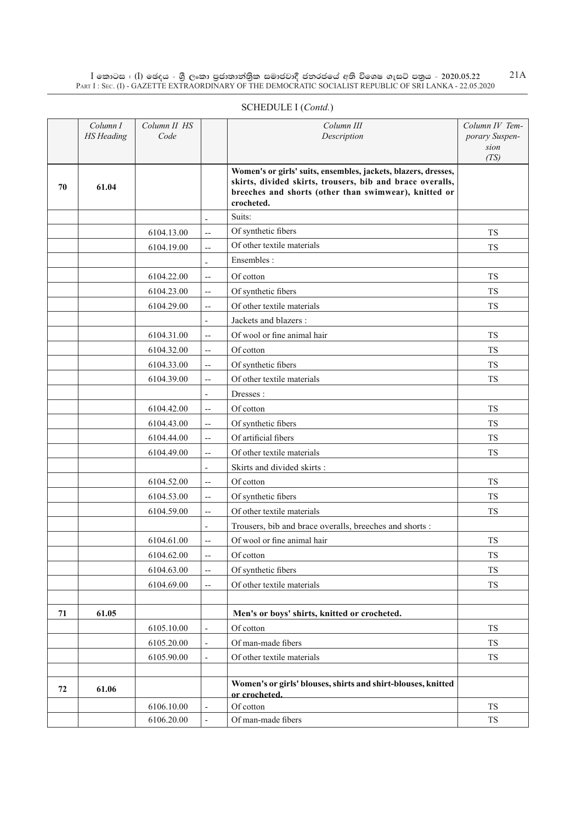| SCHEDULE I (Contd.) |  |
|---------------------|--|
|---------------------|--|

|    | Column I<br><b>HS</b> Heading | Column II HS<br>Code |                                                     | Column III<br>Description                                                                                                                                                                          | Column IV Tem-<br>porary Suspen-<br>sion |
|----|-------------------------------|----------------------|-----------------------------------------------------|----------------------------------------------------------------------------------------------------------------------------------------------------------------------------------------------------|------------------------------------------|
| 70 | 61.04                         |                      |                                                     | Women's or girls' suits, ensembles, jackets, blazers, dresses,<br>skirts, divided skirts, trousers, bib and brace overalls,<br>breeches and shorts (other than swimwear), knitted or<br>crocheted. | (TS)                                     |
|    |                               |                      | $\overline{\phantom{a}}$                            | Suits:                                                                                                                                                                                             |                                          |
|    |                               | 6104.13.00           | $\overline{\phantom{a}}$                            | Of synthetic fibers                                                                                                                                                                                | <b>TS</b>                                |
|    |                               | 6104.19.00           | $\overline{\phantom{a}}$                            | Of other textile materials                                                                                                                                                                         | <b>TS</b>                                |
|    |                               |                      |                                                     | Ensembles:                                                                                                                                                                                         |                                          |
|    |                               | 6104.22.00           | $\overline{\phantom{a}}$                            | Of cotton                                                                                                                                                                                          | <b>TS</b>                                |
|    |                               | 6104.23.00           | $\overline{\phantom{a}}$                            | Of synthetic fibers                                                                                                                                                                                | <b>TS</b>                                |
|    |                               | 6104.29.00           | $\overline{\phantom{a}}$                            | Of other textile materials                                                                                                                                                                         | <b>TS</b>                                |
|    |                               |                      | $\overline{\phantom{a}}$                            | Jackets and blazers :                                                                                                                                                                              |                                          |
|    |                               | 6104.31.00           | $\overline{\phantom{a}}$                            | Of wool or fine animal hair                                                                                                                                                                        | <b>TS</b>                                |
|    |                               | 6104.32.00           | $\overline{\phantom{m}}$                            | Of cotton                                                                                                                                                                                          | <b>TS</b>                                |
|    |                               | 6104.33.00           | $\overline{\phantom{a}}$                            | Of synthetic fibers                                                                                                                                                                                | <b>TS</b>                                |
|    |                               | 6104.39.00           | $\overline{\phantom{m}}$                            | Of other textile materials                                                                                                                                                                         | <b>TS</b>                                |
|    |                               |                      | $\overline{\phantom{a}}$                            | Dresses:                                                                                                                                                                                           |                                          |
|    |                               | 6104.42.00           | $\overline{\phantom{a}}$                            | Of cotton                                                                                                                                                                                          | <b>TS</b>                                |
|    |                               | 6104.43.00           | $\overline{\phantom{a}}$                            | Of synthetic fibers                                                                                                                                                                                | <b>TS</b>                                |
|    |                               | 6104.44.00           | $\overline{\phantom{m}}$                            | Of artificial fibers                                                                                                                                                                               | <b>TS</b>                                |
|    |                               | 6104.49.00           | $\overline{\phantom{a}}$                            | Of other textile materials                                                                                                                                                                         | <b>TS</b>                                |
|    |                               |                      | $\overline{\phantom{a}}$                            | Skirts and divided skirts:                                                                                                                                                                         |                                          |
|    |                               | 6104.52.00           | $\overline{\phantom{a}}$                            | Of cotton                                                                                                                                                                                          | <b>TS</b>                                |
|    |                               | 6104.53.00           | $\overline{\phantom{a}}$                            | Of synthetic fibers                                                                                                                                                                                | <b>TS</b>                                |
|    |                               | 6104.59.00           | $\overline{\phantom{a}}$                            | Of other textile materials                                                                                                                                                                         | <b>TS</b>                                |
|    |                               |                      | $\overline{\phantom{a}}$                            | Trousers, bib and brace overalls, breeches and shorts :                                                                                                                                            |                                          |
|    |                               | 6104.61.00           | $\overline{\phantom{m}}$                            | Of wool or fine animal hair                                                                                                                                                                        | <b>TS</b>                                |
|    |                               | 6104.62.00           | $\hspace{0.05cm} \dashv$                            | Of cotton                                                                                                                                                                                          | ${\rm TS}$                               |
|    |                               | 6104.63.00           | $\overline{\phantom{a}}$                            | Of synthetic fibers                                                                                                                                                                                | TS                                       |
|    |                               | 6104.69.00           | $\hspace{0.05cm} -\hspace{0.05cm} -\hspace{0.05cm}$ | Of other textile materials                                                                                                                                                                         | ${\rm TS}$                               |
|    |                               |                      |                                                     |                                                                                                                                                                                                    |                                          |
| 71 | 61.05                         |                      |                                                     | Men's or boys' shirts, knitted or crocheted.                                                                                                                                                       |                                          |
|    |                               | 6105.10.00           | $\overline{\phantom{a}}$                            | Of cotton                                                                                                                                                                                          | <b>TS</b>                                |
|    |                               | 6105.20.00           | $\blacksquare$                                      | Of man-made fibers                                                                                                                                                                                 | TS                                       |
|    |                               | 6105.90.00           | $\overline{\phantom{a}}$                            | Of other textile materials                                                                                                                                                                         | TS                                       |
|    |                               |                      |                                                     |                                                                                                                                                                                                    |                                          |
| 72 | 61.06                         |                      |                                                     | Women's or girls' blouses, shirts and shirt-blouses, knitted<br>or crocheted.                                                                                                                      |                                          |
|    |                               | 6106.10.00           | $\overline{a}$                                      | Of cotton                                                                                                                                                                                          | <b>TS</b>                                |
|    |                               | 6106.20.00           | $\blacksquare$                                      | Of man-made fibers                                                                                                                                                                                 | ${\rm TS}$                               |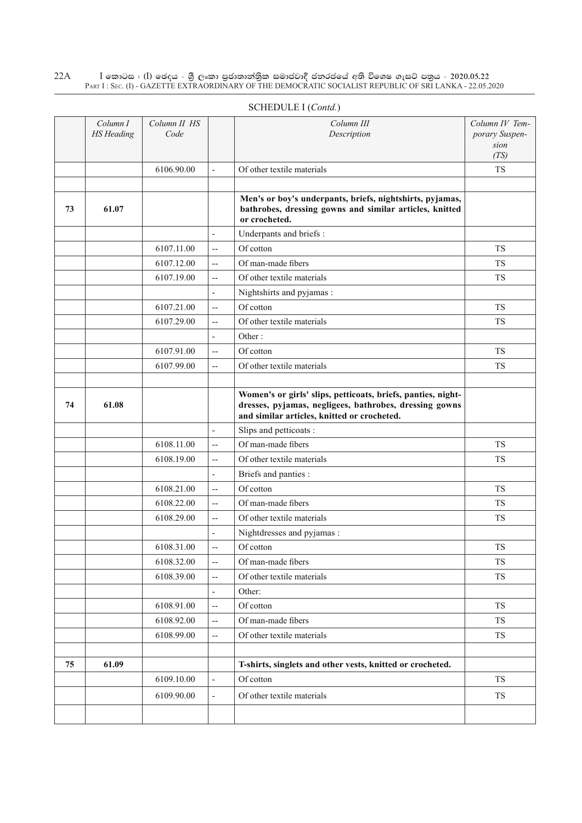|    | Column I<br><b>HS</b> Heading | Column II HS<br>Code |                          | Column III<br>Description                                                                                                                                             | Column IV Tem-<br>porary Suspen-<br>sion |
|----|-------------------------------|----------------------|--------------------------|-----------------------------------------------------------------------------------------------------------------------------------------------------------------------|------------------------------------------|
|    |                               |                      |                          |                                                                                                                                                                       | (TS)                                     |
|    |                               | 6106.90.00           | $\overline{\phantom{a}}$ | Of other textile materials                                                                                                                                            | <b>TS</b>                                |
| 73 | 61.07                         |                      |                          | Men's or boy's underpants, briefs, nightshirts, pyjamas,<br>bathrobes, dressing gowns and similar articles, knitted<br>or crocheted.                                  |                                          |
|    |                               |                      | $\overline{\phantom{a}}$ | Underpants and briefs :                                                                                                                                               |                                          |
|    |                               | 6107.11.00           | $\overline{a}$           | Of cotton                                                                                                                                                             | <b>TS</b>                                |
|    |                               | 6107.12.00           | $\overline{\phantom{a}}$ | Of man-made fibers                                                                                                                                                    | <b>TS</b>                                |
|    |                               | 6107.19.00           | $\overline{a}$           | Of other textile materials                                                                                                                                            | <b>TS</b>                                |
|    |                               |                      | $\overline{\phantom{a}}$ | Nightshirts and pyjamas :                                                                                                                                             |                                          |
|    |                               | 6107.21.00           | $\overline{\phantom{a}}$ | Of cotton                                                                                                                                                             | <b>TS</b>                                |
|    |                               | 6107.29.00           | $\overline{\phantom{a}}$ | Of other textile materials                                                                                                                                            | <b>TS</b>                                |
|    |                               |                      | $\overline{\phantom{a}}$ | Other:                                                                                                                                                                |                                          |
|    |                               | 6107.91.00           | $\overline{\phantom{a}}$ | Of cotton                                                                                                                                                             | TS                                       |
|    |                               | 6107.99.00           | $\overline{\phantom{a}}$ | Of other textile materials                                                                                                                                            | <b>TS</b>                                |
|    |                               |                      |                          |                                                                                                                                                                       |                                          |
| 74 | 61.08                         |                      |                          | Women's or girls' slips, petticoats, briefs, panties, night-<br>dresses, pyjamas, negligees, bathrobes, dressing gowns<br>and similar articles, knitted or crocheted. |                                          |
|    |                               |                      | $\overline{\phantom{a}}$ | Slips and petticoats :                                                                                                                                                |                                          |
|    |                               | 6108.11.00           | $\overline{\phantom{a}}$ | Of man-made fibers                                                                                                                                                    | <b>TS</b>                                |
|    |                               | 6108.19.00           | $\overline{\phantom{a}}$ | Of other textile materials                                                                                                                                            | <b>TS</b>                                |
|    |                               |                      | $\overline{\phantom{a}}$ | Briefs and panties :                                                                                                                                                  |                                          |
|    |                               | 6108.21.00           | $\overline{\phantom{a}}$ | Of cotton                                                                                                                                                             | <b>TS</b>                                |
|    |                               | 6108.22.00           | $\overline{\phantom{a}}$ | Of man-made fibers                                                                                                                                                    | TS                                       |
|    |                               | 6108.29.00           | $\overline{\phantom{a}}$ | Of other textile materials                                                                                                                                            | <b>TS</b>                                |
|    |                               |                      | $\overline{\phantom{a}}$ | Nightdresses and pyjamas :                                                                                                                                            |                                          |
|    |                               | 6108.31.00           | $-$                      | Of cotton                                                                                                                                                             | <b>TS</b>                                |
|    |                               | 6108.32.00           | $\overline{\phantom{m}}$ | Of man-made fibers                                                                                                                                                    | ${\rm TS}$                               |
|    |                               | 6108.39.00           | $\overline{\phantom{a}}$ | Of other textile materials                                                                                                                                            | TS                                       |
|    |                               |                      | $\overline{\phantom{a}}$ | Other:                                                                                                                                                                |                                          |
|    |                               | 6108.91.00           | $\overline{\phantom{a}}$ | Of cotton                                                                                                                                                             | TS                                       |
|    |                               | 6108.92.00           | --                       | Of man-made fibers                                                                                                                                                    | TS                                       |
|    |                               | 6108.99.00           | $\overline{\phantom{m}}$ | Of other textile materials                                                                                                                                            | TS                                       |
| 75 | 61.09                         |                      |                          | T-shirts, singlets and other vests, knitted or crocheted.                                                                                                             |                                          |
|    |                               | 6109.10.00           | $\overline{\phantom{a}}$ | Of cotton                                                                                                                                                             | TS                                       |
|    |                               | 6109.90.00           | $\overline{\phantom{a}}$ | Of other textile materials                                                                                                                                            | TS                                       |
|    |                               |                      |                          |                                                                                                                                                                       |                                          |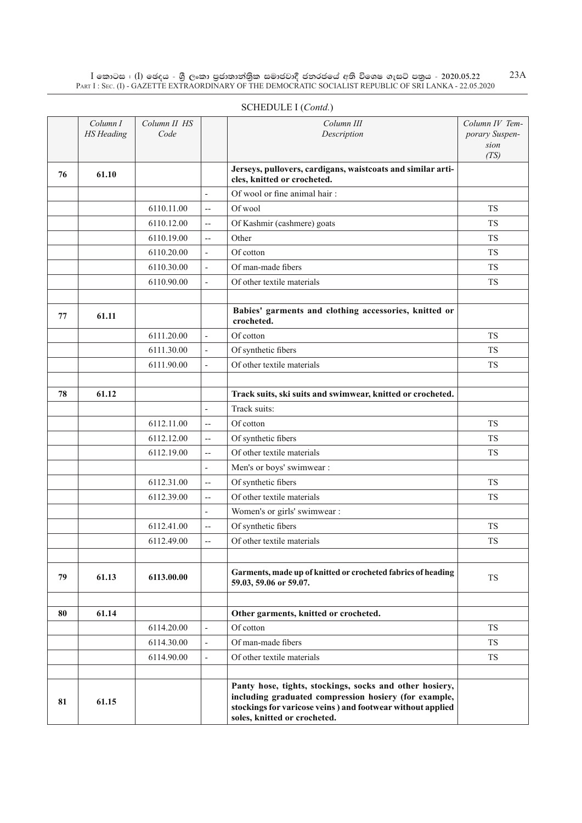|    | Column I<br><b>HS</b> Heading | Column II HS<br>Code |                          | Column III<br>Description                                                                                                                                                                                       | Column IV Tem-<br>porary Suspen-<br>sion<br>(TS) |
|----|-------------------------------|----------------------|--------------------------|-----------------------------------------------------------------------------------------------------------------------------------------------------------------------------------------------------------------|--------------------------------------------------|
| 76 | 61.10                         |                      |                          | Jerseys, pullovers, cardigans, waistcoats and similar arti-<br>cles, knitted or crocheted.                                                                                                                      |                                                  |
|    |                               |                      | $\overline{a}$           | Of wool or fine animal hair:                                                                                                                                                                                    |                                                  |
|    |                               | 6110.11.00           | --                       | Of wool                                                                                                                                                                                                         | <b>TS</b>                                        |
|    |                               | 6110.12.00           | $\overline{\phantom{a}}$ | Of Kashmir (cashmere) goats                                                                                                                                                                                     | <b>TS</b>                                        |
|    |                               | 6110.19.00           | $\overline{\phantom{a}}$ | Other                                                                                                                                                                                                           | <b>TS</b>                                        |
|    |                               | 6110.20.00           | $\frac{1}{2}$            | Of cotton                                                                                                                                                                                                       | <b>TS</b>                                        |
|    |                               | 6110.30.00           | $\overline{a}$           | Of man-made fibers                                                                                                                                                                                              | <b>TS</b>                                        |
|    |                               | 6110.90.00           | $\overline{\phantom{a}}$ | Of other textile materials                                                                                                                                                                                      | <b>TS</b>                                        |
|    |                               |                      |                          |                                                                                                                                                                                                                 |                                                  |
| 77 | 61.11                         |                      |                          | Babies' garments and clothing accessories, knitted or<br>crocheted.                                                                                                                                             |                                                  |
|    |                               | 6111.20.00           | $\overline{a}$           | Of cotton                                                                                                                                                                                                       | <b>TS</b>                                        |
|    |                               | 6111.30.00           | $\overline{a}$           | Of synthetic fibers                                                                                                                                                                                             | <b>TS</b>                                        |
|    |                               | 6111.90.00           | $\overline{a}$           | Of other textile materials                                                                                                                                                                                      | <b>TS</b>                                        |
|    |                               |                      |                          |                                                                                                                                                                                                                 |                                                  |
| 78 | 61.12                         |                      |                          | Track suits, ski suits and swimwear, knitted or crocheted.                                                                                                                                                      |                                                  |
|    |                               |                      | $\overline{a}$           | Track suits:                                                                                                                                                                                                    |                                                  |
|    |                               | 6112.11.00           | $\overline{a}$           | Of cotton                                                                                                                                                                                                       | <b>TS</b>                                        |
|    |                               | 6112.12.00           | $\overline{a}$           | Of synthetic fibers                                                                                                                                                                                             | <b>TS</b>                                        |
|    |                               | 6112.19.00           | $\overline{a}$           | Of other textile materials                                                                                                                                                                                      | <b>TS</b>                                        |
|    |                               |                      | L,                       | Men's or boys' swimwear :                                                                                                                                                                                       |                                                  |
|    |                               | 6112.31.00           | $\overline{\phantom{a}}$ | Of synthetic fibers                                                                                                                                                                                             | <b>TS</b>                                        |
|    |                               | 6112.39.00           | $\overline{a}$           | Of other textile materials                                                                                                                                                                                      | <b>TS</b>                                        |
|    |                               |                      | L,                       | Women's or girls' swimwear :                                                                                                                                                                                    |                                                  |
|    |                               | 6112.41.00           | $\overline{\phantom{a}}$ | Of synthetic fibers                                                                                                                                                                                             | <b>TS</b>                                        |
|    |                               | 6112.49.00           | $\overline{a}$           | Of other textile materials                                                                                                                                                                                      | <b>TS</b>                                        |
| 79 | 61.13                         | 6113.00.00           |                          | Garments, made up of knitted or crocheted fabrics of heading<br>59.03, 59.06 or 59.07.                                                                                                                          | TS                                               |
|    |                               |                      |                          |                                                                                                                                                                                                                 |                                                  |
| 80 | 61.14                         |                      |                          | Other garments, knitted or crocheted.                                                                                                                                                                           |                                                  |
|    |                               | 6114.20.00           |                          | Of cotton                                                                                                                                                                                                       | TS                                               |
|    |                               | 6114.30.00           |                          | Of man-made fibers                                                                                                                                                                                              | TS                                               |
|    |                               | 6114.90.00           | $\overline{a}$           | Of other textile materials                                                                                                                                                                                      | TS                                               |
| 81 | 61.15                         |                      |                          | Panty hose, tights, stockings, socks and other hosiery,<br>including graduated compression hosiery (for example,<br>stockings for varicose veins ) and footwear without applied<br>soles, knitted or crocheted. |                                                  |

## SCHEDULE I (*Contd.*)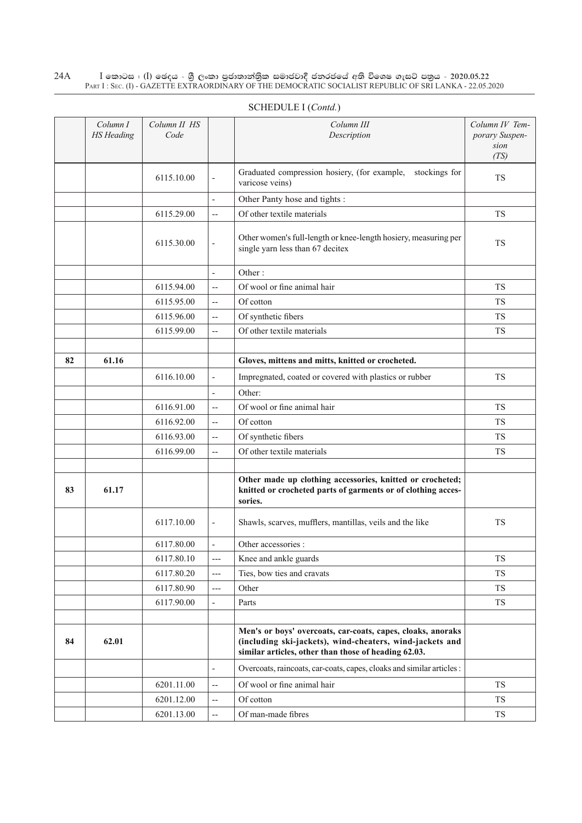|    | Column I<br><b>HS</b> Heading | Column II HS<br>Code |                          | Column III<br>Description                                                                                                                                                       | Column IV Tem-<br>porary Suspen-<br>sion<br>(TS) |
|----|-------------------------------|----------------------|--------------------------|---------------------------------------------------------------------------------------------------------------------------------------------------------------------------------|--------------------------------------------------|
|    |                               | 6115.10.00           | $\overline{a}$           | Graduated compression hosiery, (for example,<br>stockings for<br>varicose veins)                                                                                                | <b>TS</b>                                        |
|    |                               |                      | $\overline{a}$           | Other Panty hose and tights :                                                                                                                                                   |                                                  |
|    |                               | 6115.29.00           | --                       | Of other textile materials                                                                                                                                                      | <b>TS</b>                                        |
|    |                               | 6115.30.00           | $\overline{a}$           | Other women's full-length or knee-length hosiery, measuring per<br>single yarn less than 67 decitex                                                                             | <b>TS</b>                                        |
|    |                               |                      |                          | Other:                                                                                                                                                                          |                                                  |
|    |                               | 6115.94.00           | --                       | Of wool or fine animal hair                                                                                                                                                     | <b>TS</b>                                        |
|    |                               | 6115.95.00           | --                       | Of cotton                                                                                                                                                                       | <b>TS</b>                                        |
|    |                               | 6115.96.00           | $\overline{\phantom{a}}$ | Of synthetic fibers                                                                                                                                                             | <b>TS</b>                                        |
|    |                               | 6115.99.00           | $\overline{a}$           | Of other textile materials                                                                                                                                                      | <b>TS</b>                                        |
|    |                               |                      |                          |                                                                                                                                                                                 |                                                  |
| 82 | 61.16                         |                      |                          | Gloves, mittens and mitts, knitted or crocheted.                                                                                                                                |                                                  |
|    |                               | 6116.10.00           | $\overline{a}$           | Impregnated, coated or covered with plastics or rubber                                                                                                                          | <b>TS</b>                                        |
|    |                               |                      | L,                       | Other:                                                                                                                                                                          |                                                  |
|    |                               | 6116.91.00           | $-$                      | Of wool or fine animal hair                                                                                                                                                     | <b>TS</b>                                        |
|    |                               | 6116.92.00           | $\overline{a}$           | Of cotton                                                                                                                                                                       | <b>TS</b>                                        |
|    |                               | 6116.93.00           | --                       | Of synthetic fibers                                                                                                                                                             | <b>TS</b>                                        |
|    |                               | 6116.99.00           | $\overline{a}$           | Of other textile materials                                                                                                                                                      | <b>TS</b>                                        |
| 83 | 61.17                         |                      |                          | Other made up clothing accessories, knitted or crocheted;<br>knitted or crocheted parts of garments or of clothing acces-<br>sories.                                            |                                                  |
|    |                               | 6117.10.00           | $\overline{\phantom{0}}$ | Shawls, scarves, mufflers, mantillas, veils and the like                                                                                                                        | TS                                               |
|    |                               | 6117.80.00           | $\overline{a}$           | Other accessories :                                                                                                                                                             |                                                  |
|    |                               | 6117.80.10           | $---$                    | Knee and ankle guards                                                                                                                                                           | TS                                               |
|    |                               | 6117.80.20           | $---$                    | Ties, bow ties and cravats                                                                                                                                                      | TS                                               |
|    |                               | 6117.80.90           | $---$                    | Other                                                                                                                                                                           | TS                                               |
|    |                               | 6117.90.00           | $\overline{\phantom{0}}$ | Parts                                                                                                                                                                           | TS                                               |
| 84 | 62.01                         |                      |                          | Men's or boys' overcoats, car-coats, capes, cloaks, anoraks<br>(including ski-jackets), wind-cheaters, wind-jackets and<br>similar articles, other than those of heading 62.03. |                                                  |
|    |                               |                      | $\overline{a}$           | Overcoats, raincoats, car-coats, capes, cloaks and similar articles :                                                                                                           |                                                  |
|    |                               | 6201.11.00           | $\overline{a}$           | Of wool or fine animal hair                                                                                                                                                     | <b>TS</b>                                        |
|    |                               | 6201.12.00           | --                       | Of cotton                                                                                                                                                                       | TS                                               |
|    |                               | 6201.13.00           | $\overline{\phantom{a}}$ | Of man-made fibres                                                                                                                                                              | TS                                               |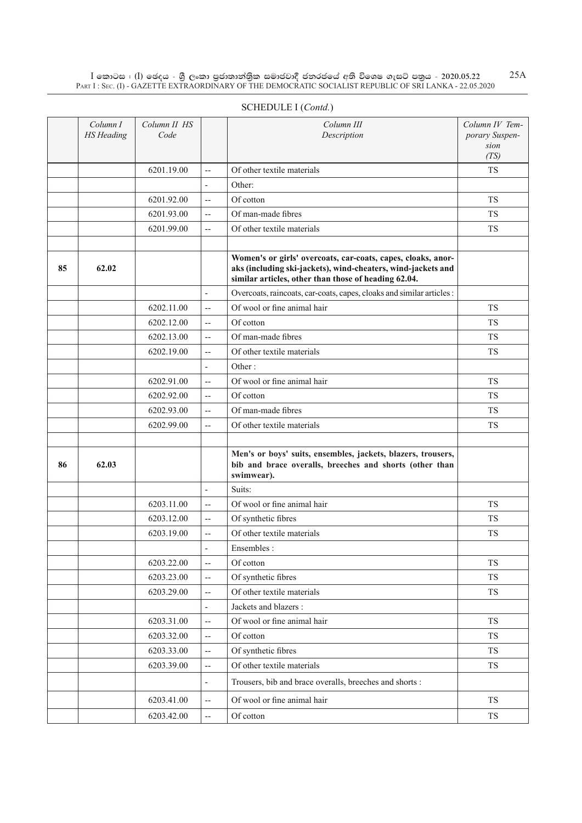|    | Column I<br><b>HS</b> Heading | Column II HS<br>Code |                          | Column III<br>Description                                                                                                                                                            | Column IV Tem-<br>porary Suspen-<br>sion<br>(TS) |
|----|-------------------------------|----------------------|--------------------------|--------------------------------------------------------------------------------------------------------------------------------------------------------------------------------------|--------------------------------------------------|
|    |                               | 6201.19.00           | $\overline{a}$           | Of other textile materials                                                                                                                                                           | <b>TS</b>                                        |
|    |                               |                      | $\overline{\phantom{a}}$ | Other:                                                                                                                                                                               |                                                  |
|    |                               | 6201.92.00           | --                       | Of cotton                                                                                                                                                                            | <b>TS</b>                                        |
|    |                               | 6201.93.00           | $\overline{a}$           | Of man-made fibres                                                                                                                                                                   | TS                                               |
|    |                               | 6201.99.00           | --                       | Of other textile materials                                                                                                                                                           | <b>TS</b>                                        |
|    |                               |                      |                          |                                                                                                                                                                                      |                                                  |
| 85 | 62.02                         |                      |                          | Women's or girls' overcoats, car-coats, capes, cloaks, anor-<br>aks (including ski-jackets), wind-cheaters, wind-jackets and<br>similar articles, other than those of heading 62.04. |                                                  |
|    |                               |                      | $\overline{\phantom{a}}$ | Overcoats, raincoats, car-coats, capes, cloaks and similar articles :                                                                                                                |                                                  |
|    |                               | 6202.11.00           | $\overline{a}$           | Of wool or fine animal hair                                                                                                                                                          | <b>TS</b>                                        |
|    |                               | 6202.12.00           | --                       | Of cotton                                                                                                                                                                            | <b>TS</b>                                        |
|    |                               | 6202.13.00           | $\overline{\phantom{a}}$ | Of man-made fibres                                                                                                                                                                   | <b>TS</b>                                        |
|    |                               | 6202.19.00           | $\overline{\phantom{a}}$ | Of other textile materials                                                                                                                                                           | TS                                               |
|    |                               |                      | $\overline{\phantom{a}}$ | Other:                                                                                                                                                                               |                                                  |
|    |                               | 6202.91.00           | --                       | Of wool or fine animal hair                                                                                                                                                          | <b>TS</b>                                        |
|    |                               | 6202.92.00           | $\overline{\phantom{a}}$ | Of cotton                                                                                                                                                                            | <b>TS</b>                                        |
|    |                               | 6202.93.00           | $\overline{\phantom{m}}$ | Of man-made fibres                                                                                                                                                                   | <b>TS</b>                                        |
|    |                               | 6202.99.00           | $\overline{\phantom{a}}$ | Of other textile materials                                                                                                                                                           | <b>TS</b>                                        |
| 86 | 62.03                         |                      |                          | Men's or boys' suits, ensembles, jackets, blazers, trousers,<br>bib and brace overalls, breeches and shorts (other than<br>swimwear).                                                |                                                  |
|    |                               |                      | $\overline{\phantom{a}}$ | Suits:                                                                                                                                                                               |                                                  |
|    |                               | 6203.11.00           | $\overline{\phantom{a}}$ | Of wool or fine animal hair                                                                                                                                                          | <b>TS</b>                                        |
|    |                               | 6203.12.00           | $\overline{\phantom{a}}$ | Of synthetic fibres                                                                                                                                                                  | <b>TS</b>                                        |
|    |                               | 6203.19.00           | $-$                      | Of other textile materials                                                                                                                                                           | <b>TS</b>                                        |
|    |                               |                      | L,                       | Ensembles:                                                                                                                                                                           |                                                  |
|    |                               | 6203.22.00           | --                       | Of cotton                                                                                                                                                                            | TS                                               |
|    |                               | 6203.23.00           | $\overline{\phantom{a}}$ | Of synthetic fibres                                                                                                                                                                  | TS                                               |
|    |                               | 6203.29.00           | $\overline{\phantom{a}}$ | Of other textile materials                                                                                                                                                           | ${\rm TS}$                                       |
|    |                               |                      | $\overline{\phantom{a}}$ | Jackets and blazers :                                                                                                                                                                |                                                  |
|    |                               | 6203.31.00           | $\overline{\phantom{a}}$ | Of wool or fine animal hair                                                                                                                                                          | TS                                               |
|    |                               | 6203.32.00           | $\overline{\phantom{a}}$ | Of cotton                                                                                                                                                                            | TS                                               |
|    |                               | 6203.33.00           | --                       | Of synthetic fibres                                                                                                                                                                  | TS                                               |
|    |                               | 6203.39.00           | $\overline{\phantom{a}}$ | Of other textile materials                                                                                                                                                           | ${\rm TS}$                                       |
|    |                               |                      | $\overline{\phantom{a}}$ | Trousers, bib and brace overalls, breeches and shorts :                                                                                                                              |                                                  |
|    |                               | 6203.41.00           | $\overline{\phantom{a}}$ | Of wool or fine animal hair                                                                                                                                                          | ${\rm TS}$                                       |
|    |                               | 6203.42.00           | $\overline{\phantom{a}}$ | Of cotton                                                                                                                                                                            | <b>TS</b>                                        |

## SCHEDULE I (*Contd.*)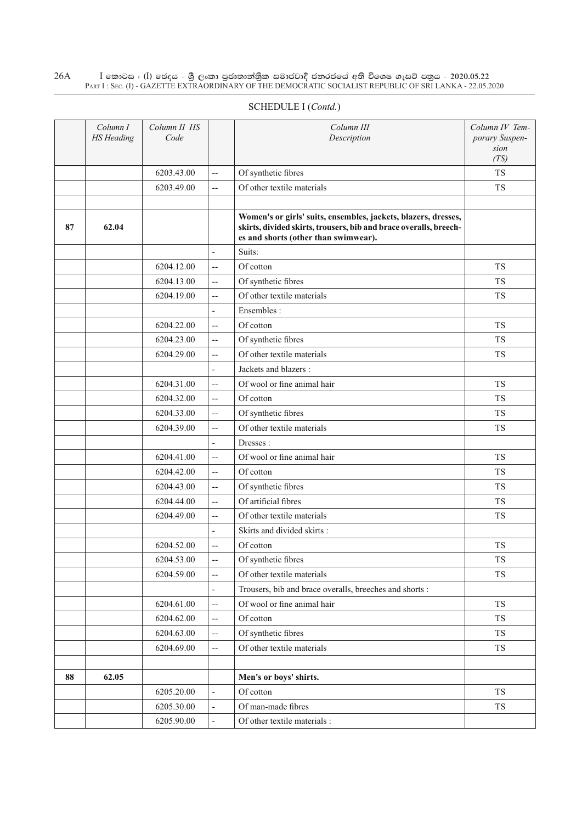|    | Column I<br><b>HS</b> Heading | Column II HS<br>Code |                          | Column III<br>Description                                                                                                                                                   | Column IV Tem-<br>porary Suspen-<br>sion |
|----|-------------------------------|----------------------|--------------------------|-----------------------------------------------------------------------------------------------------------------------------------------------------------------------------|------------------------------------------|
|    |                               | 6203.43.00           | $\overline{a}$           | Of synthetic fibres                                                                                                                                                         | (TS)<br><b>TS</b>                        |
|    |                               | 6203.49.00           | $\overline{a}$           | Of other textile materials                                                                                                                                                  | <b>TS</b>                                |
|    |                               |                      |                          |                                                                                                                                                                             |                                          |
| 87 | 62.04                         |                      |                          | Women's or girls' suits, ensembles, jackets, blazers, dresses,<br>skirts, divided skirts, trousers, bib and brace overalls, breech-<br>es and shorts (other than swimwear). |                                          |
|    |                               |                      | $\overline{a}$           | Suits:                                                                                                                                                                      |                                          |
|    |                               | 6204.12.00           | $\overline{a}$           | Of cotton                                                                                                                                                                   | <b>TS</b>                                |
|    |                               | 6204.13.00           | $\overline{a}$           | Of synthetic fibres                                                                                                                                                         | <b>TS</b>                                |
|    |                               | 6204.19.00           | $\overline{a}$           | Of other textile materials                                                                                                                                                  | <b>TS</b>                                |
|    |                               |                      | $\overline{\phantom{a}}$ | Ensembles:                                                                                                                                                                  |                                          |
|    |                               | 6204.22.00           | $\overline{a}$           | Of cotton                                                                                                                                                                   | <b>TS</b>                                |
|    |                               | 6204.23.00           | $\overline{a}$           | Of synthetic fibres                                                                                                                                                         | <b>TS</b>                                |
|    |                               | 6204.29.00           | $\overline{a}$           | Of other textile materials                                                                                                                                                  | <b>TS</b>                                |
|    |                               |                      | $\overline{\phantom{a}}$ | Jackets and blazers :                                                                                                                                                       |                                          |
|    |                               | 6204.31.00           | $\overline{a}$           | Of wool or fine animal hair                                                                                                                                                 | <b>TS</b>                                |
|    |                               | 6204.32.00           | $\overline{a}$           | Of cotton                                                                                                                                                                   | <b>TS</b>                                |
|    |                               | 6204.33.00           | $\overline{a}$           | Of synthetic fibres                                                                                                                                                         | <b>TS</b>                                |
|    |                               | 6204.39.00           | $\overline{a}$           | Of other textile materials                                                                                                                                                  | <b>TS</b>                                |
|    |                               |                      | $\mathbf{r}$             | Dresses:                                                                                                                                                                    |                                          |
|    |                               | 6204.41.00           | $\overline{a}$           | Of wool or fine animal hair                                                                                                                                                 | <b>TS</b>                                |
|    |                               | 6204.42.00           | $\overline{a}$           | Of cotton                                                                                                                                                                   | <b>TS</b>                                |
|    |                               | 6204.43.00           | $\overline{a}$           | Of synthetic fibres                                                                                                                                                         | <b>TS</b>                                |
|    |                               | 6204.44.00           | $\overline{a}$           | Of artificial fibres                                                                                                                                                        | <b>TS</b>                                |
|    |                               | 6204.49.00           | $\overline{a}$           | Of other textile materials                                                                                                                                                  | <b>TS</b>                                |
|    |                               |                      | ÷,                       | Skirts and divided skirts:                                                                                                                                                  |                                          |
|    |                               | 6204.52.00           | $\overline{a}$           | Of cotton                                                                                                                                                                   | <b>TS</b>                                |
|    |                               | 6204.53.00           | $\overline{\phantom{a}}$ | Of synthetic fibres                                                                                                                                                         | <b>TS</b>                                |
|    |                               | 6204.59.00           | $\overline{a}$           | Of other textile materials                                                                                                                                                  | <b>TS</b>                                |
|    |                               |                      | $\overline{\phantom{a}}$ | Trousers, bib and brace overalls, breeches and shorts :                                                                                                                     |                                          |
|    |                               | 6204.61.00           | $\overline{a}$           | Of wool or fine animal hair                                                                                                                                                 | TS                                       |
|    |                               | 6204.62.00           | $\overline{a}$           | Of cotton                                                                                                                                                                   | <b>TS</b>                                |
|    |                               | 6204.63.00           | $\overline{\phantom{a}}$ | Of synthetic fibres                                                                                                                                                         | TS                                       |
|    |                               | 6204.69.00           | $\overline{\phantom{a}}$ | Of other textile materials                                                                                                                                                  | TS                                       |
|    |                               |                      |                          |                                                                                                                                                                             |                                          |
| 88 | 62.05                         |                      |                          | Men's or boys' shirts.                                                                                                                                                      |                                          |
|    |                               | 6205.20.00           | $\overline{\phantom{a}}$ | Of cotton                                                                                                                                                                   | TS                                       |
|    |                               | 6205.30.00           | $\overline{\phantom{a}}$ | Of man-made fibres                                                                                                                                                          | TS                                       |
|    |                               | 6205.90.00           | $\blacksquare$           | Of other textile materials :                                                                                                                                                |                                          |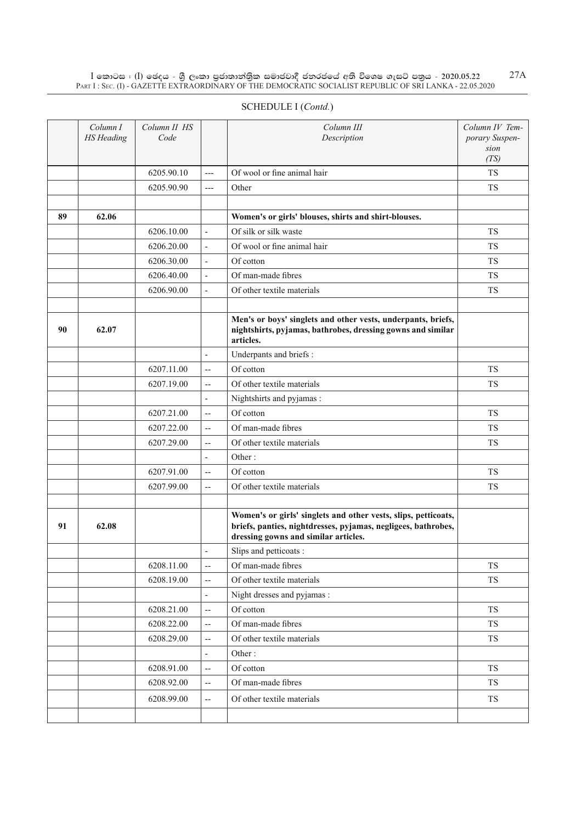#### SCHEDULE I (*Contd.*)

|    | Column I<br><b>HS</b> Heading | Column II HS<br>Code |                          | Column III<br>Description                                                                                                                                               | Column IV Tem-<br>porary Suspen-<br>sion<br>(TS) |
|----|-------------------------------|----------------------|--------------------------|-------------------------------------------------------------------------------------------------------------------------------------------------------------------------|--------------------------------------------------|
|    |                               | 6205.90.10           | $---$                    | Of wool or fine animal hair                                                                                                                                             | <b>TS</b>                                        |
|    |                               | 6205.90.90           | $---$                    | Other                                                                                                                                                                   | TS                                               |
|    |                               |                      |                          |                                                                                                                                                                         |                                                  |
| 89 | 62.06                         |                      |                          | Women's or girls' blouses, shirts and shirt-blouses.                                                                                                                    |                                                  |
|    |                               | 6206.10.00           | $\overline{a}$           | Of silk or silk waste                                                                                                                                                   | TS                                               |
|    |                               | 6206.20.00           | $\frac{1}{2}$            | Of wool or fine animal hair                                                                                                                                             | <b>TS</b>                                        |
|    |                               | 6206.30.00           | $\frac{1}{2}$            | Of cotton                                                                                                                                                               | <b>TS</b>                                        |
|    |                               | 6206.40.00           | $\overline{\phantom{a}}$ | Of man-made fibres                                                                                                                                                      | <b>TS</b>                                        |
|    |                               | 6206.90.00           | $\overline{\phantom{0}}$ | Of other textile materials                                                                                                                                              | TS                                               |
|    |                               |                      |                          |                                                                                                                                                                         |                                                  |
| 90 | 62.07                         |                      |                          | Men's or boys' singlets and other vests, underpants, briefs,<br>nightshirts, pyjamas, bathrobes, dressing gowns and similar<br>articles.                                |                                                  |
|    |                               |                      | $\overline{\phantom{a}}$ | Underpants and briefs:                                                                                                                                                  |                                                  |
|    |                               | 6207.11.00           | $\overline{a}$           | Of cotton                                                                                                                                                               | <b>TS</b>                                        |
|    |                               | 6207.19.00           | $\overline{\phantom{a}}$ | Of other textile materials                                                                                                                                              | <b>TS</b>                                        |
|    |                               |                      | $\overline{\phantom{a}}$ | Nightshirts and pyjamas:                                                                                                                                                |                                                  |
|    |                               | 6207.21.00           | $\overline{a}$           | Of cotton                                                                                                                                                               | TS                                               |
|    |                               | 6207.22.00           | $\overline{a}$           | Of man-made fibres                                                                                                                                                      | <b>TS</b>                                        |
|    |                               | 6207.29.00           | $\overline{\phantom{a}}$ | Of other textile materials                                                                                                                                              | <b>TS</b>                                        |
|    |                               |                      | $\overline{\phantom{a}}$ | Other:                                                                                                                                                                  |                                                  |
|    |                               | 6207.91.00           | $\overline{a}$           | Of cotton                                                                                                                                                               | TS                                               |
|    |                               | 6207.99.00           | $\overline{\phantom{a}}$ | Of other textile materials                                                                                                                                              | <b>TS</b>                                        |
|    |                               |                      |                          |                                                                                                                                                                         |                                                  |
| 91 | 62.08                         |                      |                          | Women's or girls' singlets and other vests, slips, petticoats,<br>briefs, panties, nightdresses, pyjamas, negligees, bathrobes,<br>dressing gowns and similar articles. |                                                  |
|    |                               |                      | ۰                        | Slips and petticoats:                                                                                                                                                   |                                                  |
|    |                               | 6208.11.00           | $\overline{a}$           | Of man-made fibres                                                                                                                                                      | TS                                               |
|    |                               | 6208.19.00           | $\overline{\phantom{a}}$ | Of other textile materials                                                                                                                                              | ${\rm TS}$                                       |
|    |                               |                      | $\overline{\phantom{a}}$ | Night dresses and pyjamas :                                                                                                                                             |                                                  |
|    |                               | 6208.21.00           | $\overline{a}$           | Of cotton                                                                                                                                                               | TS                                               |
|    |                               | 6208.22.00           | $\overline{a}$           | Of man-made fibres                                                                                                                                                      | TS                                               |
|    |                               | 6208.29.00           | $-$                      | Of other textile materials                                                                                                                                              | ${\rm TS}$                                       |
|    |                               |                      | $\overline{\phantom{a}}$ | Other:                                                                                                                                                                  |                                                  |
|    |                               | 6208.91.00           | $\overline{a}$           | Of cotton                                                                                                                                                               | TS                                               |
|    |                               | 6208.92.00           | $\overline{a}$           | Of man-made fibres                                                                                                                                                      | TS                                               |
|    |                               | 6208.99.00           | $\overline{\phantom{a}}$ | Of other textile materials                                                                                                                                              | TS                                               |
|    |                               |                      |                          |                                                                                                                                                                         |                                                  |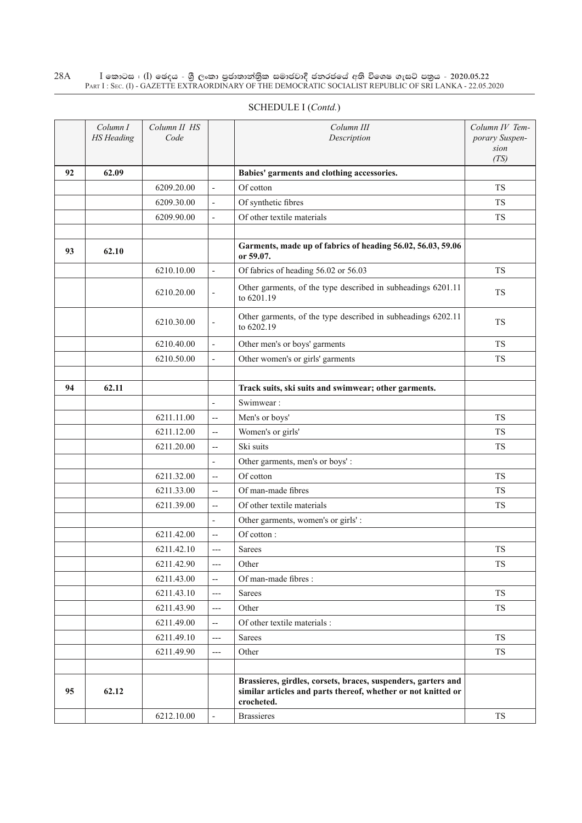|    | Column I<br><b>HS</b> Heading | Column II HS<br>Code |                          | Column III<br>Description                                                  | Column IV Tem-<br>porary Suspen-<br>sion<br>(TS) |
|----|-------------------------------|----------------------|--------------------------|----------------------------------------------------------------------------|--------------------------------------------------|
| 92 | 62.09                         |                      |                          | Babies' garments and clothing accessories.                                 |                                                  |
|    |                               | 6209.20.00           | $\sim$                   | Of cotton                                                                  | <b>TS</b>                                        |
|    |                               | 6209.30.00           |                          | Of synthetic fibres                                                        | <b>TS</b>                                        |
|    |                               | 6209.90.00           |                          | Of other textile materials                                                 | <b>TS</b>                                        |
| 93 | 62.10                         |                      |                          | Garments, made up of fabrics of heading 56.02, 56.03, 59.06<br>or 59.07.   |                                                  |
|    |                               | 6210.10.00           | $\sim$                   | Of fabrics of heading 56.02 or 56.03                                       | <b>TS</b>                                        |
|    |                               | 6210.20.00           | $\blacksquare$           | Other garments, of the type described in subheadings 6201.11<br>to 6201.19 | <b>TS</b>                                        |
|    |                               | 6210.30.00           |                          | Other garments, of the type described in subheadings 6202.11<br>to 6202.19 | <b>TS</b>                                        |
|    |                               | 6210.40.00           |                          | Other men's or boys' garments                                              | <b>TS</b>                                        |
|    |                               | 6210.50.00           |                          | Other women's or girls' garments                                           | <b>TS</b>                                        |
| 94 | 62.11                         |                      |                          | Track suits, ski suits and swimwear; other garments.                       |                                                  |
|    |                               |                      |                          | Swimwear:                                                                  |                                                  |
|    |                               | 6211.11.00           | $\overline{\phantom{a}}$ | Men's or boys'                                                             | <b>TS</b>                                        |
|    |                               | 6211.12.00           | $\overline{a}$           | Women's or girls'                                                          | <b>TS</b>                                        |
|    |                               | 6211.20.00           | $\overline{\phantom{a}}$ | Ski suits                                                                  | TS                                               |
|    |                               |                      |                          | Other garments, men's or boys':                                            |                                                  |
|    |                               | 6211.32.00           | $\overline{a}$           | Of cotton                                                                  | <b>TS</b>                                        |
|    |                               | 6211.33.00           | $\overline{a}$           | Of man-made fibres                                                         | <b>TS</b>                                        |
|    |                               | 6211.39.00           | $\sim$                   | Of other textile materials                                                 | <b>TS</b>                                        |
|    |                               |                      |                          | Other garments, women's or girls':                                         |                                                  |
|    |                               | 6211.42.00           | $\overline{a}$           | Of cotton:                                                                 |                                                  |
|    |                               | 6211.42.10           | $---$                    | <b>Sarees</b>                                                              | <b>TS</b>                                        |

 $6211.42.90$   $\longrightarrow$  Other TS

 $6211.43.10$   $\longrightarrow$  Sarees TS  $6211.43.90$   $\longrightarrow$  Other TS

 $6211.49.10$   $\Big|$  --- Sarees TS  $6211.49.90$   $\longrightarrow$  Other TS

 $6212.10.00$   $\blacksquare$  Brassieres T

**Brassieres, girdles, corsets, braces, suspenders, garters and similar articles and parts thereof, whether or not knitted or** 

 $6211.43.00$   $\left| \begin{array}{c} - \end{array} \right|$  Of man-made fibres :

**95 62.12**

 $6211.49.00$   $\qquad$  --  $\qquad$  Of other textile materials :

**crocheted.**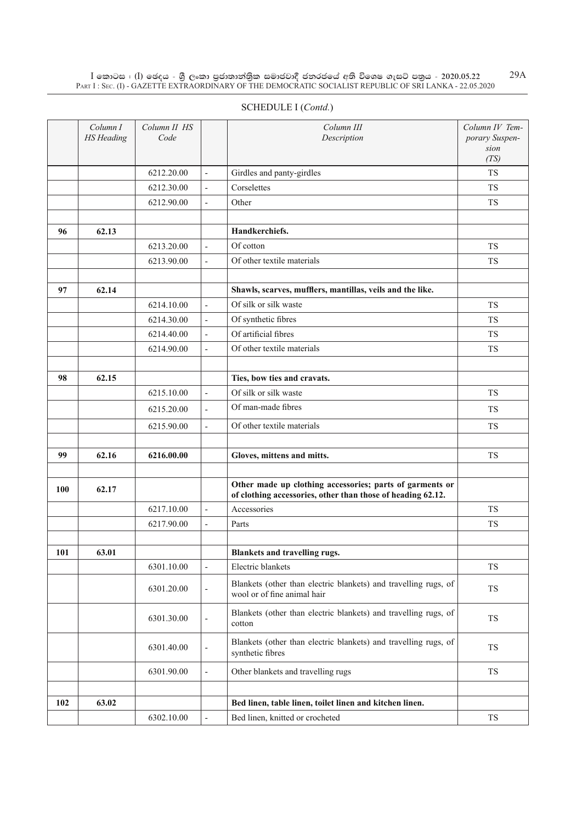|    | PART I : SEC. (I) - GAZETTE EXTRAORDINARY OF THE DEMOCRATIC SOCIALIST REPUBLIC OF SRI LANKA - 22.05.2020 |            |                          |                            |           |  |  |  |  |  |
|----|----------------------------------------------------------------------------------------------------------|------------|--------------------------|----------------------------|-----------|--|--|--|--|--|
|    | SCHEDULE I (Contd.)                                                                                      |            |                          |                            |           |  |  |  |  |  |
|    | Column I<br>Column II HS<br>Column III<br>Column IV Tem-<br><b>HS</b> Heading<br>Code<br>Description     |            |                          |                            |           |  |  |  |  |  |
|    |                                                                                                          | 6212.20.00 |                          | Girdles and panty-girdles  | <b>TS</b> |  |  |  |  |  |
|    |                                                                                                          | 6212.30.00 | $\blacksquare$           | Corselettes                | <b>TS</b> |  |  |  |  |  |
|    |                                                                                                          | 6212.90.00 | $\overline{\phantom{a}}$ | Other                      | <b>TS</b> |  |  |  |  |  |
| 96 | 62.13                                                                                                    |            |                          | Handkerchiefs.             |           |  |  |  |  |  |
|    |                                                                                                          | 6213.20.00 | $\overline{\phantom{a}}$ | Of cotton                  | <b>TS</b> |  |  |  |  |  |
|    |                                                                                                          | 6213.90.00 | $\overline{\phantom{0}}$ | Of other textile materials | <b>TS</b> |  |  |  |  |  |
|    |                                                                                                          |            |                          |                            |           |  |  |  |  |  |

 $6214.10.00$   $\phantom{0}\phantom{0}$  -  $\phantom{0}\phantom{0}$  Of silk or silk waste TS

**97 62.14 Shawls, scarves, mufflers, mantillas, veils and the like.**

| Of artificial fibres<br>6214.40.00<br><b>TS</b><br>$\overline{\phantom{a}}$<br>Of other textile materials<br><b>TS</b><br>6214.90.00<br>$\overline{a}$<br>62.15<br>Ties, bow ties and cravats.<br>98<br>Of silk or silk waste<br>6215.10.00<br><b>TS</b><br>$\overline{a}$<br>Of man-made fibres<br><b>TS</b><br>6215.20.00<br>$\overline{a}$<br>Of other textile materials<br>6215.90.00<br><b>TS</b><br>$\overline{a}$<br>62.16<br>6216.00.00<br>Gloves, mittens and mitts.<br>TS<br>99<br>Other made up clothing accessories; parts of garments or<br>62.17<br>100<br>of clothing accessories, other than those of heading 62.12.<br>6217.10.00<br>Accessories<br><b>TS</b><br>$\overline{a}$<br>6217.90.00<br><b>TS</b><br>Parts<br>$\overline{a}$<br>101<br>63.01<br>Blankets and travelling rugs.<br>6301.10.00<br>Electric blankets<br><b>TS</b><br>$\frac{1}{2}$<br>Blankets (other than electric blankets) and travelling rugs, of<br><b>TS</b><br>6301.20.00<br>$\overline{\phantom{a}}$<br>wool or of fine animal hair<br>Blankets (other than electric blankets) and travelling rugs, of<br><b>TS</b><br>6301.30.00<br>$\overline{\phantom{a}}$<br>cotton<br>Blankets (other than electric blankets) and travelling rugs, of<br>6301.40.00<br>TS<br>$\overline{\phantom{a}}$<br>synthetic fibres<br>6301.90.00<br>Other blankets and travelling rugs<br><b>TS</b><br>$\overline{\phantom{a}}$<br>102<br>63.02<br>Bed linen, table linen, toilet linen and kitchen linen. |  | 6214.30.00 | $\overline{a}$ | Of synthetic fibres | <b>TS</b> |
|--------------------------------------------------------------------------------------------------------------------------------------------------------------------------------------------------------------------------------------------------------------------------------------------------------------------------------------------------------------------------------------------------------------------------------------------------------------------------------------------------------------------------------------------------------------------------------------------------------------------------------------------------------------------------------------------------------------------------------------------------------------------------------------------------------------------------------------------------------------------------------------------------------------------------------------------------------------------------------------------------------------------------------------------------------------------------------------------------------------------------------------------------------------------------------------------------------------------------------------------------------------------------------------------------------------------------------------------------------------------------------------------------------------------------------------------------------------------------------------|--|------------|----------------|---------------------|-----------|
|                                                                                                                                                                                                                                                                                                                                                                                                                                                                                                                                                                                                                                                                                                                                                                                                                                                                                                                                                                                                                                                                                                                                                                                                                                                                                                                                                                                                                                                                                      |  |            |                |                     |           |
|                                                                                                                                                                                                                                                                                                                                                                                                                                                                                                                                                                                                                                                                                                                                                                                                                                                                                                                                                                                                                                                                                                                                                                                                                                                                                                                                                                                                                                                                                      |  |            |                |                     |           |
|                                                                                                                                                                                                                                                                                                                                                                                                                                                                                                                                                                                                                                                                                                                                                                                                                                                                                                                                                                                                                                                                                                                                                                                                                                                                                                                                                                                                                                                                                      |  |            |                |                     |           |
|                                                                                                                                                                                                                                                                                                                                                                                                                                                                                                                                                                                                                                                                                                                                                                                                                                                                                                                                                                                                                                                                                                                                                                                                                                                                                                                                                                                                                                                                                      |  |            |                |                     |           |
|                                                                                                                                                                                                                                                                                                                                                                                                                                                                                                                                                                                                                                                                                                                                                                                                                                                                                                                                                                                                                                                                                                                                                                                                                                                                                                                                                                                                                                                                                      |  |            |                |                     |           |
|                                                                                                                                                                                                                                                                                                                                                                                                                                                                                                                                                                                                                                                                                                                                                                                                                                                                                                                                                                                                                                                                                                                                                                                                                                                                                                                                                                                                                                                                                      |  |            |                |                     |           |
|                                                                                                                                                                                                                                                                                                                                                                                                                                                                                                                                                                                                                                                                                                                                                                                                                                                                                                                                                                                                                                                                                                                                                                                                                                                                                                                                                                                                                                                                                      |  |            |                |                     |           |
|                                                                                                                                                                                                                                                                                                                                                                                                                                                                                                                                                                                                                                                                                                                                                                                                                                                                                                                                                                                                                                                                                                                                                                                                                                                                                                                                                                                                                                                                                      |  |            |                |                     |           |
|                                                                                                                                                                                                                                                                                                                                                                                                                                                                                                                                                                                                                                                                                                                                                                                                                                                                                                                                                                                                                                                                                                                                                                                                                                                                                                                                                                                                                                                                                      |  |            |                |                     |           |
|                                                                                                                                                                                                                                                                                                                                                                                                                                                                                                                                                                                                                                                                                                                                                                                                                                                                                                                                                                                                                                                                                                                                                                                                                                                                                                                                                                                                                                                                                      |  |            |                |                     |           |
|                                                                                                                                                                                                                                                                                                                                                                                                                                                                                                                                                                                                                                                                                                                                                                                                                                                                                                                                                                                                                                                                                                                                                                                                                                                                                                                                                                                                                                                                                      |  |            |                |                     |           |
|                                                                                                                                                                                                                                                                                                                                                                                                                                                                                                                                                                                                                                                                                                                                                                                                                                                                                                                                                                                                                                                                                                                                                                                                                                                                                                                                                                                                                                                                                      |  |            |                |                     |           |
|                                                                                                                                                                                                                                                                                                                                                                                                                                                                                                                                                                                                                                                                                                                                                                                                                                                                                                                                                                                                                                                                                                                                                                                                                                                                                                                                                                                                                                                                                      |  |            |                |                     |           |
|                                                                                                                                                                                                                                                                                                                                                                                                                                                                                                                                                                                                                                                                                                                                                                                                                                                                                                                                                                                                                                                                                                                                                                                                                                                                                                                                                                                                                                                                                      |  |            |                |                     |           |
|                                                                                                                                                                                                                                                                                                                                                                                                                                                                                                                                                                                                                                                                                                                                                                                                                                                                                                                                                                                                                                                                                                                                                                                                                                                                                                                                                                                                                                                                                      |  |            |                |                     |           |
|                                                                                                                                                                                                                                                                                                                                                                                                                                                                                                                                                                                                                                                                                                                                                                                                                                                                                                                                                                                                                                                                                                                                                                                                                                                                                                                                                                                                                                                                                      |  |            |                |                     |           |
|                                                                                                                                                                                                                                                                                                                                                                                                                                                                                                                                                                                                                                                                                                                                                                                                                                                                                                                                                                                                                                                                                                                                                                                                                                                                                                                                                                                                                                                                                      |  |            |                |                     |           |
|                                                                                                                                                                                                                                                                                                                                                                                                                                                                                                                                                                                                                                                                                                                                                                                                                                                                                                                                                                                                                                                                                                                                                                                                                                                                                                                                                                                                                                                                                      |  |            |                |                     |           |
|                                                                                                                                                                                                                                                                                                                                                                                                                                                                                                                                                                                                                                                                                                                                                                                                                                                                                                                                                                                                                                                                                                                                                                                                                                                                                                                                                                                                                                                                                      |  |            |                |                     |           |
|                                                                                                                                                                                                                                                                                                                                                                                                                                                                                                                                                                                                                                                                                                                                                                                                                                                                                                                                                                                                                                                                                                                                                                                                                                                                                                                                                                                                                                                                                      |  |            |                |                     |           |
|                                                                                                                                                                                                                                                                                                                                                                                                                                                                                                                                                                                                                                                                                                                                                                                                                                                                                                                                                                                                                                                                                                                                                                                                                                                                                                                                                                                                                                                                                      |  |            |                |                     |           |
|                                                                                                                                                                                                                                                                                                                                                                                                                                                                                                                                                                                                                                                                                                                                                                                                                                                                                                                                                                                                                                                                                                                                                                                                                                                                                                                                                                                                                                                                                      |  |            |                |                     |           |
| 6302.10.00<br>Bed linen, knitted or crocheted<br><b>TS</b>                                                                                                                                                                                                                                                                                                                                                                                                                                                                                                                                                                                                                                                                                                                                                                                                                                                                                                                                                                                                                                                                                                                                                                                                                                                                                                                                                                                                                           |  |            |                |                     |           |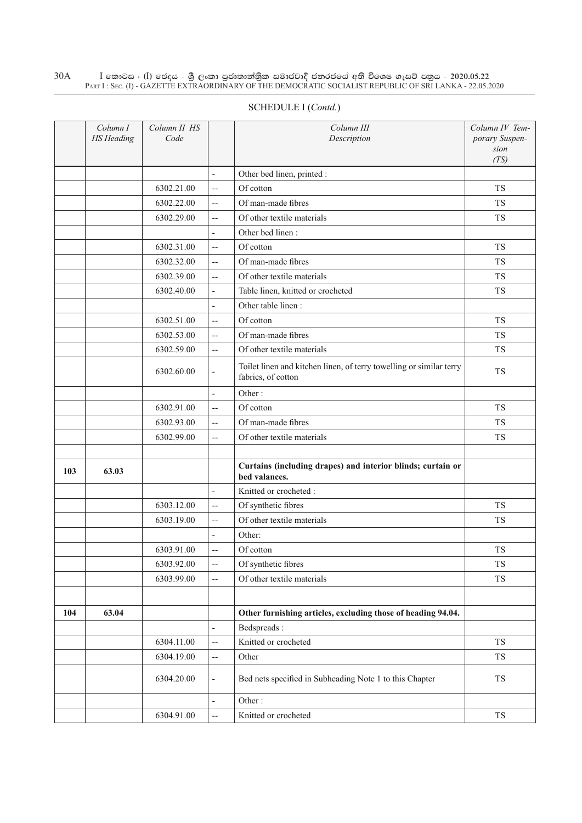|     | Column I<br><b>HS</b> Heading | Column II HS<br>Code |                          | Column III<br>Description                                                                 | Column IV Tem-<br>porary Suspen-<br>sion<br>(TS) |
|-----|-------------------------------|----------------------|--------------------------|-------------------------------------------------------------------------------------------|--------------------------------------------------|
|     |                               |                      | $\blacksquare$           | Other bed linen, printed :                                                                |                                                  |
|     |                               | 6302.21.00           | $\overline{a}$           | Of cotton                                                                                 | <b>TS</b>                                        |
|     |                               | 6302.22.00           | $\overline{a}$           | Of man-made fibres                                                                        | <b>TS</b>                                        |
|     |                               | 6302.29.00           | $\overline{a}$           | Of other textile materials                                                                | <b>TS</b>                                        |
|     |                               |                      | $\overline{\phantom{a}}$ | Other bed linen:                                                                          |                                                  |
|     |                               | 6302.31.00           | $\overline{a}$           | Of cotton                                                                                 | <b>TS</b>                                        |
|     |                               | 6302.32.00           | $\overline{a}$           | Of man-made fibres                                                                        | <b>TS</b>                                        |
|     |                               | 6302.39.00           | $\overline{a}$           | Of other textile materials                                                                | <b>TS</b>                                        |
|     |                               | 6302.40.00           | $\overline{\phantom{a}}$ | Table linen, knitted or crocheted                                                         | <b>TS</b>                                        |
|     |                               |                      | ÷,                       | Other table linen:                                                                        |                                                  |
|     |                               | 6302.51.00           | $\overline{a}$           | Of cotton                                                                                 | <b>TS</b>                                        |
|     |                               | 6302.53.00           | $\overline{a}$           | Of man-made fibres                                                                        | <b>TS</b>                                        |
|     |                               | 6302.59.00           | $\overline{a}$           | Of other textile materials                                                                | <b>TS</b>                                        |
|     |                               | 6302.60.00           | $\overline{\phantom{a}}$ | Toilet linen and kitchen linen, of terry towelling or similar terry<br>fabrics, of cotton | <b>TS</b>                                        |
|     |                               |                      | $\overline{\phantom{a}}$ | Other:                                                                                    |                                                  |
|     |                               | 6302.91.00           | $\overline{a}$           | Of cotton                                                                                 | <b>TS</b>                                        |
|     |                               | 6302.93.00           | $\overline{\phantom{m}}$ | Of man-made fibres                                                                        | <b>TS</b>                                        |
|     |                               | 6302.99.00           | $\overline{\phantom{a}}$ | Of other textile materials                                                                | <b>TS</b>                                        |
|     |                               |                      |                          |                                                                                           |                                                  |
| 103 | 63.03                         |                      |                          | Curtains (including drapes) and interior blinds; curtain or<br>bed valances.              |                                                  |
|     |                               |                      | $\frac{1}{2}$            | Knitted or crocheted:                                                                     |                                                  |
|     |                               | 6303.12.00           | $\overline{\phantom{m}}$ | Of synthetic fibres                                                                       | <b>TS</b>                                        |
|     |                               | 6303.19.00           | $\overline{a}$           | Of other textile materials                                                                | <b>TS</b>                                        |
|     |                               |                      | $\overline{\phantom{a}}$ | Other:                                                                                    |                                                  |
|     |                               | 6303.91.00           | $-$                      | Of cotton                                                                                 | <b>TS</b>                                        |
|     |                               | 6303.92.00           | $\overline{\phantom{a}}$ | Of synthetic fibres                                                                       | <b>TS</b>                                        |
|     |                               | 6303.99.00           | $\overline{a}$           | Of other textile materials                                                                | <b>TS</b>                                        |
|     |                               |                      |                          |                                                                                           |                                                  |
| 104 | 63.04                         |                      |                          | Other furnishing articles, excluding those of heading 94.04.                              |                                                  |
|     |                               |                      | $\overline{\phantom{a}}$ | Bedspreads:                                                                               |                                                  |
|     |                               | 6304.11.00           | $\overline{\phantom{a}}$ | Knitted or crocheted                                                                      | TS                                               |
|     |                               | 6304.19.00           | $\overline{\phantom{a}}$ | Other                                                                                     | <b>TS</b>                                        |
|     |                               | 6304.20.00           | $\blacksquare$           | Bed nets specified in Subheading Note 1 to this Chapter                                   | TS                                               |
|     |                               |                      | $\overline{\phantom{a}}$ | Other:                                                                                    |                                                  |
|     |                               | 6304.91.00           | --                       | Knitted or crocheted                                                                      | ${\rm TS}$                                       |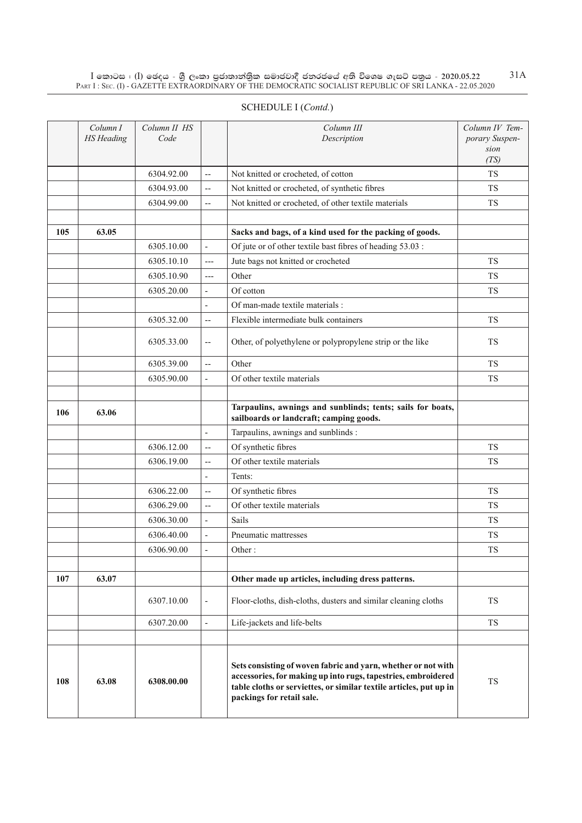|     | Column I<br><b>HS</b> Heading | Column II HS<br>Code |                          | Column III<br>Description                                                                                                                                                                            | Column IV Tem-<br>porary Suspen-<br>sion<br>(TS) |
|-----|-------------------------------|----------------------|--------------------------|------------------------------------------------------------------------------------------------------------------------------------------------------------------------------------------------------|--------------------------------------------------|
|     |                               | 6304.92.00           | $\overline{\phantom{a}}$ | Not knitted or crocheted, of cotton                                                                                                                                                                  | <b>TS</b>                                        |
|     |                               | 6304.93.00           | $\overline{a}$           | Not knitted or crocheted, of synthetic fibres                                                                                                                                                        | <b>TS</b>                                        |
|     |                               | 6304.99.00           | $\overline{a}$           | Not knitted or crocheted, of other textile materials                                                                                                                                                 | <b>TS</b>                                        |
|     |                               |                      |                          |                                                                                                                                                                                                      |                                                  |
| 105 | 63.05                         |                      |                          | Sacks and bags, of a kind used for the packing of goods.                                                                                                                                             |                                                  |
|     |                               | 6305.10.00           | $\overline{\phantom{a}}$ | Of jute or of other textile bast fibres of heading 53.03 :                                                                                                                                           |                                                  |
|     |                               | 6305.10.10           | $---$                    | Jute bags not knitted or crocheted                                                                                                                                                                   | <b>TS</b>                                        |
|     |                               | 6305.10.90           | $---$                    | Other                                                                                                                                                                                                | <b>TS</b>                                        |
|     |                               | 6305.20.00           | $\frac{1}{2}$            | Of cotton                                                                                                                                                                                            | <b>TS</b>                                        |
|     |                               |                      | $\overline{\phantom{a}}$ | Of man-made textile materials :                                                                                                                                                                      |                                                  |
|     |                               | 6305.32.00           | $\overline{a}$           | Flexible intermediate bulk containers                                                                                                                                                                | TS                                               |
|     |                               | 6305.33.00           | $\overline{\phantom{m}}$ | Other, of polyethylene or polypropylene strip or the like                                                                                                                                            | TS                                               |
|     |                               | 6305.39.00           | $\overline{\phantom{a}}$ | Other                                                                                                                                                                                                | TS                                               |
|     |                               | 6305.90.00           | $\overline{\phantom{0}}$ | Of other textile materials                                                                                                                                                                           | <b>TS</b>                                        |
|     |                               |                      |                          |                                                                                                                                                                                                      |                                                  |
| 106 | 63.06                         |                      |                          | Tarpaulins, awnings and sunblinds; tents; sails for boats,<br>sailboards or landcraft; camping goods.                                                                                                |                                                  |
|     |                               |                      | $\overline{\phantom{a}}$ | Tarpaulins, awnings and sunblinds :                                                                                                                                                                  |                                                  |
|     |                               | 6306.12.00           | $\overline{\phantom{m}}$ | Of synthetic fibres                                                                                                                                                                                  | <b>TS</b>                                        |
|     |                               | 6306.19.00           | $-$                      | Of other textile materials                                                                                                                                                                           | <b>TS</b>                                        |
|     |                               |                      | $\overline{\phantom{0}}$ | Tents:                                                                                                                                                                                               |                                                  |
|     |                               | 6306.22.00           | $-$                      | Of synthetic fibres                                                                                                                                                                                  | <b>TS</b>                                        |
|     |                               | 6306.29.00           | $\overline{a}$           | Of other textile materials                                                                                                                                                                           | <b>TS</b>                                        |
|     |                               | 6306.30.00           | $\overline{\phantom{a}}$ | <b>Sails</b>                                                                                                                                                                                         | <b>TS</b>                                        |
|     |                               | 6306.40.00           | $\overline{a}$           | Pneumatic mattresses                                                                                                                                                                                 | <b>TS</b>                                        |
|     |                               | 6306.90.00           | ÷,                       | Other:                                                                                                                                                                                               | <b>TS</b>                                        |
|     |                               |                      |                          |                                                                                                                                                                                                      |                                                  |
| 107 | 63.07                         |                      |                          | Other made up articles, including dress patterns.                                                                                                                                                    |                                                  |
|     |                               | 6307.10.00           | $\overline{\phantom{a}}$ | Floor-cloths, dish-cloths, dusters and similar cleaning cloths                                                                                                                                       | TS                                               |
|     |                               | 6307.20.00           | $\overline{\phantom{a}}$ | Life-jackets and life-belts                                                                                                                                                                          | TS                                               |
|     |                               |                      |                          |                                                                                                                                                                                                      |                                                  |
| 108 | 63.08                         | 6308.00.00           |                          | Sets consisting of woven fabric and yarn, whether or not with<br>accessories, for making up into rugs, tapestries, embroidered<br>table cloths or serviettes, or similar textile articles, put up in | ${\rm TS}$                                       |

**packings for retail sale.**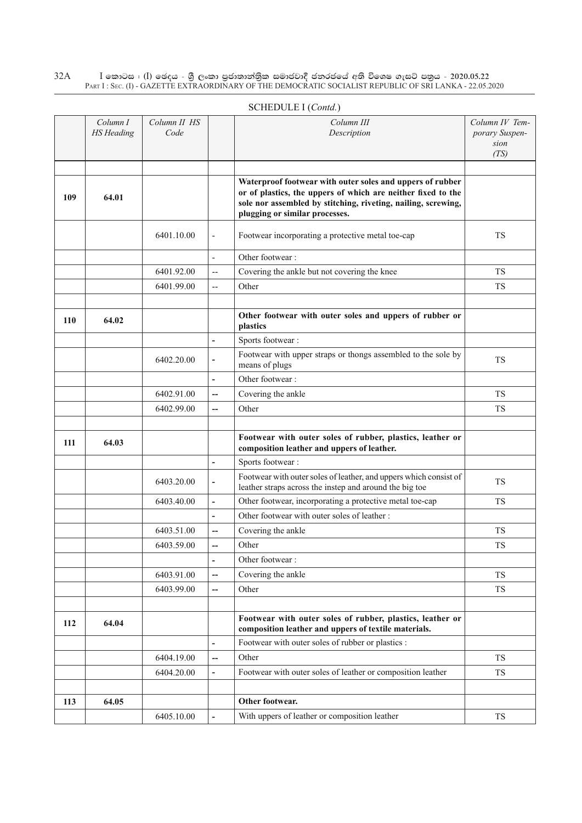|     | Column I<br><b>HS</b> Heading | Column II HS<br>Code |                              | Column III<br>Description                                                                                                                                                                                                    | Column IV Tem-<br>porary Suspen- |
|-----|-------------------------------|----------------------|------------------------------|------------------------------------------------------------------------------------------------------------------------------------------------------------------------------------------------------------------------------|----------------------------------|
|     |                               |                      |                              |                                                                                                                                                                                                                              | sion                             |
|     |                               |                      |                              |                                                                                                                                                                                                                              | (TS)                             |
|     |                               |                      |                              |                                                                                                                                                                                                                              |                                  |
| 109 | 64.01                         |                      |                              | Waterproof footwear with outer soles and uppers of rubber<br>or of plastics, the uppers of which are neither fixed to the<br>sole nor assembled by stitching, riveting, nailing, screwing,<br>plugging or similar processes. |                                  |
|     |                               | 6401.10.00           | $\overline{\phantom{a}}$     | Footwear incorporating a protective metal toe-cap                                                                                                                                                                            | TS                               |
|     |                               |                      | $\overline{\phantom{a}}$     | Other footwear:                                                                                                                                                                                                              |                                  |
|     |                               | 6401.92.00           | $\overline{\phantom{a}}$     | Covering the ankle but not covering the knee                                                                                                                                                                                 | <b>TS</b>                        |
|     |                               | 6401.99.00           | $\overline{a}$               | Other                                                                                                                                                                                                                        | <b>TS</b>                        |
|     |                               |                      |                              |                                                                                                                                                                                                                              |                                  |
| 110 | 64.02                         |                      |                              | Other footwear with outer soles and uppers of rubber or<br>plastics                                                                                                                                                          |                                  |
|     |                               |                      | $\blacksquare$               | Sports footwear:                                                                                                                                                                                                             |                                  |
|     |                               | 6402.20.00           | $\qquad \qquad \blacksquare$ | Footwear with upper straps or thongs assembled to the sole by<br>means of plugs                                                                                                                                              | <b>TS</b>                        |
|     |                               |                      | $\overline{\phantom{a}}$     | Other footwear:                                                                                                                                                                                                              |                                  |
|     |                               | 6402.91.00           | --                           | Covering the ankle                                                                                                                                                                                                           | TS.                              |
|     |                               | 6402.99.00           | $\qquad \qquad -$            | Other                                                                                                                                                                                                                        | <b>TS</b>                        |
|     |                               |                      |                              |                                                                                                                                                                                                                              |                                  |
| 111 | 64.03                         |                      |                              | Footwear with outer soles of rubber, plastics, leather or<br>composition leather and uppers of leather.                                                                                                                      |                                  |
|     |                               |                      | $\overline{a}$               | Sports footwear:                                                                                                                                                                                                             |                                  |
|     |                               | 6403.20.00           | $\overline{\phantom{a}}$     | Footwear with outer soles of leather, and uppers which consist of<br>leather straps across the instep and around the big toe                                                                                                 | TS                               |
|     |                               | 6403.40.00           | $\blacksquare$               | Other footwear, incorporating a protective metal toe-cap                                                                                                                                                                     | TS                               |
|     |                               |                      | $\overline{a}$               | Other footwear with outer soles of leather :                                                                                                                                                                                 |                                  |
|     |                               | 6403.51.00           | --                           | Covering the ankle                                                                                                                                                                                                           | <b>TS</b>                        |
|     |                               | 6403.59.00           | --                           | Other                                                                                                                                                                                                                        | <b>TS</b>                        |
|     |                               |                      | $\blacksquare$               | Other footwear:                                                                                                                                                                                                              |                                  |
|     |                               | 6403.91.00           | $\overline{\phantom{a}}$     | Covering the ankle                                                                                                                                                                                                           | TS                               |
|     |                               | 6403.99.00           | $\qquad \qquad -$            | Other                                                                                                                                                                                                                        | <b>TS</b>                        |
|     |                               |                      |                              |                                                                                                                                                                                                                              |                                  |
| 112 | 64.04                         |                      |                              | Footwear with outer soles of rubber, plastics, leather or<br>composition leather and uppers of textile materials.                                                                                                            |                                  |
|     |                               |                      | $\blacksquare$               | Footwear with outer soles of rubber or plastics :                                                                                                                                                                            |                                  |
|     |                               | 6404.19.00           | --                           | Other                                                                                                                                                                                                                        | <b>TS</b>                        |
|     |                               | 6404.20.00           | $\blacksquare$               | Footwear with outer soles of leather or composition leather                                                                                                                                                                  | <b>TS</b>                        |
|     |                               |                      |                              |                                                                                                                                                                                                                              |                                  |
| 113 | 64.05                         |                      |                              | Other footwear.                                                                                                                                                                                                              |                                  |
|     |                               | 6405.10.00           |                              | With uppers of leather or composition leather                                                                                                                                                                                | TS                               |
|     |                               |                      |                              |                                                                                                                                                                                                                              |                                  |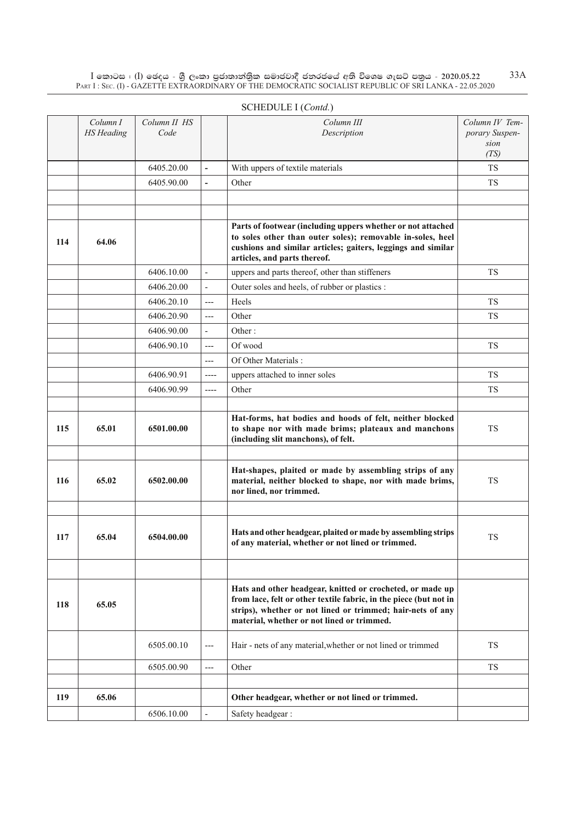|     | Column I          | Column II HS |                          | Column III                                                                                                                                                                                                                                 | Column IV Tem- |
|-----|-------------------|--------------|--------------------------|--------------------------------------------------------------------------------------------------------------------------------------------------------------------------------------------------------------------------------------------|----------------|
|     | <b>HS</b> Heading | Code         |                          | Description                                                                                                                                                                                                                                | porary Suspen- |
|     |                   |              |                          |                                                                                                                                                                                                                                            | sion<br>(TS)   |
|     |                   | 6405.20.00   | $\blacksquare$           | With uppers of textile materials                                                                                                                                                                                                           | TS             |
|     |                   | 6405.90.00   | $\overline{\phantom{a}}$ | Other                                                                                                                                                                                                                                      | TS             |
|     |                   |              |                          |                                                                                                                                                                                                                                            |                |
|     |                   |              |                          |                                                                                                                                                                                                                                            |                |
| 114 | 64.06             |              |                          | Parts of footwear (including uppers whether or not attached<br>to soles other than outer soles); removable in-soles, heel                                                                                                                  |                |
|     |                   |              |                          | cushions and similar articles; gaiters, leggings and similar<br>articles, and parts thereof.                                                                                                                                               |                |
|     |                   | 6406.10.00   | $\frac{1}{2}$            | uppers and parts thereof, other than stiffeners                                                                                                                                                                                            | TS             |
|     |                   | 6406.20.00   | $\overline{a}$           | Outer soles and heels, of rubber or plastics :                                                                                                                                                                                             |                |
|     |                   | 6406.20.10   | $---$                    | Heels                                                                                                                                                                                                                                      | TS             |
|     |                   | 6406.20.90   | $---$                    | Other                                                                                                                                                                                                                                      | <b>TS</b>      |
|     |                   | 6406.90.00   | $\overline{a}$           | Other:                                                                                                                                                                                                                                     |                |
|     |                   | 6406.90.10   | $---$                    | Of wood                                                                                                                                                                                                                                    | TS             |
|     |                   |              | $---$                    | Of Other Materials:                                                                                                                                                                                                                        |                |
|     |                   | 6406.90.91   | $---$                    | uppers attached to inner soles                                                                                                                                                                                                             | <b>TS</b>      |
|     |                   | 6406.90.99   | ----                     | Other                                                                                                                                                                                                                                      | TS             |
|     |                   |              |                          |                                                                                                                                                                                                                                            |                |
| 115 | 65.01             | 6501.00.00   |                          | Hat-forms, hat bodies and hoods of felt, neither blocked<br>to shape nor with made brims; plateaux and manchons<br>(including slit manchons), of felt.                                                                                     | TS             |
|     |                   |              |                          |                                                                                                                                                                                                                                            |                |
| 116 | 65.02             | 6502.00.00   |                          | Hat-shapes, plaited or made by assembling strips of any<br>material, neither blocked to shape, nor with made brims,<br>nor lined, nor trimmed.                                                                                             | <b>TS</b>      |
|     |                   |              |                          |                                                                                                                                                                                                                                            |                |
| 117 | 65.04             | 6504.00.00   |                          | Hats and other headgear, plaited or made by assembling strips<br>of any material, whether or not lined or trimmed.                                                                                                                         | <b>TS</b>      |
|     |                   |              |                          |                                                                                                                                                                                                                                            |                |
| 118 | 65.05             |              |                          | Hats and other headgear, knitted or crocheted, or made up<br>from lace, felt or other textile fabric, in the piece (but not in<br>strips), whether or not lined or trimmed; hair-nets of any<br>material, whether or not lined or trimmed. |                |
|     |                   | 6505.00.10   | $---$                    | Hair - nets of any material, whether or not lined or trimmed                                                                                                                                                                               | TS             |
|     |                   | 6505.00.90   | $---$                    | Other                                                                                                                                                                                                                                      | <b>TS</b>      |
|     |                   |              |                          |                                                                                                                                                                                                                                            |                |
| 119 | 65.06             |              |                          | Other headgear, whether or not lined or trimmed.                                                                                                                                                                                           |                |
|     |                   | 6506.10.00   | $\overline{a}$           | Safety headgear:                                                                                                                                                                                                                           |                |
|     |                   |              |                          |                                                                                                                                                                                                                                            |                |

#### Schedule I (*Contd.*)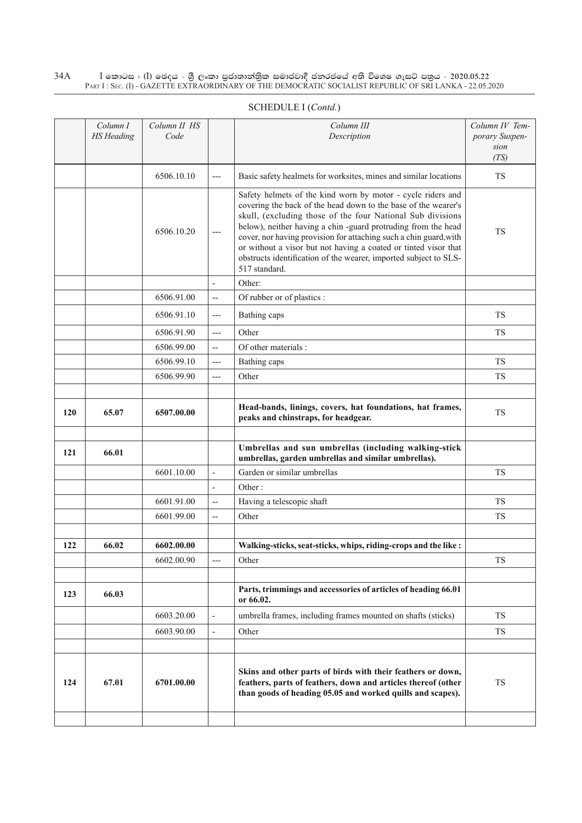|     | Column I<br><b>HS</b> Heading | Column II HS<br>Code |                          | Column III<br>Description                                                                                                                                                                                                                                                                                                                                                                                                                                                                 | Column IV Tem-<br>porary Suspen-<br>sion<br>(TS) |
|-----|-------------------------------|----------------------|--------------------------|-------------------------------------------------------------------------------------------------------------------------------------------------------------------------------------------------------------------------------------------------------------------------------------------------------------------------------------------------------------------------------------------------------------------------------------------------------------------------------------------|--------------------------------------------------|
|     |                               | 6506.10.10           | $---$                    | Basic safety healmets for worksites, mines and similar locations                                                                                                                                                                                                                                                                                                                                                                                                                          | <b>TS</b>                                        |
|     |                               | 6506.10.20           | $---$                    | Safety helmets of the kind worn by motor - cycle riders and<br>covering the back of the head down to the base of the wearer's<br>skull, (excluding those of the four National Sub divisions<br>below), neither having a chin -guard protruding from the head<br>cover, nor having provision for attaching such a chin guard, with<br>or without a visor but not having a coated or tinted visor that<br>obstructs identification of the wearer, imported subject to SLS-<br>517 standard. | <b>TS</b>                                        |
|     |                               |                      | $\overline{a}$           | Other:                                                                                                                                                                                                                                                                                                                                                                                                                                                                                    |                                                  |
|     |                               | 6506.91.00           | $\overline{\phantom{a}}$ | Of rubber or of plastics :                                                                                                                                                                                                                                                                                                                                                                                                                                                                |                                                  |
|     |                               | 6506.91.10           | $---$                    | Bathing caps                                                                                                                                                                                                                                                                                                                                                                                                                                                                              | <b>TS</b>                                        |
|     |                               | 6506.91.90           | $---$                    | Other                                                                                                                                                                                                                                                                                                                                                                                                                                                                                     | <b>TS</b>                                        |
|     |                               | 6506.99.00           | $\overline{a}$           | Of other materials :                                                                                                                                                                                                                                                                                                                                                                                                                                                                      |                                                  |
|     |                               | 6506.99.10           | $---$                    | Bathing caps                                                                                                                                                                                                                                                                                                                                                                                                                                                                              | <b>TS</b>                                        |
|     |                               | 6506.99.90           | $---$                    | Other                                                                                                                                                                                                                                                                                                                                                                                                                                                                                     | <b>TS</b>                                        |
|     |                               |                      |                          |                                                                                                                                                                                                                                                                                                                                                                                                                                                                                           |                                                  |
| 120 | 65.07                         | 6507.00.00           |                          | Head-bands, linings, covers, hat foundations, hat frames,<br>peaks and chinstraps, for headgear.                                                                                                                                                                                                                                                                                                                                                                                          | <b>TS</b>                                        |
| 121 | 66.01                         |                      |                          | Umbrellas and sun umbrellas (including walking-stick<br>umbrellas, garden umbrellas and similar umbrellas).                                                                                                                                                                                                                                                                                                                                                                               |                                                  |
|     |                               | 6601.10.00           | $\overline{a}$           | Garden or similar umbrellas                                                                                                                                                                                                                                                                                                                                                                                                                                                               | <b>TS</b>                                        |
|     |                               |                      | $\overline{a}$           | Other:                                                                                                                                                                                                                                                                                                                                                                                                                                                                                    |                                                  |
|     |                               | 6601.91.00           | --                       | Having a telescopic shaft                                                                                                                                                                                                                                                                                                                                                                                                                                                                 | <b>TS</b>                                        |
|     |                               | 6601.99.00           | $\overline{a}$           | Other                                                                                                                                                                                                                                                                                                                                                                                                                                                                                     | <b>TS</b>                                        |
| 122 | 66.02                         | 6602.00.00           |                          | Walking-sticks, seat-sticks, whips, riding-crops and the like :                                                                                                                                                                                                                                                                                                                                                                                                                           |                                                  |
|     |                               | 6602.00.90           | ---                      | Other                                                                                                                                                                                                                                                                                                                                                                                                                                                                                     | <b>TS</b>                                        |
|     |                               |                      |                          |                                                                                                                                                                                                                                                                                                                                                                                                                                                                                           |                                                  |
| 123 | 66.03                         |                      |                          | Parts, trimmings and accessories of articles of heading 66.01<br>or 66.02.                                                                                                                                                                                                                                                                                                                                                                                                                |                                                  |
|     |                               | 6603.20.00           | $\overline{\phantom{a}}$ | umbrella frames, including frames mounted on shafts (sticks)                                                                                                                                                                                                                                                                                                                                                                                                                              | <b>TS</b>                                        |
|     |                               | 6603.90.00           | $\overline{\phantom{a}}$ | Other                                                                                                                                                                                                                                                                                                                                                                                                                                                                                     | <b>TS</b>                                        |
|     |                               |                      |                          |                                                                                                                                                                                                                                                                                                                                                                                                                                                                                           |                                                  |
| 124 | 67.01                         | 6701.00.00           |                          | Skins and other parts of birds with their feathers or down,<br>feathers, parts of feathers, down and articles thereof (other<br>than goods of heading 05.05 and worked quills and scapes).                                                                                                                                                                                                                                                                                                | <b>TS</b>                                        |
|     |                               |                      |                          |                                                                                                                                                                                                                                                                                                                                                                                                                                                                                           |                                                  |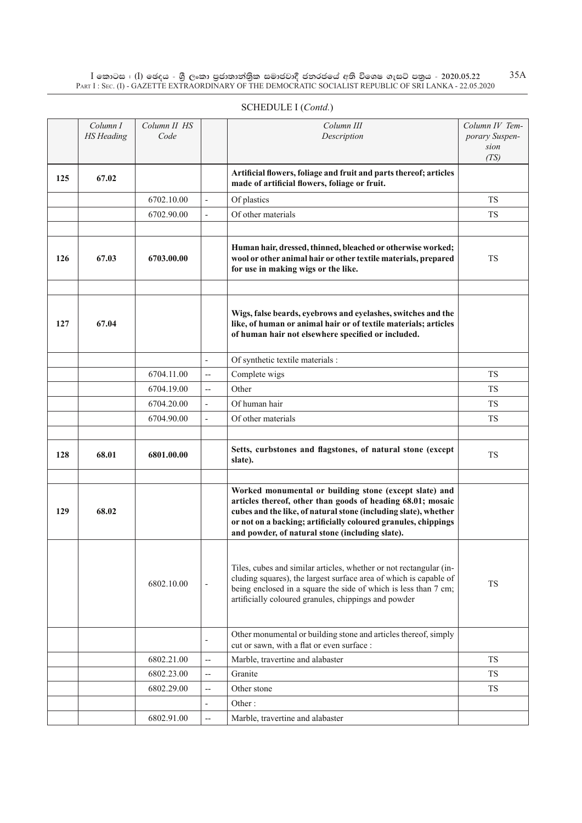|     | Column I<br><b>HS</b> Heading | Column II HS<br>Code |                          | Column III<br>Description                                                                                                                                                                                                                                                                                     | Column IV Tem-<br>porary Suspen-<br>sion<br>(TS) |
|-----|-------------------------------|----------------------|--------------------------|---------------------------------------------------------------------------------------------------------------------------------------------------------------------------------------------------------------------------------------------------------------------------------------------------------------|--------------------------------------------------|
| 125 | 67.02                         |                      |                          | Artificial flowers, foliage and fruit and parts thereof; articles<br>made of artificial flowers, foliage or fruit.                                                                                                                                                                                            |                                                  |
|     |                               | 6702.10.00           | $\overline{\phantom{a}}$ | Of plastics                                                                                                                                                                                                                                                                                                   | <b>TS</b>                                        |
|     |                               | 6702.90.00           | $\overline{\phantom{a}}$ | Of other materials                                                                                                                                                                                                                                                                                            | <b>TS</b>                                        |
|     |                               |                      |                          |                                                                                                                                                                                                                                                                                                               |                                                  |
| 126 | 67.03                         | 6703.00.00           |                          | Human hair, dressed, thinned, bleached or otherwise worked;<br>wool or other animal hair or other textile materials, prepared<br>for use in making wigs or the like.                                                                                                                                          | <b>TS</b>                                        |
| 127 | 67.04                         |                      |                          | Wigs, false beards, eyebrows and eyelashes, switches and the<br>like, of human or animal hair or of textile materials; articles<br>of human hair not elsewhere specified or included.                                                                                                                         |                                                  |
|     |                               |                      | $\overline{\phantom{a}}$ | Of synthetic textile materials :                                                                                                                                                                                                                                                                              |                                                  |
|     |                               | 6704.11.00           | $\overline{\phantom{a}}$ | Complete wigs                                                                                                                                                                                                                                                                                                 | <b>TS</b>                                        |
|     |                               | 6704.19.00           | --                       | Other                                                                                                                                                                                                                                                                                                         | <b>TS</b>                                        |
|     |                               | 6704.20.00           | $\overline{\phantom{a}}$ | Of human hair                                                                                                                                                                                                                                                                                                 | <b>TS</b>                                        |
|     |                               | 6704.90.00           | $\overline{\phantom{a}}$ | Of other materials                                                                                                                                                                                                                                                                                            | <b>TS</b>                                        |
|     |                               |                      |                          |                                                                                                                                                                                                                                                                                                               |                                                  |
| 128 | 68.01                         | 6801.00.00           |                          | Setts, curbstones and flagstones, of natural stone (except<br>slate).                                                                                                                                                                                                                                         | <b>TS</b>                                        |
| 129 | 68.02                         |                      |                          | Worked monumental or building stone (except slate) and<br>articles thereof, other than goods of heading 68.01; mosaic<br>cubes and the like, of natural stone (including slate), whether<br>or not on a backing; artificially coloured granules, chippings<br>and powder, of natural stone (including slate). |                                                  |
|     |                               | 6802.10.00           |                          | Tiles, cubes and similar articles, whether or not rectangular (in-<br>cluding squares), the largest surface area of which is capable of<br>being enclosed in a square the side of which is less than 7 cm;<br>artificially coloured granules, chippings and powder                                            | TS                                               |
|     |                               |                      | $\overline{\phantom{a}}$ | Other monumental or building stone and articles thereof, simply<br>cut or sawn, with a flat or even surface :                                                                                                                                                                                                 |                                                  |
|     |                               | 6802.21.00           | --                       | Marble, travertine and alabaster                                                                                                                                                                                                                                                                              | <b>TS</b>                                        |
|     |                               | 6802.23.00           | $\overline{\phantom{m}}$ | Granite                                                                                                                                                                                                                                                                                                       | <b>TS</b>                                        |
|     |                               | 6802.29.00           | --                       | Other stone                                                                                                                                                                                                                                                                                                   | <b>TS</b>                                        |
|     |                               |                      | $\overline{\phantom{0}}$ | Other:                                                                                                                                                                                                                                                                                                        |                                                  |
|     |                               | 6802.91.00           | --                       | Marble, travertine and alabaster                                                                                                                                                                                                                                                                              |                                                  |

## SCHEDULE I (*Contd.*)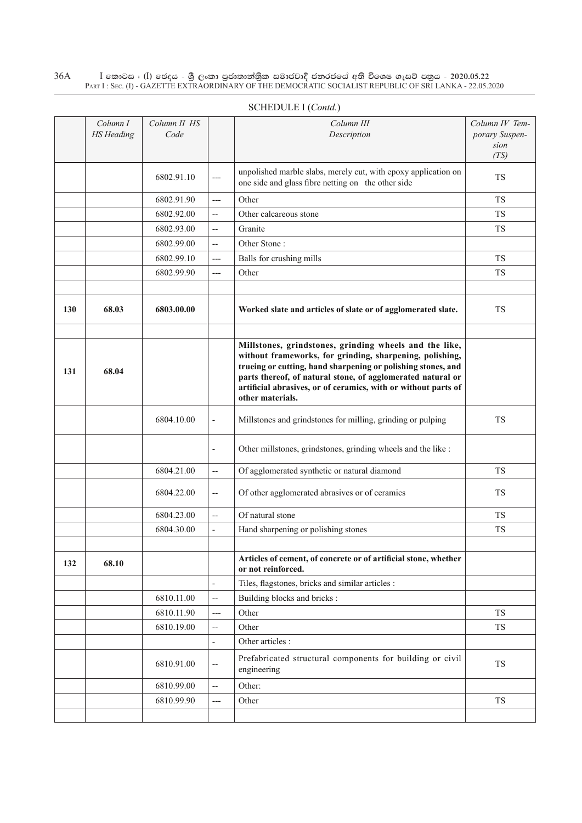|     | Column I<br><b>HS</b> Heading | Column II HS<br>Code |                          | Column III<br>Description                                                                                                                                                                                                                                                                                                               | Column IV Tem-<br>porary Suspen-<br>sion<br>(TS) |
|-----|-------------------------------|----------------------|--------------------------|-----------------------------------------------------------------------------------------------------------------------------------------------------------------------------------------------------------------------------------------------------------------------------------------------------------------------------------------|--------------------------------------------------|
|     |                               | 6802.91.10           | $---$                    | unpolished marble slabs, merely cut, with epoxy application on<br>one side and glass fibre netting on the other side                                                                                                                                                                                                                    | TS.                                              |
|     |                               | 6802.91.90           | $---$                    | Other                                                                                                                                                                                                                                                                                                                                   | <b>TS</b>                                        |
|     |                               | 6802.92.00           | $\overline{\phantom{a}}$ | Other calcareous stone                                                                                                                                                                                                                                                                                                                  | TS                                               |
|     |                               | 6802.93.00           | $\overline{a}$           | Granite                                                                                                                                                                                                                                                                                                                                 | TS                                               |
|     |                               | 6802.99.00           | $\overline{a}$           | Other Stone:                                                                                                                                                                                                                                                                                                                            |                                                  |
|     |                               | 6802.99.10           | $---$                    | Balls for crushing mills                                                                                                                                                                                                                                                                                                                | <b>TS</b>                                        |
|     |                               | 6802.99.90           | $---$                    | Other                                                                                                                                                                                                                                                                                                                                   | TS                                               |
|     |                               |                      |                          |                                                                                                                                                                                                                                                                                                                                         |                                                  |
| 130 | 68.03                         | 6803.00.00           |                          | Worked slate and articles of slate or of agglomerated slate.                                                                                                                                                                                                                                                                            | <b>TS</b>                                        |
| 131 | 68.04                         |                      |                          | Millstones, grindstones, grinding wheels and the like,<br>without frameworks, for grinding, sharpening, polishing,<br>trueing or cutting, hand sharpening or polishing stones, and<br>parts thereof, of natural stone, of agglomerated natural or<br>artificial abrasives, or of ceramics, with or without parts of<br>other materials. |                                                  |
|     |                               | 6804.10.00           | $\overline{\phantom{a}}$ | Millstones and grindstones for milling, grinding or pulping                                                                                                                                                                                                                                                                             | TS                                               |
|     |                               |                      | $\overline{a}$           | Other millstones, grindstones, grinding wheels and the like :                                                                                                                                                                                                                                                                           |                                                  |
|     |                               | 6804.21.00           | $\overline{\phantom{a}}$ | Of agglomerated synthetic or natural diamond                                                                                                                                                                                                                                                                                            | TS                                               |
|     |                               | 6804.22.00           | $\overline{\phantom{a}}$ | Of other agglomerated abrasives or of ceramics                                                                                                                                                                                                                                                                                          | <b>TS</b>                                        |
|     |                               | 6804.23.00           | $\overline{\phantom{a}}$ | Of natural stone                                                                                                                                                                                                                                                                                                                        | <b>TS</b>                                        |
|     |                               | 6804.30.00           | $\blacksquare$           | Hand sharpening or polishing stones                                                                                                                                                                                                                                                                                                     | <b>TS</b>                                        |
|     |                               |                      |                          |                                                                                                                                                                                                                                                                                                                                         |                                                  |
| 132 | 68.10                         |                      |                          | Articles of cement, of concrete or of artificial stone, whether<br>or not reinforced.                                                                                                                                                                                                                                                   |                                                  |
|     |                               |                      | $\overline{a}$           | Tiles, flagstones, bricks and similar articles :                                                                                                                                                                                                                                                                                        |                                                  |
|     |                               | 6810.11.00           | $\overline{\phantom{a}}$ | Building blocks and bricks :                                                                                                                                                                                                                                                                                                            |                                                  |
|     |                               | 6810.11.90           | $---$                    | Other                                                                                                                                                                                                                                                                                                                                   | <b>TS</b>                                        |
|     |                               | 6810.19.00           | $\overline{\phantom{a}}$ | Other                                                                                                                                                                                                                                                                                                                                   | TS                                               |
|     |                               |                      | $\overline{\phantom{a}}$ | Other articles :                                                                                                                                                                                                                                                                                                                        |                                                  |
|     |                               | 6810.91.00           | $-$                      | Prefabricated structural components for building or civil<br>engineering                                                                                                                                                                                                                                                                | TS                                               |
|     |                               | 6810.99.00           | $\overline{\phantom{a}}$ | Other:                                                                                                                                                                                                                                                                                                                                  |                                                  |
|     |                               | 6810.99.90           | $---$                    | Other                                                                                                                                                                                                                                                                                                                                   | TS                                               |
|     |                               |                      |                          |                                                                                                                                                                                                                                                                                                                                         |                                                  |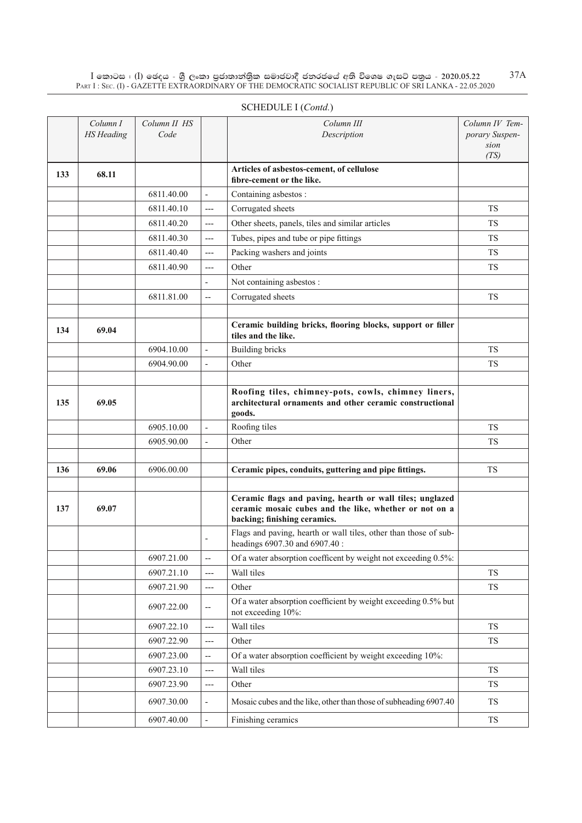|     | Column I<br><b>HS</b> Heading | Column II HS<br>Code |                          | Column III<br>Description                                                                                                                          | Column IV Tem-<br>porary Suspen-<br>sion<br>(TS) |
|-----|-------------------------------|----------------------|--------------------------|----------------------------------------------------------------------------------------------------------------------------------------------------|--------------------------------------------------|
| 133 | 68.11                         |                      |                          | Articles of asbestos-cement, of cellulose<br>fibre-cement or the like.                                                                             |                                                  |
|     |                               | 6811.40.00           | $\frac{1}{2}$            | Containing asbestos:                                                                                                                               |                                                  |
|     |                               | 6811.40.10           | ---                      | Corrugated sheets                                                                                                                                  | <b>TS</b>                                        |
|     |                               | 6811.40.20           | $---$                    | Other sheets, panels, tiles and similar articles                                                                                                   | <b>TS</b>                                        |
|     |                               | 6811.40.30           | ---                      | Tubes, pipes and tube or pipe fittings                                                                                                             | <b>TS</b>                                        |
|     |                               | 6811.40.40           | ---                      | Packing washers and joints                                                                                                                         | <b>TS</b>                                        |
|     |                               | 6811.40.90           | ---                      | Other                                                                                                                                              | <b>TS</b>                                        |
|     |                               |                      | $\overline{\phantom{0}}$ | Not containing asbestos :                                                                                                                          |                                                  |
|     |                               | 6811.81.00           | $- -$                    | Corrugated sheets                                                                                                                                  | <b>TS</b>                                        |
|     |                               |                      |                          |                                                                                                                                                    |                                                  |
| 134 | 69.04                         |                      |                          | Ceramic building bricks, flooring blocks, support or filler<br>tiles and the like.                                                                 |                                                  |
|     |                               | 6904.10.00           | $\overline{a}$           | <b>Building bricks</b>                                                                                                                             | <b>TS</b>                                        |
|     |                               | 6904.90.00           | $\blacksquare$           | Other                                                                                                                                              | <b>TS</b>                                        |
|     |                               |                      |                          |                                                                                                                                                    |                                                  |
| 135 | 69.05                         |                      |                          | Roofing tiles, chimney-pots, cowls, chimney liners,<br>architectural ornaments and other ceramic constructional<br>goods.                          |                                                  |
|     |                               | 6905.10.00           | $\overline{a}$           | Roofing tiles                                                                                                                                      | <b>TS</b>                                        |
|     |                               | 6905.90.00           | $\overline{a}$           | Other                                                                                                                                              | <b>TS</b>                                        |
|     |                               |                      |                          |                                                                                                                                                    |                                                  |
| 136 | 69.06                         | 6906.00.00           |                          | Ceramic pipes, conduits, guttering and pipe fittings.                                                                                              | <b>TS</b>                                        |
|     |                               |                      |                          |                                                                                                                                                    |                                                  |
| 137 | 69.07                         |                      |                          | Ceramic flags and paving, hearth or wall tiles; unglazed<br>ceramic mosaic cubes and the like, whether or not on a<br>backing; finishing ceramics. |                                                  |
|     |                               |                      | $\overline{a}$           | Flags and paving, hearth or wall tiles, other than those of sub-<br>headings 6907.30 and 6907.40 :                                                 |                                                  |
|     |                               | 6907.21.00           | $\overline{\phantom{a}}$ | Of a water absorption coefficent by weight not exceeding 0.5%:                                                                                     |                                                  |
|     |                               | 6907.21.10           | ---                      | Wall tiles                                                                                                                                         | <b>TS</b>                                        |
|     |                               | 6907.21.90           | $---$                    | Other                                                                                                                                              | TS                                               |
|     |                               | 6907.22.00           | $\qquad \qquad -$        | Of a water absorption coefficient by weight exceeding 0.5% but<br>not exceeding 10%:                                                               |                                                  |
|     |                               | 6907.22.10           | $\qquad \qquad - -$      | Wall tiles                                                                                                                                         | TS                                               |
|     |                               | 6907.22.90           | $---$                    | Other                                                                                                                                              | TS                                               |
|     |                               | 6907.23.00           | $\overline{\phantom{a}}$ | Of a water absorption coefficient by weight exceeding 10%:                                                                                         |                                                  |
|     |                               | 6907.23.10           | ---                      | Wall tiles                                                                                                                                         | ${\rm TS}$                                       |
|     |                               | 6907.23.90           | $---$                    | Other                                                                                                                                              | ${\rm TS}$                                       |
|     |                               | 6907.30.00           |                          | Mosaic cubes and the like, other than those of subheading 6907.40                                                                                  | TS                                               |
|     |                               | 6907.40.00           |                          | Finishing ceramics                                                                                                                                 | ${\rm TS}$                                       |

# SCHEDULE I (*Contd.*)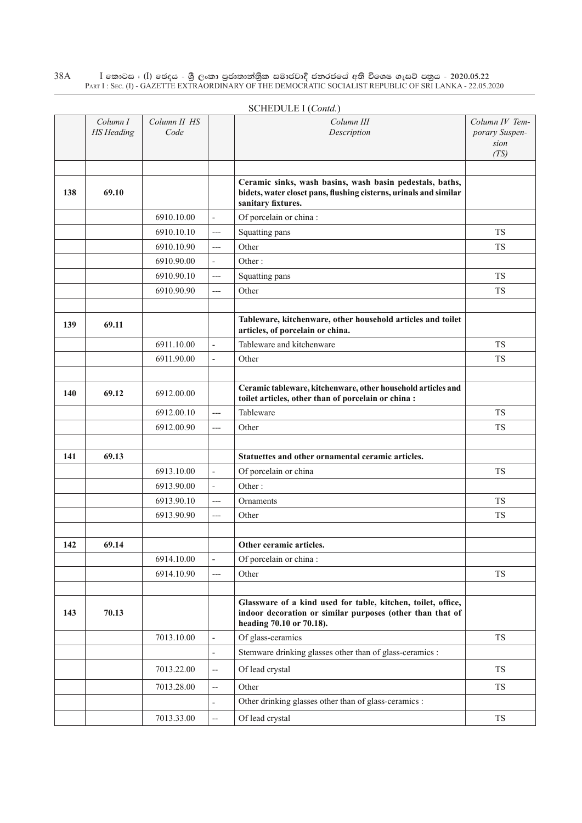|     |                               |                      |                              | SCHEDULE I (Contd.)                                                                                                                                   |                                                  |
|-----|-------------------------------|----------------------|------------------------------|-------------------------------------------------------------------------------------------------------------------------------------------------------|--------------------------------------------------|
|     | Column I<br><b>HS</b> Heading | Column II HS<br>Code |                              | Column III<br>Description                                                                                                                             | Column IV Tem-<br>porary Suspen-<br>sion<br>(TS) |
|     |                               |                      |                              |                                                                                                                                                       |                                                  |
| 138 | 69.10                         |                      |                              | Ceramic sinks, wash basins, wash basin pedestals, baths,<br>bidets, water closet pans, flushing cisterns, urinals and similar<br>sanitary fixtures.   |                                                  |
|     |                               | 6910.10.00           | $\overline{a}$               | Of porcelain or china:                                                                                                                                |                                                  |
|     |                               | 6910.10.10           | $---$                        | Squatting pans                                                                                                                                        | <b>TS</b>                                        |
|     |                               | 6910.10.90           | $---$                        | Other                                                                                                                                                 | <b>TS</b>                                        |
|     |                               | 6910.90.00           | $\overline{a}$               | Other:                                                                                                                                                |                                                  |
|     |                               | 6910.90.10           | ---                          | Squatting pans                                                                                                                                        | <b>TS</b>                                        |
|     |                               | 6910.90.90           | ---                          | Other                                                                                                                                                 | <b>TS</b>                                        |
|     |                               |                      |                              |                                                                                                                                                       |                                                  |
| 139 | 69.11                         |                      |                              | Tableware, kitchenware, other household articles and toilet<br>articles, of porcelain or china.                                                       |                                                  |
|     |                               | 6911.10.00           | $\overline{\phantom{a}}$     | Tableware and kitchenware                                                                                                                             | <b>TS</b>                                        |
|     |                               | 6911.90.00           | $\overline{a}$               | Other                                                                                                                                                 | <b>TS</b>                                        |
|     |                               |                      |                              |                                                                                                                                                       |                                                  |
| 140 | 69.12                         | 6912.00.00           |                              | Ceramic tableware, kitchenware, other household articles and<br>toilet articles, other than of porcelain or china :                                   |                                                  |
|     |                               | 6912.00.10           | ---                          | Tableware                                                                                                                                             | <b>TS</b>                                        |
|     |                               | 6912.00.90           | ---                          | Other                                                                                                                                                 | <b>TS</b>                                        |
|     |                               |                      |                              |                                                                                                                                                       |                                                  |
| 141 | 69.13                         |                      |                              | Statuettes and other ornamental ceramic articles.                                                                                                     |                                                  |
|     |                               | 6913.10.00           | $\overline{\phantom{0}}$     | Of porcelain or china                                                                                                                                 | <b>TS</b>                                        |
|     |                               | 6913.90.00           | $\overline{\phantom{a}}$     | Other:                                                                                                                                                |                                                  |
|     |                               | 6913.90.10           | ---                          | Ornaments                                                                                                                                             | <b>TS</b>                                        |
|     |                               | 6913.90.90           | ---                          | Other                                                                                                                                                 | <b>TS</b>                                        |
|     |                               |                      |                              |                                                                                                                                                       |                                                  |
| 142 | 69.14                         |                      |                              | Other ceramic articles.                                                                                                                               |                                                  |
|     |                               | 6914.10.00           | $\qquad \qquad \blacksquare$ | Of porcelain or china:                                                                                                                                |                                                  |
|     |                               | 6914.10.90           | ---                          | Other                                                                                                                                                 | TS                                               |
|     |                               |                      |                              |                                                                                                                                                       |                                                  |
| 143 | 70.13                         |                      |                              | Glassware of a kind used for table, kitchen, toilet, office,<br>indoor decoration or similar purposes (other than that of<br>heading 70.10 or 70.18). |                                                  |
|     |                               | 7013.10.00           | L,                           | Of glass-ceramics                                                                                                                                     | <b>TS</b>                                        |
|     |                               |                      | $\overline{\phantom{a}}$     | Stemware drinking glasses other than of glass-ceramics :                                                                                              |                                                  |
|     |                               | 7013.22.00           | --                           | Of lead crystal                                                                                                                                       | ${\rm TS}$                                       |
|     |                               | 7013.28.00           | --                           | Other                                                                                                                                                 | TS                                               |
|     |                               |                      | L,                           | Other drinking glasses other than of glass-ceramics :                                                                                                 |                                                  |
|     |                               | 7013.33.00           | --                           | Of lead crystal                                                                                                                                       | TS                                               |

# Schedule I (*Contd.*)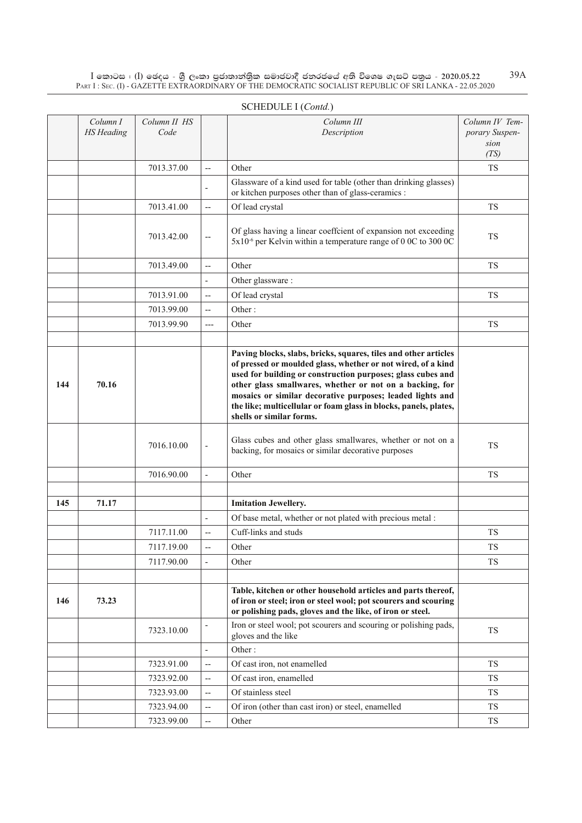|     | Column I          | Column II HS |                          | Column III                                                                                                                                                                                                                                                                                                                                                                                                              | Column IV Tem- |
|-----|-------------------|--------------|--------------------------|-------------------------------------------------------------------------------------------------------------------------------------------------------------------------------------------------------------------------------------------------------------------------------------------------------------------------------------------------------------------------------------------------------------------------|----------------|
|     | <b>HS</b> Heading | Code         |                          | Description                                                                                                                                                                                                                                                                                                                                                                                                             | porary Suspen- |
|     |                   |              |                          |                                                                                                                                                                                                                                                                                                                                                                                                                         | sion<br>(TS)   |
|     |                   | 7013.37.00   | --                       | Other                                                                                                                                                                                                                                                                                                                                                                                                                   | <b>TS</b>      |
|     |                   |              |                          | Glassware of a kind used for table (other than drinking glasses)<br>or kitchen purposes other than of glass-ceramics :                                                                                                                                                                                                                                                                                                  |                |
|     |                   | 7013.41.00   | $\overline{\phantom{a}}$ | Of lead crystal                                                                                                                                                                                                                                                                                                                                                                                                         | <b>TS</b>      |
|     |                   | 7013.42.00   | $\overline{\phantom{a}}$ | Of glass having a linear coeffcient of expansion not exceeding<br>5x10 <sup>-6</sup> per Kelvin within a temperature range of 0 0C to 300 0C                                                                                                                                                                                                                                                                            | <b>TS</b>      |
|     |                   | 7013.49.00   | $\overline{\phantom{a}}$ | Other                                                                                                                                                                                                                                                                                                                                                                                                                   | <b>TS</b>      |
|     |                   |              |                          | Other glassware:                                                                                                                                                                                                                                                                                                                                                                                                        |                |
|     |                   | 7013.91.00   | --                       | Of lead crystal                                                                                                                                                                                                                                                                                                                                                                                                         | <b>TS</b>      |
|     |                   | 7013.99.00   | --                       | Other:                                                                                                                                                                                                                                                                                                                                                                                                                  |                |
|     |                   | 7013.99.90   | ---                      | Other                                                                                                                                                                                                                                                                                                                                                                                                                   | <b>TS</b>      |
|     |                   |              |                          |                                                                                                                                                                                                                                                                                                                                                                                                                         |                |
| 144 | 70.16             |              |                          | Paving blocks, slabs, bricks, squares, tiles and other articles<br>of pressed or moulded glass, whether or not wired, of a kind<br>used for building or construction purposes; glass cubes and<br>other glass smallwares, whether or not on a backing, for<br>mosaics or similar decorative purposes; leaded lights and<br>the like; multicellular or foam glass in blocks, panels, plates,<br>shells or similar forms. |                |
|     |                   | 7016.10.00   | $\overline{\phantom{a}}$ | Glass cubes and other glass smallwares, whether or not on a<br>backing, for mosaics or similar decorative purposes                                                                                                                                                                                                                                                                                                      | <b>TS</b>      |
|     |                   | 7016.90.00   | $\blacksquare$           | Other                                                                                                                                                                                                                                                                                                                                                                                                                   | <b>TS</b>      |
|     |                   |              |                          |                                                                                                                                                                                                                                                                                                                                                                                                                         |                |
| 145 | 71.17             |              |                          | <b>Imitation Jewellery.</b>                                                                                                                                                                                                                                                                                                                                                                                             |                |
|     |                   |              | $\overline{\phantom{a}}$ | Of base metal, whether or not plated with precious metal :                                                                                                                                                                                                                                                                                                                                                              |                |
|     |                   | 7117.11.00   | --                       | Cuff-links and studs                                                                                                                                                                                                                                                                                                                                                                                                    | <b>TS</b>      |
|     |                   | 7117.19.00   |                          | Other                                                                                                                                                                                                                                                                                                                                                                                                                   | <b>TS</b>      |
|     |                   | 7117.90.00   | $\overline{\phantom{a}}$ | Other                                                                                                                                                                                                                                                                                                                                                                                                                   | <b>TS</b>      |
|     |                   |              |                          |                                                                                                                                                                                                                                                                                                                                                                                                                         |                |
| 146 | 73.23             |              |                          | Table, kitchen or other household articles and parts thereof,<br>of iron or steel; iron or steel wool; pot scourers and scouring<br>or polishing pads, gloves and the like, of iron or steel.                                                                                                                                                                                                                           |                |
|     |                   | 7323.10.00   |                          | Iron or steel wool; pot scourers and scouring or polishing pads,<br>gloves and the like                                                                                                                                                                                                                                                                                                                                 | TS             |
|     |                   |              |                          | Other:                                                                                                                                                                                                                                                                                                                                                                                                                  |                |
|     |                   | 7323.91.00   | --                       | Of cast iron, not enamelled                                                                                                                                                                                                                                                                                                                                                                                             | <b>TS</b>      |
|     |                   | 7323.92.00   | --                       | Of cast iron, enamelled                                                                                                                                                                                                                                                                                                                                                                                                 | <b>TS</b>      |
|     |                   | 7323.93.00   | $\overline{\phantom{a}}$ | Of stainless steel                                                                                                                                                                                                                                                                                                                                                                                                      | <b>TS</b>      |
|     |                   | 7323.94.00   | --                       | Of iron (other than cast iron) or steel, enamelled                                                                                                                                                                                                                                                                                                                                                                      | TS             |
|     |                   | 7323.99.00   | --                       | Other                                                                                                                                                                                                                                                                                                                                                                                                                   | <b>TS</b>      |

# Schedule I (*Contd.*)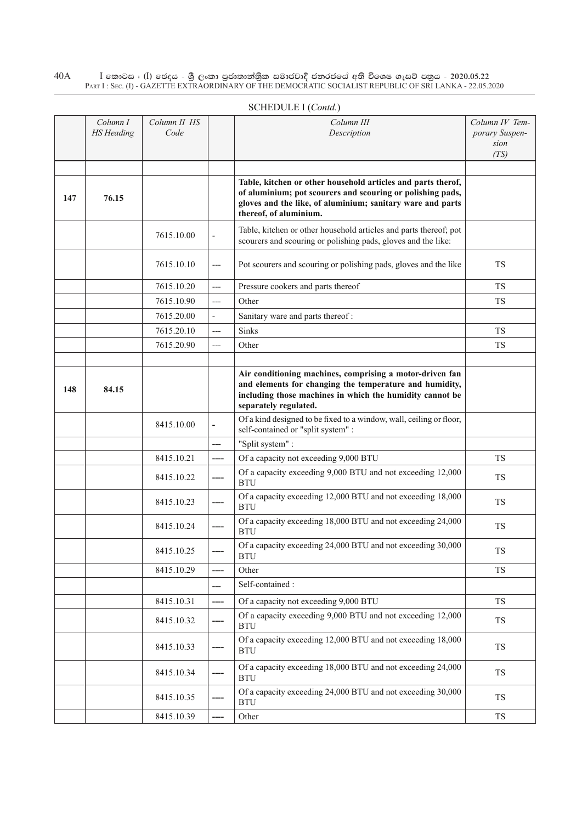|     | Column I<br><b>HS</b> Heading | Column II HS<br>Code |                          | Column III<br>Description                                                                                                                                                                                          | Column IV Tem-<br>porary Suspen-<br>sion<br>(TS) |
|-----|-------------------------------|----------------------|--------------------------|--------------------------------------------------------------------------------------------------------------------------------------------------------------------------------------------------------------------|--------------------------------------------------|
| 147 | 76.15                         |                      |                          | Table, kitchen or other household articles and parts therof,<br>of aluminium; pot scourers and scouring or polishing pads,<br>gloves and the like, of aluminium; sanitary ware and parts<br>thereof, of aluminium. |                                                  |
|     |                               | 7615.10.00           |                          | Table, kitchen or other household articles and parts thereof; pot<br>scourers and scouring or polishing pads, gloves and the like:                                                                                 |                                                  |
|     |                               | 7615.10.10           | $---$                    | Pot scourers and scouring or polishing pads, gloves and the like                                                                                                                                                   | TS                                               |
|     |                               | 7615.10.20           | $---$                    | Pressure cookers and parts thereof                                                                                                                                                                                 | <b>TS</b>                                        |
|     |                               | 7615.10.90           | $---$                    | Other                                                                                                                                                                                                              | TS                                               |
|     |                               | 7615.20.00           | $\frac{1}{2}$            | Sanitary ware and parts thereof:                                                                                                                                                                                   |                                                  |
|     |                               | 7615.20.10           | $---$                    | Sinks                                                                                                                                                                                                              | <b>TS</b>                                        |
|     |                               | 7615.20.90           | $---$                    | Other                                                                                                                                                                                                              | <b>TS</b>                                        |
|     |                               |                      |                          |                                                                                                                                                                                                                    |                                                  |
| 148 | 84.15                         |                      |                          | Air conditioning machines, comprising a motor-driven fan<br>and elements for changing the temperature and humidity,<br>including those machines in which the humidity cannot be<br>separately regulated.           |                                                  |
|     |                               | 8415.10.00           | $\overline{\phantom{m}}$ | Of a kind designed to be fixed to a window, wall, ceiling or floor,<br>self-contained or "split system" :                                                                                                          |                                                  |
|     |                               |                      | ---                      | "Split system" :                                                                                                                                                                                                   |                                                  |
|     |                               | 8415.10.21           | ----                     | Of a capacity not exceeding 9,000 BTU                                                                                                                                                                              | <b>TS</b>                                        |
|     |                               | 8415.10.22           | ----                     | Of a capacity exceeding 9,000 BTU and not exceeding 12,000<br><b>BTU</b>                                                                                                                                           | <b>TS</b>                                        |
|     |                               | 8415.10.23           |                          | Of a capacity exceeding 12,000 BTU and not exceeding 18,000<br><b>BTU</b>                                                                                                                                          | <b>TS</b>                                        |
|     |                               | 8415.10.24           |                          | Of a capacity exceeding 18,000 BTU and not exceeding 24,000<br><b>BTU</b>                                                                                                                                          | <b>TS</b>                                        |
|     |                               | 8415.10.25           |                          | Of a capacity exceeding 24,000 BTU and not exceeding 30,000<br><b>BTU</b>                                                                                                                                          | ${\rm TS}$                                       |
|     |                               | 8415.10.29           |                          | Other                                                                                                                                                                                                              | TS                                               |
|     |                               |                      | ---                      | Self-contained:                                                                                                                                                                                                    |                                                  |
|     |                               | 8415.10.31           | ----                     | Of a capacity not exceeding 9,000 BTU                                                                                                                                                                              | <b>TS</b>                                        |
|     |                               | 8415.10.32           |                          | Of a capacity exceeding 9,000 BTU and not exceeding 12,000<br><b>BTU</b>                                                                                                                                           | <b>TS</b>                                        |
|     |                               | 8415.10.33           |                          | Of a capacity exceeding 12,000 BTU and not exceeding 18,000<br><b>BTU</b>                                                                                                                                          | TS                                               |
|     |                               | 8415.10.34           |                          | Of a capacity exceeding 18,000 BTU and not exceeding 24,000<br><b>BTU</b>                                                                                                                                          | TS                                               |
|     |                               | 8415.10.35           |                          | Of a capacity exceeding 24,000 BTU and not exceeding 30,000<br><b>BTU</b>                                                                                                                                          | TS                                               |
|     |                               | 8415.10.39           |                          | Other                                                                                                                                                                                                              | TS                                               |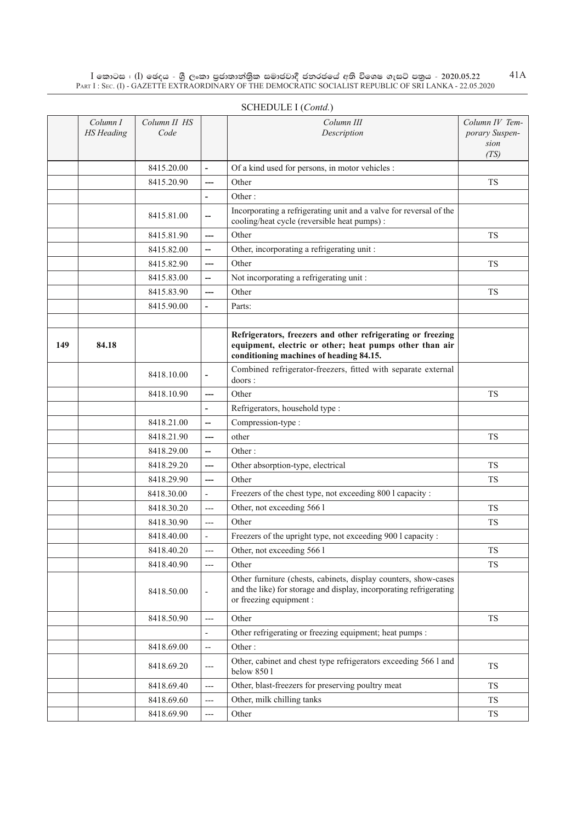|     | Column I<br><b>HS</b> Heading | Column II HS<br>Code |                          | Column III<br>Description                                                                                                                                         | Column IV Tem-<br>porary Suspen-<br>sion<br>(TS) |
|-----|-------------------------------|----------------------|--------------------------|-------------------------------------------------------------------------------------------------------------------------------------------------------------------|--------------------------------------------------|
|     |                               | 8415.20.00           | $\overline{a}$           | Of a kind used for persons, in motor vehicles :                                                                                                                   |                                                  |
|     |                               | 8415.20.90           |                          | Other                                                                                                                                                             | <b>TS</b>                                        |
|     |                               |                      | $\overline{a}$           | Other:                                                                                                                                                            |                                                  |
|     |                               | 8415.81.00           | --                       | Incorporating a refrigerating unit and a valve for reversal of the<br>cooling/heat cycle (reversible heat pumps):                                                 |                                                  |
|     |                               | 8415.81.90           | ---                      | Other                                                                                                                                                             | <b>TS</b>                                        |
|     |                               | 8415.82.00           | --                       | Other, incorporating a refrigerating unit:                                                                                                                        |                                                  |
|     |                               | 8415.82.90           | ---                      | Other                                                                                                                                                             | TS                                               |
|     |                               | 8415.83.00           | --                       | Not incorporating a refrigerating unit:                                                                                                                           |                                                  |
|     |                               | 8415.83.90           | ---                      | Other                                                                                                                                                             | TS                                               |
|     |                               | 8415.90.00           |                          | Parts:                                                                                                                                                            |                                                  |
|     |                               |                      |                          |                                                                                                                                                                   |                                                  |
| 149 | 84.18                         |                      |                          | Refrigerators, freezers and other refrigerating or freezing<br>equipment, electric or other; heat pumps other than air<br>conditioning machines of heading 84.15. |                                                  |
|     |                               | 8418.10.00           |                          | Combined refrigerator-freezers, fitted with separate external<br>doors:                                                                                           |                                                  |
|     |                               | 8418.10.90           | ---                      | Other                                                                                                                                                             | TS                                               |
|     |                               |                      |                          | Refrigerators, household type :                                                                                                                                   |                                                  |
|     |                               | 8418.21.00           | --                       | Compression-type:                                                                                                                                                 |                                                  |
|     |                               | 8418.21.90           | ---                      | other                                                                                                                                                             | <b>TS</b>                                        |
|     |                               | 8418.29.00           | --                       | Other:                                                                                                                                                            |                                                  |
|     |                               | 8418.29.20           | ---                      | Other absorption-type, electrical                                                                                                                                 | <b>TS</b>                                        |
|     |                               | 8418.29.90           | ---                      | Other                                                                                                                                                             | <b>TS</b>                                        |
|     |                               | 8418.30.00           |                          | Freezers of the chest type, not exceeding 800 l capacity :                                                                                                        |                                                  |
|     |                               | 8418.30.20           | ---                      | Other, not exceeding 566 l                                                                                                                                        | TS                                               |
|     |                               | 8418.30.90           | $---$                    | Other                                                                                                                                                             | <b>TS</b>                                        |
|     |                               | 8418.40.00           | $\overline{\phantom{0}}$ | Freezers of the upright type, not exceeding 900 l capacity :                                                                                                      |                                                  |
|     |                               | 8418.40.20           |                          | Other, not exceeding 566 l                                                                                                                                        | TS                                               |
|     |                               | 8418.40.90           | $---$                    | Other                                                                                                                                                             | <b>TS</b>                                        |
|     |                               | 8418.50.00           | $\overline{\phantom{a}}$ | Other furniture (chests, cabinets, display counters, show-cases<br>and the like) for storage and display, incorporating refrigerating<br>or freezing equipment :  |                                                  |
|     |                               | 8418.50.90           | $---$                    | Other                                                                                                                                                             | TS                                               |
|     |                               |                      | $\overline{a}$           | Other refrigerating or freezing equipment; heat pumps :                                                                                                           |                                                  |
|     |                               | 8418.69.00           | --                       | Other:                                                                                                                                                            |                                                  |
|     |                               | 8418.69.20           | ---                      | Other, cabinet and chest type refrigerators exceeding 566 l and<br>below 8501                                                                                     | TS                                               |
|     |                               | 8418.69.40           | $---$                    | Other, blast-freezers for preserving poultry meat                                                                                                                 | TS                                               |
|     |                               | 8418.69.60           | ---                      | Other, milk chilling tanks                                                                                                                                        | <b>TS</b>                                        |
|     |                               | 8418.69.90           | ---                      | Other                                                                                                                                                             | TS                                               |

#### SCHEDULE I (*Contd.*)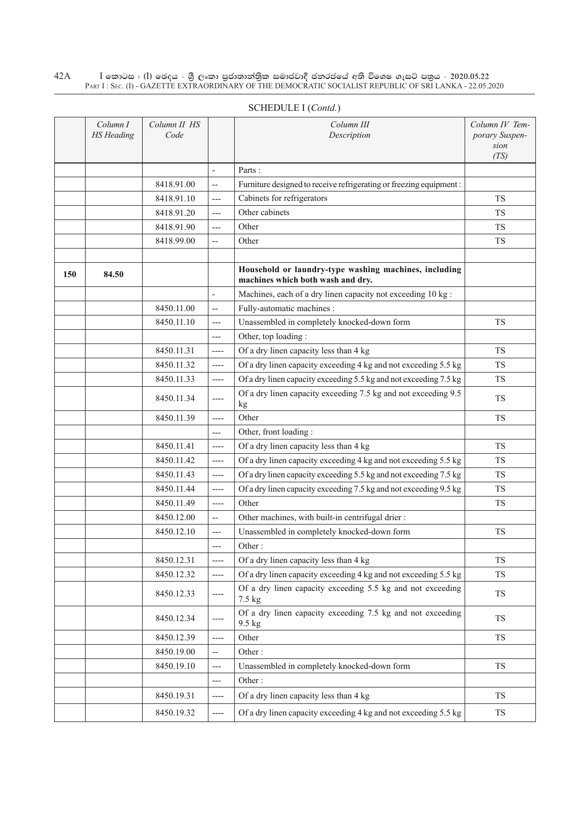|     | Column I<br><b>HS</b> Heading | Column II HS<br>Code |                          | Column III<br>Description                                                                  | Column IV Tem-<br>porary Suspen-<br>sion<br>(TS) |
|-----|-------------------------------|----------------------|--------------------------|--------------------------------------------------------------------------------------------|--------------------------------------------------|
|     |                               |                      | $\overline{\phantom{a}}$ | Parts:                                                                                     |                                                  |
|     |                               | 8418.91.00           | $\overline{\phantom{a}}$ | Furniture designed to receive refrigerating or freezing equipment:                         |                                                  |
|     |                               | 8418.91.10           | $---$                    | Cabinets for refrigerators                                                                 | <b>TS</b>                                        |
|     |                               | 8418.91.20           | $---$                    | Other cabinets                                                                             | <b>TS</b>                                        |
|     |                               | 8418.91.90           | $---$                    | Other                                                                                      | <b>TS</b>                                        |
|     |                               | 8418.99.00           | $\overline{a}$           | Other                                                                                      | TS                                               |
|     |                               |                      |                          |                                                                                            |                                                  |
| 150 | 84.50                         |                      |                          | Household or laundry-type washing machines, including<br>machines which both wash and dry. |                                                  |
|     |                               |                      | $\overline{\phantom{a}}$ | Machines, each of a dry linen capacity not exceeding 10 kg :                               |                                                  |
|     |                               | 8450.11.00           | $\overline{\phantom{m}}$ | Fully-automatic machines :                                                                 |                                                  |
|     |                               | 8450.11.10           | $---$                    | Unassembled in completely knocked-down form                                                | TS                                               |
|     |                               |                      | $---$                    | Other, top loading:                                                                        |                                                  |
|     |                               | 8450.11.31           | $---$                    | Of a dry linen capacity less than 4 kg                                                     | <b>TS</b>                                        |
|     |                               | 8450.11.32           | ----                     | Of a dry linen capacity exceeding 4 kg and not exceeding 5.5 kg                            | <b>TS</b>                                        |
|     |                               | 8450.11.33           | $-----$                  | Of a dry linen capacity exceeding 5.5 kg and not exceeding 7.5 kg                          | <b>TS</b>                                        |
|     |                               | 8450.11.34           | $-----$                  | Of a dry linen capacity exceeding 7.5 kg and not exceeding 9.5<br>kg                       | <b>TS</b>                                        |
|     |                               | 8450.11.39           | ----                     | Other                                                                                      | <b>TS</b>                                        |
|     |                               |                      | $---$                    | Other, front loading:                                                                      |                                                  |
|     |                               | 8450.11.41           | $---$                    | Of a dry linen capacity less than 4 kg                                                     | TS                                               |
|     |                               | 8450.11.42           | $-----$                  | Of a dry linen capacity exceeding 4 kg and not exceeding 5.5 kg                            | <b>TS</b>                                        |
|     |                               | 8450.11.43           | $---$                    | Of a dry linen capacity exceeding 5.5 kg and not exceeding 7.5 kg                          | <b>TS</b>                                        |
|     |                               | 8450.11.44           | $-----$                  | Of a dry linen capacity exceeding 7.5 kg and not exceeding 9.5 kg                          | TS                                               |
|     |                               | 8450.11.49           | $---$                    | Other                                                                                      | TS                                               |
|     |                               | 8450.12.00           | $\overline{\phantom{a}}$ | Other machines, with built-in centrifugal drier:                                           |                                                  |
|     |                               | 8450.12.10           | $---$                    | Unassembled in completely knocked-down form                                                | TS                                               |
|     |                               |                      | ---                      | Other:                                                                                     |                                                  |
|     |                               | 8450.12.31           | $---$                    | Of a dry linen capacity less than 4 kg                                                     | TS                                               |
|     |                               | 8450.12.32           | ----                     | Of a dry linen capacity exceeding 4 kg and not exceeding 5.5 kg                            | <b>TS</b>                                        |
|     |                               | 8450.12.33           |                          | Of a dry linen capacity exceeding 5.5 kg and not exceeding<br>7.5 kg                       | <b>TS</b>                                        |
|     |                               | 8450.12.34           |                          | Of a dry linen capacity exceeding 7.5 kg and not exceeding<br>9.5 kg                       | <b>TS</b>                                        |
|     |                               | 8450.12.39           | ----                     | Other                                                                                      | <b>TS</b>                                        |
|     |                               | 8450.19.00           | $\overline{\phantom{a}}$ | Other:                                                                                     |                                                  |
|     |                               | 8450.19.10           | $---$                    | Unassembled in completely knocked-down form                                                | <b>TS</b>                                        |
|     |                               |                      | ---                      | Other:                                                                                     |                                                  |
|     |                               | 8450.19.31           | ----                     | Of a dry linen capacity less than 4 kg                                                     | <b>TS</b>                                        |
|     |                               | 8450.19.32           | ----                     | Of a dry linen capacity exceeding 4 kg and not exceeding 5.5 kg                            | <b>TS</b>                                        |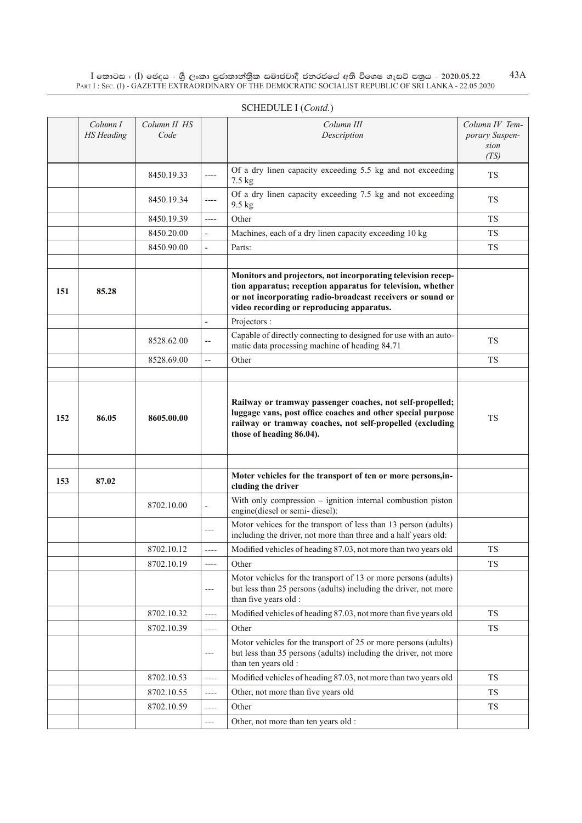|     | Column I<br><b>HS</b> Heading | Column II HS<br>Code |                | Column III<br>Description                                                                                                                                                                                                              | Column IV Tem-<br>porary Suspen-<br>sion<br>(TS) |
|-----|-------------------------------|----------------------|----------------|----------------------------------------------------------------------------------------------------------------------------------------------------------------------------------------------------------------------------------------|--------------------------------------------------|
|     |                               | 8450.19.33           | $---$          | Of a dry linen capacity exceeding 5.5 kg and not exceeding<br>$7.5 \text{ kg}$                                                                                                                                                         | <b>TS</b>                                        |
|     |                               | 8450.19.34           | $---$          | Of a dry linen capacity exceeding 7.5 kg and not exceeding<br>9.5 kg                                                                                                                                                                   | <b>TS</b>                                        |
|     |                               | 8450.19.39           | ----           | Other                                                                                                                                                                                                                                  | <b>TS</b>                                        |
|     |                               | 8450.20.00           |                | Machines, each of a dry linen capacity exceeding 10 kg                                                                                                                                                                                 | <b>TS</b>                                        |
|     |                               | 8450.90.00           | $\overline{a}$ | Parts:                                                                                                                                                                                                                                 | <b>TS</b>                                        |
|     |                               |                      |                |                                                                                                                                                                                                                                        |                                                  |
| 151 | 85.28                         |                      |                | Monitors and projectors, not incorporating television recep-<br>tion apparatus; reception apparatus for television, whether<br>or not incorporating radio-broadcast receivers or sound or<br>video recording or reproducing apparatus. |                                                  |
|     |                               |                      | $\frac{1}{2}$  | Projectors :                                                                                                                                                                                                                           |                                                  |
|     |                               | 8528.62.00           | $-$            | Capable of directly connecting to designed for use with an auto-<br>matic data processing machine of heading 84.71                                                                                                                     | <b>TS</b>                                        |
|     |                               | 8528.69.00           | $-$            | Other                                                                                                                                                                                                                                  | TS                                               |
|     |                               |                      |                |                                                                                                                                                                                                                                        |                                                  |
| 152 | 86.05                         | 8605.00.00           |                | Railway or tramway passenger coaches, not self-propelled;<br>luggage vans, post office coaches and other special purpose<br>railway or tramway coaches, not self-propelled (excluding<br>those of heading 86.04).                      | <b>TS</b>                                        |
| 153 | 87.02                         |                      |                | Moter vehicles for the transport of ten or more persons, in-<br>cluding the driver                                                                                                                                                     |                                                  |
|     |                               | 8702.10.00           |                | With only compression - ignition internal combustion piston<br>engine(diesel or semi-diesel):                                                                                                                                          |                                                  |
|     |                               |                      | $---$          | Motor vehices for the transport of less than 13 person (adults)<br>including the driver, not more than three and a half years old:                                                                                                     |                                                  |
|     |                               | 8702.10.12           |                | Modified vehicles of heading 87.03, not more than two years old                                                                                                                                                                        | <b>TS</b>                                        |
|     |                               | 8702.10.19           | $---$          | Other                                                                                                                                                                                                                                  | <b>TS</b>                                        |
|     |                               |                      | $- - -$        | Motor vehicles for the transport of 13 or more persons (adults)<br>but less than 25 persons (adults) including the driver, not more<br>than five years old :                                                                           |                                                  |
|     |                               | 8702.10.32           | $\cdots$       | Modified vehicles of heading 87.03, not more than five years old                                                                                                                                                                       | <b>TS</b>                                        |
|     |                               | 8702.10.39           |                | Other                                                                                                                                                                                                                                  | TS                                               |
|     |                               |                      | $---$          | Motor vehicles for the transport of 25 or more persons (adults)<br>but less than 35 persons (adults) including the driver, not more<br>than ten years old :                                                                            |                                                  |
|     |                               | 8702.10.53           | $---$          | Modified vehicles of heading 87.03, not more than two years old                                                                                                                                                                        | TS                                               |
|     |                               | 8702.10.55           | $\cdots$       | Other, not more than five years old                                                                                                                                                                                                    | <b>TS</b>                                        |
|     |                               | 8702.10.59           | $- - - -$      | Other                                                                                                                                                                                                                                  | <b>TS</b>                                        |
|     |                               |                      | $---$          | Other, not more than ten years old :                                                                                                                                                                                                   |                                                  |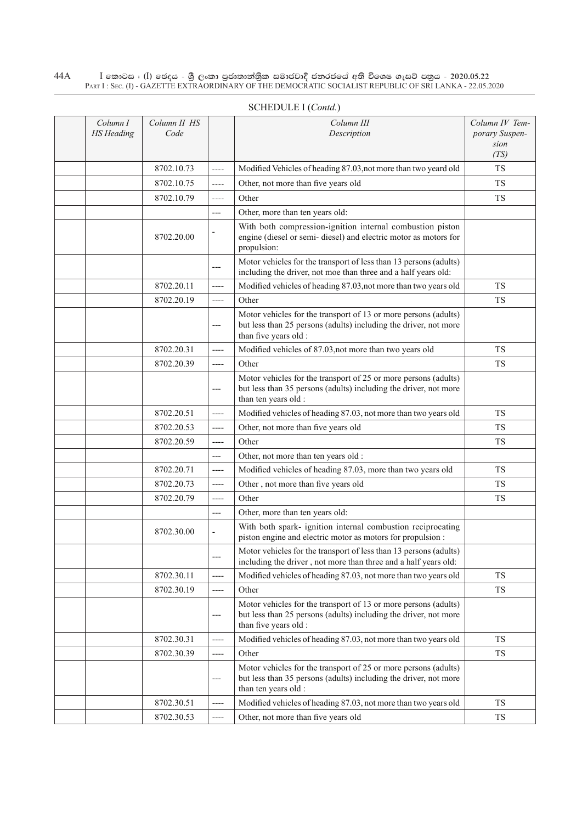| Column I<br><b>HS</b> Heading | Column II HS<br>Code |                          | Column III<br>Description                                                                                                                                    | Column IV Tem-<br>porary Suspen-<br>sion<br>(TS) |
|-------------------------------|----------------------|--------------------------|--------------------------------------------------------------------------------------------------------------------------------------------------------------|--------------------------------------------------|
|                               | 8702.10.73           | $- - - -$                | Modified Vehicles of heading 87.03, not more than two yeard old                                                                                              | <b>TS</b>                                        |
|                               | 8702.10.75           | $\cdots$                 | Other, not more than five years old                                                                                                                          | <b>TS</b>                                        |
|                               | 8702.10.79           | $- - - -$                | Other                                                                                                                                                        | <b>TS</b>                                        |
|                               |                      | ---                      | Other, more than ten years old:                                                                                                                              |                                                  |
|                               | 8702.20.00           |                          | With both compression-ignition internal combustion piston<br>engine (diesel or semi- diesel) and electric motor as motors for<br>propulsion:                 |                                                  |
|                               |                      | $---$                    | Motor vehicles for the transport of less than 13 persons (adults)<br>including the driver, not moe than three and a half years old:                          |                                                  |
|                               | 8702.20.11           | $---$                    | Modified vehicles of heading 87.03, not more than two years old                                                                                              | <b>TS</b>                                        |
|                               | 8702.20.19           | $-----$                  | Other                                                                                                                                                        | <b>TS</b>                                        |
|                               |                      | $---$                    | Motor vehicles for the transport of 13 or more persons (adults)<br>but less than 25 persons (adults) including the driver, not more<br>than five years old : |                                                  |
|                               | 8702.20.31           | $---$                    | Modified vehicles of 87.03, not more than two years old                                                                                                      | <b>TS</b>                                        |
|                               | 8702.20.39           | $---$                    | Other                                                                                                                                                        | TS                                               |
|                               |                      | $---$                    | Motor vehicles for the transport of 25 or more persons (adults)<br>but less than 35 persons (adults) including the driver, not more<br>than ten years old :  |                                                  |
|                               | 8702.20.51           | $---$                    | Modified vehicles of heading 87.03, not more than two years old                                                                                              | TS.                                              |
|                               | 8702.20.53           | $-----$                  | Other, not more than five years old                                                                                                                          | TS                                               |
|                               | 8702.20.59           | $-----$                  | Other                                                                                                                                                        | <b>TS</b>                                        |
|                               |                      | ---                      | Other, not more than ten years old :                                                                                                                         |                                                  |
|                               | 8702.20.71           | $-----$                  | Modified vehicles of heading 87.03, more than two years old                                                                                                  | <b>TS</b>                                        |
|                               | 8702.20.73           | $---$                    | Other, not more than five years old                                                                                                                          | <b>TS</b>                                        |
|                               | 8702.20.79           | ----                     | Other                                                                                                                                                        | TS                                               |
|                               |                      | $---$                    | Other, more than ten years old:                                                                                                                              |                                                  |
|                               | 8702.30.00           | $\overline{\phantom{a}}$ | With both spark- ignition internal combustion reciprocating<br>piston engine and electric motor as motors for propulsion :                                   |                                                  |
|                               |                      |                          | Motor vehicles for the transport of less than 13 persons (adults)<br>including the driver, not more than three and a half years old:                         |                                                  |
|                               | 8702.30.11           | $---$                    | Modified vehicles of heading 87.03, not more than two years old                                                                                              | <b>TS</b>                                        |
|                               | 8702.30.19           | $---$                    | Other                                                                                                                                                        | <b>TS</b>                                        |
|                               |                      | $---$                    | Motor vehicles for the transport of 13 or more persons (adults)<br>but less than 25 persons (adults) including the driver, not more<br>than five years old : |                                                  |
|                               | 8702.30.31           | $-----$                  | Modified vehicles of heading 87.03, not more than two years old                                                                                              | TS                                               |
|                               | 8702.30.39           | $-----$                  | Other                                                                                                                                                        | TS                                               |
|                               |                      | $---$                    | Motor vehicles for the transport of 25 or more persons (adults)<br>but less than 35 persons (adults) including the driver, not more<br>than ten years old :  |                                                  |
|                               | 8702.30.51           | ----                     | Modified vehicles of heading 87.03, not more than two years old                                                                                              | TS                                               |
|                               | 8702.30.53           | $-----$                  | Other, not more than five years old                                                                                                                          | TS                                               |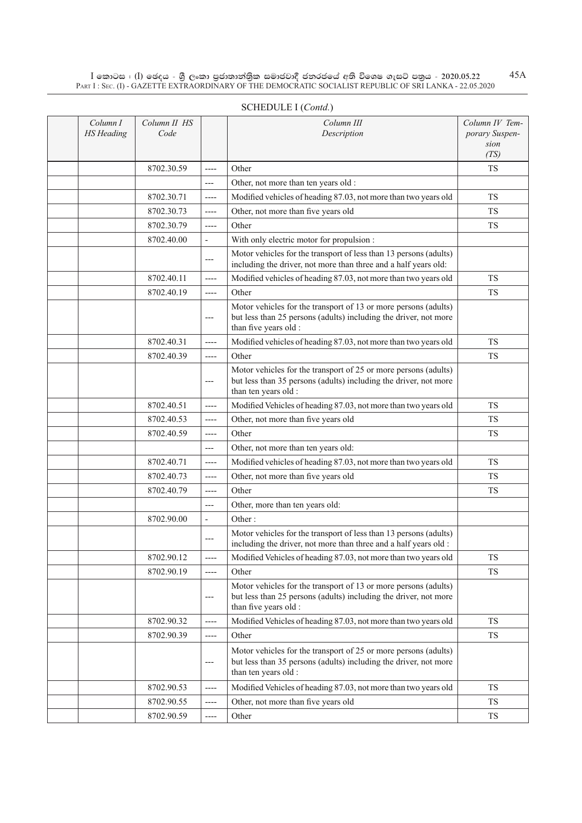| Column I<br><b>HS</b> Heading | Column II HS<br>Code |                          | Column III<br>Description                                                                                                                                    | Column IV Tem-<br>porary Suspen-<br>sion |
|-------------------------------|----------------------|--------------------------|--------------------------------------------------------------------------------------------------------------------------------------------------------------|------------------------------------------|
|                               | 8702.30.59           | ----                     | Other                                                                                                                                                        | (TS)<br><b>TS</b>                        |
|                               |                      | ---                      | Other, not more than ten years old :                                                                                                                         |                                          |
|                               | 8702.30.71           | $---$                    | Modified vehicles of heading 87.03, not more than two years old                                                                                              | <b>TS</b>                                |
|                               | 8702.30.73           | ----                     | Other, not more than five years old                                                                                                                          | <b>TS</b>                                |
|                               | 8702.30.79           | ----                     | Other                                                                                                                                                        | <b>TS</b>                                |
|                               | 8702.40.00           | L,                       | With only electric motor for propulsion :                                                                                                                    |                                          |
|                               |                      | ---                      | Motor vehicles for the transport of less than 13 persons (adults)<br>including the driver, not more than three and a half years old:                         |                                          |
|                               | 8702.40.11           | ----                     | Modified vehicles of heading 87.03, not more than two years old                                                                                              | <b>TS</b>                                |
|                               | 8702.40.19           | ----                     | Other                                                                                                                                                        | <b>TS</b>                                |
|                               |                      | ---                      | Motor vehicles for the transport of 13 or more persons (adults)<br>but less than 25 persons (adults) including the driver, not more<br>than five years old : |                                          |
|                               | 8702.40.31           | ----                     | Modified vehicles of heading 87.03, not more than two years old                                                                                              | <b>TS</b>                                |
|                               | 8702.40.39           | $---$                    | Other                                                                                                                                                        | <b>TS</b>                                |
|                               |                      | ---                      | Motor vehicles for the transport of 25 or more persons (adults)<br>but less than 35 persons (adults) including the driver, not more<br>than ten years old :  |                                          |
|                               | 8702.40.51           | ----                     | Modified Vehicles of heading 87.03, not more than two years old                                                                                              | <b>TS</b>                                |
|                               | 8702.40.53           | $---$                    | Other, not more than five years old                                                                                                                          | <b>TS</b>                                |
|                               | 8702.40.59           | $---$                    | Other                                                                                                                                                        | <b>TS</b>                                |
|                               |                      | ---                      | Other, not more than ten years old:                                                                                                                          |                                          |
|                               | 8702.40.71           | $---$                    | Modified vehicles of heading 87.03, not more than two years old                                                                                              | <b>TS</b>                                |
|                               | 8702.40.73           | $---$                    | Other, not more than five years old                                                                                                                          | <b>TS</b>                                |
|                               | 8702.40.79           | ----                     | Other                                                                                                                                                        | <b>TS</b>                                |
|                               |                      | ---                      | Other, more than ten years old:                                                                                                                              |                                          |
|                               | 8702.90.00           | $\overline{\phantom{0}}$ | Other:                                                                                                                                                       |                                          |
|                               |                      | $---$                    | Motor vehicles for the transport of less than 13 persons (adults)<br>including the driver, not more than three and a half years old :                        |                                          |
|                               | 8702.90.12           | ----                     | Modified Vehicles of heading 87.03, not more than two years old                                                                                              | <b>TS</b>                                |
|                               | 8702.90.19           | $---$                    | Other                                                                                                                                                        | <b>TS</b>                                |
|                               |                      | ---                      | Motor vehicles for the transport of 13 or more persons (adults)<br>but less than 25 persons (adults) including the driver, not more<br>than five years old : |                                          |
|                               | 8702.90.32           | $---$                    | Modified Vehicles of heading 87.03, not more than two years old                                                                                              | <b>TS</b>                                |
|                               | 8702.90.39           | $---$                    | Other                                                                                                                                                        | <b>TS</b>                                |
|                               |                      | ---                      | Motor vehicles for the transport of 25 or more persons (adults)<br>but less than 35 persons (adults) including the driver, not more<br>than ten years old :  |                                          |
|                               | 8702.90.53           | $---$                    | Modified Vehicles of heading 87.03, not more than two years old                                                                                              | <b>TS</b>                                |
|                               | 8702.90.55           | ----                     | Other, not more than five years old                                                                                                                          | <b>TS</b>                                |
|                               | 8702.90.59           | ----                     | Other                                                                                                                                                        | TS                                       |

### SCHEDULE I (*Contd.*)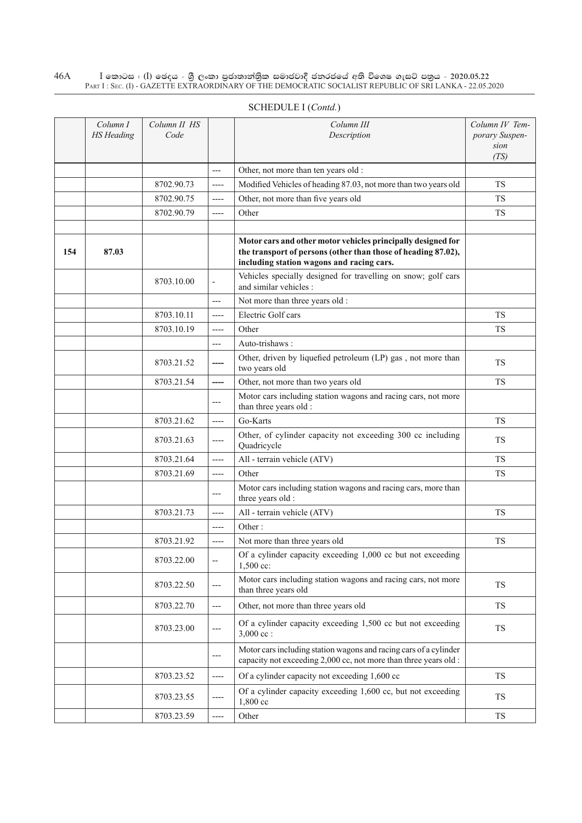|     | Column I<br><b>HS</b> Heading | Column II HS<br>Code |                          | Column III<br>Description                                                                                                                                                  | Column IV Tem-<br>porary Suspen-<br>sion |
|-----|-------------------------------|----------------------|--------------------------|----------------------------------------------------------------------------------------------------------------------------------------------------------------------------|------------------------------------------|
|     |                               |                      | $---$                    | Other, not more than ten years old :                                                                                                                                       | (TS)                                     |
|     |                               | 8702.90.73           | $-----$                  | Modified Vehicles of heading 87.03, not more than two years old                                                                                                            | <b>TS</b>                                |
|     |                               | 8702.90.75           | $---$                    | Other, not more than five years old                                                                                                                                        | TS.                                      |
|     |                               | 8702.90.79           | $-----$                  | Other                                                                                                                                                                      | TS                                       |
|     |                               |                      |                          |                                                                                                                                                                            |                                          |
| 154 | 87.03                         |                      |                          | Motor cars and other motor vehicles principally designed for<br>the transport of persons (other than those of heading 87.02),<br>including station wagons and racing cars. |                                          |
|     |                               | 8703.10.00           | $\overline{\phantom{a}}$ | Vehicles specially designed for travelling on snow; golf cars<br>and similar vehicles :                                                                                    |                                          |
|     |                               |                      | ---                      | Not more than three years old :                                                                                                                                            |                                          |
|     |                               | 8703.10.11           | $---$                    | Electric Golf cars                                                                                                                                                         | TS.                                      |
|     |                               | 8703.10.19           | ----                     | Other                                                                                                                                                                      | <b>TS</b>                                |
|     |                               |                      | ---                      | Auto-trishaws:                                                                                                                                                             |                                          |
|     |                               | 8703.21.52           |                          | Other, driven by liquefied petroleum (LP) gas, not more than<br>two years old                                                                                              | TS                                       |
|     |                               | 8703.21.54           | ----                     | Other, not more than two years old                                                                                                                                         | <b>TS</b>                                |
|     |                               |                      | $---$                    | Motor cars including station wagons and racing cars, not more<br>than three years old :                                                                                    |                                          |
|     |                               | 8703.21.62           | $---$                    | Go-Karts                                                                                                                                                                   | <b>TS</b>                                |
|     |                               | 8703.21.63           | $---$                    | Other, of cylinder capacity not exceeding 300 cc including<br>Quadricycle                                                                                                  | <b>TS</b>                                |
|     |                               | 8703.21.64           | $-----$                  | All - terrain vehicle (ATV)                                                                                                                                                | <b>TS</b>                                |
|     |                               | 8703.21.69           | $-----$                  | Other                                                                                                                                                                      | <b>TS</b>                                |
|     |                               |                      | $---$                    | Motor cars including station wagons and racing cars, more than<br>three years old :                                                                                        |                                          |
|     |                               | 8703.21.73           | ----                     | All - terrain vehicle (ATV)                                                                                                                                                | TS                                       |
|     |                               |                      | $---$                    | Other:                                                                                                                                                                     |                                          |
|     |                               | 8703.21.92           | ----                     | Not more than three years old                                                                                                                                              | <b>TS</b>                                |
|     |                               | 8703.22.00           | $-$                      | Of a cylinder capacity exceeding 1,000 cc but not exceeding<br>$1,500$ cc:                                                                                                 |                                          |
|     |                               | 8703.22.50           | $\qquad \qquad - -$      | Motor cars including station wagons and racing cars, not more<br>than three years old                                                                                      | TS                                       |
|     |                               | 8703.22.70           | $---$                    | Other, not more than three years old                                                                                                                                       | TS                                       |
|     |                               | 8703.23.00           | ---                      | Of a cylinder capacity exceeding 1,500 cc but not exceeding<br>$3,000$ cc :                                                                                                | <b>TS</b>                                |
|     |                               |                      | ---                      | Motor cars including station wagons and racing cars of a cylinder<br>capacity not exceeding 2,000 cc, not more than three years old :                                      |                                          |
|     |                               | 8703.23.52           | ----                     | Of a cylinder capacity not exceeding 1,600 cc                                                                                                                              | TS                                       |
|     |                               | 8703.23.55           |                          | Of a cylinder capacity exceeding 1,600 cc, but not exceeding<br>1,800 cc                                                                                                   | <b>TS</b>                                |
|     |                               | 8703.23.59           | ----                     | Other                                                                                                                                                                      | <b>TS</b>                                |

# Schedule I (*Contd.*)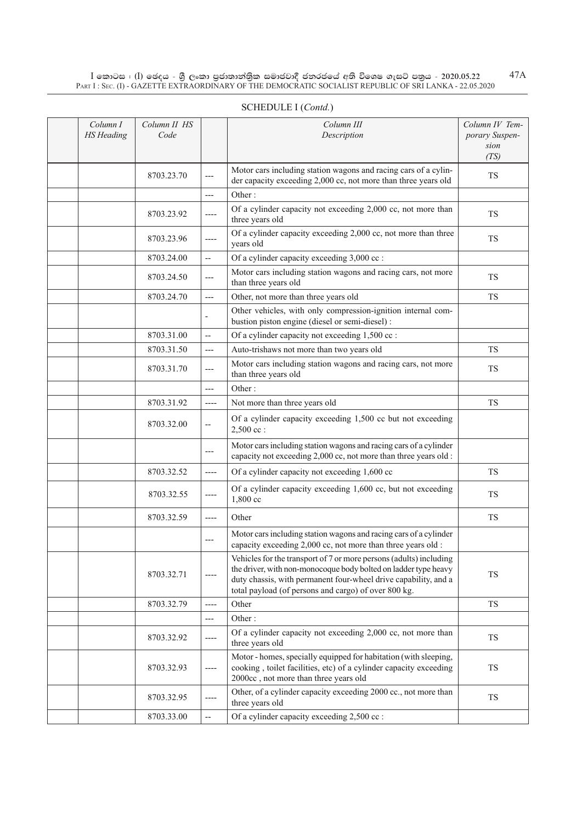| Column I<br><b>HS</b> Heading | Column II HS<br>Code |                          | Column III<br>Description                                                                                                                                                                                                                                        | Column IV Tem-<br>porary Suspen-<br>sion<br>(TS) |
|-------------------------------|----------------------|--------------------------|------------------------------------------------------------------------------------------------------------------------------------------------------------------------------------------------------------------------------------------------------------------|--------------------------------------------------|
|                               | 8703.23.70           | ---                      | Motor cars including station wagons and racing cars of a cylin-<br>der capacity exceeding 2,000 cc, not more than three years old                                                                                                                                | <b>TS</b>                                        |
|                               |                      | ---                      | Other:                                                                                                                                                                                                                                                           |                                                  |
|                               | 8703.23.92           | ----                     | Of a cylinder capacity not exceeding 2,000 cc, not more than<br>three years old                                                                                                                                                                                  | <b>TS</b>                                        |
|                               | 8703.23.96           | ----                     | Of a cylinder capacity exceeding 2,000 cc, not more than three<br>years old                                                                                                                                                                                      | TS.                                              |
|                               | 8703.24.00           | $\overline{\phantom{a}}$ | Of a cylinder capacity exceeding 3,000 cc :                                                                                                                                                                                                                      |                                                  |
|                               | 8703.24.50           | ---                      | Motor cars including station wagons and racing cars, not more<br>than three years old                                                                                                                                                                            | <b>TS</b>                                        |
|                               | 8703.24.70           | ---                      | Other, not more than three years old                                                                                                                                                                                                                             | <b>TS</b>                                        |
|                               |                      |                          | Other vehicles, with only compression-ignition internal com-<br>bustion piston engine (diesel or semi-diesel) :                                                                                                                                                  |                                                  |
|                               | 8703.31.00           | $\overline{a}$           | Of a cylinder capacity not exceeding 1,500 cc :                                                                                                                                                                                                                  |                                                  |
|                               | 8703.31.50           | ---                      | Auto-trishaws not more than two years old                                                                                                                                                                                                                        | <b>TS</b>                                        |
|                               | 8703.31.70           | ---                      | Motor cars including station wagons and racing cars, not more<br>than three years old                                                                                                                                                                            | <b>TS</b>                                        |
|                               |                      | $---$                    | Other:                                                                                                                                                                                                                                                           |                                                  |
|                               | 8703.31.92           | ----                     | Not more than three years old                                                                                                                                                                                                                                    | TS.                                              |
|                               | 8703.32.00           | --                       | Of a cylinder capacity exceeding 1,500 cc but not exceeding<br>$2,500$ cc:                                                                                                                                                                                       |                                                  |
|                               |                      | ---                      | Motor cars including station wagons and racing cars of a cylinder<br>capacity not exceeding 2,000 cc, not more than three years old :                                                                                                                            |                                                  |
|                               | 8703.32.52           | $---$                    | Of a cylinder capacity not exceeding 1,600 cc                                                                                                                                                                                                                    | <b>TS</b>                                        |
|                               | 8703.32.55           | ----                     | Of a cylinder capacity exceeding 1,600 cc, but not exceeding<br>1,800 cc                                                                                                                                                                                         | <b>TS</b>                                        |
|                               | 8703.32.59           | ----                     | Other                                                                                                                                                                                                                                                            | <b>TS</b>                                        |
|                               |                      | ---                      | Motor cars including station wagons and racing cars of a cylinder<br>capacity exceeding 2,000 cc, not more than three years old :                                                                                                                                |                                                  |
|                               | 8703.32.71           |                          | Vehicles for the transport of 7 or more persons (adults) including<br>the driver, with non-monocoque body bolted on ladder type heavy<br>duty chassis, with permanent four-wheel drive capability, and a<br>total payload (of persons and cargo) of over 800 kg. | TS                                               |
|                               | 8703.32.79           | $---$                    | Other                                                                                                                                                                                                                                                            | TS                                               |
|                               |                      | ---                      | Other:                                                                                                                                                                                                                                                           |                                                  |
|                               | 8703.32.92           | ----                     | Of a cylinder capacity not exceeding 2,000 cc, not more than<br>three years old                                                                                                                                                                                  | TS                                               |
|                               | 8703.32.93           | ----                     | Motor - homes, specially equipped for habitation (with sleeping,<br>cooking, toilet facilities, etc) of a cylinder capacity exceeding<br>2000cc, not more than three years old                                                                                   | TS                                               |
|                               | 8703.32.95           |                          | Other, of a cylinder capacity exceeding 2000 cc., not more than<br>three years old                                                                                                                                                                               | TS                                               |
|                               | 8703.33.00           |                          | Of a cylinder capacity exceeding 2,500 cc :                                                                                                                                                                                                                      |                                                  |

# SCHEDULE I (*Contd.*)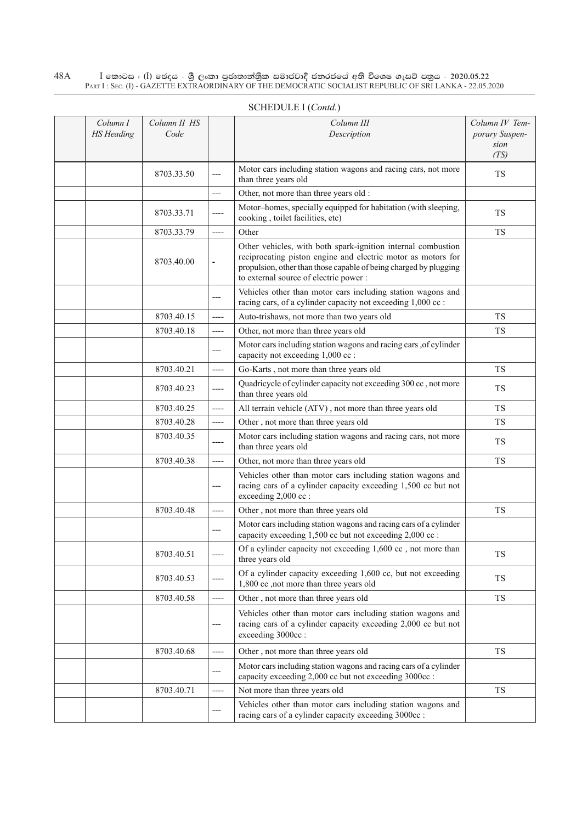| Column I<br><b>HS</b> Heading | Column II HS<br>Code |                          | Column III<br>Description                                                                                                                                                                                                                   | Column IV Tem-<br>porary Suspen- |
|-------------------------------|----------------------|--------------------------|---------------------------------------------------------------------------------------------------------------------------------------------------------------------------------------------------------------------------------------------|----------------------------------|
|                               |                      |                          |                                                                                                                                                                                                                                             | sion<br>(TS)                     |
|                               | 8703.33.50           | ---                      | Motor cars including station wagons and racing cars, not more<br>than three years old                                                                                                                                                       | <b>TS</b>                        |
|                               |                      | ---                      | Other, not more than three years old :                                                                                                                                                                                                      |                                  |
|                               | 8703.33.71           | ----                     | Motor-homes, specially equipped for habitation (with sleeping,<br>cooking, toilet facilities, etc)                                                                                                                                          | <b>TS</b>                        |
|                               | 8703.33.79           | $---$                    | Other                                                                                                                                                                                                                                       | <b>TS</b>                        |
|                               | 8703.40.00           | $\equiv$                 | Other vehicles, with both spark-ignition internal combustion<br>reciprocating piston engine and electric motor as motors for<br>propulsion, other than those capable of being charged by plugging<br>to external source of electric power : |                                  |
|                               |                      | ---                      | Vehicles other than motor cars including station wagons and<br>racing cars, of a cylinder capacity not exceeding 1,000 cc :                                                                                                                 |                                  |
|                               | 8703.40.15           | $---$                    | Auto-trishaws, not more than two years old                                                                                                                                                                                                  | <b>TS</b>                        |
|                               | 8703.40.18           | ----                     | Other, not more than three years old                                                                                                                                                                                                        | <b>TS</b>                        |
|                               |                      | ---                      | Motor cars including station wagons and racing cars, of cylinder<br>capacity not exceeding 1,000 cc :                                                                                                                                       |                                  |
|                               | 8703.40.21           | $---$                    | Go-Karts, not more than three years old                                                                                                                                                                                                     | <b>TS</b>                        |
|                               | 8703.40.23           | ----                     | Quadricycle of cylinder capacity not exceeding 300 cc, not more<br>than three years old                                                                                                                                                     | <b>TS</b>                        |
|                               | 8703.40.25           | $---$                    | All terrain vehicle (ATV), not more than three years old                                                                                                                                                                                    | <b>TS</b>                        |
|                               | 8703.40.28           | ----                     | Other, not more than three years old                                                                                                                                                                                                        | <b>TS</b>                        |
|                               | 8703.40.35           | ----                     | Motor cars including station wagons and racing cars, not more<br>than three years old                                                                                                                                                       | <b>TS</b>                        |
|                               | 8703.40.38           | ----                     | Other, not more than three years old                                                                                                                                                                                                        | <b>TS</b>                        |
|                               |                      | $---$                    | Vehicles other than motor cars including station wagons and<br>racing cars of a cylinder capacity exceeding 1,500 cc but not<br>exceeding 2,000 cc :                                                                                        |                                  |
|                               | 8703.40.48           | ----                     | Other, not more than three years old                                                                                                                                                                                                        | <b>TS</b>                        |
|                               |                      | ---                      | Motor cars including station wagons and racing cars of a cylinder<br>capacity exceeding 1,500 cc but not exceeding 2,000 cc :                                                                                                               |                                  |
|                               | 8703.40.51           | $-----$                  | Of a cylinder capacity not exceeding 1,600 cc, not more than<br>three years old                                                                                                                                                             | TS                               |
|                               | 8703.40.53           | ----                     | Of a cylinder capacity exceeding 1,600 cc, but not exceeding<br>1,800 cc ,not more than three years old                                                                                                                                     | <b>TS</b>                        |
|                               | 8703.40.58           | ----                     | Other, not more than three years old                                                                                                                                                                                                        | <b>TS</b>                        |
|                               |                      | $\qquad \qquad - \qquad$ | Vehicles other than motor cars including station wagons and<br>racing cars of a cylinder capacity exceeding 2,000 cc but not<br>exceeding 3000cc:                                                                                           |                                  |
|                               | 8703.40.68           | ----                     | Other, not more than three years old                                                                                                                                                                                                        | <b>TS</b>                        |
|                               |                      | $---$                    | Motor cars including station wagons and racing cars of a cylinder<br>capacity exceeding 2,000 cc but not exceeding 3000cc :                                                                                                                 |                                  |
|                               | 8703.40.71           | ----                     | Not more than three years old                                                                                                                                                                                                               | TS                               |
|                               |                      | ---                      | Vehicles other than motor cars including station wagons and<br>racing cars of a cylinder capacity exceeding 3000cc :                                                                                                                        |                                  |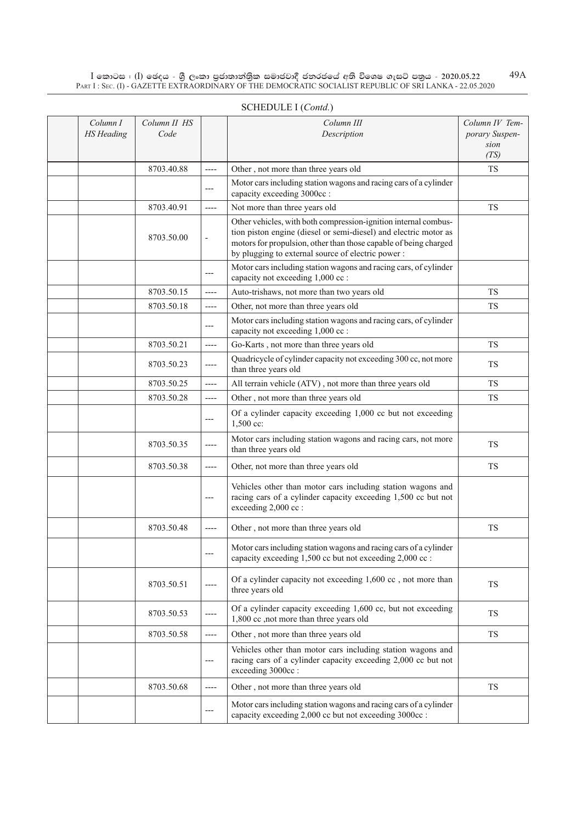| Column I<br><b>HS</b> Heading | Column II HS<br>Code |                          | Column III<br>Description                                                                                                                                                                                                                                    | Column IV Tem-<br>porary Suspen-<br>sion |
|-------------------------------|----------------------|--------------------------|--------------------------------------------------------------------------------------------------------------------------------------------------------------------------------------------------------------------------------------------------------------|------------------------------------------|
|                               |                      |                          |                                                                                                                                                                                                                                                              | (TS)                                     |
|                               | 8703.40.88           | ----                     | Other, not more than three years old                                                                                                                                                                                                                         | <b>TS</b>                                |
|                               |                      | ---                      | Motor cars including station wagons and racing cars of a cylinder<br>capacity exceeding 3000cc :                                                                                                                                                             |                                          |
|                               | 8703.40.91           | $---$                    | Not more than three years old                                                                                                                                                                                                                                | <b>TS</b>                                |
|                               | 8703.50.00           | $\overline{\phantom{a}}$ | Other vehicles, with both compression-ignition internal combus-<br>tion piston engine (diesel or semi-diesel) and electric motor as<br>motors for propulsion, other than those capable of being charged<br>by plugging to external source of electric power: |                                          |
|                               |                      | ---                      | Motor cars including station wagons and racing cars, of cylinder<br>capacity not exceeding 1,000 cc :                                                                                                                                                        |                                          |
|                               | 8703.50.15           | ----                     | Auto-trishaws, not more than two years old                                                                                                                                                                                                                   | <b>TS</b>                                |
|                               | 8703.50.18           | ----                     | Other, not more than three years old                                                                                                                                                                                                                         | <b>TS</b>                                |
|                               |                      | ---                      | Motor cars including station wagons and racing cars, of cylinder<br>capacity not exceeding 1,000 cc :                                                                                                                                                        |                                          |
|                               | 8703.50.21           | ----                     | Go-Karts, not more than three years old                                                                                                                                                                                                                      | <b>TS</b>                                |
|                               | 8703.50.23           | ----                     | Quadricycle of cylinder capacity not exceeding 300 cc, not more<br>than three years old                                                                                                                                                                      | <b>TS</b>                                |
|                               | 8703.50.25           | $---$                    | All terrain vehicle (ATV), not more than three years old                                                                                                                                                                                                     | <b>TS</b>                                |
|                               | 8703.50.28           | $---$                    | Other, not more than three years old                                                                                                                                                                                                                         | <b>TS</b>                                |
|                               |                      | ---                      | Of a cylinder capacity exceeding 1,000 cc but not exceeding<br>1,500 cc:                                                                                                                                                                                     |                                          |
|                               | 8703.50.35           | ----                     | Motor cars including station wagons and racing cars, not more<br>than three years old                                                                                                                                                                        | <b>TS</b>                                |
|                               | 8703.50.38           | ----                     | Other, not more than three years old                                                                                                                                                                                                                         | <b>TS</b>                                |
|                               |                      | ---                      | Vehicles other than motor cars including station wagons and<br>racing cars of a cylinder capacity exceeding 1,500 cc but not<br>exceeding 2,000 cc :                                                                                                         |                                          |
|                               | 8703.50.48           | ----                     | Other, not more than three years old                                                                                                                                                                                                                         | <b>TS</b>                                |
|                               |                      | ---                      | Motor cars including station wagons and racing cars of a cylinder<br>capacity exceeding 1,500 cc but not exceeding 2,000 cc :                                                                                                                                |                                          |
|                               | 8703.50.51           |                          | Of a cylinder capacity not exceeding $1,600$ cc, not more than<br>three years old                                                                                                                                                                            | TS                                       |
|                               | 8703.50.53           | ----                     | Of a cylinder capacity exceeding 1,600 cc, but not exceeding<br>1,800 cc ,not more than three years old                                                                                                                                                      | <b>TS</b>                                |
|                               | 8703.50.58           | ----                     | Other, not more than three years old                                                                                                                                                                                                                         | <b>TS</b>                                |
|                               |                      | ---                      | Vehicles other than motor cars including station wagons and<br>racing cars of a cylinder capacity exceeding 2,000 cc but not<br>exceeding 3000cc:                                                                                                            |                                          |
|                               | 8703.50.68           | ----                     | Other, not more than three years old                                                                                                                                                                                                                         | TS                                       |
|                               |                      | ---                      | Motor cars including station wagons and racing cars of a cylinder<br>capacity exceeding 2,000 cc but not exceeding 3000cc :                                                                                                                                  |                                          |

### SCHEDULE I (*Contd.*)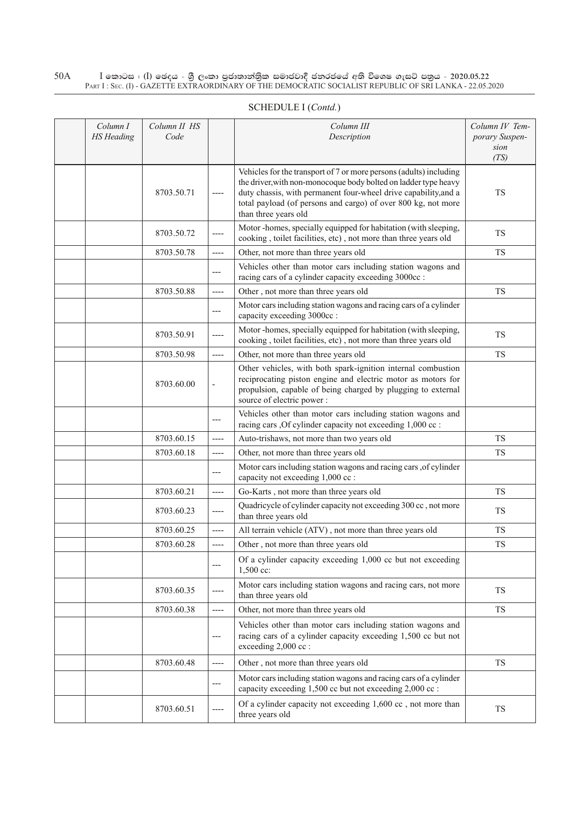| Column I<br><b>HS</b> Heading | Column II HS<br>Code |                          | Column III<br>Description                                                                                                                                                                                                                                                                         | Column IV Tem-<br>porary Suspen-<br>sion<br>(TS) |
|-------------------------------|----------------------|--------------------------|---------------------------------------------------------------------------------------------------------------------------------------------------------------------------------------------------------------------------------------------------------------------------------------------------|--------------------------------------------------|
|                               | 8703.50.71           | $---$                    | Vehicles for the transport of 7 or more persons (adults) including<br>the driver, with non-monocoque body bolted on ladder type heavy<br>duty chassis, with permanent four-wheel drive capability, and a<br>total payload (of persons and cargo) of over 800 kg, not more<br>than three years old | <b>TS</b>                                        |
|                               | 8703.50.72           | ----                     | Motor -homes, specially equipped for habitation (with sleeping,<br>cooking, toilet facilities, etc), not more than three years old                                                                                                                                                                | TS                                               |
|                               | 8703.50.78           | $---$                    | Other, not more than three years old                                                                                                                                                                                                                                                              | TS                                               |
|                               |                      | $---$                    | Vehicles other than motor cars including station wagons and<br>racing cars of a cylinder capacity exceeding 3000cc :                                                                                                                                                                              |                                                  |
|                               | 8703.50.88           | ----                     | Other, not more than three years old                                                                                                                                                                                                                                                              | <b>TS</b>                                        |
|                               |                      | ---                      | Motor cars including station wagons and racing cars of a cylinder<br>capacity exceeding 3000cc :                                                                                                                                                                                                  |                                                  |
|                               | 8703.50.91           | $---$                    | Motor -homes, specially equipped for habitation (with sleeping,<br>cooking, toilet facilities, etc), not more than three years old                                                                                                                                                                | <b>TS</b>                                        |
|                               | 8703.50.98           | $---$                    | Other, not more than three years old                                                                                                                                                                                                                                                              | <b>TS</b>                                        |
|                               | 8703.60.00           | $\overline{\phantom{a}}$ | Other vehicles, with both spark-ignition internal combustion<br>reciprocating piston engine and electric motor as motors for<br>propulsion, capable of being charged by plugging to external<br>source of electric power:                                                                         |                                                  |
|                               |                      | $---$                    | Vehicles other than motor cars including station wagons and<br>racing cars , Of cylinder capacity not exceeding 1,000 cc :                                                                                                                                                                        |                                                  |
|                               | 8703.60.15           | $-----$                  | Auto-trishaws, not more than two years old                                                                                                                                                                                                                                                        | <b>TS</b>                                        |
|                               | 8703.60.18           | ----                     | Other, not more than three years old                                                                                                                                                                                                                                                              | TS                                               |
|                               |                      | ---                      | Motor cars including station wagons and racing cars , of cylinder<br>capacity not exceeding 1,000 cc :                                                                                                                                                                                            |                                                  |
|                               | 8703.60.21           | $-----$                  | Go-Karts, not more than three years old                                                                                                                                                                                                                                                           | <b>TS</b>                                        |
|                               | 8703.60.23           | $-----$                  | Quadricycle of cylinder capacity not exceeding 300 cc, not more<br>than three years old                                                                                                                                                                                                           | <b>TS</b>                                        |
|                               | 8703.60.25           | ----                     | All terrain vehicle (ATV), not more than three years old                                                                                                                                                                                                                                          | <b>TS</b>                                        |
|                               | 8703.60.28           | $-----$                  | Other, not more than three years old                                                                                                                                                                                                                                                              | <b>TS</b>                                        |
|                               |                      | $---$                    | Of a cylinder capacity exceeding 1,000 cc but not exceeding<br>1,500 cc:                                                                                                                                                                                                                          |                                                  |
|                               | 8703.60.35           |                          | Motor cars including station wagons and racing cars, not more<br>than three years old                                                                                                                                                                                                             | <b>TS</b>                                        |
|                               | 8703.60.38           | $---$                    | Other, not more than three years old                                                                                                                                                                                                                                                              | TS                                               |
|                               |                      | $---$                    | Vehicles other than motor cars including station wagons and<br>racing cars of a cylinder capacity exceeding 1,500 cc but not<br>exceeding 2,000 cc :                                                                                                                                              |                                                  |
|                               | 8703.60.48           | $---$                    | Other, not more than three years old                                                                                                                                                                                                                                                              | TS                                               |
|                               |                      | ---                      | Motor cars including station wagons and racing cars of a cylinder<br>capacity exceeding 1,500 cc but not exceeding 2,000 cc :                                                                                                                                                                     |                                                  |

8703.60.51  $\Big|$  ----  $\Big|$  Of a cylinder capacity not exceeding 1,600 cc, not more than T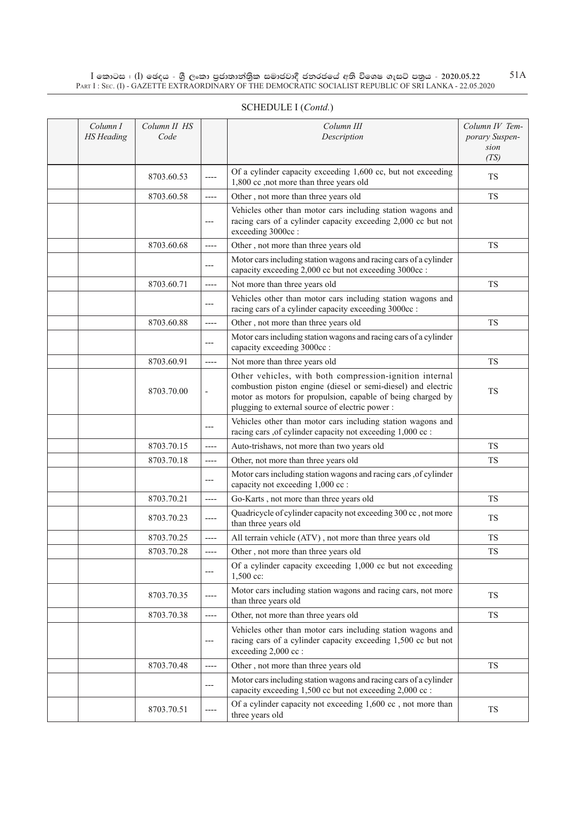| Column I<br><b>HS</b> Heading | Column II HS<br>Code |                          | Column III<br>Description                                                                                                                                                                                                                 | Column IV Tem-<br>porary Suspen-<br>sion<br>(TS) |
|-------------------------------|----------------------|--------------------------|-------------------------------------------------------------------------------------------------------------------------------------------------------------------------------------------------------------------------------------------|--------------------------------------------------|
|                               | 8703.60.53           | ----                     | Of a cylinder capacity exceeding 1,600 cc, but not exceeding<br>1,800 cc ,not more than three years old                                                                                                                                   | <b>TS</b>                                        |
|                               | 8703.60.58           | ----                     | Other, not more than three years old                                                                                                                                                                                                      | <b>TS</b>                                        |
|                               |                      | ---                      | Vehicles other than motor cars including station wagons and<br>racing cars of a cylinder capacity exceeding 2,000 cc but not<br>exceeding 3000cc:                                                                                         |                                                  |
|                               | 8703.60.68           | ----                     | Other, not more than three years old                                                                                                                                                                                                      | <b>TS</b>                                        |
|                               |                      | ---                      | Motor cars including station wagons and racing cars of a cylinder<br>capacity exceeding 2,000 cc but not exceeding 3000cc :                                                                                                               |                                                  |
|                               | 8703.60.71           | ----                     | Not more than three years old                                                                                                                                                                                                             | <b>TS</b>                                        |
|                               |                      | ---                      | Vehicles other than motor cars including station wagons and<br>racing cars of a cylinder capacity exceeding 3000cc :                                                                                                                      |                                                  |
|                               | 8703.60.88           | ----                     | Other, not more than three years old                                                                                                                                                                                                      | <b>TS</b>                                        |
|                               |                      | ---                      | Motor cars including station wagons and racing cars of a cylinder<br>capacity exceeding 3000cc :                                                                                                                                          |                                                  |
|                               | 8703.60.91           | ----                     | Not more than three years old                                                                                                                                                                                                             | <b>TS</b>                                        |
|                               | 8703.70.00           | $\overline{\phantom{a}}$ | Other vehicles, with both compression-ignition internal<br>combustion piston engine (diesel or semi-diesel) and electric<br>motor as motors for propulsion, capable of being charged by<br>plugging to external source of electric power: | <b>TS</b>                                        |
|                               |                      | ---                      | Vehicles other than motor cars including station wagons and<br>racing cars ,of cylinder capacity not exceeding 1,000 cc :                                                                                                                 |                                                  |
|                               | 8703.70.15           | ----                     | Auto-trishaws, not more than two years old                                                                                                                                                                                                | <b>TS</b>                                        |
|                               | 8703.70.18           | ----                     | Other, not more than three years old                                                                                                                                                                                                      | <b>TS</b>                                        |
|                               |                      | ---                      | Motor cars including station wagons and racing cars , of cylinder<br>capacity not exceeding 1,000 cc :                                                                                                                                    |                                                  |
|                               | 8703.70.21           | ----                     | Go-Karts, not more than three years old                                                                                                                                                                                                   | <b>TS</b>                                        |
|                               | 8703.70.23           | ----                     | Quadricycle of cylinder capacity not exceeding 300 cc, not more<br>than three years old                                                                                                                                                   | <b>TS</b>                                        |
|                               | 8703.70.25           | ----                     | All terrain vehicle (ATV), not more than three years old                                                                                                                                                                                  | <b>TS</b>                                        |
|                               | 8703.70.28           | ----                     | Other, not more than three years old                                                                                                                                                                                                      | <b>TS</b>                                        |
|                               |                      |                          | Of a cylinder capacity exceeding 1,000 cc but not exceeding<br>$1,500$ cc:                                                                                                                                                                |                                                  |
|                               | 8703.70.35           |                          | Motor cars including station wagons and racing cars, not more<br>than three years old                                                                                                                                                     | <b>TS</b>                                        |
|                               | 8703.70.38           | ----                     | Other, not more than three years old                                                                                                                                                                                                      | <b>TS</b>                                        |
|                               |                      | ---                      | Vehicles other than motor cars including station wagons and<br>racing cars of a cylinder capacity exceeding 1,500 cc but not<br>exceeding 2,000 cc :                                                                                      |                                                  |
|                               | 8703.70.48           | ----                     | Other, not more than three years old                                                                                                                                                                                                      | TS                                               |
|                               |                      | ---                      | Motor cars including station wagons and racing cars of a cylinder<br>capacity exceeding 1,500 cc but not exceeding 2,000 cc :                                                                                                             |                                                  |
|                               | 8703.70.51           |                          | Of a cylinder capacity not exceeding 1,600 cc, not more than<br>three years old                                                                                                                                                           | <b>TS</b>                                        |

# Schedule I (*Contd.*)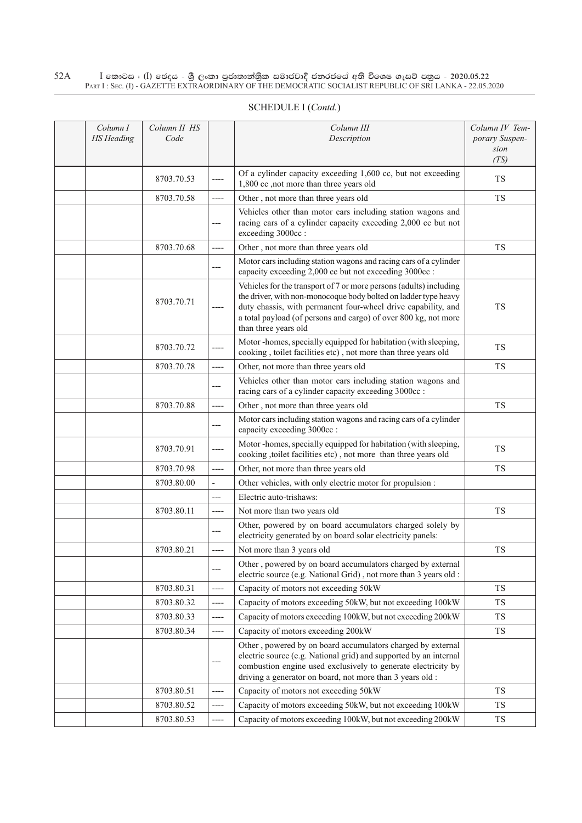| SCHEDULE I (Contd.) |  |
|---------------------|--|
|                     |  |

| Column I          | Column II HS |                          | Column III                                                                                                                                                                                                                                                                                        | Column IV Tem- |
|-------------------|--------------|--------------------------|---------------------------------------------------------------------------------------------------------------------------------------------------------------------------------------------------------------------------------------------------------------------------------------------------|----------------|
| <b>HS</b> Heading | Code         |                          | Description                                                                                                                                                                                                                                                                                       | porary Suspen- |
|                   |              |                          |                                                                                                                                                                                                                                                                                                   | sion<br>(TS)   |
|                   | 8703.70.53   | $---$                    | Of a cylinder capacity exceeding 1,600 cc, but not exceeding<br>1,800 cc ,not more than three years old                                                                                                                                                                                           | <b>TS</b>      |
|                   | 8703.70.58   | ----                     | Other, not more than three years old                                                                                                                                                                                                                                                              | <b>TS</b>      |
|                   |              | $---$                    | Vehicles other than motor cars including station wagons and<br>racing cars of a cylinder capacity exceeding 2,000 cc but not<br>exceeding 3000cc:                                                                                                                                                 |                |
|                   | 8703.70.68   | $---$                    | Other, not more than three years old                                                                                                                                                                                                                                                              | <b>TS</b>      |
|                   |              | $---$                    | Motor cars including station wagons and racing cars of a cylinder<br>capacity exceeding 2,000 cc but not exceeding 3000cc :                                                                                                                                                                       |                |
|                   | 8703.70.71   | $---$                    | Vehicles for the transport of 7 or more persons (adults) including<br>the driver, with non-monocoque body bolted on ladder type heavy<br>duty chassis, with permanent four-wheel drive capability, and<br>a total payload (of persons and cargo) of over 800 kg, not more<br>than three years old | <b>TS</b>      |
|                   | 8703.70.72   | $---$                    | Motor-homes, specially equipped for habitation (with sleeping,<br>cooking, toilet facilities etc), not more than three years old                                                                                                                                                                  | <b>TS</b>      |
|                   | 8703.70.78   | $-----$                  | Other, not more than three years old                                                                                                                                                                                                                                                              | <b>TS</b>      |
|                   |              | $---$                    | Vehicles other than motor cars including station wagons and<br>racing cars of a cylinder capacity exceeding 3000cc :                                                                                                                                                                              |                |
|                   | 8703.70.88   | $-----$                  | Other, not more than three years old                                                                                                                                                                                                                                                              | <b>TS</b>      |
|                   |              | $---$                    | Motor cars including station wagons and racing cars of a cylinder<br>capacity exceeding 3000cc :                                                                                                                                                                                                  |                |
|                   | 8703.70.91   | ----                     | Motor-homes, specially equipped for habitation (with sleeping,<br>cooking , toilet facilities etc), not more than three years old                                                                                                                                                                 | <b>TS</b>      |
|                   | 8703.70.98   | $---$                    | Other, not more than three years old                                                                                                                                                                                                                                                              | <b>TS</b>      |
|                   | 8703.80.00   | $\overline{\phantom{a}}$ | Other vehicles, with only electric motor for propulsion :                                                                                                                                                                                                                                         |                |
|                   |              | $---$                    | Electric auto-trishaws:                                                                                                                                                                                                                                                                           |                |
|                   | 8703.80.11   | $---$                    | Not more than two years old                                                                                                                                                                                                                                                                       | <b>TS</b>      |
|                   |              |                          | Other, powered by on board accumulators charged solely by<br>electricity generated by on board solar electricity panels:                                                                                                                                                                          |                |
|                   | 8703.80.21   | ----                     | Not more than 3 years old                                                                                                                                                                                                                                                                         | <b>TS</b>      |
|                   |              |                          | Other, powered by on board accumulators charged by external<br>electric source (e.g. National Grid), not more than 3 years old :                                                                                                                                                                  |                |
|                   | 8703.80.31   | $---$                    | Capacity of motors not exceeding 50kW                                                                                                                                                                                                                                                             | <b>TS</b>      |
|                   | 8703.80.32   | $---$                    | Capacity of motors exceeding 50kW, but not exceeding 100kW                                                                                                                                                                                                                                        | <b>TS</b>      |
|                   | 8703.80.33   | $-----$                  | Capacity of motors exceeding 100kW, but not exceeding 200kW                                                                                                                                                                                                                                       | <b>TS</b>      |
|                   | 8703.80.34   | ----                     | Capacity of motors exceeding 200kW                                                                                                                                                                                                                                                                | <b>TS</b>      |
|                   |              | $---$                    | Other, powered by on board accumulators charged by external<br>electric source (e.g. National grid) and supported by an internal<br>combustion engine used exclusively to generate electricity by<br>driving a generator on board, not more than 3 years old :                                    |                |
|                   | 8703.80.51   | ----                     | Capacity of motors not exceeding 50kW                                                                                                                                                                                                                                                             | <b>TS</b>      |
|                   | 8703.80.52   | $---$                    | Capacity of motors exceeding 50kW, but not exceeding 100kW                                                                                                                                                                                                                                        | <b>TS</b>      |
|                   | 8703.80.53   | ----                     | Capacity of motors exceeding 100kW, but not exceeding 200kW                                                                                                                                                                                                                                       | ${\rm TS}$     |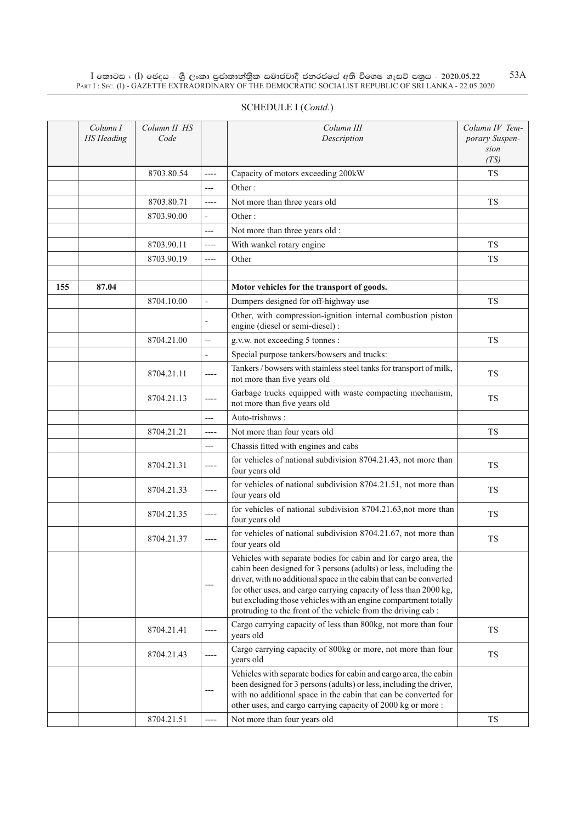|     | Column I<br><b>HS</b> Heading | Column II HS<br>Code |                          | Column III<br>Description                                                                                                                                                                                                                                                                                                                                                                                           | Column IV Tem-<br>porary Suspen-<br>sion |
|-----|-------------------------------|----------------------|--------------------------|---------------------------------------------------------------------------------------------------------------------------------------------------------------------------------------------------------------------------------------------------------------------------------------------------------------------------------------------------------------------------------------------------------------------|------------------------------------------|
|     |                               |                      |                          |                                                                                                                                                                                                                                                                                                                                                                                                                     | (TS)                                     |
|     |                               | 8703.80.54           | ----                     | Capacity of motors exceeding 200kW                                                                                                                                                                                                                                                                                                                                                                                  | <b>TS</b>                                |
|     |                               |                      | ---                      | Other:                                                                                                                                                                                                                                                                                                                                                                                                              |                                          |
|     |                               | 8703.80.71           | ----                     | Not more than three years old                                                                                                                                                                                                                                                                                                                                                                                       | <b>TS</b>                                |
|     |                               | 8703.90.00           | $\frac{1}{2}$            | Other:                                                                                                                                                                                                                                                                                                                                                                                                              |                                          |
|     |                               |                      | $---$                    | Not more than three years old :                                                                                                                                                                                                                                                                                                                                                                                     |                                          |
|     |                               | 8703.90.11           | ----                     | With wankel rotary engine                                                                                                                                                                                                                                                                                                                                                                                           | <b>TS</b>                                |
|     |                               | 8703.90.19           | ----                     | Other                                                                                                                                                                                                                                                                                                                                                                                                               | <b>TS</b>                                |
|     |                               |                      |                          |                                                                                                                                                                                                                                                                                                                                                                                                                     |                                          |
| 155 | 87.04                         |                      |                          | Motor vehicles for the transport of goods.                                                                                                                                                                                                                                                                                                                                                                          |                                          |
|     |                               | 8704.10.00           | $\overline{\phantom{0}}$ | Dumpers designed for off-highway use                                                                                                                                                                                                                                                                                                                                                                                | <b>TS</b>                                |
|     |                               |                      |                          | Other, with compression-ignition internal combustion piston<br>engine (diesel or semi-diesel) :                                                                                                                                                                                                                                                                                                                     |                                          |
|     |                               | 8704.21.00           | $-$                      | g.v.w. not exceeding 5 tonnes :                                                                                                                                                                                                                                                                                                                                                                                     | TS                                       |
|     |                               |                      | $\frac{1}{2}$            | Special purpose tankers/bowsers and trucks:                                                                                                                                                                                                                                                                                                                                                                         |                                          |
|     |                               | 8704.21.11           | ----                     | Tankers / bowsers with stainless steel tanks for transport of milk,<br>not more than five years old                                                                                                                                                                                                                                                                                                                 | <b>TS</b>                                |
|     |                               | 8704.21.13           | ----                     | Garbage trucks equipped with waste compacting mechanism,<br>not more than five years old                                                                                                                                                                                                                                                                                                                            | TS                                       |
|     |                               |                      | ---                      | Auto-trishaws:                                                                                                                                                                                                                                                                                                                                                                                                      |                                          |
|     |                               | 8704.21.21           | ----                     | Not more than four years old                                                                                                                                                                                                                                                                                                                                                                                        | <b>TS</b>                                |
|     |                               |                      | $---$                    | Chassis fitted with engines and cabs                                                                                                                                                                                                                                                                                                                                                                                |                                          |
|     |                               | 8704.21.31           | ----                     | for vehicles of national subdivision 8704.21.43, not more than<br>four years old                                                                                                                                                                                                                                                                                                                                    | <b>TS</b>                                |
|     |                               | 8704.21.33           | ----                     | for vehicles of national subdivision 8704.21.51, not more than<br>four years old                                                                                                                                                                                                                                                                                                                                    | TS                                       |
|     |                               | 8704.21.35           | ----                     | for vehicles of national subdivision 8704.21.63, not more than<br>four years old                                                                                                                                                                                                                                                                                                                                    | <b>TS</b>                                |
|     |                               | 8704.21.37           | ----                     | for vehicles of national subdivision 8704.21.67, not more than<br>four years old                                                                                                                                                                                                                                                                                                                                    | <b>TS</b>                                |
|     |                               |                      |                          | Vehicles with separate bodies for cabin and for cargo area, the<br>cabin been designed for 3 persons (adults) or less, including the<br>driver, with no additional space in the cabin that can be converted<br>for other uses, and cargo carrying capacity of less than 2000 kg,<br>but excluding those vehicles with an engine compartment totally<br>protruding to the front of the vehicle from the driving cab: |                                          |
|     |                               | 8704.21.41           |                          | Cargo carrying capacity of less than 800kg, not more than four<br>years old                                                                                                                                                                                                                                                                                                                                         | TS                                       |
|     |                               | 8704.21.43           | ----                     | Cargo carrying capacity of 800kg or more, not more than four<br>vears old                                                                                                                                                                                                                                                                                                                                           | TS                                       |
|     |                               |                      | $---$                    | Vehicles with separate bodies for cabin and cargo area, the cabin<br>been designed for 3 persons (adults) or less, including the driver,<br>with no additional space in the cabin that can be converted for                                                                                                                                                                                                         |                                          |

other uses, and cargo carrying capacity of 2000 kg or more :

 $8704.21.51$   $\longrightarrow$  Not more than four years old TS

### SCHEDULE I (Contd.)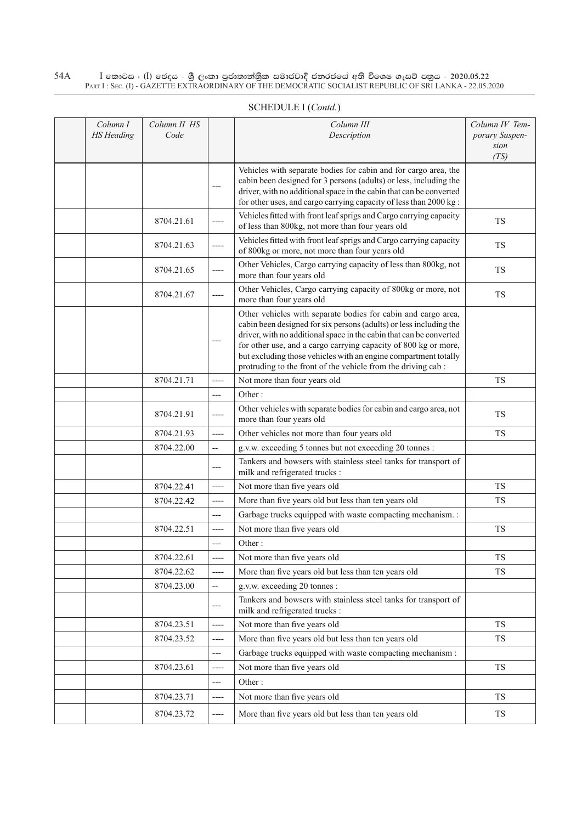| Column I<br><b>HS</b> Heading | Column II HS<br>Code |                          | Column III<br>Description                                                                                                                                                                                                                                                                                                                                                                                        | Column IV Tem-<br>porary Suspen-<br>sion<br>(TS) |
|-------------------------------|----------------------|--------------------------|------------------------------------------------------------------------------------------------------------------------------------------------------------------------------------------------------------------------------------------------------------------------------------------------------------------------------------------------------------------------------------------------------------------|--------------------------------------------------|
|                               |                      | $---$                    | Vehicles with separate bodies for cabin and for cargo area, the<br>cabin been designed for 3 persons (adults) or less, including the<br>driver, with no additional space in the cabin that can be converted<br>for other uses, and cargo carrying capacity of less than 2000 kg:                                                                                                                                 |                                                  |
|                               | 8704.21.61           | ----                     | Vehicles fitted with front leaf sprigs and Cargo carrying capacity<br>of less than 800kg, not more than four years old                                                                                                                                                                                                                                                                                           | <b>TS</b>                                        |
|                               | 8704.21.63           | ----                     | Vehicles fitted with front leaf sprigs and Cargo carrying capacity<br>of 800kg or more, not more than four years old                                                                                                                                                                                                                                                                                             | TS                                               |
|                               | 8704.21.65           | $---$                    | Other Vehicles, Cargo carrying capacity of less than 800kg, not<br>more than four years old                                                                                                                                                                                                                                                                                                                      | TS                                               |
|                               | 8704.21.67           | $-----$                  | Other Vehicles, Cargo carrying capacity of 800kg or more, not<br>more than four years old                                                                                                                                                                                                                                                                                                                        | <b>TS</b>                                        |
|                               |                      | $---$                    | Other vehicles with separate bodies for cabin and cargo area,<br>cabin been designed for six persons (adults) or less including the<br>driver, with no additional space in the cabin that can be converted<br>for other use, and a cargo carrying capacity of 800 kg or more,<br>but excluding those vehicles with an engine compartment totally<br>protruding to the front of the vehicle from the driving cab: |                                                  |
|                               | 8704.21.71           | $---$                    | Not more than four years old                                                                                                                                                                                                                                                                                                                                                                                     | <b>TS</b>                                        |
|                               |                      | $---$                    | Other:                                                                                                                                                                                                                                                                                                                                                                                                           |                                                  |
|                               | 8704.21.91           | $-----$                  | Other vehicles with separate bodies for cabin and cargo area, not<br>more than four years old                                                                                                                                                                                                                                                                                                                    | <b>TS</b>                                        |
|                               | 8704.21.93           | $---$                    | Other vehicles not more than four years old                                                                                                                                                                                                                                                                                                                                                                      | <b>TS</b>                                        |
|                               | 8704.22.00           | $\overline{\phantom{m}}$ | g.v.w. exceeding 5 tonnes but not exceeding 20 tonnes :                                                                                                                                                                                                                                                                                                                                                          |                                                  |
|                               |                      | $---$                    | Tankers and bowsers with stainless steel tanks for transport of<br>milk and refrigerated trucks :                                                                                                                                                                                                                                                                                                                |                                                  |
|                               | 8704.22.41           | $---$                    | Not more than five years old                                                                                                                                                                                                                                                                                                                                                                                     | <b>TS</b>                                        |
|                               | 8704.22.42           | $-----$                  | More than five years old but less than ten years old                                                                                                                                                                                                                                                                                                                                                             | <b>TS</b>                                        |
|                               |                      | $---$                    | Garbage trucks equipped with waste compacting mechanism. :                                                                                                                                                                                                                                                                                                                                                       |                                                  |
|                               | 8704.22.51           | ----                     | Not more than five years old                                                                                                                                                                                                                                                                                                                                                                                     | <b>TS</b>                                        |
|                               |                      | ---                      | Other:                                                                                                                                                                                                                                                                                                                                                                                                           |                                                  |
|                               | 8704.22.61           | $-----$                  | Not more than five years old                                                                                                                                                                                                                                                                                                                                                                                     | ${\rm TS}$                                       |
|                               | 8704.22.62           | ----                     | More than five years old but less than ten years old                                                                                                                                                                                                                                                                                                                                                             | TS                                               |
|                               | 8704.23.00           | $\overline{\phantom{a}}$ | g.v.w. exceeding 20 tonnes :                                                                                                                                                                                                                                                                                                                                                                                     |                                                  |
|                               |                      | ---                      | Tankers and bowsers with stainless steel tanks for transport of<br>milk and refrigerated trucks :                                                                                                                                                                                                                                                                                                                |                                                  |
|                               | 8704.23.51           | ----                     | Not more than five years old                                                                                                                                                                                                                                                                                                                                                                                     | <b>TS</b>                                        |
|                               | 8704.23.52           | $-----$                  | More than five years old but less than ten years old                                                                                                                                                                                                                                                                                                                                                             | <b>TS</b>                                        |
|                               |                      | ---                      | Garbage trucks equipped with waste compacting mechanism :                                                                                                                                                                                                                                                                                                                                                        |                                                  |
|                               | 8704.23.61           | $-----$                  | Not more than five years old                                                                                                                                                                                                                                                                                                                                                                                     | TS                                               |
|                               |                      | ---                      | Other:                                                                                                                                                                                                                                                                                                                                                                                                           |                                                  |
|                               | 8704.23.71           | $-----$                  | Not more than five years old                                                                                                                                                                                                                                                                                                                                                                                     | TS                                               |
|                               | 8704.23.72           | ----                     | More than five years old but less than ten years old                                                                                                                                                                                                                                                                                                                                                             | <b>TS</b>                                        |

# Schedule I (*Contd.*)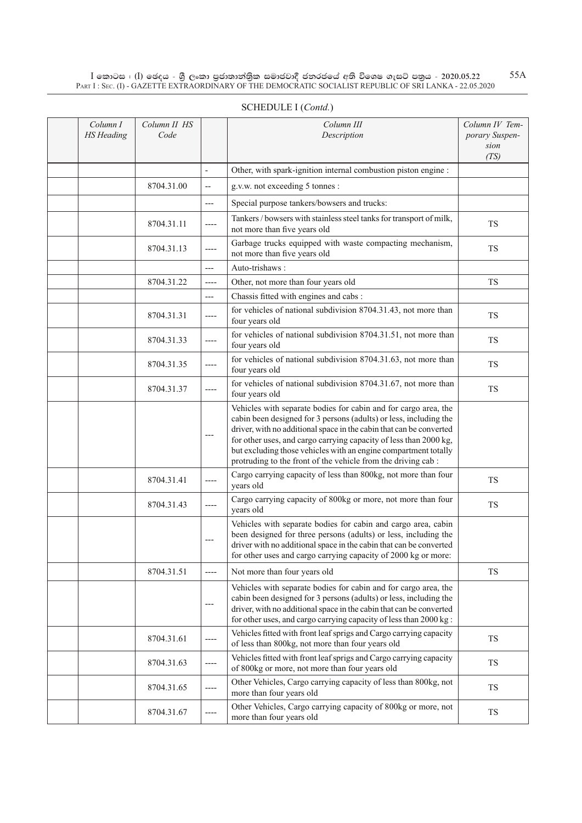| Column I<br><b>HS</b> Heading | Column II HS<br>Code |         | Column III<br>Description                                                                                                                                                                                                                                                                                                                                                                                           | Column IV Tem-<br>porary Suspen-<br>sion |
|-------------------------------|----------------------|---------|---------------------------------------------------------------------------------------------------------------------------------------------------------------------------------------------------------------------------------------------------------------------------------------------------------------------------------------------------------------------------------------------------------------------|------------------------------------------|
|                               |                      |         |                                                                                                                                                                                                                                                                                                                                                                                                                     | (TS)                                     |
|                               |                      |         | Other, with spark-ignition internal combustion piston engine :                                                                                                                                                                                                                                                                                                                                                      |                                          |
|                               | 8704.31.00           | $-$     | g.v.w. not exceeding 5 tonnes :                                                                                                                                                                                                                                                                                                                                                                                     |                                          |
|                               |                      | ---     | Special purpose tankers/bowsers and trucks:                                                                                                                                                                                                                                                                                                                                                                         |                                          |
|                               | 8704.31.11           | ----    | Tankers / bowsers with stainless steel tanks for transport of milk,<br>not more than five years old                                                                                                                                                                                                                                                                                                                 | <b>TS</b>                                |
|                               | 8704.31.13           | ----    | Garbage trucks equipped with waste compacting mechanism,<br>not more than five years old                                                                                                                                                                                                                                                                                                                            | <b>TS</b>                                |
|                               |                      | $---$   | Auto-trishaws:                                                                                                                                                                                                                                                                                                                                                                                                      |                                          |
|                               | 8704.31.22           | ----    | Other, not more than four years old                                                                                                                                                                                                                                                                                                                                                                                 | <b>TS</b>                                |
|                               |                      | ---     | Chassis fitted with engines and cabs:                                                                                                                                                                                                                                                                                                                                                                               |                                          |
|                               | 8704.31.31           | ----    | for vehicles of national subdivision 8704.31.43, not more than<br>four years old                                                                                                                                                                                                                                                                                                                                    | TS                                       |
|                               | 8704.31.33           | ----    | for vehicles of national subdivision 8704.31.51, not more than<br>four years old                                                                                                                                                                                                                                                                                                                                    | TS                                       |
|                               | 8704.31.35           | ----    | for vehicles of national subdivision 8704.31.63, not more than<br>four years old                                                                                                                                                                                                                                                                                                                                    | <b>TS</b>                                |
|                               | 8704.31.37           | $-----$ | for vehicles of national subdivision 8704.31.67, not more than<br>four years old                                                                                                                                                                                                                                                                                                                                    | ${\rm TS}$                               |
|                               |                      |         | Vehicles with separate bodies for cabin and for cargo area, the<br>cabin been designed for 3 persons (adults) or less, including the<br>driver, with no additional space in the cabin that can be converted<br>for other uses, and cargo carrying capacity of less than 2000 kg,<br>but excluding those vehicles with an engine compartment totally<br>protruding to the front of the vehicle from the driving cab: |                                          |
|                               | 8704.31.41           | ----    | Cargo carrying capacity of less than 800kg, not more than four<br>years old                                                                                                                                                                                                                                                                                                                                         | <b>TS</b>                                |
|                               | 8704.31.43           | $---$   | Cargo carrying capacity of 800kg or more, not more than four<br>years old                                                                                                                                                                                                                                                                                                                                           | <b>TS</b>                                |
|                               |                      |         | Vehicles with separate bodies for cabin and cargo area, cabin<br>been designed for three persons (adults) or less, including the<br>driver with no additional space in the cabin that can be converted<br>for other uses and cargo carrying capacity of 2000 kg or more:                                                                                                                                            |                                          |
|                               | 8704.31.51           | $---$   | Not more than four years old                                                                                                                                                                                                                                                                                                                                                                                        | TS                                       |
|                               |                      |         | Vehicles with separate bodies for cabin and for cargo area, the<br>cabin been designed for 3 persons (adults) or less, including the<br>driver, with no additional space in the cabin that can be converted<br>for other uses, and cargo carrying capacity of less than 2000 kg :                                                                                                                                   |                                          |
|                               | 8704.31.61           | ----    | Vehicles fitted with front leaf sprigs and Cargo carrying capacity<br>of less than 800kg, not more than four years old                                                                                                                                                                                                                                                                                              | TS                                       |
|                               | 8704.31.63           | ----    | Vehicles fitted with front leaf sprigs and Cargo carrying capacity<br>of 800kg or more, not more than four years old                                                                                                                                                                                                                                                                                                | TS                                       |
|                               | 8704.31.65           | $-----$ | Other Vehicles, Cargo carrying capacity of less than 800kg, not<br>more than four years old                                                                                                                                                                                                                                                                                                                         | TS                                       |
|                               | 8704.31.67           |         | Other Vehicles, Cargo carrying capacity of 800kg or more, not<br>more than four years old                                                                                                                                                                                                                                                                                                                           | ${\rm TS}$                               |

#### SCHEDULE I (*Contd.*)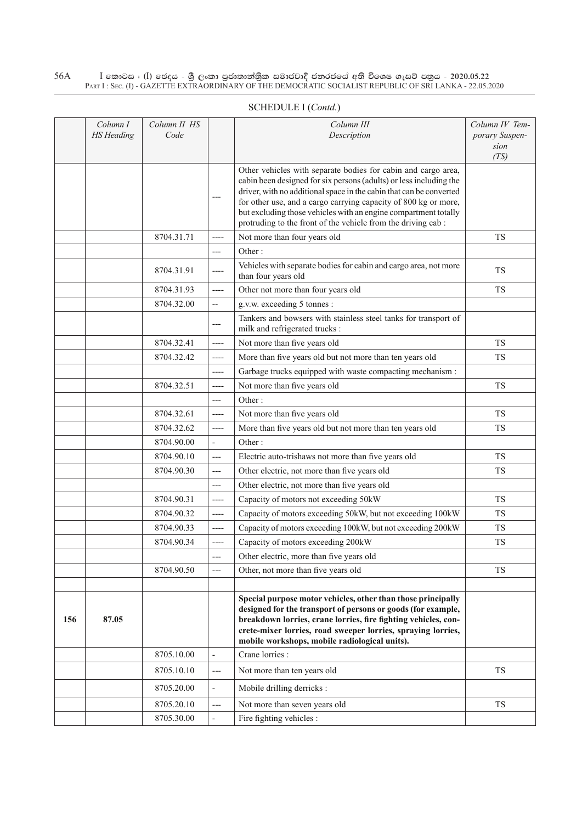|     | Column I<br><b>HS</b> Heading | Column II HS<br>Code |                          | Column III<br>Description                                                                                                                                                                                                                                                                                                                                                                                        | Column IV Tem-<br>porary Suspen-<br>sion<br>(TS) |
|-----|-------------------------------|----------------------|--------------------------|------------------------------------------------------------------------------------------------------------------------------------------------------------------------------------------------------------------------------------------------------------------------------------------------------------------------------------------------------------------------------------------------------------------|--------------------------------------------------|
|     |                               |                      |                          | Other vehicles with separate bodies for cabin and cargo area,<br>cabin been designed for six persons (adults) or less including the<br>driver, with no additional space in the cabin that can be converted<br>for other use, and a cargo carrying capacity of 800 kg or more,<br>but excluding those vehicles with an engine compartment totally<br>protruding to the front of the vehicle from the driving cab: |                                                  |
|     |                               | 8704.31.71           | ----                     | Not more than four years old                                                                                                                                                                                                                                                                                                                                                                                     | <b>TS</b>                                        |
|     |                               |                      | $---$                    | Other:                                                                                                                                                                                                                                                                                                                                                                                                           |                                                  |
|     |                               | 8704.31.91           | ----                     | Vehicles with separate bodies for cabin and cargo area, not more<br>than four years old                                                                                                                                                                                                                                                                                                                          | <b>TS</b>                                        |
|     |                               | 8704.31.93           | ----                     | Other not more than four years old                                                                                                                                                                                                                                                                                                                                                                               | TS                                               |
|     |                               | 8704.32.00           | $\overline{\phantom{m}}$ | g.v.w. exceeding 5 tonnes :                                                                                                                                                                                                                                                                                                                                                                                      |                                                  |
|     |                               |                      | ---                      | Tankers and bowsers with stainless steel tanks for transport of<br>milk and refrigerated trucks :                                                                                                                                                                                                                                                                                                                |                                                  |
|     |                               | 8704.32.41           | ----                     | Not more than five years old                                                                                                                                                                                                                                                                                                                                                                                     | <b>TS</b>                                        |
|     |                               | 8704.32.42           | $-----$                  | More than five years old but not more than ten years old                                                                                                                                                                                                                                                                                                                                                         | <b>TS</b>                                        |
|     |                               |                      | ----                     | Garbage trucks equipped with waste compacting mechanism :                                                                                                                                                                                                                                                                                                                                                        |                                                  |
|     |                               | 8704.32.51           | $---$                    | Not more than five years old                                                                                                                                                                                                                                                                                                                                                                                     | <b>TS</b>                                        |
|     |                               |                      | $---$                    | Other:                                                                                                                                                                                                                                                                                                                                                                                                           |                                                  |
|     |                               | 8704.32.61           | $-----$                  | Not more than five years old                                                                                                                                                                                                                                                                                                                                                                                     | TS                                               |
|     |                               | 8704.32.62           | $-----$                  | More than five years old but not more than ten years old                                                                                                                                                                                                                                                                                                                                                         | <b>TS</b>                                        |
|     |                               | 8704.90.00           | ÷,                       | Other:                                                                                                                                                                                                                                                                                                                                                                                                           |                                                  |
|     |                               | 8704.90.10           | $\cdots$                 | Electric auto-trishaws not more than five years old                                                                                                                                                                                                                                                                                                                                                              | <b>TS</b>                                        |
|     |                               | 8704.90.30           | $---$                    | Other electric, not more than five years old                                                                                                                                                                                                                                                                                                                                                                     | <b>TS</b>                                        |
|     |                               |                      | $---$                    | Other electric, not more than five years old                                                                                                                                                                                                                                                                                                                                                                     |                                                  |
|     |                               | 8704.90.31           | $---$                    | Capacity of motors not exceeding 50kW                                                                                                                                                                                                                                                                                                                                                                            | <b>TS</b>                                        |
|     |                               | 8704.90.32           | $-----$                  | Capacity of motors exceeding 50kW, but not exceeding 100kW                                                                                                                                                                                                                                                                                                                                                       | <b>TS</b>                                        |
|     |                               | 8704.90.33           | ----                     | Capacity of motors exceeding 100kW, but not exceeding 200kW                                                                                                                                                                                                                                                                                                                                                      | <b>TS</b>                                        |
|     |                               | 8704.90.34           | ----                     | Capacity of motors exceeding 200kW                                                                                                                                                                                                                                                                                                                                                                               | <b>TS</b>                                        |
|     |                               |                      | ---                      | Other electric, more than five years old                                                                                                                                                                                                                                                                                                                                                                         |                                                  |
|     |                               | 8704.90.50           | $---$                    | Other, not more than five years old                                                                                                                                                                                                                                                                                                                                                                              | <b>TS</b>                                        |
|     |                               |                      |                          |                                                                                                                                                                                                                                                                                                                                                                                                                  |                                                  |
| 156 | 87.05                         |                      |                          | Special purpose motor vehicles, other than those principally<br>designed for the transport of persons or goods (for example,<br>breakdown lorries, crane lorries, fire fighting vehicles, con-<br>crete-mixer lorries, road sweeper lorries, spraying lorries,<br>mobile workshops, mobile radiological units).                                                                                                  |                                                  |
|     |                               | 8705.10.00           | $\overline{\phantom{a}}$ | Crane lorries :                                                                                                                                                                                                                                                                                                                                                                                                  |                                                  |
|     |                               | 8705.10.10           | $---$                    | Not more than ten years old                                                                                                                                                                                                                                                                                                                                                                                      | <b>TS</b>                                        |
|     |                               | 8705.20.00           | ÷                        | Mobile drilling derricks :                                                                                                                                                                                                                                                                                                                                                                                       |                                                  |
|     |                               | 8705.20.10           | ---                      | Not more than seven years old                                                                                                                                                                                                                                                                                                                                                                                    | <b>TS</b>                                        |
|     |                               | 8705.30.00           | $\overline{\phantom{a}}$ | Fire fighting vehicles :                                                                                                                                                                                                                                                                                                                                                                                         |                                                  |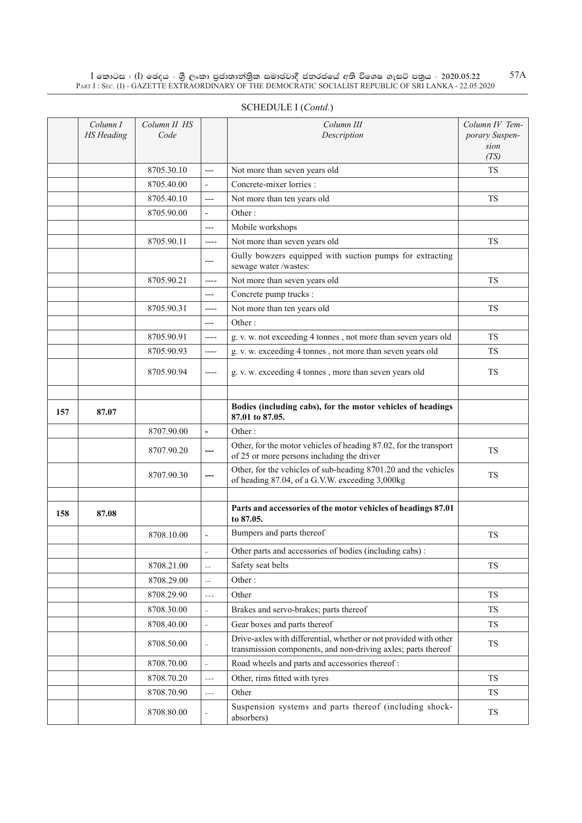|     | Column I<br><b>HS</b> Heading | Column II HS<br>Code |                          | Column III<br>Description                                                                                          | Column IV Tem-<br>porary Suspen-<br>sion |
|-----|-------------------------------|----------------------|--------------------------|--------------------------------------------------------------------------------------------------------------------|------------------------------------------|
|     |                               |                      |                          |                                                                                                                    | (TS)                                     |
|     |                               | 8705.30.10           | $---$                    | Not more than seven years old                                                                                      | <b>TS</b>                                |
|     |                               | 8705.40.00           | $\overline{\phantom{a}}$ | Concrete-mixer lorries :                                                                                           |                                          |
|     |                               | 8705.40.10           | $---$                    | Not more than ten years old                                                                                        | <b>TS</b>                                |
|     |                               | 8705.90.00           | $\overline{\phantom{a}}$ | Other:                                                                                                             |                                          |
|     |                               |                      | $---$                    | Mobile workshops                                                                                                   |                                          |
|     |                               | 8705.90.11           | ----                     | Not more than seven years old                                                                                      | <b>TS</b>                                |
|     |                               |                      | $---$                    | Gully bowzers equipped with suction pumps for extracting<br>sewage water /wastes:                                  |                                          |
|     |                               | 8705.90.21           | $---$                    | Not more than seven years old                                                                                      | TS.                                      |
|     |                               |                      | $---$                    | Concrete pump trucks :                                                                                             |                                          |
|     |                               | 8705.90.31           | ----                     | Not more than ten years old                                                                                        | TS                                       |
|     |                               |                      | $---$                    | Other:                                                                                                             |                                          |
|     |                               | 8705.90.91           | $-----$                  | g. v. w. not exceeding 4 tonnes, not more than seven years old                                                     | TS                                       |
|     |                               | 8705.90.93           | $---$                    | g. v. w. exceeding 4 tonnes, not more than seven years old                                                         | <b>TS</b>                                |
|     |                               | 8705.90.94           | $---$                    | g. v. w. exceeding 4 tonnes, more than seven years old                                                             | TS                                       |
|     |                               |                      |                          |                                                                                                                    |                                          |
| 157 | 87.07                         |                      |                          | Bodies (including cabs), for the motor vehicles of headings<br>87.01 to 87.05.                                     |                                          |
|     |                               | 8707.90.00           | $\overline{\phantom{a}}$ | Other:                                                                                                             |                                          |
|     |                               | 8707.90.20           | $---$                    | Other, for the motor vehicles of heading 87.02, for the transport<br>of 25 or more persons including the driver    | <b>TS</b>                                |
|     |                               | 8707.90.30           | $\overline{a}$           | Other, for the vehicles of sub-heading 8701.20 and the vehicles<br>of heading 87.04, of a G.V.W. exceeding 3,000kg | TS                                       |
|     |                               |                      |                          |                                                                                                                    |                                          |
| 158 | 87.08                         |                      |                          | Parts and accessories of the motor vehicles of headings 87.01<br>to 87.05.                                         |                                          |
|     |                               | 8708.10.00           | $\overline{\phantom{a}}$ | Bumpers and parts thereof                                                                                          | <b>TS</b>                                |
|     |                               |                      |                          | Other parts and accessories of bodies (including cabs):                                                            |                                          |
|     |                               | 8708.21.00           | $\overline{\phantom{a}}$ | Safety seat belts                                                                                                  | TS                                       |
|     |                               | 8708.29.00           | $\overline{\phantom{a}}$ | Other:                                                                                                             |                                          |
|     |                               | 8708.29.90           | $---$                    | Other                                                                                                              | TS                                       |
|     |                               | 8708.30.00           |                          | Brakes and servo-brakes; parts thereof                                                                             | TS                                       |
|     |                               | 8708.40.00           | $\Box$                   | Gear boxes and parts thereof                                                                                       | TS                                       |
|     |                               |                      |                          | Drive-axles with differential, whether or not provided with other                                                  |                                          |
|     |                               | 8708.50.00           | ÷,                       | transmission components, and non-driving axles; parts thereof                                                      | ${\rm TS}$                               |
|     |                               | 8708.70.00           | $\bar{a}$                | Road wheels and parts and accessories thereof:                                                                     |                                          |
|     |                               | 8708.70.20           | $---$                    | Other, rims fitted with tyres                                                                                      | TS                                       |
|     |                               | 8708.70.90           | $---$                    | Other                                                                                                              | TS                                       |
|     |                               | 8708.80.00           |                          | Suspension systems and parts thereof (including shock-<br>absorbers)                                               | ${\rm TS}$                               |

### SCHEDULE I (*Contd.*)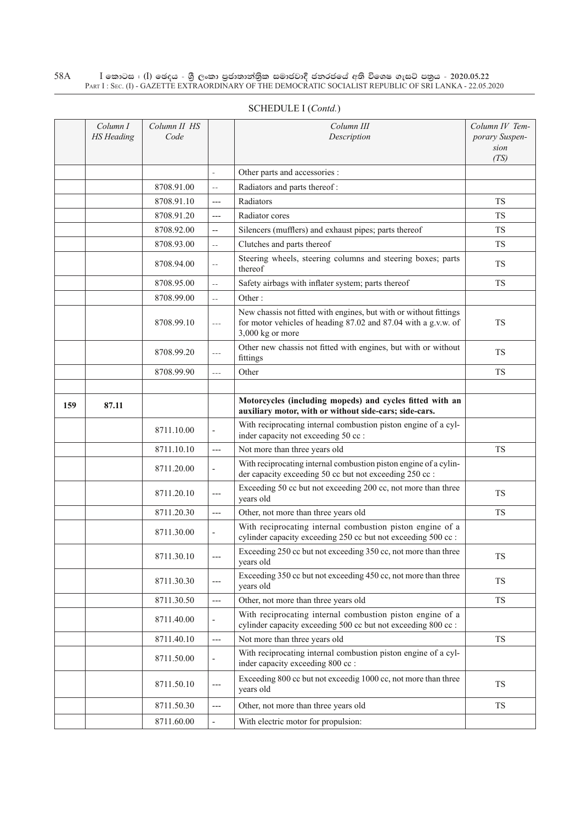|     | Column I          | Column II HS |                          | Column III                                                                                                                                              | Column IV Tem-         |
|-----|-------------------|--------------|--------------------------|---------------------------------------------------------------------------------------------------------------------------------------------------------|------------------------|
|     | <b>HS</b> Heading | Code         |                          | Description                                                                                                                                             | porary Suspen-<br>sion |
|     |                   |              |                          |                                                                                                                                                         | (TS)                   |
|     |                   |              |                          | Other parts and accessories :                                                                                                                           |                        |
|     |                   | 8708.91.00   | $\equiv$ $\equiv$        | Radiators and parts thereof:                                                                                                                            |                        |
|     |                   | 8708.91.10   | $---$                    | Radiators                                                                                                                                               | <b>TS</b>              |
|     |                   | 8708.91.20   | $---$                    | Radiator cores                                                                                                                                          | <b>TS</b>              |
|     |                   | 8708.92.00   | $\overline{\phantom{a}}$ | Silencers (mufflers) and exhaust pipes; parts thereof                                                                                                   | TS                     |
|     |                   | 8708.93.00   | $\equiv$ $\equiv$        | Clutches and parts thereof                                                                                                                              | <b>TS</b>              |
|     |                   | 8708.94.00   | $-\,-$                   | Steering wheels, steering columns and steering boxes; parts<br>thereof                                                                                  | TS                     |
|     |                   | 8708.95.00   | $-\,-$                   | Safety airbags with inflater system; parts thereof                                                                                                      | <b>TS</b>              |
|     |                   | 8708.99.00   | $\mathbb{L}^{\perp}$     | Other:                                                                                                                                                  |                        |
|     |                   | 8708.99.10   | $---$                    | New chassis not fitted with engines, but with or without fittings<br>for motor vehicles of heading 87.02 and 87.04 with a g.v.w. of<br>3,000 kg or more | <b>TS</b>              |
|     |                   | 8708.99.20   | $\cdots$                 | Other new chassis not fitted with engines, but with or without<br>fittings                                                                              | <b>TS</b>              |
|     |                   | 8708.99.90   | $---$                    | Other                                                                                                                                                   | <b>TS</b>              |
|     |                   |              |                          |                                                                                                                                                         |                        |
| 159 | 87.11             |              |                          | Motorcycles (including mopeds) and cycles fitted with an<br>auxiliary motor, with or without side-cars; side-cars.                                      |                        |
|     |                   | 8711.10.00   | ÷,                       | With reciprocating internal combustion piston engine of a cyl-<br>inder capacity not exceeding 50 cc :                                                  |                        |
|     |                   | 8711.10.10   | $---$                    | Not more than three years old                                                                                                                           | <b>TS</b>              |
|     |                   | 8711.20.00   |                          | With reciprocating internal combustion piston engine of a cylin-<br>der capacity exceeding 50 cc but not exceeding 250 cc :                             |                        |
|     |                   | 8711.20.10   | $---$                    | Exceeding 50 cc but not exceeding 200 cc, not more than three<br>years old                                                                              | TS.                    |
|     |                   | 8711.20.30   | $---$                    | Other, not more than three years old                                                                                                                    | TS                     |
|     |                   | 8711.30.00   |                          | With reciprocating internal combustion piston engine of a<br>cylinder capacity exceeding 250 cc but not exceeding 500 cc :                              |                        |
|     |                   | 8711.30.10   | $---$                    | Exceeding 250 cc but not exceeding 350 cc, not more than three<br>years old                                                                             | TS                     |
|     |                   | 8711.30.30   | ---                      | Exceeding 350 cc but not exceeding 450 cc, not more than three<br>years old                                                                             | <b>TS</b>              |
|     |                   | 8711.30.50   | ---                      | Other, not more than three years old                                                                                                                    | TS                     |
|     |                   | 8711.40.00   |                          | With reciprocating internal combustion piston engine of a<br>cylinder capacity exceeding 500 cc but not exceeding 800 cc :                              |                        |
|     |                   | 8711.40.10   | $\qquad \qquad - -$      | Not more than three years old                                                                                                                           | TS                     |
|     |                   | 8711.50.00   | ÷,                       | With reciprocating internal combustion piston engine of a cyl-<br>inder capacity exceeding 800 cc :                                                     |                        |
|     |                   | 8711.50.10   | $---$                    | Exceeding 800 cc but not exceedig 1000 cc, not more than three<br>years old                                                                             | ${\rm TS}$             |
|     |                   | 8711.50.30   | $---$                    | Other, not more than three years old                                                                                                                    | TS                     |
|     |                   | 8711.60.00   |                          | With electric motor for propulsion:                                                                                                                     |                        |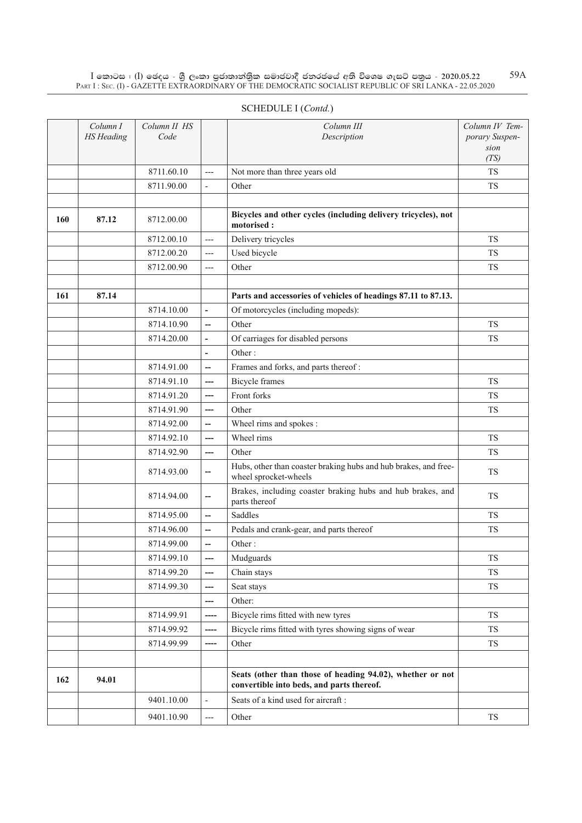|     | Column I<br><b>HS</b> Heading | Column II HS<br>Code |                          | Column III<br>Description                                                                | Column IV Tem-<br>porary Suspen-<br>sion |
|-----|-------------------------------|----------------------|--------------------------|------------------------------------------------------------------------------------------|------------------------------------------|
|     |                               |                      |                          |                                                                                          | (TS)                                     |
|     |                               | 8711.60.10           | ---                      | Not more than three years old                                                            | <b>TS</b>                                |
|     |                               | 8711.90.00           | $\overline{\phantom{0}}$ | Other                                                                                    | <b>TS</b>                                |
| 160 | 87.12                         | 8712.00.00           |                          | Bicycles and other cycles (including delivery tricycles), not<br>motorised:              |                                          |
|     |                               | 8712.00.10           | ---                      | Delivery tricycles                                                                       | <b>TS</b>                                |
|     |                               | 8712.00.20           | ---                      | Used bicycle                                                                             | <b>TS</b>                                |
|     |                               | 8712.00.90           | $---$                    | Other                                                                                    | <b>TS</b>                                |
|     |                               |                      |                          |                                                                                          |                                          |
| 161 | 87.14                         |                      |                          | Parts and accessories of vehicles of headings 87.11 to 87.13.                            |                                          |
|     |                               | 8714.10.00           | $\overline{\phantom{0}}$ | Of motorcycles (including mopeds):                                                       |                                          |
|     |                               | 8714.10.90           | $\overline{\phantom{0}}$ | Other                                                                                    | <b>TS</b>                                |
|     |                               | 8714.20.00           | $\overline{\phantom{0}}$ | Of carriages for disabled persons                                                        | <b>TS</b>                                |
|     |                               |                      | $\overline{a}$           | Other:                                                                                   |                                          |
|     |                               | 8714.91.00           | --                       | Frames and forks, and parts thereof:                                                     |                                          |
|     |                               | 8714.91.10           | ---                      | <b>Bicycle</b> frames                                                                    | <b>TS</b>                                |
|     |                               | 8714.91.20           | ---                      | Front forks                                                                              | <b>TS</b>                                |
|     |                               | 8714.91.90           | ---                      | Other                                                                                    | <b>TS</b>                                |
|     |                               | 8714.92.00           | --                       | Wheel rims and spokes :                                                                  |                                          |
|     |                               | 8714.92.10           | ---                      | Wheel rims                                                                               | <b>TS</b>                                |
|     |                               | 8714.92.90           | ---                      | Other                                                                                    | <b>TS</b>                                |
|     |                               | 8714.93.00           | --                       | Hubs, other than coaster braking hubs and hub brakes, and free-<br>wheel sprocket-wheels | <b>TS</b>                                |
|     |                               | 8714.94.00           | $\overline{a}$           | Brakes, including coaster braking hubs and hub brakes, and<br>parts thereof              | <b>TS</b>                                |
|     |                               | 8714.95.00           | --                       | Saddles                                                                                  | <b>TS</b>                                |
|     |                               | 8714.96.00           | --                       | Pedals and crank-gear, and parts thereof                                                 | <b>TS</b>                                |
|     |                               | 8714.99.00           | --                       | Other:                                                                                   |                                          |
|     |                               | 8714.99.10           | ---                      | Mudguards                                                                                | <b>TS</b>                                |
|     |                               | 8714.99.20           | ---                      | Chain stays                                                                              | ${\rm TS}$                               |
|     |                               | 8714.99.30           | ---                      | Seat stays                                                                               | ${\rm TS}$                               |
|     |                               |                      | ---                      | Other:                                                                                   |                                          |
|     |                               | 8714.99.91           | ----                     | Bicycle rims fitted with new tyres                                                       | ${\rm TS}$                               |
|     |                               | 8714.99.92           | ----                     | Bicycle rims fitted with tyres showing signs of wear                                     | ${\rm TS}$                               |
|     |                               | 8714.99.99           | ----                     | Other                                                                                    | <b>TS</b>                                |
|     |                               |                      |                          |                                                                                          |                                          |

**162 94.01 94.01 Seats (other than those of heading 94.02), whether or not** 

9401.10.00  $\vert$  - Seats of a kind used for aircraft :

**convertible into beds, and parts thereof.**

 $9401.10.90$  --- Other TS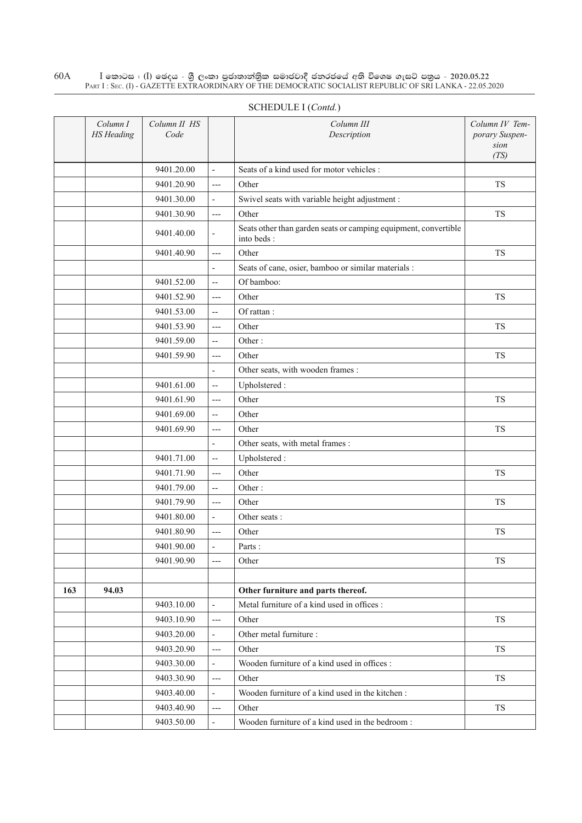|     | Column I<br><b>HS</b> Heading | Column II HS<br>Code |                          | Column III<br>Description                                                     | Column IV Tem-<br>porary Suspen-<br>sion<br>(TS) |
|-----|-------------------------------|----------------------|--------------------------|-------------------------------------------------------------------------------|--------------------------------------------------|
|     |                               | 9401.20.00           | $\frac{1}{2}$            | Seats of a kind used for motor vehicles :                                     |                                                  |
|     |                               | 9401.20.90           | $---$                    | Other                                                                         | <b>TS</b>                                        |
|     |                               | 9401.30.00           | $\overline{\phantom{a}}$ | Swivel seats with variable height adjustment :                                |                                                  |
|     |                               | 9401.30.90           | $---$                    | Other                                                                         | <b>TS</b>                                        |
|     |                               | 9401.40.00           | $\overline{a}$           | Seats other than garden seats or camping equipment, convertible<br>into beds: |                                                  |
|     |                               | 9401.40.90           | $---$                    | Other                                                                         | <b>TS</b>                                        |
|     |                               |                      | ÷,                       | Seats of cane, osier, bamboo or similar materials :                           |                                                  |
|     |                               | 9401.52.00           | $\overline{\phantom{a}}$ | Of bamboo:                                                                    |                                                  |
|     |                               | 9401.52.90           | $---$                    | Other                                                                         | TS                                               |
|     |                               | 9401.53.00           | $\overline{a}$           | Of rattan:                                                                    |                                                  |
|     |                               | 9401.53.90           | $---$                    | Other                                                                         | <b>TS</b>                                        |
|     |                               | 9401.59.00           | $\overline{a}$           | Other:                                                                        |                                                  |
|     |                               | 9401.59.90           | $---$                    | Other                                                                         | TS                                               |
|     |                               |                      | $\overline{\phantom{a}}$ | Other seats, with wooden frames :                                             |                                                  |
|     |                               | 9401.61.00           | $\overline{\phantom{a}}$ | Upholstered:                                                                  |                                                  |
|     |                               | 9401.61.90           | $---$                    | Other                                                                         | ${\rm TS}$                                       |
|     |                               | 9401.69.00           | $\overline{a}$           | Other                                                                         |                                                  |
|     |                               | 9401.69.90           | $---$                    | Other                                                                         | TS                                               |
|     |                               |                      | $\overline{\phantom{a}}$ | Other seats, with metal frames :                                              |                                                  |
|     |                               | 9401.71.00           | $\overline{\phantom{a}}$ | Upholstered:                                                                  |                                                  |
|     |                               | 9401.71.90           | $---$                    | Other                                                                         | TS                                               |
|     |                               | 9401.79.00           | $\overline{\phantom{a}}$ | Other:                                                                        |                                                  |
|     |                               | 9401.79.90           | $---$                    | Other                                                                         | <b>TS</b>                                        |
|     |                               | 9401.80.00           | $\frac{1}{2}$            | Other seats:                                                                  |                                                  |
|     |                               | 9401.80.90           | $---$                    | Other                                                                         | <b>TS</b>                                        |
|     |                               | 9401.90.00           | $\frac{1}{2}$            | Parts:                                                                        |                                                  |
|     |                               | 9401.90.90           | ---                      | Other                                                                         | TS                                               |
|     |                               |                      |                          |                                                                               |                                                  |
| 163 | 94.03                         |                      |                          | Other furniture and parts thereof.                                            |                                                  |
|     |                               | 9403.10.00           | $\frac{1}{2}$            | Metal furniture of a kind used in offices :                                   |                                                  |
|     |                               | 9403.10.90           | $---$                    | Other                                                                         | TS                                               |
|     |                               | 9403.20.00           | $\overline{\phantom{a}}$ | Other metal furniture :                                                       |                                                  |
|     |                               | 9403.20.90           | $---$                    | Other                                                                         | TS                                               |
|     |                               | 9403.30.00           | $\overline{\phantom{a}}$ | Wooden furniture of a kind used in offices :                                  |                                                  |
|     |                               | 9403.30.90           | $---$                    | Other                                                                         | TS                                               |
|     |                               | 9403.40.00           | $\frac{1}{2}$            | Wooden furniture of a kind used in the kitchen:                               |                                                  |
|     |                               | 9403.40.90           | $---$                    | Other                                                                         | TS                                               |
|     |                               | 9403.50.00           | $\overline{\phantom{a}}$ | Wooden furniture of a kind used in the bedroom:                               |                                                  |

# Schedule I (*Contd.*)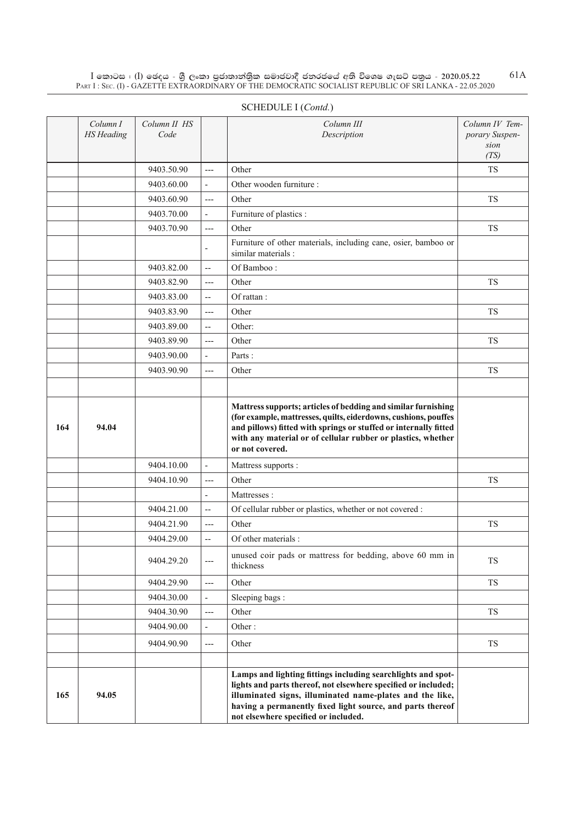|     | Column I<br><b>HS</b> Heading | Column II HS<br>Code |                          | Column III<br>Description                                                                                                                                                                                                                                                                        | Column IV Tem-<br>porary Suspen-<br>sion |
|-----|-------------------------------|----------------------|--------------------------|--------------------------------------------------------------------------------------------------------------------------------------------------------------------------------------------------------------------------------------------------------------------------------------------------|------------------------------------------|
|     |                               | 9403.50.90           | $---$                    | Other                                                                                                                                                                                                                                                                                            | (TS)<br><b>TS</b>                        |
|     |                               | 9403.60.00           | $\overline{\phantom{a}}$ | Other wooden furniture :                                                                                                                                                                                                                                                                         |                                          |
|     |                               | 9403.60.90           | $---$                    | Other                                                                                                                                                                                                                                                                                            | TS                                       |
|     |                               | 9403.70.00           | $\overline{\phantom{a}}$ | Furniture of plastics :                                                                                                                                                                                                                                                                          |                                          |
|     |                               | 9403.70.90           | $---$                    | Other                                                                                                                                                                                                                                                                                            | TS                                       |
|     |                               |                      | ÷                        | Furniture of other materials, including cane, osier, bamboo or<br>similar materials :                                                                                                                                                                                                            |                                          |
|     |                               | 9403.82.00           | --                       | Of Bamboo:                                                                                                                                                                                                                                                                                       |                                          |
|     |                               | 9403.82.90           | $---$                    | Other                                                                                                                                                                                                                                                                                            | <b>TS</b>                                |
|     |                               | 9403.83.00           | --                       | Of rattan:                                                                                                                                                                                                                                                                                       |                                          |
|     |                               | 9403.83.90           | $---$                    | Other                                                                                                                                                                                                                                                                                            | TS                                       |
|     |                               | 9403.89.00           | $\overline{a}$           | Other:                                                                                                                                                                                                                                                                                           |                                          |
|     |                               | 9403.89.90           | $---$                    | Other                                                                                                                                                                                                                                                                                            | TS                                       |
|     |                               | 9403.90.00           | $\overline{a}$           | Parts:                                                                                                                                                                                                                                                                                           |                                          |
|     |                               | 9403.90.90           | $---$                    | Other                                                                                                                                                                                                                                                                                            | TS                                       |
|     |                               |                      |                          |                                                                                                                                                                                                                                                                                                  |                                          |
| 164 | 94.04                         |                      |                          | Mattress supports; articles of bedding and similar furnishing<br>(for example, mattresses, quilts, eiderdowns, cushions, pouffes<br>and pillows) fitted with springs or stuffed or internally fitted<br>with any material or of cellular rubber or plastics, whether<br>or not covered.          |                                          |
|     |                               | 9404.10.00           | $\overline{\phantom{a}}$ | Mattress supports :                                                                                                                                                                                                                                                                              |                                          |
|     |                               | 9404.10.90           | $---$                    | Other                                                                                                                                                                                                                                                                                            | <b>TS</b>                                |
|     |                               |                      | $\overline{a}$           | Mattresses:                                                                                                                                                                                                                                                                                      |                                          |
|     |                               | 9404.21.00           | $\overline{\phantom{a}}$ | Of cellular rubber or plastics, whether or not covered :                                                                                                                                                                                                                                         |                                          |
|     |                               | 9404.21.90           | $---$                    | Other                                                                                                                                                                                                                                                                                            | <b>TS</b>                                |
|     |                               | 9404.29.00           | $\overline{\phantom{a}}$ | Of other materials:                                                                                                                                                                                                                                                                              |                                          |
|     |                               | 9404.29.20           | ---                      | unused coir pads or mattress for bedding, above 60 mm in<br>thickness                                                                                                                                                                                                                            | TS                                       |
|     |                               | 9404.29.90           | $---$                    | Other                                                                                                                                                                                                                                                                                            | ${\rm TS}$                               |
|     |                               | 9404.30.00           | $\overline{\phantom{0}}$ | Sleeping bags:                                                                                                                                                                                                                                                                                   |                                          |
|     |                               | 9404.30.90           | $---$                    | Other                                                                                                                                                                                                                                                                                            | TS                                       |
|     |                               | 9404.90.00           | $\overline{\phantom{a}}$ | Other:                                                                                                                                                                                                                                                                                           |                                          |
|     |                               | 9404.90.90           | ---                      | Other                                                                                                                                                                                                                                                                                            | ${\rm TS}$                               |
| 165 | 94.05                         |                      |                          | Lamps and lighting fittings including searchlights and spot-<br>lights and parts thereof, not elsewhere specified or included;<br>illuminated signs, illuminated name-plates and the like,<br>having a permanently fixed light source, and parts thereof<br>not elsewhere specified or included. |                                          |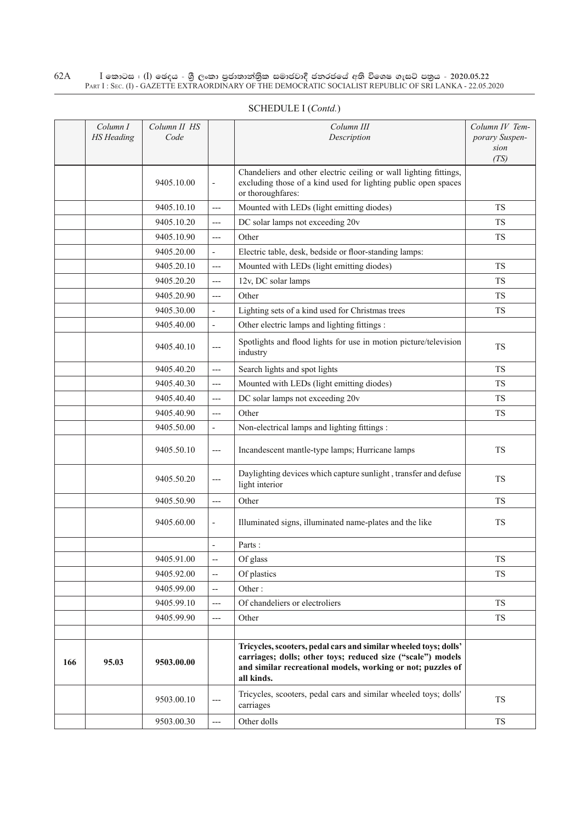|     | Column I<br><b>HS</b> Heading | Column II HS<br>Code |                          | Column III<br>Description                                                                                                                                                                                    | Column IV Tem-<br>porary Suspen-<br>sion<br>(TS) |
|-----|-------------------------------|----------------------|--------------------------|--------------------------------------------------------------------------------------------------------------------------------------------------------------------------------------------------------------|--------------------------------------------------|
|     |                               | 9405.10.00           | $\blacksquare$           | Chandeliers and other electric ceiling or wall lighting fittings,<br>excluding those of a kind used for lighting public open spaces<br>or thoroughfares:                                                     |                                                  |
|     |                               | 9405.10.10           | $---$                    | Mounted with LEDs (light emitting diodes)                                                                                                                                                                    | <b>TS</b>                                        |
|     |                               | 9405.10.20           | $---$                    | DC solar lamps not exceeding 20v                                                                                                                                                                             | <b>TS</b>                                        |
|     |                               | 9405.10.90           | $---$                    | Other                                                                                                                                                                                                        | TS                                               |
|     |                               | 9405.20.00           | $\overline{a}$           | Electric table, desk, bedside or floor-standing lamps:                                                                                                                                                       |                                                  |
|     |                               | 9405.20.10           | $---$                    | Mounted with LEDs (light emitting diodes)                                                                                                                                                                    | TS                                               |
|     |                               | 9405.20.20           | $---$                    | 12v, DC solar lamps                                                                                                                                                                                          | TS                                               |
|     |                               | 9405.20.90           | $---$                    | Other                                                                                                                                                                                                        | <b>TS</b>                                        |
|     |                               | 9405.30.00           | L,                       | Lighting sets of a kind used for Christmas trees                                                                                                                                                             | <b>TS</b>                                        |
|     |                               | 9405.40.00           | $\overline{a}$           | Other electric lamps and lighting fittings :                                                                                                                                                                 |                                                  |
|     |                               | 9405.40.10           | $---$                    | Spotlights and flood lights for use in motion picture/television<br>industry                                                                                                                                 | <b>TS</b>                                        |
|     |                               | 9405.40.20           | $---$                    | Search lights and spot lights                                                                                                                                                                                | <b>TS</b>                                        |
|     |                               | 9405.40.30           | $---$                    | Mounted with LEDs (light emitting diodes)                                                                                                                                                                    | <b>TS</b>                                        |
|     |                               | 9405.40.40           | $---$                    | DC solar lamps not exceeding 20v                                                                                                                                                                             | <b>TS</b>                                        |
|     |                               | 9405.40.90           | $---$                    | Other                                                                                                                                                                                                        | <b>TS</b>                                        |
|     |                               | 9405.50.00           | ÷,                       | Non-electrical lamps and lighting fittings :                                                                                                                                                                 |                                                  |
|     |                               | 9405.50.10           | $---$                    | Incandescent mantle-type lamps; Hurricane lamps                                                                                                                                                              | <b>TS</b>                                        |
|     |                               | 9405.50.20           | ---                      | Daylighting devices which capture sunlight, transfer and defuse<br>light interior                                                                                                                            | TS                                               |
|     |                               | 9405.50.90           | $---$                    | Other                                                                                                                                                                                                        | TS                                               |
|     |                               | 9405.60.00           | $\overline{\phantom{a}}$ | Illuminated signs, illuminated name-plates and the like                                                                                                                                                      | TS                                               |
|     |                               |                      |                          | Parts:                                                                                                                                                                                                       |                                                  |
|     |                               | 9405.91.00           | $\overline{\phantom{a}}$ | Of glass                                                                                                                                                                                                     | TS                                               |
|     |                               | 9405.92.00           | $\overline{\phantom{a}}$ | Of plastics                                                                                                                                                                                                  | <b>TS</b>                                        |
|     |                               | 9405.99.00           | $\overline{\phantom{a}}$ | Other:                                                                                                                                                                                                       |                                                  |
|     |                               | 9405.99.10           | ---                      | Of chandeliers or electroliers                                                                                                                                                                               | TS                                               |
|     |                               | 9405.99.90           | $---$                    | Other                                                                                                                                                                                                        | TS                                               |
|     |                               |                      |                          |                                                                                                                                                                                                              |                                                  |
| 166 | 95.03                         | 9503.00.00           |                          | Tricycles, scooters, pedal cars and similar wheeled toys; dolls'<br>carriages; dolls; other toys; reduced size ("scale") models<br>and similar recreational models, working or not; puzzles of<br>all kinds. |                                                  |
|     |                               | 9503.00.10           | $---$                    | Tricycles, scooters, pedal cars and similar wheeled toys; dolls'<br>carriages                                                                                                                                | TS                                               |
|     |                               | 9503.00.30           | $---$                    | Other dolls                                                                                                                                                                                                  | <b>TS</b>                                        |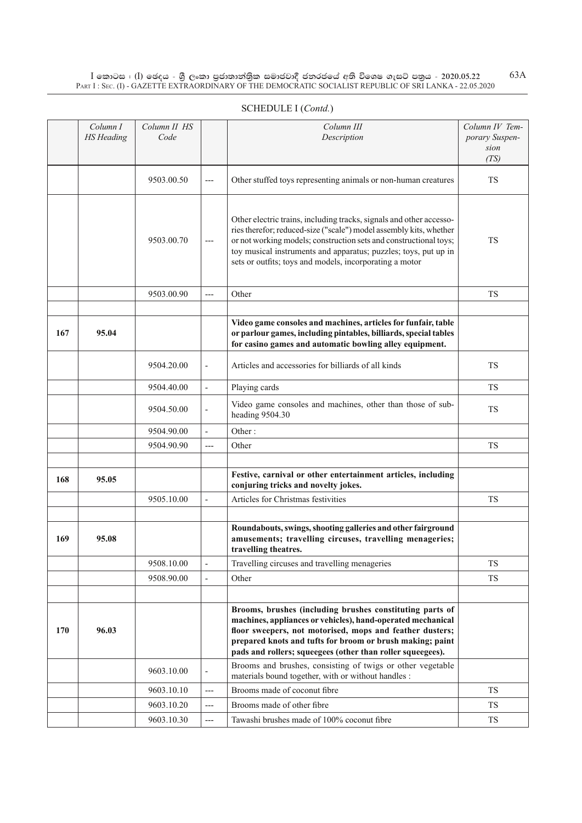|     | Column I<br><b>HS</b> Heading | Column II HS<br>Code |                          | Column III<br>Description                                                                                                                                                                                                                                                                                                                    | Column IV Tem-<br>porary Suspen-<br>sion<br>(TS) |
|-----|-------------------------------|----------------------|--------------------------|----------------------------------------------------------------------------------------------------------------------------------------------------------------------------------------------------------------------------------------------------------------------------------------------------------------------------------------------|--------------------------------------------------|
|     |                               | 9503.00.50           | $---$                    | Other stuffed toys representing animals or non-human creatures                                                                                                                                                                                                                                                                               | <b>TS</b>                                        |
|     |                               | 9503.00.70           | $---$                    | Other electric trains, including tracks, signals and other accesso-<br>ries therefor; reduced-size ("scale") model assembly kits, whether<br>or not working models; construction sets and constructional toys;<br>toy musical instruments and apparatus; puzzles; toys, put up in<br>sets or outfits; toys and models, incorporating a motor | <b>TS</b>                                        |
|     |                               | 9503.00.90           | ---                      | Other                                                                                                                                                                                                                                                                                                                                        | <b>TS</b>                                        |
|     |                               |                      |                          |                                                                                                                                                                                                                                                                                                                                              |                                                  |
| 167 | 95.04                         |                      |                          | Video game consoles and machines, articles for funfair, table<br>or parlour games, including pintables, billiards, special tables<br>for casino games and automatic bowling alley equipment.                                                                                                                                                 |                                                  |
|     |                               | 9504.20.00           | $\overline{\phantom{a}}$ | Articles and accessories for billiards of all kinds                                                                                                                                                                                                                                                                                          | <b>TS</b>                                        |
|     |                               | 9504.40.00           | $\overline{\phantom{a}}$ | Playing cards                                                                                                                                                                                                                                                                                                                                | <b>TS</b>                                        |
|     |                               | 9504.50.00           | $\overline{\phantom{a}}$ | Video game consoles and machines, other than those of sub-<br>heading 9504.30                                                                                                                                                                                                                                                                | <b>TS</b>                                        |
|     |                               | 9504.90.00           | $\overline{\phantom{a}}$ | Other:                                                                                                                                                                                                                                                                                                                                       |                                                  |
|     |                               | 9504.90.90           | $---$                    | Other                                                                                                                                                                                                                                                                                                                                        | <b>TS</b>                                        |
|     |                               |                      |                          |                                                                                                                                                                                                                                                                                                                                              |                                                  |
| 168 | 95.05                         |                      |                          | Festive, carnival or other entertainment articles, including<br>conjuring tricks and novelty jokes.                                                                                                                                                                                                                                          |                                                  |
|     |                               | 9505.10.00           |                          | Articles for Christmas festivities                                                                                                                                                                                                                                                                                                           | <b>TS</b>                                        |
|     |                               |                      |                          |                                                                                                                                                                                                                                                                                                                                              |                                                  |
| 169 | 95.08                         |                      |                          | Roundabouts, swings, shooting galleries and other fairground<br>amusements; travelling circuses, travelling menageries;<br>travelling theatres.                                                                                                                                                                                              |                                                  |
|     |                               | 9508.10.00           |                          | Travelling circuses and travelling menageries                                                                                                                                                                                                                                                                                                | <b>TS</b>                                        |
|     |                               | 9508.90.00           | $\overline{\phantom{a}}$ | Other                                                                                                                                                                                                                                                                                                                                        | <b>TS</b>                                        |
|     |                               |                      |                          |                                                                                                                                                                                                                                                                                                                                              |                                                  |
| 170 | 96.03                         |                      |                          | Brooms, brushes (including brushes constituting parts of<br>machines, appliances or vehicles), hand-operated mechanical<br>floor sweepers, not motorised, mops and feather dusters;<br>prepared knots and tufts for broom or brush making; paint<br>pads and rollers; squeegees (other than roller squeegees).                               |                                                  |
|     |                               | 9603.10.00           |                          | Brooms and brushes, consisting of twigs or other vegetable<br>materials bound together, with or without handles :                                                                                                                                                                                                                            |                                                  |
|     |                               | 9603.10.10           | ---                      | Brooms made of coconut fibre                                                                                                                                                                                                                                                                                                                 | TS                                               |
|     |                               | 9603.10.20           | ---                      | Brooms made of other fibre                                                                                                                                                                                                                                                                                                                   | <b>TS</b>                                        |
|     |                               | 9603.10.30           | ---                      | Tawashi brushes made of 100% coconut fibre                                                                                                                                                                                                                                                                                                   | TS                                               |

# SCHEDULE I (*Contd.*)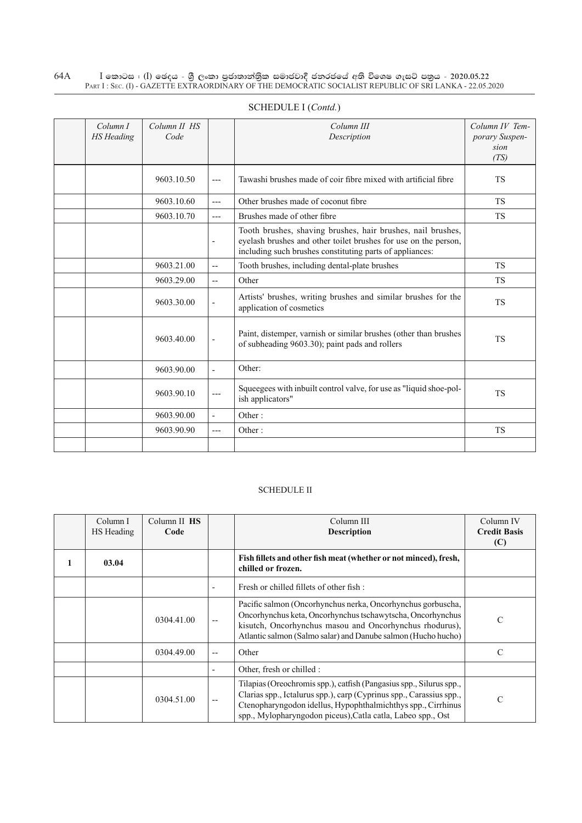| Column I<br><b>HS</b> Heading | Column II HS<br>Code |                          | Column III<br>Description                                                                                                                                                                  | Column IV Tem-<br>porary Suspen-<br>sion<br>(TS) |
|-------------------------------|----------------------|--------------------------|--------------------------------------------------------------------------------------------------------------------------------------------------------------------------------------------|--------------------------------------------------|
|                               | 9603.10.50           | $---$                    | Tawashi brushes made of coir fibre mixed with artificial fibre                                                                                                                             | <b>TS</b>                                        |
|                               | 9603.10.60           | $---$                    | Other brushes made of coconut fibre                                                                                                                                                        | <b>TS</b>                                        |
|                               | 9603.10.70           | $---$                    | Brushes made of other fibre                                                                                                                                                                | <b>TS</b>                                        |
|                               |                      |                          | Tooth brushes, shaving brushes, hair brushes, nail brushes,<br>eyelash brushes and other toilet brushes for use on the person,<br>including such brushes constituting parts of appliances: |                                                  |
|                               | 9603.21.00           | $\overline{\phantom{a}}$ | Tooth brushes, including dental-plate brushes                                                                                                                                              | <b>TS</b>                                        |
|                               | 9603.29.00           | $\overline{a}$           | Other                                                                                                                                                                                      | <b>TS</b>                                        |
|                               | 9603.30.00           |                          | Artists' brushes, writing brushes and similar brushes for the<br>application of cosmetics                                                                                                  | <b>TS</b>                                        |
|                               | 9603.40.00           | $\overline{\phantom{a}}$ | Paint, distemper, varnish or similar brushes (other than brushes<br>of subheading 9603.30); paint pads and rollers                                                                         | <b>TS</b>                                        |
|                               | 9603.90.00           | $\overline{a}$           | Other:                                                                                                                                                                                     |                                                  |
|                               | 9603.90.10           | $---$                    | Squeegees with inbuilt control valve, for use as "liquid shoe-pol-<br>ish applicators"                                                                                                     | <b>TS</b>                                        |
|                               | 9603.90.00           | $\sim$                   | Other:                                                                                                                                                                                     |                                                  |
|                               | 9603.90.90           | $---$                    | Other:                                                                                                                                                                                     | <b>TS</b>                                        |
|                               |                      |                          |                                                                                                                                                                                            |                                                  |

# Schedule I (*Contd.*)

#### Schedule II

| Column I<br>HS Heading | Column II HS<br>Code |       | Column III<br><b>Description</b>                                                                                                                                                                                                                                          | Column IV<br><b>Credit Basis</b><br>(C) |
|------------------------|----------------------|-------|---------------------------------------------------------------------------------------------------------------------------------------------------------------------------------------------------------------------------------------------------------------------------|-----------------------------------------|
| 03.04                  |                      |       | Fish fillets and other fish meat (whether or not minced), fresh,<br>chilled or frozen.                                                                                                                                                                                    |                                         |
|                        |                      |       | Fresh or chilled fillets of other fish:                                                                                                                                                                                                                                   |                                         |
|                        | 0304.41.00           |       | Pacific salmon (Oncorhynchus nerka, Oncorhynchus gorbuscha,<br>Oncorhynchus keta, Oncorhynchus tschawytscha, Oncorhynchus<br>kisutch, Oncorhynchus masou and Oncorhynchus rhodurus),<br>Atlantic salmon (Salmo salar) and Danube salmon (Hucho hucho)                     | C                                       |
|                        | 0304.49.00           | $- -$ | Other                                                                                                                                                                                                                                                                     | C                                       |
|                        |                      |       | Other, fresh or chilled :                                                                                                                                                                                                                                                 |                                         |
|                        | 0304.51.00           |       | Tilapias (Oreochromis spp.), catfish (Pangasius spp., Silurus spp.,<br>Clarias spp., Ictalurus spp.), carp (Cyprinus spp., Carassius spp.,<br>Ctenopharyngodon idellus, Hypophthalmichthys spp., Cirrhinus<br>spp., Mylopharyngodon piceus), Catla catla, Labeo spp., Ost | $\mathcal{C}$                           |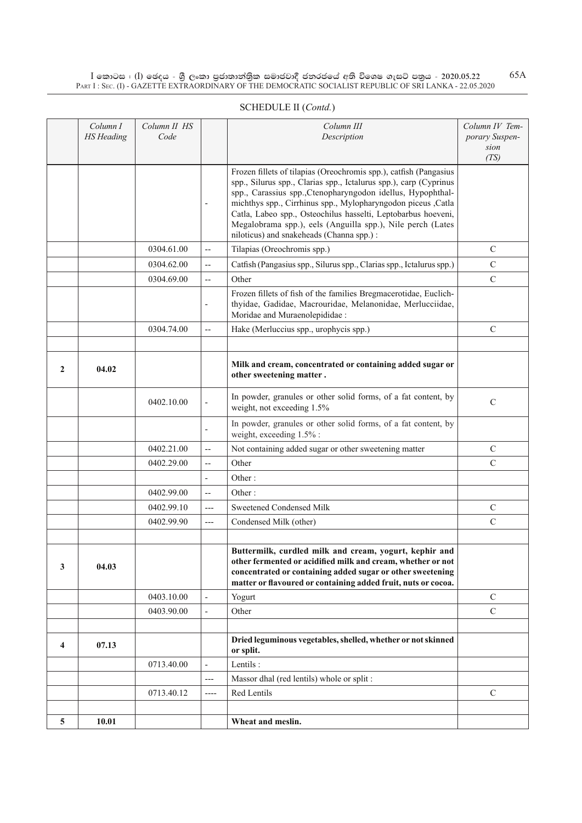|              | Column I<br><b>HS</b> Heading | Column II HS<br>Code |                          | Column III<br>Description                                                                                                                                                                                                                                                                                                                                                                                                                        | Column IV Tem-<br>porary Suspen-<br>sion |
|--------------|-------------------------------|----------------------|--------------------------|--------------------------------------------------------------------------------------------------------------------------------------------------------------------------------------------------------------------------------------------------------------------------------------------------------------------------------------------------------------------------------------------------------------------------------------------------|------------------------------------------|
|              |                               |                      | $\overline{\phantom{a}}$ | Frozen fillets of tilapias (Oreochromis spp.), catfish (Pangasius<br>spp., Silurus spp., Clarias spp., Ictalurus spp.), carp (Cyprinus<br>spp., Carassius spp., Ctenopharyngodon idellus, Hypophthal-<br>michthys spp., Cirrhinus spp., Mylopharyngodon piceus ,Catla<br>Catla, Labeo spp., Osteochilus hasselti, Leptobarbus hoeveni,<br>Megalobrama spp.), eels (Anguilla spp.), Nile perch (Lates<br>niloticus) and snakeheads (Channa spp.): | (TS)                                     |
|              |                               | 0304.61.00           | $\overline{\phantom{a}}$ | Tilapias (Oreochromis spp.)                                                                                                                                                                                                                                                                                                                                                                                                                      | $\mathsf{C}$                             |
|              |                               | 0304.62.00           | $\overline{\phantom{m}}$ | Catfish (Pangasius spp., Silurus spp., Clarias spp., Ictalurus spp.)                                                                                                                                                                                                                                                                                                                                                                             | $\mathbf C$                              |
|              |                               | 0304.69.00           | $\overline{a}$           | Other                                                                                                                                                                                                                                                                                                                                                                                                                                            | $\mathbf C$                              |
|              |                               |                      |                          | Frozen fillets of fish of the families Bregmacerotidae, Euclich-<br>thyidae, Gadidae, Macrouridae, Melanonidae, Merlucciidae,<br>Moridae and Muraenolepididae :                                                                                                                                                                                                                                                                                  |                                          |
|              |                               | 0304.74.00           | $\overline{a}$           | Hake (Merluccius spp., urophycis spp.)                                                                                                                                                                                                                                                                                                                                                                                                           | C                                        |
|              |                               |                      |                          |                                                                                                                                                                                                                                                                                                                                                                                                                                                  |                                          |
| $\mathbf{2}$ | 04.02                         |                      |                          | Milk and cream, concentrated or containing added sugar or<br>other sweetening matter.                                                                                                                                                                                                                                                                                                                                                            |                                          |
|              |                               | 0402.10.00           | $\overline{\phantom{a}}$ | In powder, granules or other solid forms, of a fat content, by<br>weight, not exceeding 1.5%                                                                                                                                                                                                                                                                                                                                                     | $\mathsf{C}$                             |
|              |                               |                      | $\overline{\phantom{a}}$ | In powder, granules or other solid forms, of a fat content, by<br>weight, exceeding 1.5%:                                                                                                                                                                                                                                                                                                                                                        |                                          |
|              |                               | 0402.21.00           | $\overline{a}$           | Not containing added sugar or other sweetening matter                                                                                                                                                                                                                                                                                                                                                                                            | $\mathcal{C}$                            |
|              |                               | 0402.29.00           | $\overline{\phantom{a}}$ | Other                                                                                                                                                                                                                                                                                                                                                                                                                                            | $\mathbf C$                              |
|              |                               |                      | $\overline{\phantom{a}}$ | Other:                                                                                                                                                                                                                                                                                                                                                                                                                                           |                                          |
|              |                               | 0402.99.00           | $\overline{\phantom{a}}$ | Other:                                                                                                                                                                                                                                                                                                                                                                                                                                           |                                          |
|              |                               | 0402.99.10           | $---$                    | Sweetened Condensed Milk                                                                                                                                                                                                                                                                                                                                                                                                                         | $\mathcal{C}$                            |
|              |                               | 0402.99.90           | $---$                    | Condensed Milk (other)                                                                                                                                                                                                                                                                                                                                                                                                                           | $\mathbf C$                              |
|              |                               |                      |                          |                                                                                                                                                                                                                                                                                                                                                                                                                                                  |                                          |
| 3            | 04.03                         |                      |                          | Buttermilk, curdled milk and cream, yogurt, kephir and<br>other fermented or acidified milk and cream, whether or not<br>concentrated or containing added sugar or other sweetening<br>matter or flavoured or containing added fruit, nuts or cocoa.                                                                                                                                                                                             |                                          |
|              |                               | 0403.10.00           | $\overline{\phantom{a}}$ | Yogurt                                                                                                                                                                                                                                                                                                                                                                                                                                           | $\mathcal{C}$                            |
|              |                               | 0403.90.00           | $\overline{\phantom{a}}$ | Other                                                                                                                                                                                                                                                                                                                                                                                                                                            | $\mathbf C$                              |
|              |                               |                      |                          |                                                                                                                                                                                                                                                                                                                                                                                                                                                  |                                          |
| 4            | 07.13                         |                      |                          | Dried leguminous vegetables, shelled, whether or not skinned<br>or split.                                                                                                                                                                                                                                                                                                                                                                        |                                          |
|              |                               | 0713.40.00           | $\overline{\phantom{a}}$ | Lentils:                                                                                                                                                                                                                                                                                                                                                                                                                                         |                                          |
|              |                               |                      | $---$                    | Massor dhal (red lentils) whole or split :                                                                                                                                                                                                                                                                                                                                                                                                       |                                          |
|              |                               | 0713.40.12           | $---$                    | Red Lentils                                                                                                                                                                                                                                                                                                                                                                                                                                      | $\mathbf C$                              |
|              |                               |                      |                          |                                                                                                                                                                                                                                                                                                                                                                                                                                                  |                                          |
| 5            | 10.01                         |                      |                          | Wheat and meslin.                                                                                                                                                                                                                                                                                                                                                                                                                                |                                          |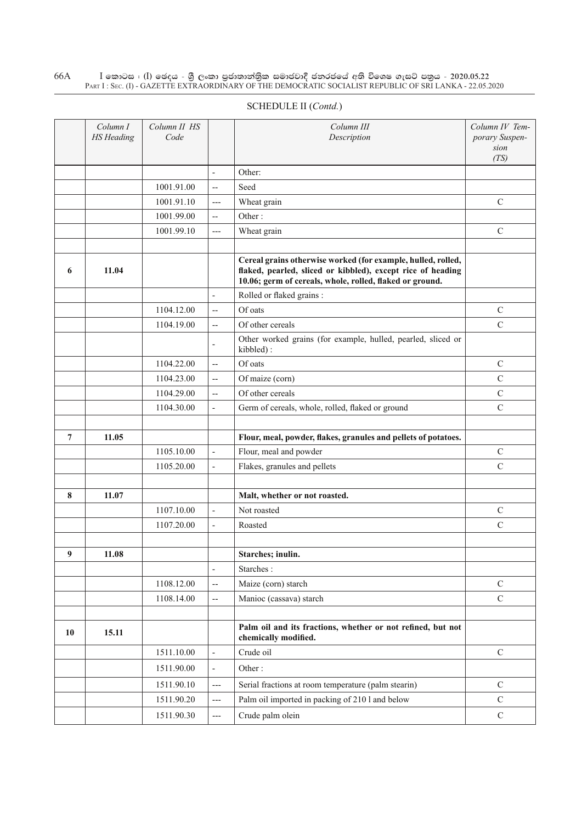| SCHEDULE II (Contd.) |  |
|----------------------|--|
|----------------------|--|

|                  | Column I<br><b>HS</b> Heading | Column II HS<br>Code     |                          | Column III<br>Description                                                                                                                                                               | Column IV Tem-<br>porary Suspen-<br>sion<br>(TS) |
|------------------|-------------------------------|--------------------------|--------------------------|-----------------------------------------------------------------------------------------------------------------------------------------------------------------------------------------|--------------------------------------------------|
|                  |                               |                          | $\overline{a}$           | Other:                                                                                                                                                                                  |                                                  |
|                  |                               | 1001.91.00               | --                       | Seed                                                                                                                                                                                    |                                                  |
|                  |                               | 1001.91.10               | $---$                    | Wheat grain                                                                                                                                                                             | $\mathbf C$                                      |
|                  |                               | 1001.99.00               | --                       | Other:                                                                                                                                                                                  |                                                  |
|                  |                               | 1001.99.10               | $---$                    | Wheat grain                                                                                                                                                                             | $\mathcal{C}$                                    |
|                  |                               |                          |                          |                                                                                                                                                                                         |                                                  |
| 6                | 11.04                         |                          |                          | Cereal grains otherwise worked (for example, hulled, rolled,<br>flaked, pearled, sliced or kibbled), except rice of heading<br>10.06; germ of cereals, whole, rolled, flaked or ground. |                                                  |
|                  |                               |                          | $\overline{a}$           | Rolled or flaked grains :                                                                                                                                                               |                                                  |
|                  |                               | 1104.12.00               | --                       | Of oats                                                                                                                                                                                 | $\mathbf C$                                      |
|                  |                               | 1104.19.00               | --                       | Of other cereals                                                                                                                                                                        | $\overline{C}$                                   |
|                  |                               |                          | $\overline{\phantom{a}}$ | Other worked grains (for example, hulled, pearled, sliced or<br>kibbled):                                                                                                               |                                                  |
|                  |                               | 1104.22.00               | $\overline{\phantom{a}}$ | Of oats                                                                                                                                                                                 | $\mathcal{C}$                                    |
|                  |                               | 1104.23.00               | $-$                      | Of maize (corn)                                                                                                                                                                         | $\overline{C}$                                   |
|                  |                               | 1104.29.00               | $\overline{\phantom{a}}$ | Of other cereals                                                                                                                                                                        | $\mathsf{C}$                                     |
|                  |                               | 1104.30.00               | $\overline{\phantom{a}}$ | Germ of cereals, whole, rolled, flaked or ground                                                                                                                                        | $\mathcal{C}$                                    |
|                  |                               |                          |                          |                                                                                                                                                                                         |                                                  |
| $\overline{7}$   | 11.05                         |                          |                          | Flour, meal, powder, flakes, granules and pellets of potatoes.                                                                                                                          |                                                  |
|                  |                               | 1105.10.00               | $\frac{1}{2}$            | Flour, meal and powder                                                                                                                                                                  | $\mathcal{C}$                                    |
|                  |                               | 1105.20.00               | $\overline{\phantom{a}}$ | Flakes, granules and pellets                                                                                                                                                            | $\mathcal{C}$                                    |
|                  |                               |                          |                          |                                                                                                                                                                                         |                                                  |
| 8                | 11.07                         |                          |                          | Malt, whether or not roasted.                                                                                                                                                           |                                                  |
|                  |                               | 1107.10.00               | $\blacksquare$           | Not roasted                                                                                                                                                                             | $\mathcal{C}$                                    |
|                  |                               | 1107.20.00               | $\frac{1}{2}$            | Roasted                                                                                                                                                                                 | $\mathcal{C}$                                    |
|                  |                               |                          |                          |                                                                                                                                                                                         |                                                  |
| $\boldsymbol{9}$ | 11.08                         |                          |                          | Starches; inulin.                                                                                                                                                                       |                                                  |
|                  |                               |                          | $\overline{\phantom{a}}$ | Starches:                                                                                                                                                                               | $\mathbf C$                                      |
|                  |                               | 1108.12.00<br>1108.14.00 | $\overline{\phantom{a}}$ | Maize (corn) starch<br>Manioc (cassava) starch                                                                                                                                          | $\mathbf C$                                      |
|                  |                               |                          | $\overline{\phantom{a}}$ |                                                                                                                                                                                         |                                                  |
| 10               | 15.11                         |                          |                          | Palm oil and its fractions, whether or not refined, but not<br>chemically modified.                                                                                                     |                                                  |
|                  |                               | 1511.10.00               | $\frac{1}{2}$            | Crude oil                                                                                                                                                                               | $\mathcal{C}$                                    |
|                  |                               | 1511.90.00               | $\overline{\phantom{a}}$ | Other:                                                                                                                                                                                  |                                                  |
|                  |                               | 1511.90.10               | $---$                    | Serial fractions at room temperature (palm stearin)                                                                                                                                     | ${\bf C}$                                        |
|                  |                               | 1511.90.20               | ---                      | Palm oil imported in packing of 210 l and below                                                                                                                                         | $\mathbf C$                                      |
|                  |                               | 1511.90.30               | $---$                    | Crude palm olein                                                                                                                                                                        | $\mathbf C$                                      |
|                  |                               |                          |                          |                                                                                                                                                                                         |                                                  |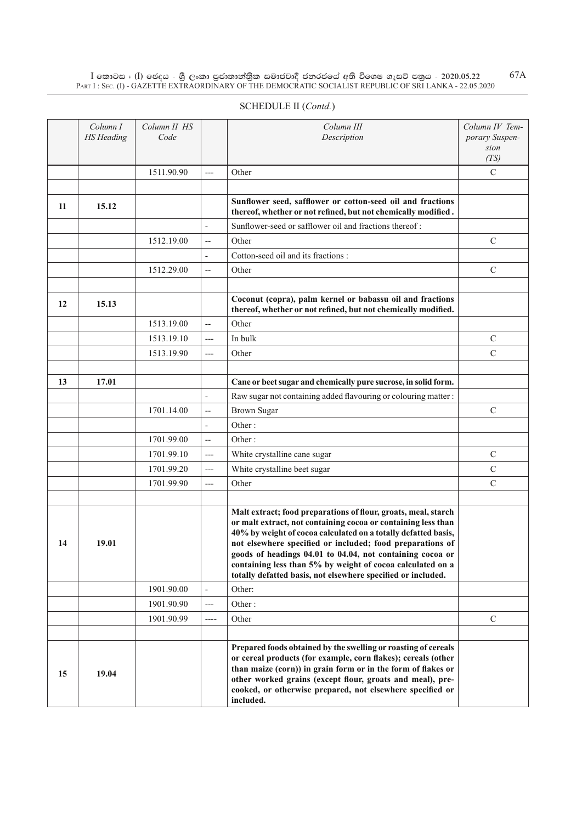|    | Column I<br><b>HS</b> Heading | Column II HS<br>Code |                          | Column III<br>Description                                                                                                                                                                                                                                                                                                              | Column IV Tem-<br>porary Suspen-<br>sion<br>(TS) |
|----|-------------------------------|----------------------|--------------------------|----------------------------------------------------------------------------------------------------------------------------------------------------------------------------------------------------------------------------------------------------------------------------------------------------------------------------------------|--------------------------------------------------|
|    |                               | 1511.90.90           | $\overline{a}$           | Other                                                                                                                                                                                                                                                                                                                                  | $\mathcal{C}$                                    |
|    |                               |                      |                          |                                                                                                                                                                                                                                                                                                                                        |                                                  |
| 11 | 15.12                         |                      |                          | Sunflower seed, safflower or cotton-seed oil and fractions<br>thereof, whether or not refined, but not chemically modified.                                                                                                                                                                                                            |                                                  |
|    |                               |                      | $\frac{1}{2}$            | Sunflower-seed or safflower oil and fractions thereof:                                                                                                                                                                                                                                                                                 |                                                  |
|    |                               | 1512.19.00           | $\overline{\phantom{a}}$ | Other                                                                                                                                                                                                                                                                                                                                  | $\mathsf{C}$                                     |
|    |                               |                      | $\overline{\phantom{a}}$ | Cotton-seed oil and its fractions:                                                                                                                                                                                                                                                                                                     |                                                  |
|    |                               | 1512.29.00           | $\overline{\phantom{a}}$ | Other                                                                                                                                                                                                                                                                                                                                  | $\mathcal{C}$                                    |
|    |                               |                      |                          |                                                                                                                                                                                                                                                                                                                                        |                                                  |
| 12 | 15.13                         |                      |                          | Coconut (copra), palm kernel or babassu oil and fractions<br>thereof, whether or not refined, but not chemically modified.                                                                                                                                                                                                             |                                                  |
|    |                               | 1513.19.00           | $\overline{a}$           | Other                                                                                                                                                                                                                                                                                                                                  |                                                  |
|    |                               | 1513.19.10           | $---$                    | In bulk                                                                                                                                                                                                                                                                                                                                | $\mathcal{C}$                                    |
|    |                               | 1513.19.90           | $---$                    | Other                                                                                                                                                                                                                                                                                                                                  | $\mathcal{C}$                                    |
|    |                               |                      |                          |                                                                                                                                                                                                                                                                                                                                        |                                                  |
| 13 | 17.01                         |                      |                          | Cane or beet sugar and chemically pure sucrose, in solid form.                                                                                                                                                                                                                                                                         |                                                  |
|    |                               |                      | $\frac{1}{2}$            | Raw sugar not containing added flavouring or colouring matter :                                                                                                                                                                                                                                                                        |                                                  |
|    |                               | 1701.14.00           | $\overline{\phantom{a}}$ | <b>Brown Sugar</b>                                                                                                                                                                                                                                                                                                                     | $\mathcal{C}$                                    |
|    |                               |                      | $\overline{a}$           | Other:                                                                                                                                                                                                                                                                                                                                 |                                                  |
|    |                               | 1701.99.00           | $\overline{a}$           | Other:                                                                                                                                                                                                                                                                                                                                 |                                                  |
|    |                               | 1701.99.10           | $---$                    | White crystalline cane sugar                                                                                                                                                                                                                                                                                                           | $\mathsf{C}$                                     |
|    |                               | 1701.99.20           | $---$                    | White crystalline beet sugar                                                                                                                                                                                                                                                                                                           | $\mathcal{C}$                                    |
|    |                               | 1701.99.90           | $---$                    | Other                                                                                                                                                                                                                                                                                                                                  | $\mathcal{C}$                                    |
|    |                               |                      |                          |                                                                                                                                                                                                                                                                                                                                        |                                                  |
|    |                               |                      |                          | Malt extract; food preparations of flour, groats, meal, starch<br>or malt extract, not containing cocoa or containing less than                                                                                                                                                                                                        |                                                  |
|    |                               |                      |                          | 40% by weight of cocoa calculated on a totally defatted basis,                                                                                                                                                                                                                                                                         |                                                  |
| 14 | 19.01                         |                      |                          | not elsewhere specified or included; food preparations of<br>goods of headings 04.01 to 04.04, not containing cocoa or                                                                                                                                                                                                                 |                                                  |
|    |                               |                      |                          | containing less than 5% by weight of cocoa calculated on a<br>totally defatted basis, not elsewhere specified or included.                                                                                                                                                                                                             |                                                  |
|    |                               | 1901.90.00           | $\bar{a}$                | Other:                                                                                                                                                                                                                                                                                                                                 |                                                  |
|    |                               | 1901.90.90           | $---$                    | Other:                                                                                                                                                                                                                                                                                                                                 |                                                  |
|    |                               | 1901.90.99           | $---$                    | Other                                                                                                                                                                                                                                                                                                                                  | $\mathcal{C}$                                    |
|    |                               |                      |                          |                                                                                                                                                                                                                                                                                                                                        |                                                  |
| 15 | 19.04                         |                      |                          | Prepared foods obtained by the swelling or roasting of cereals<br>or cereal products (for example, corn flakes); cereals (other<br>than maize (corn)) in grain form or in the form of flakes or<br>other worked grains (except flour, groats and meal), pre-<br>cooked, or otherwise prepared, not elsewhere specified or<br>included. |                                                  |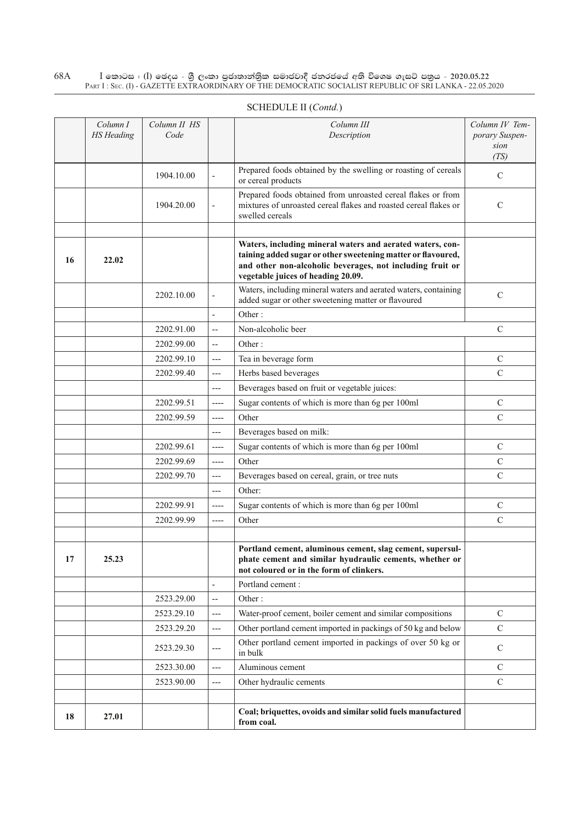|    | Column I<br><b>HS</b> Heading | Column II HS<br>Code |                          | Column III<br>Description                                                                                                                                                                                                    | Column IV Tem-<br>porary Suspen-<br>sion |
|----|-------------------------------|----------------------|--------------------------|------------------------------------------------------------------------------------------------------------------------------------------------------------------------------------------------------------------------------|------------------------------------------|
|    |                               | 1904.10.00           | $\overline{\phantom{a}}$ | Prepared foods obtained by the swelling or roasting of cereals<br>or cereal products                                                                                                                                         | (TS)<br>$\mathcal{C}$                    |
|    |                               | 1904.20.00           | $\overline{\phantom{a}}$ | Prepared foods obtained from unroasted cereal flakes or from<br>mixtures of unroasted cereal flakes and roasted cereal flakes or<br>swelled cereals                                                                          | $\mathcal{C}$                            |
| 16 | 22.02                         |                      |                          | Waters, including mineral waters and aerated waters, con-<br>taining added sugar or other sweetening matter or flavoured,<br>and other non-alcoholic beverages, not including fruit or<br>vegetable juices of heading 20.09. |                                          |
|    |                               | 2202.10.00           | $\overline{\phantom{a}}$ | Waters, including mineral waters and aerated waters, containing<br>added sugar or other sweetening matter or flavoured                                                                                                       | $\mathcal{C}$                            |
|    |                               |                      | $\overline{a}$           | Other:                                                                                                                                                                                                                       |                                          |
|    |                               | 2202.91.00           | $\overline{\phantom{a}}$ | Non-alcoholic beer                                                                                                                                                                                                           | $\mathcal{C}$                            |
|    |                               | 2202.99.00           | $\overline{a}$           | Other:                                                                                                                                                                                                                       |                                          |
|    |                               | 2202.99.10           | ---                      | Tea in beverage form                                                                                                                                                                                                         | $\mathcal{C}$                            |
|    |                               | 2202.99.40           | ---                      | Herbs based beverages                                                                                                                                                                                                        | $\mathcal{C}$                            |
|    |                               |                      | ---                      | Beverages based on fruit or vegetable juices:                                                                                                                                                                                |                                          |
|    |                               | 2202.99.51           | ----                     | Sugar contents of which is more than 6g per 100ml                                                                                                                                                                            | $\mathcal{C}$                            |
|    |                               | 2202.99.59           | ----                     | Other                                                                                                                                                                                                                        | $\mathcal{C}$                            |
|    |                               |                      | ---                      | Beverages based on milk:                                                                                                                                                                                                     |                                          |
|    |                               | 2202.99.61           | ----                     | Sugar contents of which is more than 6g per 100ml                                                                                                                                                                            | $\mathcal{C}$                            |
|    |                               | 2202.99.69           | ----                     | Other                                                                                                                                                                                                                        | $\mathcal{C}$                            |
|    |                               | 2202.99.70           | ---                      | Beverages based on cereal, grain, or tree nuts                                                                                                                                                                               | $\mathcal{C}$                            |
|    |                               |                      | ---                      | Other:                                                                                                                                                                                                                       |                                          |
|    |                               | 2202.99.91           | ----                     | Sugar contents of which is more than 6g per 100ml                                                                                                                                                                            | $\mathcal{C}$                            |
|    |                               | 2202.99.99           | ----                     | Other                                                                                                                                                                                                                        | $\mathcal{C}$                            |
|    |                               |                      |                          |                                                                                                                                                                                                                              |                                          |
| 17 | 25.23                         |                      |                          | Portland cement, aluminous cement, slag cement, supersul-<br>phate cement and similar hyudraulic cements, whether or<br>not coloured or in the form of clinkers.                                                             |                                          |
|    |                               |                      |                          | Portland cement:                                                                                                                                                                                                             |                                          |
|    |                               | 2523.29.00           | $\overline{a}$           | Other:                                                                                                                                                                                                                       |                                          |
|    |                               | 2523.29.10           | $---$                    | Water-proof cement, boiler cement and similar compositions                                                                                                                                                                   | $\mathcal{C}$                            |
|    |                               | 2523.29.20           | ---                      | Other portland cement imported in packings of 50 kg and below                                                                                                                                                                | $\mathcal{C}$                            |
|    |                               | 2523.29.30           | $---$                    | Other portland cement imported in packings of over 50 kg or<br>in bulk                                                                                                                                                       | $\mathcal{C}$                            |
|    |                               | 2523.30.00           | ---                      | Aluminous cement                                                                                                                                                                                                             | $\mathcal{C}$                            |
|    |                               | 2523.90.00           | ---                      | Other hydraulic cements                                                                                                                                                                                                      | $\mathcal{C}$                            |
|    |                               |                      |                          |                                                                                                                                                                                                                              |                                          |
| 18 | 27.01                         |                      |                          | Coal; briquettes, ovoids and similar solid fuels manufactured<br>from coal.                                                                                                                                                  |                                          |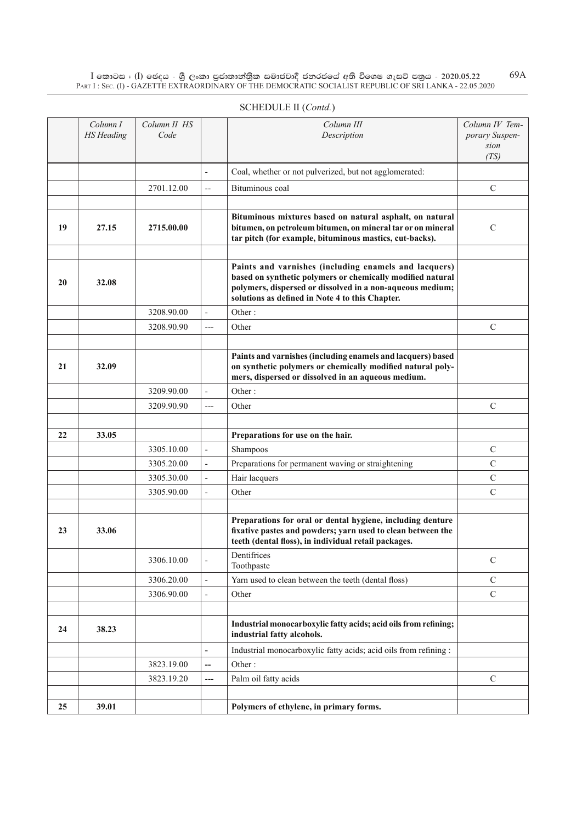|    | Column I<br><b>HS</b> Heading | Column II HS<br>Code |                          | Column III<br>Description                                                                                                                                                                                                           | Column IV Tem-<br>porary Suspen-<br>sion |
|----|-------------------------------|----------------------|--------------------------|-------------------------------------------------------------------------------------------------------------------------------------------------------------------------------------------------------------------------------------|------------------------------------------|
|    |                               |                      |                          |                                                                                                                                                                                                                                     | (TS)                                     |
|    |                               |                      |                          | Coal, whether or not pulverized, but not agglomerated:                                                                                                                                                                              |                                          |
|    |                               | 2701.12.00           | $\overline{\phantom{a}}$ | Bituminous coal                                                                                                                                                                                                                     | $\mathcal{C}$                            |
|    |                               |                      |                          |                                                                                                                                                                                                                                     |                                          |
| 19 | 27.15                         | 2715.00.00           |                          | Bituminous mixtures based on natural asphalt, on natural<br>bitumen, on petroleum bitumen, on mineral tar or on mineral<br>tar pitch (for example, bituminous mastics, cut-backs).                                                  | $\mathcal{C}$                            |
|    |                               |                      |                          |                                                                                                                                                                                                                                     |                                          |
| 20 | 32.08                         |                      |                          | Paints and varnishes (including enamels and lacquers)<br>based on synthetic polymers or chemically modified natural<br>polymers, dispersed or dissolved in a non-aqueous medium;<br>solutions as defined in Note 4 to this Chapter. |                                          |
|    |                               | 3208.90.00           | ÷,                       | Other:                                                                                                                                                                                                                              |                                          |
|    |                               | 3208.90.90           | $---$                    | Other                                                                                                                                                                                                                               | $\mathcal{C}$                            |
|    |                               |                      |                          |                                                                                                                                                                                                                                     |                                          |
| 21 | 32.09                         |                      |                          | Paints and varnishes (including enamels and lacquers) based<br>on synthetic polymers or chemically modified natural poly-<br>mers, dispersed or dissolved in an aqueous medium.                                                     |                                          |
|    |                               | 3209.90.00           | $\overline{a}$           | Other:                                                                                                                                                                                                                              |                                          |
|    |                               | 3209.90.90           | $---$                    | Other                                                                                                                                                                                                                               | $\mathsf{C}$                             |
|    |                               |                      |                          |                                                                                                                                                                                                                                     |                                          |
| 22 | 33.05                         |                      |                          | Preparations for use on the hair.                                                                                                                                                                                                   |                                          |
|    |                               | 3305.10.00           | $\overline{\phantom{m}}$ | Shampoos                                                                                                                                                                                                                            | $\mathsf{C}$                             |
|    |                               | 3305.20.00           | $\overline{\phantom{a}}$ | Preparations for permanent waving or straightening                                                                                                                                                                                  | $\mathcal{C}$                            |
|    |                               | 3305.30.00           | $\overline{\phantom{a}}$ | Hair lacquers                                                                                                                                                                                                                       | $\mathcal{C}$                            |
|    |                               | 3305.90.00           | $\overline{\phantom{m}}$ | Other                                                                                                                                                                                                                               | $\mathcal{C}$                            |
|    |                               |                      |                          |                                                                                                                                                                                                                                     |                                          |
| 23 | 33.06                         |                      |                          | Preparations for oral or dental hygiene, including denture<br>fixative pastes and powders; yarn used to clean between the<br>teeth (dental floss), in individual retail packages.                                                   |                                          |
|    |                               | 3306.10.00           | $\overline{\phantom{a}}$ | Dentifrices<br>Toothpaste                                                                                                                                                                                                           | $\mathsf{C}$                             |
|    |                               | 3306.20.00           | $\blacksquare$           | Yarn used to clean between the teeth (dental floss)                                                                                                                                                                                 | $\mathcal{C}$                            |
|    |                               | 3306.90.00           | $\frac{1}{2}$            | Other                                                                                                                                                                                                                               | $\mathcal{C}$                            |
|    |                               |                      |                          |                                                                                                                                                                                                                                     |                                          |
| 24 | 38.23                         |                      |                          | Industrial monocarboxylic fatty acids; acid oils from refining;<br>industrial fatty alcohols.                                                                                                                                       |                                          |
|    |                               |                      | $\overline{a}$           | Industrial monocarboxylic fatty acids; acid oils from refining :                                                                                                                                                                    |                                          |
|    |                               | 3823.19.00           | --                       | Other:                                                                                                                                                                                                                              |                                          |
|    |                               | 3823.19.20           | $---$                    | Palm oil fatty acids                                                                                                                                                                                                                | $\mathsf{C}$                             |
|    |                               |                      |                          |                                                                                                                                                                                                                                     |                                          |
| 25 | 39.01                         |                      |                          | Polymers of ethylene, in primary forms.                                                                                                                                                                                             |                                          |

#### Schedule II (*Contd.*)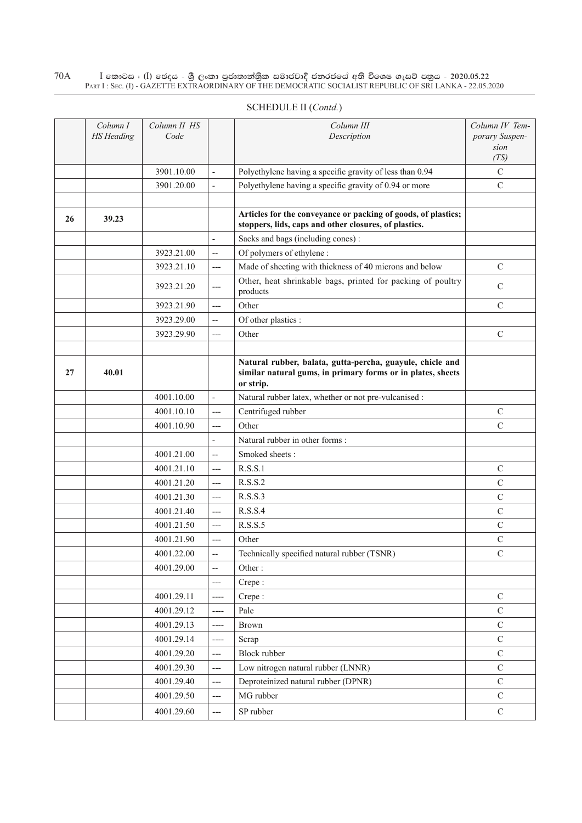| SCHEDULE II (Contd.) |  |
|----------------------|--|
|----------------------|--|

|    | Column I<br><b>HS</b> Heading | Column II HS<br>Code |                          | Column III<br>Description                                                                                                             | Column IV Tem-<br>porary Suspen-<br>sion<br>(TS) |
|----|-------------------------------|----------------------|--------------------------|---------------------------------------------------------------------------------------------------------------------------------------|--------------------------------------------------|
|    |                               | 3901.10.00           | $\overline{a}$           | Polyethylene having a specific gravity of less than 0.94                                                                              | $\mathbf C$                                      |
|    |                               | 3901.20.00           | $\overline{a}$           | Polyethylene having a specific gravity of 0.94 or more                                                                                | $\mathsf{C}$                                     |
|    |                               |                      |                          |                                                                                                                                       |                                                  |
| 26 | 39.23                         |                      |                          | Articles for the conveyance or packing of goods, of plastics;<br>stoppers, lids, caps and other closures, of plastics.                |                                                  |
|    |                               |                      |                          | Sacks and bags (including cones):                                                                                                     |                                                  |
|    |                               | 3923.21.00           | $\overline{\phantom{a}}$ | Of polymers of ethylene :                                                                                                             |                                                  |
|    |                               | 3923.21.10           | ---                      | Made of sheeting with thickness of 40 microns and below                                                                               | $\mathcal{C}$                                    |
|    |                               | 3923.21.20           | ---                      | Other, heat shrinkable bags, printed for packing of poultry<br>products                                                               | $\mathcal{C}$                                    |
|    |                               | 3923.21.90           | $---$                    | Other                                                                                                                                 | $\mathcal{C}$                                    |
|    |                               | 3923.29.00           | $-$                      | Of other plastics :                                                                                                                   |                                                  |
|    |                               | 3923.29.90           | $---$                    | Other                                                                                                                                 | $\mathcal{C}$                                    |
|    |                               |                      |                          |                                                                                                                                       |                                                  |
| 27 | 40.01                         |                      |                          | Natural rubber, balata, gutta-percha, guayule, chicle and<br>similar natural gums, in primary forms or in plates, sheets<br>or strip. |                                                  |
|    |                               | 4001.10.00           | $\frac{1}{2}$            | Natural rubber latex, whether or not pre-vulcanised :                                                                                 |                                                  |
|    |                               | 4001.10.10           | $---$                    | Centrifuged rubber                                                                                                                    | $\mathcal{C}$                                    |
|    |                               | 4001.10.90           | $---$                    | Other                                                                                                                                 | $\overline{C}$                                   |
|    |                               |                      | $\overline{\phantom{a}}$ | Natural rubber in other forms:                                                                                                        |                                                  |
|    |                               | 4001.21.00           | $-$                      | Smoked sheets:                                                                                                                        |                                                  |
|    |                               | 4001.21.10           | $---$                    | R.S.S.1                                                                                                                               | $\mathbf C$                                      |
|    |                               | 4001.21.20           | $---$                    | R.S.S.2                                                                                                                               | $\mathbf C$                                      |
|    |                               | 4001.21.30           | $---$                    | R.S.S.3                                                                                                                               | $\mathsf C$                                      |
|    |                               | 4001.21.40           | $---$                    | R.S.S.4                                                                                                                               | $\mathsf{C}$                                     |
|    |                               | 4001.21.50           | $---$                    | R.S.S.5                                                                                                                               | $\mathcal{C}$                                    |
|    |                               | 4001.21.90           | $---$                    | Other                                                                                                                                 | $\mathbf C$                                      |
|    |                               | 4001.22.00           |                          | Technically specified natural rubber (TSNR)                                                                                           | $\mathsf C$                                      |
|    |                               | 4001.29.00           | $\overline{\phantom{a}}$ | Other:                                                                                                                                |                                                  |
|    |                               |                      | ---                      | Crepe:                                                                                                                                |                                                  |
|    |                               | 4001.29.11           | ----                     | Crepe:                                                                                                                                | $\mathbf C$                                      |
|    |                               | 4001.29.12           | ----                     | Pale                                                                                                                                  | $\mathcal{C}$                                    |
|    |                               | 4001.29.13           | ----                     | Brown                                                                                                                                 | $\mathbf C$                                      |
|    |                               | 4001.29.14           | $---$                    | Scrap                                                                                                                                 | $\mathbf C$                                      |
|    |                               | 4001.29.20           | $---$                    | <b>Block rubber</b>                                                                                                                   | $\mathbf C$                                      |
|    |                               | 4001.29.30           | $---$                    | Low nitrogen natural rubber (LNNR)                                                                                                    | $\mathcal{C}$                                    |
|    |                               | 4001.29.40           | ---                      | Deproteinized natural rubber (DPNR)                                                                                                   | $\mathbf C$                                      |
|    |                               | 4001.29.50           | $---$                    | MG rubber                                                                                                                             | $\mathbf C$                                      |
|    |                               | 4001.29.60           | ---                      | SP rubber                                                                                                                             | $\mathbf C$                                      |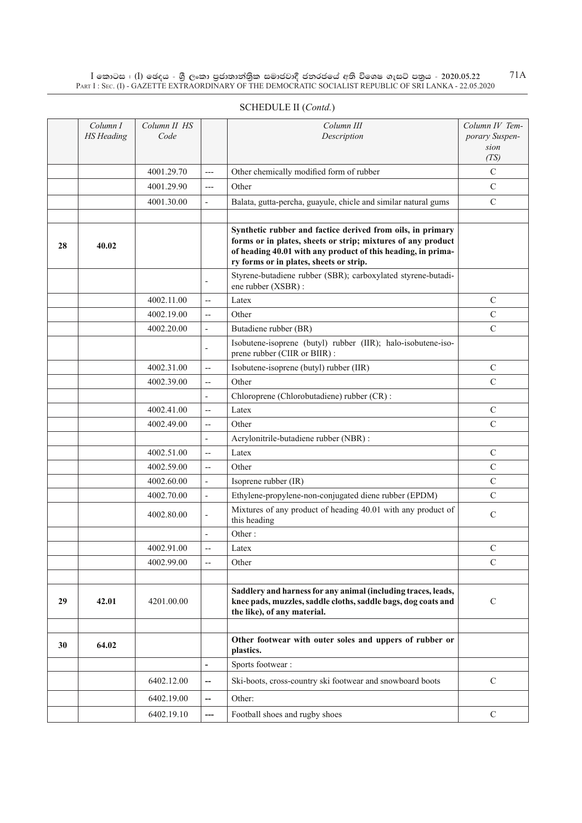|    | Column I<br><b>HS</b> Heading | Column II HS<br>Code |                          | Column III<br>Description                                                                                                                                                                                                             | Column IV Tem-<br>porary Suspen-<br>sion |
|----|-------------------------------|----------------------|--------------------------|---------------------------------------------------------------------------------------------------------------------------------------------------------------------------------------------------------------------------------------|------------------------------------------|
|    |                               |                      |                          |                                                                                                                                                                                                                                       | (TS)                                     |
|    |                               | 4001.29.70           | $---$                    | Other chemically modified form of rubber                                                                                                                                                                                              | $\mathbf C$                              |
|    |                               | 4001.29.90           | $---$                    | Other                                                                                                                                                                                                                                 | C                                        |
|    |                               | 4001.30.00           | $\overline{\phantom{a}}$ | Balata, gutta-percha, guayule, chicle and similar natural gums                                                                                                                                                                        | $\mathsf{C}$                             |
| 28 | 40.02                         |                      |                          | Synthetic rubber and factice derived from oils, in primary<br>forms or in plates, sheets or strip; mixtures of any product<br>of heading 40.01 with any product of this heading, in prima-<br>ry forms or in plates, sheets or strip. |                                          |
|    |                               |                      | ÷,                       | Styrene-butadiene rubber (SBR); carboxylated styrene-butadi-<br>ene rubber (XSBR) :                                                                                                                                                   |                                          |
|    |                               | 4002.11.00           | $\overline{\phantom{a}}$ | Latex                                                                                                                                                                                                                                 | $\mathsf{C}$                             |
|    |                               | 4002.19.00           | $\overline{\phantom{a}}$ | Other                                                                                                                                                                                                                                 | $\mathbf C$                              |
|    |                               | 4002.20.00           | $\overline{\phantom{a}}$ | Butadiene rubber (BR)                                                                                                                                                                                                                 | $\mathsf{C}$                             |
|    |                               |                      | $\overline{\phantom{a}}$ | Isobutene-isoprene (butyl) rubber (IIR); halo-isobutene-iso-<br>prene rubber (CIIR or BIIR) :                                                                                                                                         |                                          |
|    |                               | 4002.31.00           | $\overline{\phantom{a}}$ | Isobutene-isoprene (butyl) rubber (IIR)                                                                                                                                                                                               | $\mathsf{C}$                             |
|    |                               | 4002.39.00           | $-$                      | Other                                                                                                                                                                                                                                 | $\mathbf C$                              |
|    |                               |                      | $\overline{\phantom{a}}$ | Chloroprene (Chlorobutadiene) rubber (CR):                                                                                                                                                                                            |                                          |
|    |                               | 4002.41.00           | $-$                      | Latex                                                                                                                                                                                                                                 | C                                        |
|    |                               | 4002.49.00           | $\overline{\phantom{a}}$ | Other                                                                                                                                                                                                                                 | $\mathcal{C}$                            |
|    |                               |                      | $\overline{a}$           | Acrylonitrile-butadiene rubber (NBR) :                                                                                                                                                                                                |                                          |
|    |                               | 4002.51.00           | $-$                      | Latex                                                                                                                                                                                                                                 | $\mathcal{C}$                            |
|    |                               | 4002.59.00           | $\overline{\phantom{a}}$ | Other                                                                                                                                                                                                                                 | $\mathcal{C}$                            |
|    |                               | 4002.60.00           | $\overline{\phantom{a}}$ | Isoprene rubber (IR)                                                                                                                                                                                                                  | $\mathcal{C}$                            |
|    |                               | 4002.70.00           | $\overline{\phantom{a}}$ | Ethylene-propylene-non-conjugated diene rubber (EPDM)                                                                                                                                                                                 | $\mathcal{C}$                            |
|    |                               | 4002.80.00           | $\overline{a}$           | Mixtures of any product of heading 40.01 with any product of<br>this heading                                                                                                                                                          | $\mathbf C$                              |
|    |                               |                      |                          | Other:                                                                                                                                                                                                                                |                                          |
|    |                               | 4002.91.00           | $\overline{a}$           | Latex                                                                                                                                                                                                                                 | $\mathcal{C}$                            |
|    |                               | 4002.99.00           | $\overline{a}$           | Other                                                                                                                                                                                                                                 | $\mathcal{C}$                            |
|    |                               |                      |                          |                                                                                                                                                                                                                                       |                                          |
| 29 | 42.01                         | 4201.00.00           |                          | Saddlery and harness for any animal (including traces, leads,<br>knee pads, muzzles, saddle cloths, saddle bags, dog coats and<br>the like), of any material.                                                                         | $\mathbf C$                              |
|    |                               |                      |                          |                                                                                                                                                                                                                                       |                                          |
| 30 | 64.02                         |                      |                          | Other footwear with outer soles and uppers of rubber or<br>plastics.                                                                                                                                                                  |                                          |
|    |                               |                      | $\frac{1}{2}$            | Sports footwear:                                                                                                                                                                                                                      |                                          |
|    |                               | 6402.12.00           | --                       | Ski-boots, cross-country ski footwear and snowboard boots                                                                                                                                                                             | $\mathcal{C}$                            |
|    |                               | 6402.19.00           | $\overline{\phantom{0}}$ | Other:                                                                                                                                                                                                                                |                                          |
|    |                               | 6402.19.10           | ---                      | Football shoes and rugby shoes                                                                                                                                                                                                        | $\mathcal{C}$                            |

# SCHEDULE II (*Contd.*)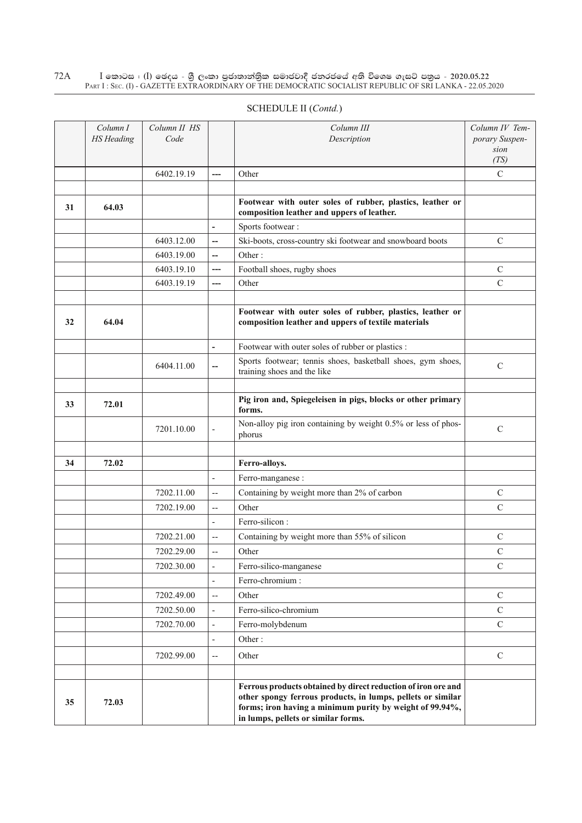|    | Column I<br><b>HS</b> Heading | Column II HS<br>Code |                                   | Column III<br>Description                                                                                                                                                                                                       | Column IV Tem-<br>porary Suspen-<br>sion<br>(TS) |
|----|-------------------------------|----------------------|-----------------------------------|---------------------------------------------------------------------------------------------------------------------------------------------------------------------------------------------------------------------------------|--------------------------------------------------|
|    |                               | 6402.19.19           |                                   | Other                                                                                                                                                                                                                           | $\mathcal{C}$                                    |
|    |                               |                      |                                   |                                                                                                                                                                                                                                 |                                                  |
| 31 | 64.03                         |                      |                                   | Footwear with outer soles of rubber, plastics, leather or<br>composition leather and uppers of leather.                                                                                                                         |                                                  |
|    |                               |                      | $\overline{a}$                    | Sports footwear:                                                                                                                                                                                                                |                                                  |
|    |                               | 6403.12.00           | --                                | Ski-boots, cross-country ski footwear and snowboard boots                                                                                                                                                                       | $\mathcal{C}$                                    |
|    |                               | 6403.19.00           | --                                | Other:                                                                                                                                                                                                                          |                                                  |
|    |                               | 6403.19.10           | ---                               | Football shoes, rugby shoes                                                                                                                                                                                                     | $\mathcal{C}$                                    |
|    |                               | 6403.19.19           | ---                               | Other                                                                                                                                                                                                                           | $\mathcal{C}$                                    |
| 32 | 64.04                         |                      |                                   | Footwear with outer soles of rubber, plastics, leather or<br>composition leather and uppers of textile materials                                                                                                                |                                                  |
|    |                               |                      | $\overline{\phantom{a}}$          | Footwear with outer soles of rubber or plastics :                                                                                                                                                                               |                                                  |
|    |                               | 6404.11.00           | --                                | Sports footwear; tennis shoes, basketball shoes, gym shoes,<br>training shoes and the like                                                                                                                                      | $\mathcal{C}$                                    |
|    |                               |                      |                                   |                                                                                                                                                                                                                                 |                                                  |
| 33 | 72.01                         |                      |                                   | Pig iron and, Spiegeleisen in pigs, blocks or other primary<br>forms.                                                                                                                                                           |                                                  |
|    |                               | 7201.10.00           | $\overline{\phantom{0}}$          | Non-alloy pig iron containing by weight 0.5% or less of phos-<br>phorus                                                                                                                                                         | $\mathcal{C}$                                    |
| 34 | 72.02                         |                      |                                   | Ferro-alloys.                                                                                                                                                                                                                   |                                                  |
|    |                               |                      | $\blacksquare$                    | Ferro-manganese:                                                                                                                                                                                                                |                                                  |
|    |                               | 7202.11.00           | $\hspace{0.05cm} \dashrightarrow$ | Containing by weight more than 2% of carbon                                                                                                                                                                                     | $\mathcal{C}$                                    |
|    |                               | 7202.19.00           | $\overline{\phantom{a}}$          | Other                                                                                                                                                                                                                           | $\mathcal{C}$                                    |
|    |                               |                      | $\qquad \qquad \blacksquare$      | Ferro-silicon:                                                                                                                                                                                                                  |                                                  |
|    |                               | 7202.21.00           | --                                | Containing by weight more than 55% of silicon                                                                                                                                                                                   | C                                                |
|    |                               | 7202.29.00           | --                                | Other                                                                                                                                                                                                                           | $\mathcal{C}$                                    |
|    |                               | 7202.30.00           | $\overline{\phantom{a}}$          | Ferro-silico-manganese                                                                                                                                                                                                          | $\mathbf C$                                      |
|    |                               |                      | $\blacksquare$                    | Ferro-chromium:                                                                                                                                                                                                                 |                                                  |
|    |                               | 7202.49.00           | $\overline{\phantom{a}}$          | Other                                                                                                                                                                                                                           | $\mathcal{C}$                                    |
|    |                               | 7202.50.00           | $\overline{\phantom{0}}$          | Ferro-silico-chromium                                                                                                                                                                                                           | $\overline{C}$                                   |
|    |                               | 7202.70.00           | $\overline{\phantom{a}}$          | Ferro-molybdenum                                                                                                                                                                                                                | $\mathcal{C}$                                    |
|    |                               |                      | $\qquad \qquad \blacksquare$      | Other:                                                                                                                                                                                                                          |                                                  |
|    |                               | 7202.99.00           | --                                | Other                                                                                                                                                                                                                           | $\mathbf C$                                      |
| 35 | 72.03                         |                      |                                   | Ferrous products obtained by direct reduction of iron ore and<br>other spongy ferrous products, in lumps, pellets or similar<br>forms; iron having a minimum purity by weight of 99.94%,<br>in lumps, pellets or similar forms. |                                                  |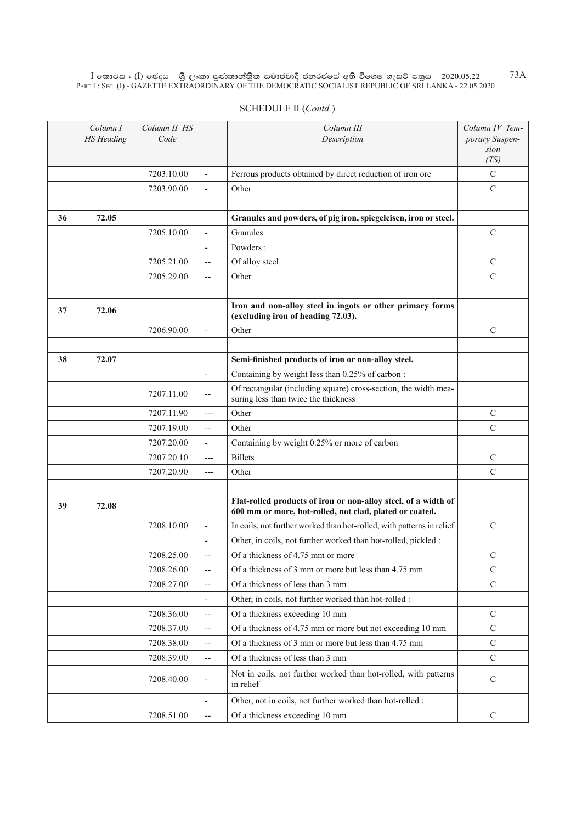$\rm I$  කොටස : (I) ඡෙදය - ශුී ලංකා පුජාතාන්තිුක සමාජවාදී ජනරජයේ අති විශෙෂ ගැසට් පතුය - 2020.05.22  $\rm \, \, 73A$ 

|    | PART I: SEC. (I) - GAZETTE EXTRAORDINARY OF THE DEMOCRATIC SOCIALIST REPUBLIC OF SRI LANKA - 22.05.2020 |                      |   |                                                                 |                                                  |  |  |  |
|----|---------------------------------------------------------------------------------------------------------|----------------------|---|-----------------------------------------------------------------|--------------------------------------------------|--|--|--|
|    | <b>SCHEDULE II</b> (Contd.)                                                                             |                      |   |                                                                 |                                                  |  |  |  |
|    | Column I<br><b>HS</b> Heading                                                                           | Column II HS<br>Code |   | Column III<br>Description                                       | Column IV Tem-<br>porary Suspen-<br>sion<br>(TS) |  |  |  |
|    |                                                                                                         | 7203.10.00           | ٠ | Ferrous products obtained by direct reduction of iron ore       | C                                                |  |  |  |
|    |                                                                                                         | 7203.90.00           |   | Other                                                           | $\mathcal{C}$                                    |  |  |  |
|    |                                                                                                         |                      |   |                                                                 |                                                  |  |  |  |
| 36 | 72.05                                                                                                   |                      |   | Granules and powders, of pig iron, spiegeleisen, iron or steel. |                                                  |  |  |  |
|    |                                                                                                         | 7205.10.00           | - | Granules                                                        | $\mathcal{C}$                                    |  |  |  |
|    |                                                                                                         |                      |   | Powders:                                                        |                                                  |  |  |  |

|    |       | 7203.90.00 | $\overline{a}$           | Other                                                                                                                     | $\mathbf C$   |
|----|-------|------------|--------------------------|---------------------------------------------------------------------------------------------------------------------------|---------------|
|    |       |            |                          |                                                                                                                           |               |
| 36 | 72.05 |            |                          | Granules and powders, of pig iron, spiegeleisen, iron or steel.                                                           |               |
|    |       | 7205.10.00 | $\overline{\phantom{a}}$ | Granules                                                                                                                  | $\mathbf C$   |
|    |       |            | $\overline{a}$           | Powders:                                                                                                                  |               |
|    |       | 7205.21.00 | $\overline{\phantom{a}}$ | Of alloy steel                                                                                                            | C             |
|    |       | 7205.29.00 | $\overline{\phantom{a}}$ | Other                                                                                                                     | $\mathbf C$   |
|    |       |            |                          |                                                                                                                           |               |
| 37 | 72.06 |            |                          | Iron and non-alloy steel in ingots or other primary forms<br>(excluding iron of heading 72.03).                           |               |
|    |       | 7206.90.00 | $\overline{\phantom{a}}$ | Other                                                                                                                     | $\mathsf{C}$  |
|    |       |            |                          |                                                                                                                           |               |
| 38 | 72.07 |            |                          | Semi-finished products of iron or non-alloy steel.                                                                        |               |
|    |       |            | $\overline{\phantom{a}}$ | Containing by weight less than 0.25% of carbon:                                                                           |               |
|    |       | 7207.11.00 | $-$                      | Of rectangular (including square) cross-section, the width mea-<br>suring less than twice the thickness                   |               |
|    |       | 7207.11.90 | $---$                    | Other                                                                                                                     | $\mathsf{C}$  |
|    |       | 7207.19.00 | $\overline{\phantom{a}}$ | Other                                                                                                                     | $\mathcal{C}$ |
|    |       | 7207.20.00 | $\overline{\phantom{a}}$ | Containing by weight 0.25% or more of carbon                                                                              |               |
|    |       | 7207.20.10 | $---$                    | <b>Billets</b>                                                                                                            | $\mathsf{C}$  |
|    |       | 7207.20.90 | $---$                    | Other                                                                                                                     | $\mathsf{C}$  |
|    |       |            |                          |                                                                                                                           |               |
| 39 | 72.08 |            |                          | Flat-rolled products of iron or non-alloy steel, of a width of<br>600 mm or more, hot-rolled, not clad, plated or coated. |               |
|    |       | 7208.10.00 | $\overline{a}$           | In coils, not further worked than hot-rolled, with patterns in relief                                                     | C             |
|    |       |            | ÷,                       | Other, in coils, not further worked than hot-rolled, pickled :                                                            |               |
|    |       | 7208.25.00 | $\overline{a}$           | Of a thickness of 4.75 mm or more                                                                                         | C             |
|    |       | 7208.26.00 | $\overline{\phantom{a}}$ | Of a thickness of 3 mm or more but less than 4.75 mm                                                                      | $\mathbf C$   |
|    |       | 7208.27.00 | $\overline{\phantom{a}}$ | Of a thickness of less than 3 mm                                                                                          | $\mathcal{C}$ |
|    |       |            |                          | Other, in coils, not further worked than hot-rolled :                                                                     |               |
|    |       | 7208.36.00 | $\overline{a}$           | Of a thickness exceeding 10 mm                                                                                            | $\mathbf C$   |
|    |       | 7208.37.00 | $\overline{a}$           | Of a thickness of 4.75 mm or more but not exceeding 10 mm                                                                 | $\mathbf C$   |
|    |       | 7208.38.00 | $\overline{\phantom{a}}$ | Of a thickness of 3 mm or more but less than 4.75 mm                                                                      | C             |
|    |       | 7208.39.00 | $\overline{\phantom{a}}$ | Of a thickness of less than 3 mm                                                                                          | $\mathbf C$   |
|    |       | 7208.40.00 | $\overline{\phantom{a}}$ | Not in coils, not further worked than hot-rolled, with patterns<br>in relief                                              | $\mathbf C$   |
|    |       |            |                          | Other, not in coils, not further worked than hot-rolled :                                                                 |               |
|    |       | 7208.51.00 | $\overline{\phantom{a}}$ | Of a thickness exceeding 10 mm                                                                                            | $\mathcal{C}$ |
|    |       |            |                          |                                                                                                                           |               |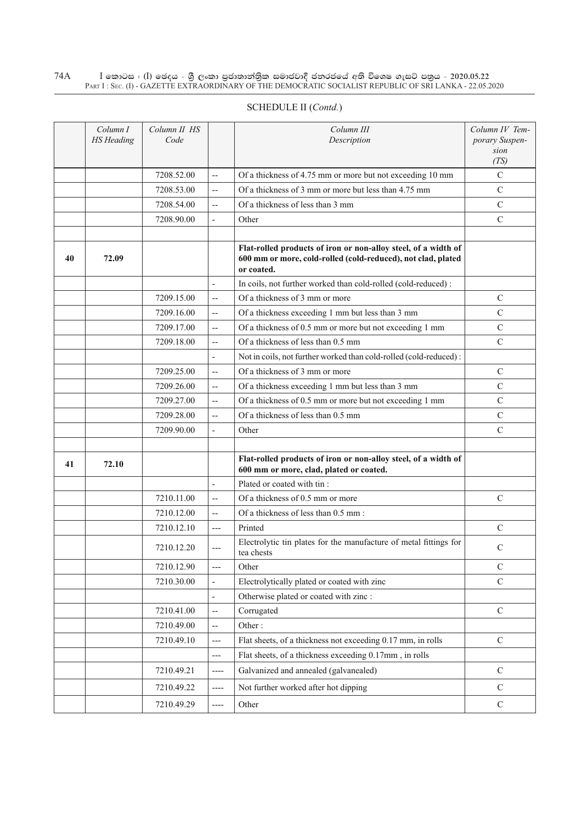#### $\rm I$  කොටස : ( $\rm I$ ) ඡෙදය - ශුී ලංකා පුජාතාන්තිුක සමාජවාදී ජනරජයේ අති විශෙෂ ගැසට් පතුය - 2020.05.22 Part I : Sec. (I) - GAZETTE EXTRAORDINARY OF THE DEMOCRATIC SOCIALIST REPUBLIC OF SRI LANKA - 22.05.2020 74A

|    | Column I<br><b>HS</b> Heading | Column II HS<br>Code |                          | Column III<br>Description                                                                                                                    | Column IV Tem-<br>porary Suspen-<br>sion |
|----|-------------------------------|----------------------|--------------------------|----------------------------------------------------------------------------------------------------------------------------------------------|------------------------------------------|
|    |                               |                      |                          |                                                                                                                                              | (TS)                                     |
|    |                               | 7208.52.00           | $\sim$                   | Of a thickness of 4.75 mm or more but not exceeding 10 mm                                                                                    | $\mathcal{C}$                            |
|    |                               | 7208.53.00           | $\overline{a}$           | Of a thickness of 3 mm or more but less than 4.75 mm                                                                                         | $\mathcal{C}$                            |
|    |                               | 7208.54.00           | $\overline{a}$           | Of a thickness of less than 3 mm                                                                                                             | $\mathcal{C}$                            |
|    |                               | 7208.90.00           | $\overline{\phantom{a}}$ | Other                                                                                                                                        | $\mathcal{C}$                            |
|    |                               |                      |                          |                                                                                                                                              |                                          |
| 40 | 72.09                         |                      |                          | Flat-rolled products of iron or non-alloy steel, of a width of<br>600 mm or more, cold-rolled (cold-reduced), not clad, plated<br>or coated. |                                          |
|    |                               |                      |                          | In coils, not further worked than cold-rolled (cold-reduced):                                                                                |                                          |
|    |                               | 7209.15.00           | $\overline{a}$           | Of a thickness of 3 mm or more                                                                                                               | $\mathcal{C}$                            |
|    |                               | 7209.16.00           | $-$                      | Of a thickness exceeding 1 mm but less than 3 mm                                                                                             | $\mathcal{C}$                            |
|    |                               | 7209.17.00           | $\overline{a}$           | Of a thickness of 0.5 mm or more but not exceeding 1 mm                                                                                      | $\mathcal{C}$                            |
|    |                               | 7209.18.00           | $\overline{a}$           | Of a thickness of less than 0.5 mm                                                                                                           | $\mathbf C$                              |
|    |                               |                      | $\overline{\phantom{a}}$ | Not in coils, not further worked than cold-rolled (cold-reduced):                                                                            |                                          |
|    |                               | 7209.25.00           | $-$                      | Of a thickness of 3 mm or more                                                                                                               | $\mathcal{C}$                            |
|    |                               | 7209.26.00           | $\overline{\phantom{a}}$ | Of a thickness exceeding 1 mm but less than 3 mm                                                                                             | $\mathcal{C}$                            |
|    |                               | 7209.27.00           | $\overline{a}$           | Of a thickness of 0.5 mm or more but not exceeding 1 mm                                                                                      | $\mathsf{C}$                             |
|    |                               | 7209.28.00           | $\overline{\phantom{a}}$ | Of a thickness of less than 0.5 mm                                                                                                           | $\mathcal{C}$                            |
|    |                               | 7209.90.00           | ÷,                       | Other                                                                                                                                        | $\mathbf C$                              |
|    |                               |                      |                          |                                                                                                                                              |                                          |
| 41 | 72.10                         |                      |                          | Flat-rolled products of iron or non-alloy steel, of a width of<br>600 mm or more, clad, plated or coated.                                    |                                          |
|    |                               |                      | $\overline{a}$           | Plated or coated with tin:                                                                                                                   |                                          |
|    |                               | 7210.11.00           | $\overline{\phantom{a}}$ | Of a thickness of 0.5 mm or more                                                                                                             | $\mathcal{C}$                            |
|    |                               | 7210.12.00           | $\qquad \qquad -$        | Of a thickness of less than 0.5 mm:                                                                                                          |                                          |
|    |                               | 7210.12.10           | $---$                    | Printed                                                                                                                                      | $\mathcal{C}$                            |
|    |                               | 7210.12.20           | $---$                    | Electrolytic tin plates for the manufacture of metal fittings for<br>tea chests                                                              | C                                        |
|    |                               | 7210.12.90           | $---$                    | Other                                                                                                                                        | $\mathcal{C}$                            |
|    |                               | 7210.30.00           | $\overline{\phantom{a}}$ | Electrolytically plated or coated with zinc                                                                                                  | ${\bf C}$                                |
|    |                               |                      | $\overline{\phantom{a}}$ | Otherwise plated or coated with zinc :                                                                                                       |                                          |
|    |                               | 7210.41.00           | $\overline{\phantom{m}}$ | Corrugated                                                                                                                                   | $\mathbf C$                              |
|    |                               | 7210.49.00           | $\overline{\phantom{m}}$ | Other:                                                                                                                                       |                                          |
|    |                               | 7210.49.10           | $---$                    | Flat sheets, of a thickness not exceeding 0.17 mm, in rolls                                                                                  | $\mathbf C$                              |
|    |                               |                      | $---$                    | Flat sheets, of a thickness exceeding 0.17mm, in rolls                                                                                       |                                          |
|    |                               | 7210.49.21           | $---$                    | Galvanized and annealed (galvanealed)                                                                                                        | $\mathcal{C}$                            |
|    |                               | 7210.49.22           | ----                     | Not further worked after hot dipping                                                                                                         | $\mathcal{C}$                            |
|    |                               | 7210.49.29           | ----                     | Other                                                                                                                                        | $\mathbf C$                              |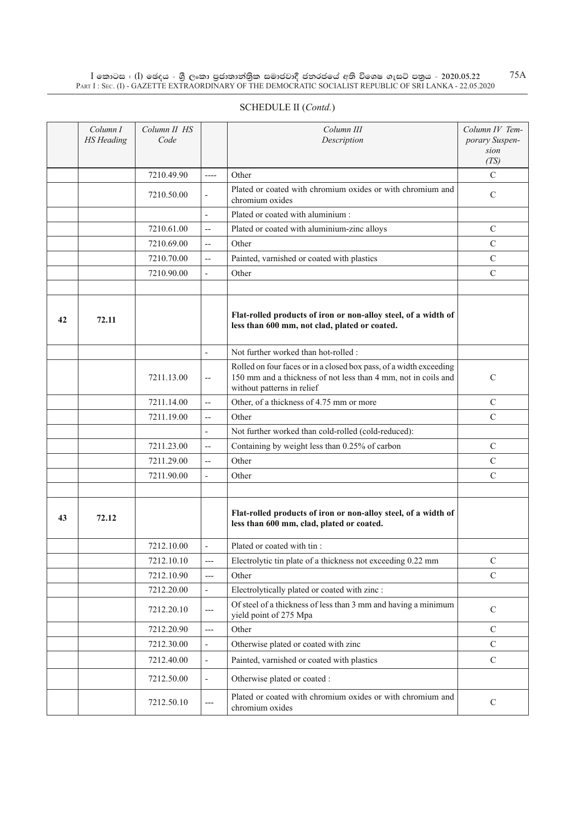$\rm I$  කොටස : ( $\rm I$ ) ඡෙදය - ශුී ලංකා පුජාතාන්තුික සමාජවාදී ජනරජයේ අති විශෙෂ ගැසට් පතුය - 2020.05.22 Part I : Sec. (I) - GAZETTE EXTRAORDINARY OF THE DEMOCRATIC SOCIALIST REPUBLIC OF SRI LANKA - 22.05.2020

|    | Column I<br><b>HS</b> Heading | Column II HS<br>Code |                          | Column III<br>Description                                                                                                                                          | Column IV Tem-<br>porary Suspen-<br>sion<br>(TS) |
|----|-------------------------------|----------------------|--------------------------|--------------------------------------------------------------------------------------------------------------------------------------------------------------------|--------------------------------------------------|
|    |                               | 7210.49.90           | $---$                    | Other                                                                                                                                                              | $\mathbf C$                                      |
|    |                               | 7210.50.00           | $\overline{\phantom{a}}$ | Plated or coated with chromium oxides or with chromium and<br>chromium oxides                                                                                      | C                                                |
|    |                               |                      | $\overline{a}$           | Plated or coated with aluminium :                                                                                                                                  |                                                  |
|    |                               | 7210.61.00           | $\overline{\phantom{m}}$ | Plated or coated with aluminium-zinc alloys                                                                                                                        | $\mathbf C$                                      |
|    |                               | 7210.69.00           | $\overline{\phantom{a}}$ | Other                                                                                                                                                              | $\mathsf{C}$                                     |
|    |                               | 7210.70.00           | $\overline{a}$           | Painted, varnished or coated with plastics                                                                                                                         | $\mathbf C$                                      |
|    |                               | 7210.90.00           | $\frac{1}{2}$            | Other                                                                                                                                                              | $\mathsf{C}$                                     |
|    |                               |                      |                          |                                                                                                                                                                    |                                                  |
| 42 | 72.11                         |                      |                          | Flat-rolled products of iron or non-alloy steel, of a width of<br>less than 600 mm, not clad, plated or coated.                                                    |                                                  |
|    |                               |                      | $\overline{\phantom{a}}$ | Not further worked than hot-rolled :                                                                                                                               |                                                  |
|    |                               | 7211.13.00           | $\overline{\phantom{m}}$ | Rolled on four faces or in a closed box pass, of a width exceeding<br>150 mm and a thickness of not less than 4 mm, not in coils and<br>without patterns in relief | $\mathcal{C}$                                    |
|    |                               | 7211.14.00           | $\overline{a}$           | Other, of a thickness of 4.75 mm or more                                                                                                                           | $\mathsf{C}$                                     |
|    |                               | 7211.19.00           | $\overline{\phantom{a}}$ | Other                                                                                                                                                              | $\mathsf{C}$                                     |
|    |                               |                      | $\overline{a}$           | Not further worked than cold-rolled (cold-reduced):                                                                                                                |                                                  |
|    |                               | 7211.23.00           | $\overline{\phantom{a}}$ | Containing by weight less than 0.25% of carbon                                                                                                                     | $\mathcal{C}$                                    |
|    |                               | 7211.29.00           | $-$                      | Other                                                                                                                                                              | $\mathbf C$                                      |
|    |                               | 7211.90.00           | $\overline{a}$           | Other                                                                                                                                                              | $\mathcal{C}$                                    |
|    |                               |                      |                          |                                                                                                                                                                    |                                                  |
| 43 | 72.12                         |                      |                          | Flat-rolled products of iron or non-alloy steel, of a width of<br>less than 600 mm, clad, plated or coated.                                                        |                                                  |
|    |                               | 7212.10.00           | $\overline{a}$           | Plated or coated with tin:                                                                                                                                         |                                                  |
|    |                               | 7212.10.10           | $---$                    | Electrolytic tin plate of a thickness not exceeding 0.22 mm                                                                                                        | $\mathbf C$                                      |
|    |                               | 7212.10.90           | $---$                    | Other                                                                                                                                                              | $\mathbf C$                                      |
|    |                               | 7212.20.00           | $\overline{\phantom{a}}$ | Electrolytically plated or coated with zinc :                                                                                                                      |                                                  |
|    |                               | 7212.20.10           | $---$                    | Of steel of a thickness of less than 3 mm and having a minimum<br>yield point of 275 Mpa                                                                           | $\mathcal{C}$                                    |
|    |                               | 7212.20.90           | $\qquad \qquad - -$      | Other                                                                                                                                                              | $\mathbf C$                                      |

7212.30.00  $\vert$  -  $\vert$  Otherwise plated or coated with zinc  $\vert$  C 7212.40.00 - Painted, varnished or coated with plastics C

 $7212.50.10$   $\begin{array}{|l|}\n\hline\n\end{array}$   $\begin{array}{|l|}\n\hline\n\end{array}$  Plated or coated with chromium oxides or with chromium and chromium oxides

 $7212.50.00$   $\Big| \cdot \Big|$  Otherwise plated or coated :

### SCHEDULE II (Contd.)

75A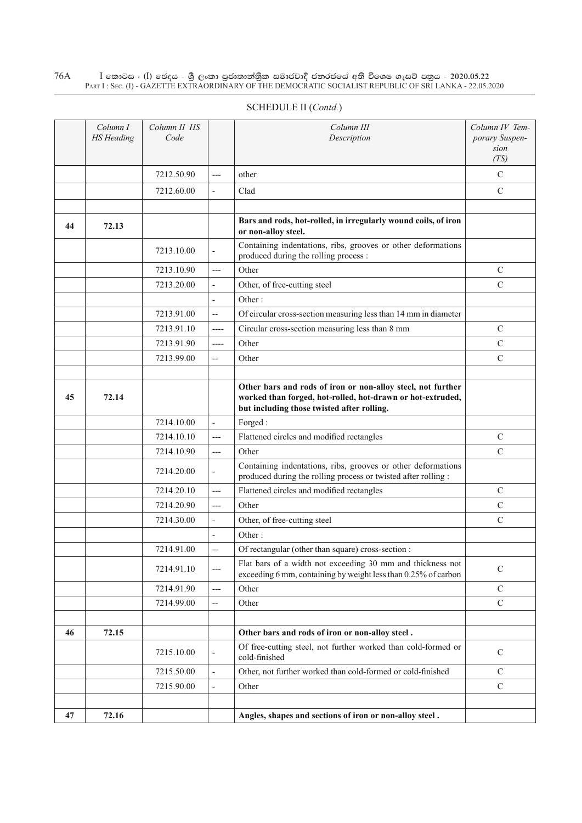$\rm I$  කොටස : ( $\rm I$ ) ඡෙදය - ශුී ලංකා පුජාතාන්තුික සමාජවාදී ජනරජයේ අති විශෙෂ ගැසට් පතුය - 2020.05.22 Part I : Sec. (I) - GAZETTE EXTRAORDINARY OF THE DEMOCRATIC SOCIALIST REPUBLIC OF SRI LANKA - 22.05.2020 76A

| SCHEDULE II (Contd.) |  |
|----------------------|--|
|                      |  |

|    | Column I<br><b>HS</b> Heading | Column II HS<br>Code |                          | Column III<br>Description                                                                                                                                               | Column IV Tem-<br>porary Suspen-<br>sion<br>(TS) |
|----|-------------------------------|----------------------|--------------------------|-------------------------------------------------------------------------------------------------------------------------------------------------------------------------|--------------------------------------------------|
|    |                               | 7212.50.90           | $---$                    | other                                                                                                                                                                   | $\mathcal{C}$                                    |
|    |                               | 7212.60.00           | $\overline{\phantom{a}}$ | Clad                                                                                                                                                                    | $\mathbf C$                                      |
|    |                               |                      |                          |                                                                                                                                                                         |                                                  |
| 44 | 72.13                         |                      |                          | Bars and rods, hot-rolled, in irregularly wound coils, of iron<br>or non-alloy steel.                                                                                   |                                                  |
|    |                               | 7213.10.00           | $\overline{\phantom{a}}$ | Containing indentations, ribs, grooves or other deformations<br>produced during the rolling process :                                                                   |                                                  |
|    |                               | 7213.10.90           | $---$                    | Other                                                                                                                                                                   | $\mathsf{C}$                                     |
|    |                               | 7213.20.00           | $\overline{\phantom{a}}$ | Other, of free-cutting steel                                                                                                                                            | $\mathbf C$                                      |
|    |                               |                      | $\overline{\phantom{a}}$ | Other:                                                                                                                                                                  |                                                  |
|    |                               | 7213.91.00           | $-$                      | Of circular cross-section measuring less than 14 mm in diameter                                                                                                         |                                                  |
|    |                               | 7213.91.10           | $---$                    | Circular cross-section measuring less than 8 mm                                                                                                                         | $\mathsf{C}$                                     |
|    |                               | 7213.91.90           | ----                     | Other                                                                                                                                                                   | $\mathsf{C}$                                     |
|    |                               | 7213.99.00           | --                       | Other                                                                                                                                                                   | $\mathsf{C}$                                     |
|    |                               |                      |                          |                                                                                                                                                                         |                                                  |
| 45 | 72.14                         |                      |                          | Other bars and rods of iron or non-alloy steel, not further<br>worked than forged, hot-rolled, hot-drawn or hot-extruded,<br>but including those twisted after rolling. |                                                  |
|    |                               | 7214.10.00           | $\overline{\phantom{a}}$ | Forged:                                                                                                                                                                 |                                                  |
|    |                               | 7214.10.10           | $---$                    | Flattened circles and modified rectangles                                                                                                                               | $\mathbf C$                                      |
|    |                               | 7214.10.90           | $---$                    | Other                                                                                                                                                                   | $\mathsf{C}$                                     |
|    |                               | 7214.20.00           | $\overline{\phantom{a}}$ | Containing indentations, ribs, grooves or other deformations<br>produced during the rolling process or twisted after rolling :                                          |                                                  |
|    |                               | 7214.20.10           | ---                      | Flattened circles and modified rectangles                                                                                                                               | $\mathcal{C}$                                    |
|    |                               | 7214.20.90           | $---$                    | Other                                                                                                                                                                   | $\mathcal{C}$                                    |
|    |                               | 7214.30.00           | $\overline{\phantom{a}}$ | Other, of free-cutting steel                                                                                                                                            | $\mathcal{C}$                                    |
|    |                               |                      |                          | Other:                                                                                                                                                                  |                                                  |
|    |                               | 7214.91.00           | --                       | Of rectangular (other than square) cross-section :                                                                                                                      |                                                  |
|    |                               | 7214.91.10           | $---$                    | Flat bars of a width not exceeding 30 mm and thickness not<br>exceeding 6 mm, containing by weight less than 0.25% of carbon                                            | $\mathcal{C}$                                    |
|    |                               | 7214.91.90           | $---$                    | Other                                                                                                                                                                   | $\mathcal{C}$                                    |
|    |                               | 7214.99.00           | $\overline{\phantom{a}}$ | Other                                                                                                                                                                   | $\mathcal{C}$                                    |
|    |                               |                      |                          |                                                                                                                                                                         |                                                  |
| 46 | 72.15                         |                      |                          | Other bars and rods of iron or non-alloy steel.                                                                                                                         |                                                  |
|    |                               | 7215.10.00           | $\overline{\phantom{a}}$ | Of free-cutting steel, not further worked than cold-formed or<br>cold-finished                                                                                          | $\mathcal{C}$                                    |
|    |                               | 7215.50.00           | $\overline{\phantom{a}}$ | Other, not further worked than cold-formed or cold-finished                                                                                                             | $\mathcal{C}$                                    |
|    |                               | 7215.90.00           | $\blacksquare$           | Other                                                                                                                                                                   | $\mathcal{C}$                                    |
|    |                               |                      |                          |                                                                                                                                                                         |                                                  |
| 47 | 72.16                         |                      |                          | Angles, shapes and sections of iron or non-alloy steel.                                                                                                                 |                                                  |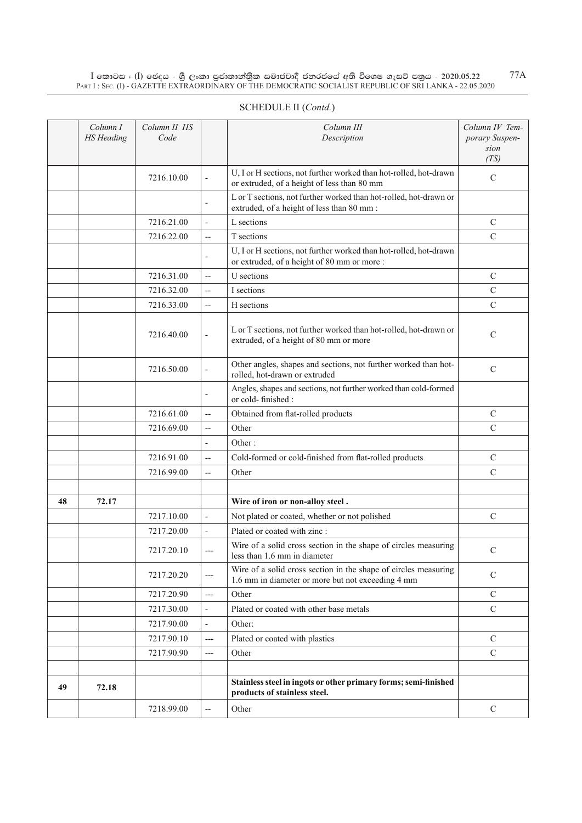$\rm I$  කොටස : ( $\rm I$ ) ඡෙදය - ශුී ලංකා පුජාතාන්තුික සමාජවාදී ජනරජයේ අති විශෙෂ ගැසට් පතුය - 2020.05.22 Part I : Sec. (I) - GAZETTE EXTRAORDINARY OF THE DEMOCRATIC SOCIALIST REPUBLIC OF SRI LANKA - 22.05.2020

|    | Column I<br><b>HS</b> Heading | Column II HS<br>Code |                          | Column III<br>Description                                                                                            | Column IV Tem-<br>porary Suspen-<br>sion<br>(TS) |
|----|-------------------------------|----------------------|--------------------------|----------------------------------------------------------------------------------------------------------------------|--------------------------------------------------|
|    |                               | 7216.10.00           | $\overline{\phantom{a}}$ | U, I or H sections, not further worked than hot-rolled, hot-drawn<br>or extruded, of a height of less than 80 mm     | $\mathsf{C}$                                     |
|    |                               |                      |                          | L or T sections, not further worked than hot-rolled, hot-drawn or<br>extruded, of a height of less than 80 mm :      |                                                  |
|    |                               | 7216.21.00           | $\overline{a}$           | L sections                                                                                                           | $\mathsf{C}$                                     |
|    |                               | 7216.22.00           | $\overline{\phantom{a}}$ | T sections                                                                                                           | $\mathsf{C}$                                     |
|    |                               |                      |                          | U, I or H sections, not further worked than hot-rolled, hot-drawn<br>or extruded, of a height of 80 mm or more :     |                                                  |
|    |                               | 7216.31.00           | $-$                      | U sections                                                                                                           | $\mathsf{C}$                                     |
|    |                               | 7216.32.00           | $\overline{a}$           | I sections                                                                                                           | $\mathsf{C}$                                     |
|    |                               | 7216.33.00           | $\overline{a}$           | H sections                                                                                                           | $\mathcal{C}$                                    |
|    |                               | 7216.40.00           | $\overline{\phantom{a}}$ | L or T sections, not further worked than hot-rolled, hot-drawn or<br>extruded, of a height of 80 mm or more          | $\mathsf{C}$                                     |
|    |                               | 7216.50.00           |                          | Other angles, shapes and sections, not further worked than hot-<br>rolled, hot-drawn or extruded                     | $\mathsf{C}$                                     |
|    |                               |                      |                          | Angles, shapes and sections, not further worked than cold-formed<br>or cold-finished:                                |                                                  |
|    |                               | 7216.61.00           | $\overline{\phantom{a}}$ | Obtained from flat-rolled products                                                                                   | $\mathsf{C}$                                     |
|    |                               | 7216.69.00           | $-$                      | Other                                                                                                                | $\mathbf C$                                      |
|    |                               |                      | $\overline{a}$           | Other:                                                                                                               |                                                  |
|    |                               | 7216.91.00           | $\overline{a}$           | Cold-formed or cold-finished from flat-rolled products                                                               | $\mathsf{C}$                                     |
|    |                               | 7216.99.00           | $\overline{a}$           | Other                                                                                                                | $\mathcal{C}$                                    |
|    |                               |                      |                          |                                                                                                                      |                                                  |
| 48 | 72.17                         |                      |                          | Wire of iron or non-alloy steel.                                                                                     |                                                  |
|    |                               | 7217.10.00           | ÷,                       | Not plated or coated, whether or not polished                                                                        | $\mathsf{C}$                                     |
|    |                               | 7217.20.00           | $\frac{1}{2}$            | Plated or coated with zinc :                                                                                         |                                                  |
|    |                               | 7217.20.10           | $---$                    | Wire of a solid cross section in the shape of circles measuring<br>less than 1.6 mm in diameter                      | $\mathcal{C}$                                    |
|    |                               | 7217.20.20           | ---                      | Wire of a solid cross section in the shape of circles measuring<br>1.6 mm in diameter or more but not exceeding 4 mm | $\mathsf{C}$                                     |
|    |                               | 7217.20.90           | $---$                    | Other                                                                                                                | $\mathcal{C}$                                    |
|    |                               | 7217.30.00           | $\overline{\phantom{a}}$ | Plated or coated with other base metals                                                                              | $\overline{C}$                                   |
|    |                               | 7217.90.00           | $\overline{\phantom{a}}$ | Other:                                                                                                               |                                                  |
|    |                               | 7217.90.10           | ---                      | Plated or coated with plastics                                                                                       | $\mathbf C$                                      |
|    |                               | 7217.90.90           | $---$                    | Other                                                                                                                | $\mathcal{C}$                                    |
|    |                               |                      |                          |                                                                                                                      |                                                  |
| 49 | 72.18                         |                      |                          | Stainless steel in ingots or other primary forms; semi-finished<br>products of stainless steel.                      |                                                  |
|    |                               | 7218.99.00           |                          | Other                                                                                                                | $\mathbf C$                                      |

# SCHEDULE II (*Contd.*)

77A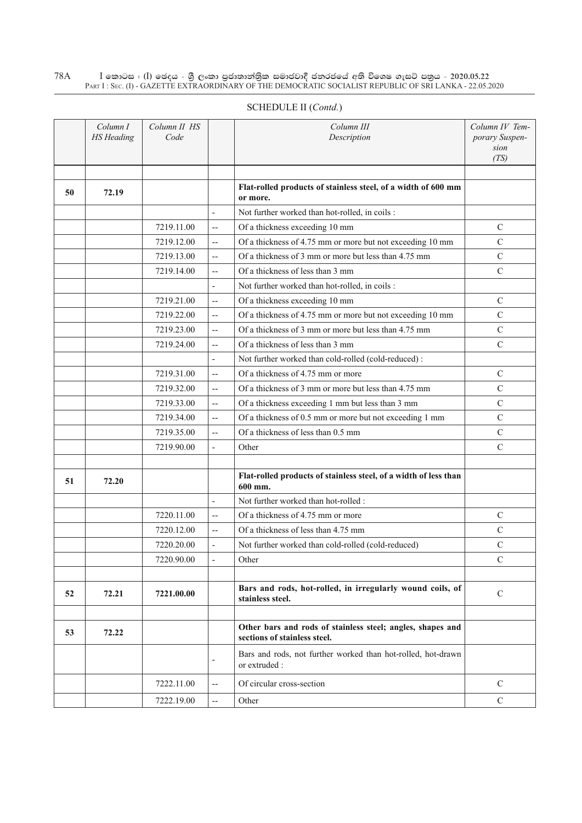$\rm I$  කොටස : ( $\rm I$ ) ඡෙදය - ශුී ලංකා පුජාතාන්තුික සමාජවාදී ජනරජයේ අති විශෙෂ ගැසට් පතුය - 2020.05.22 Part I : Sec. (I) - GAZETTE EXTRAORDINARY OF THE DEMOCRATIC SOCIALIST REPUBLIC OF SRI LANKA - 22.05.2020 78A

|    | Column I<br><b>HS</b> Heading | Column II HS<br>Code |                          | Column III<br>Description                                                                  | Column IV Tem-<br>porary Suspen-<br>sion<br>(TS) |
|----|-------------------------------|----------------------|--------------------------|--------------------------------------------------------------------------------------------|--------------------------------------------------|
| 50 | 72.19                         |                      |                          | Flat-rolled products of stainless steel, of a width of 600 mm<br>or more.                  |                                                  |
|    |                               |                      | $\overline{\phantom{a}}$ | Not further worked than hot-rolled, in coils :                                             |                                                  |
|    |                               | 7219.11.00           | $\overline{\phantom{m}}$ | Of a thickness exceeding 10 mm                                                             | $\mathcal{C}$                                    |
|    |                               | 7219.12.00           | $\overline{\phantom{a}}$ | Of a thickness of 4.75 mm or more but not exceeding 10 mm                                  | $\mathcal{C}$                                    |
|    |                               | 7219.13.00           | $\overline{a}$           | Of a thickness of 3 mm or more but less than 4.75 mm                                       | $\mathcal{C}$                                    |
|    |                               | 7219.14.00           | $\overline{\phantom{m}}$ | Of a thickness of less than 3 mm                                                           | $\mathcal{C}$                                    |
|    |                               |                      | $\overline{a}$           | Not further worked than hot-rolled, in coils :                                             |                                                  |
|    |                               | 7219.21.00           | $\overline{\phantom{a}}$ | Of a thickness exceeding 10 mm                                                             | $\mathcal{C}$                                    |
|    |                               | 7219.22.00           | $\overline{\phantom{a}}$ | Of a thickness of 4.75 mm or more but not exceeding 10 mm                                  | $\mathsf{C}$                                     |
|    |                               | 7219.23.00           | $\overline{\phantom{m}}$ | Of a thickness of 3 mm or more but less than 4.75 mm                                       | $\mathcal{C}$                                    |
|    |                               | 7219.24.00           | $\overline{\phantom{m}}$ | Of a thickness of less than 3 mm                                                           | $\mathcal{C}$                                    |
|    |                               |                      | $\overline{\phantom{a}}$ | Not further worked than cold-rolled (cold-reduced):                                        |                                                  |
|    |                               | 7219.31.00           | $\qquad \qquad -$        | Of a thickness of 4.75 mm or more                                                          | $\mathcal{C}$                                    |
|    |                               | 7219.32.00           | $\overline{\phantom{m}}$ | Of a thickness of 3 mm or more but less than 4.75 mm                                       | $\mathcal{C}$                                    |
|    |                               | 7219.33.00           | $\overline{\phantom{m}}$ | Of a thickness exceeding 1 mm but less than 3 mm                                           | $\overline{C}$                                   |
|    |                               | 7219.34.00           | $\overline{\phantom{a}}$ | Of a thickness of 0.5 mm or more but not exceeding 1 mm                                    | $\mathcal{C}$                                    |
|    |                               | 7219.35.00           | $\overline{\phantom{a}}$ | Of a thickness of less than 0.5 mm                                                         | $\mathcal{C}$                                    |
|    |                               | 7219.90.00           | $\overline{\phantom{a}}$ | Other                                                                                      | $\mathcal{C}$                                    |
| 51 | 72.20                         |                      |                          | Flat-rolled products of stainless steel, of a width of less than<br>600 mm.                |                                                  |
|    |                               |                      | $\overline{\phantom{a}}$ | Not further worked than hot-rolled :                                                       |                                                  |
|    |                               | 7220.11.00           | $\overline{a}$           | Of a thickness of 4.75 mm or more                                                          | $\mathcal{C}$                                    |
|    |                               | 7220.12.00           | $\overline{a}$           | Of a thickness of less than 4.75 mm                                                        | $\mathcal{C}$                                    |
|    |                               | 7220.20.00           | $\overline{a}$           | Not further worked than cold-rolled (cold-reduced)                                         | $\mathcal{C}$                                    |
|    |                               | 7220.90.00           | $\overline{\phantom{a}}$ | Other                                                                                      | C                                                |
|    |                               |                      |                          |                                                                                            |                                                  |
| 52 | 72.21                         | 7221.00.00           |                          | Bars and rods, hot-rolled, in irregularly wound coils, of<br>stainless steel.              | $\mathbf C$                                      |
|    |                               |                      |                          |                                                                                            |                                                  |
| 53 | 72.22                         |                      |                          | Other bars and rods of stainless steel; angles, shapes and<br>sections of stainless steel. |                                                  |
|    |                               |                      | $\overline{\phantom{a}}$ | Bars and rods, not further worked than hot-rolled, hot-drawn<br>or extruded :              |                                                  |
|    |                               | 7222.11.00           | $-$                      | Of circular cross-section                                                                  | $\mathcal{C}$                                    |
|    |                               | 7222.19.00           | $\overline{\phantom{a}}$ | Other                                                                                      | $\mathcal{C}$                                    |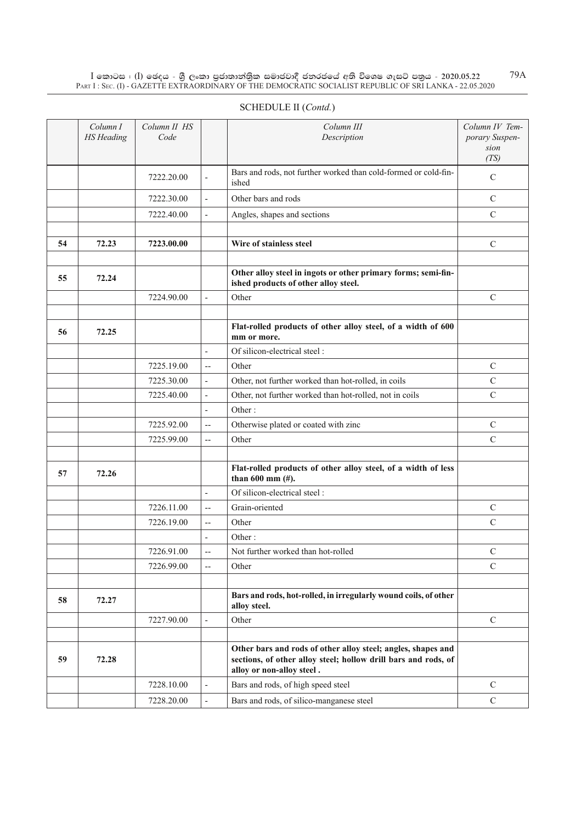$\rm I$  කොටස : ( $\rm I$ ) ඡෙදය - ශුී ලංකා පුජාතාන්තුික සමාජවාදී ජනරජයේ අති විශෙෂ ගැසට් පතුය - 2020.05.22 Part I : Sec. (I) - GAZETTE EXTRAORDINARY OF THE DEMOCRATIC SOCIALIST REPUBLIC OF SRI LANKA - 22.05.2020 79A

| SCHEDULE II (Contd.) |  |
|----------------------|--|
|----------------------|--|

|    | Column I<br><b>HS</b> Heading | Column II HS<br>Code |                          | Column III<br>Description                                                                                                                                   | Column IV Tem-<br>porary Suspen-<br>sion<br>(TS) |
|----|-------------------------------|----------------------|--------------------------|-------------------------------------------------------------------------------------------------------------------------------------------------------------|--------------------------------------------------|
|    |                               | 7222.20.00           | $\overline{\phantom{a}}$ | Bars and rods, not further worked than cold-formed or cold-fin-<br>ished                                                                                    | $\mathcal{C}$                                    |
|    |                               | 7222.30.00           | $\overline{\phantom{a}}$ | Other bars and rods                                                                                                                                         | $\mathcal{C}$                                    |
|    |                               | 7222.40.00           | $\overline{\phantom{a}}$ | Angles, shapes and sections                                                                                                                                 | $\mathbf C$                                      |
|    |                               |                      |                          |                                                                                                                                                             |                                                  |
| 54 | 72.23                         | 7223.00.00           |                          | Wire of stainless steel                                                                                                                                     | $\mathcal{C}$                                    |
|    |                               |                      |                          |                                                                                                                                                             |                                                  |
| 55 | 72.24                         |                      |                          | Other alloy steel in ingots or other primary forms; semi-fin-<br>ished products of other alloy steel.                                                       |                                                  |
|    |                               | 7224.90.00           | $\overline{\phantom{a}}$ | Other                                                                                                                                                       | $\mathbf C$                                      |
|    |                               |                      |                          |                                                                                                                                                             |                                                  |
| 56 | 72.25                         |                      |                          | Flat-rolled products of other alloy steel, of a width of 600<br>mm or more.                                                                                 |                                                  |
|    |                               |                      | $\overline{a}$           | Of silicon-electrical steel:                                                                                                                                |                                                  |
|    |                               | 7225.19.00           | $\overline{\phantom{a}}$ | Other                                                                                                                                                       | $\mathcal{C}$                                    |
|    |                               | 7225.30.00           | ÷,                       | Other, not further worked than hot-rolled, in coils                                                                                                         | $\mathbf C$                                      |
|    |                               | 7225.40.00           | $\overline{a}$           | Other, not further worked than hot-rolled, not in coils                                                                                                     | $\mathcal{C}$                                    |
|    |                               |                      | $\overline{\phantom{a}}$ | Other:                                                                                                                                                      |                                                  |
|    |                               | 7225.92.00           | $\overline{\phantom{a}}$ | Otherwise plated or coated with zinc                                                                                                                        | ${\bf C}$                                        |
|    |                               | 7225.99.00           | $\overline{a}$           | Other                                                                                                                                                       | $\overline{C}$                                   |
|    |                               |                      |                          |                                                                                                                                                             |                                                  |
| 57 | 72.26                         |                      |                          | Flat-rolled products of other alloy steel, of a width of less<br>than $600$ mm $(\#)$ .                                                                     |                                                  |
|    |                               |                      | $\overline{a}$           | Of silicon-electrical steel:                                                                                                                                |                                                  |
|    |                               | 7226.11.00           | $\overline{\phantom{a}}$ | Grain-oriented                                                                                                                                              | $\mathcal{C}$                                    |
|    |                               | 7226.19.00           | $\overline{\phantom{a}}$ | Other                                                                                                                                                       | $\mathbf C$                                      |
|    |                               |                      |                          | Other:                                                                                                                                                      |                                                  |
|    |                               | 7226.91.00           | $\overline{\phantom{a}}$ | Not further worked than hot-rolled                                                                                                                          | $\mathbf C$                                      |
|    |                               | 7226.99.00           | $-$                      | Other                                                                                                                                                       | $\mathbf C$                                      |
|    |                               |                      |                          |                                                                                                                                                             |                                                  |
| 58 | 72.27                         |                      |                          | Bars and rods, hot-rolled, in irregularly wound coils, of other<br>alloy steel.                                                                             |                                                  |
|    |                               | 7227.90.00           | $\overline{\phantom{a}}$ | Other                                                                                                                                                       | $\mathcal{C}$                                    |
| 59 | 72.28                         |                      |                          | Other bars and rods of other alloy steel; angles, shapes and<br>sections, of other alloy steel; hollow drill bars and rods, of<br>alloy or non-alloy steel. |                                                  |
|    |                               | 7228.10.00           |                          | Bars and rods, of high speed steel                                                                                                                          | $\mathcal{C}$                                    |
|    |                               | 7228.20.00           | $\bar{a}$                | Bars and rods, of silico-manganese steel                                                                                                                    | $\mathbf C$                                      |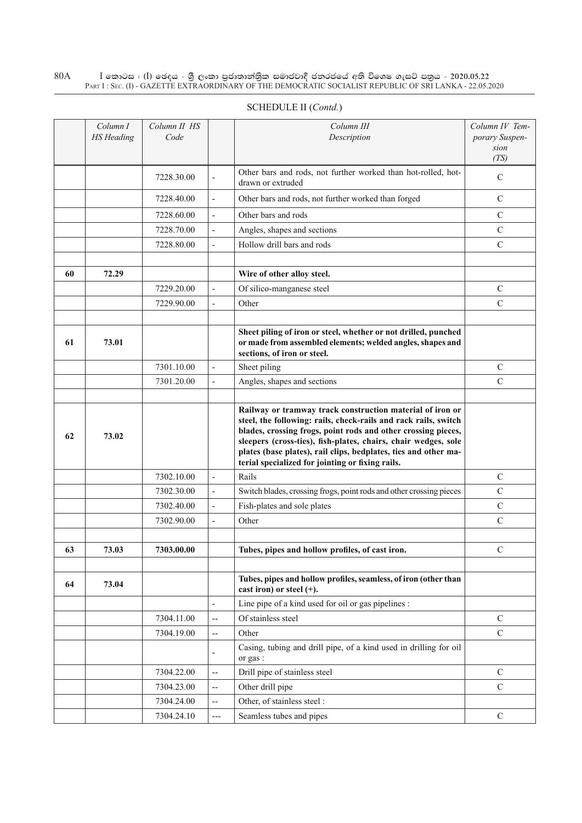$\rm I$  කොටස : ( $\rm I$ ) ඡෙදය - ශුී ලංකා පුජාතාන්තුික සමාජවාදී ජනරජයේ අති විශෙෂ ගැසට් පතුය - 2020.05.22 Part I : Sec. (I) - GAZETTE EXTRAORDINARY OF THE DEMOCRATIC SOCIALIST REPUBLIC OF SRI LANKA - 22.05.2020 80A

|    | Column I<br><b>HS</b> Heading | Column II HS<br>Code |                          | Column III<br>Description                                                                                                                                                                                                                                                                                                                                                              | Column IV Tem-<br>porary Suspen-<br>sion |
|----|-------------------------------|----------------------|--------------------------|----------------------------------------------------------------------------------------------------------------------------------------------------------------------------------------------------------------------------------------------------------------------------------------------------------------------------------------------------------------------------------------|------------------------------------------|
|    |                               |                      |                          |                                                                                                                                                                                                                                                                                                                                                                                        | (TS)                                     |
|    |                               | 7228.30.00           | $\overline{\phantom{a}}$ | Other bars and rods, not further worked than hot-rolled, hot-<br>drawn or extruded                                                                                                                                                                                                                                                                                                     | $\mathsf{C}$                             |
|    |                               | 7228.40.00           | $\overline{\phantom{a}}$ | Other bars and rods, not further worked than forged                                                                                                                                                                                                                                                                                                                                    | $\mathcal{C}$                            |
|    |                               | 7228.60.00           | $\overline{\phantom{a}}$ | Other bars and rods                                                                                                                                                                                                                                                                                                                                                                    | $\mathsf{C}$                             |
|    |                               | 7228.70.00           | $\overline{\phantom{a}}$ | Angles, shapes and sections                                                                                                                                                                                                                                                                                                                                                            | $\mathsf{C}$                             |
|    |                               | 7228.80.00           | $\overline{\phantom{a}}$ | Hollow drill bars and rods                                                                                                                                                                                                                                                                                                                                                             | $\mathsf{C}$                             |
|    |                               |                      |                          |                                                                                                                                                                                                                                                                                                                                                                                        |                                          |
| 60 | 72.29                         |                      |                          | Wire of other alloy steel.                                                                                                                                                                                                                                                                                                                                                             |                                          |
|    |                               | 7229.20.00           | $\overline{\phantom{a}}$ | Of silico-manganese steel                                                                                                                                                                                                                                                                                                                                                              | C                                        |
|    |                               | 7229.90.00           | $\overline{a}$           | Other                                                                                                                                                                                                                                                                                                                                                                                  | $\mathcal{C}$                            |
|    |                               |                      |                          |                                                                                                                                                                                                                                                                                                                                                                                        |                                          |
| 61 | 73.01                         |                      |                          | Sheet piling of iron or steel, whether or not drilled, punched<br>or made from assembled elements; welded angles, shapes and<br>sections, of iron or steel.                                                                                                                                                                                                                            |                                          |
|    |                               | 7301.10.00           | $\overline{\phantom{a}}$ | Sheet piling                                                                                                                                                                                                                                                                                                                                                                           | $\mathsf{C}$                             |
|    |                               | 7301.20.00           | $\overline{\phantom{a}}$ | Angles, shapes and sections                                                                                                                                                                                                                                                                                                                                                            | $\mathbf C$                              |
|    |                               |                      |                          |                                                                                                                                                                                                                                                                                                                                                                                        |                                          |
| 62 | 73.02                         |                      |                          | Railway or tramway track construction material of iron or<br>steel, the following: rails, check-rails and rack rails, switch<br>blades, crossing frogs, point rods and other crossing pieces,<br>sleepers (cross-ties), fish-plates, chairs, chair wedges, sole<br>plates (base plates), rail clips, bedplates, ties and other ma-<br>terial specialized for jointing or fixing rails. |                                          |
|    |                               | 7302.10.00           | $\overline{\phantom{a}}$ | Rails                                                                                                                                                                                                                                                                                                                                                                                  | $\mathcal{C}$                            |
|    |                               | 7302.30.00           | $\overline{\phantom{a}}$ | Switch blades, crossing frogs, point rods and other crossing pieces                                                                                                                                                                                                                                                                                                                    | $\mathsf{C}$                             |
|    |                               | 7302.40.00           | $\overline{\phantom{a}}$ | Fish-plates and sole plates                                                                                                                                                                                                                                                                                                                                                            | $\mathsf{C}$                             |
|    |                               | 7302.90.00           | $\overline{\phantom{a}}$ | Other                                                                                                                                                                                                                                                                                                                                                                                  | $\mathbf C$                              |
|    |                               |                      |                          |                                                                                                                                                                                                                                                                                                                                                                                        |                                          |
| 63 | 73.03                         | 7303.00.00           |                          | Tubes, pipes and hollow profiles, of cast iron.                                                                                                                                                                                                                                                                                                                                        | $\mathcal{C}$                            |
|    |                               |                      |                          |                                                                                                                                                                                                                                                                                                                                                                                        |                                          |
| 64 | 73.04                         |                      |                          | Tubes, pipes and hollow profiles, seamless, of iron (other than<br>cast iron) or steel $(+)$ .                                                                                                                                                                                                                                                                                         |                                          |
|    |                               |                      | $\overline{\phantom{a}}$ | Line pipe of a kind used for oil or gas pipelines :                                                                                                                                                                                                                                                                                                                                    |                                          |
|    |                               | 7304.11.00           | $\overline{\phantom{a}}$ | Of stainless steel                                                                                                                                                                                                                                                                                                                                                                     | $\mathcal{C}$                            |
|    |                               | 7304.19.00           | $\overline{a}$           | Other                                                                                                                                                                                                                                                                                                                                                                                  | $\mathbf C$                              |
|    |                               |                      | $\overline{\phantom{a}}$ | Casing, tubing and drill pipe, of a kind used in drilling for oil<br>or gas:                                                                                                                                                                                                                                                                                                           |                                          |
|    |                               | 7304.22.00           | $\overline{\phantom{a}}$ | Drill pipe of stainless steel                                                                                                                                                                                                                                                                                                                                                          | $\mathsf{C}$                             |
|    |                               | 7304.23.00           | --                       | Other drill pipe                                                                                                                                                                                                                                                                                                                                                                       | $\mathbf C$                              |
|    |                               | 7304.24.00           | $\overline{\phantom{a}}$ | Other, of stainless steel :                                                                                                                                                                                                                                                                                                                                                            |                                          |
|    |                               | 7304.24.10           | ---                      | Seamless tubes and pipes                                                                                                                                                                                                                                                                                                                                                               | C                                        |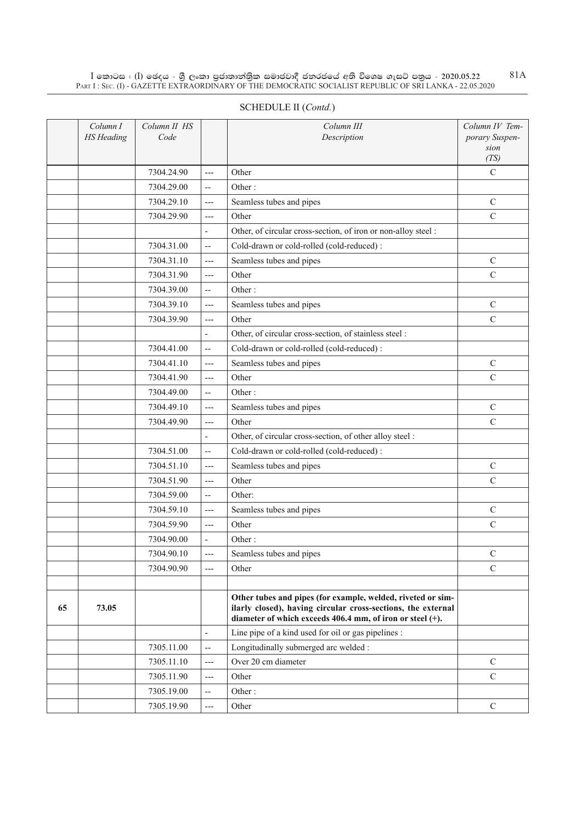$\rm I$  කොටස : ( $\rm I$ ) ඡෙදය - ශුී ලංකා පුජාතාන්තුික සමාජවාදී ජනරජයේ අති විශෙෂ ගැසට් පතුය - 2020.05.22 Part I : Sec. (I) - GAZETTE EXTRAORDINARY OF THE DEMOCRATIC SOCIALIST REPUBLIC OF SRI LANKA - 22.05.2020 81A

|    | Column I<br><b>HS</b> Heading | Column II HS<br>Code |                          | Column III<br>Description                                                                                                                                                                | Column IV Tem-<br>porary Suspen-<br>sion<br>(TS) |
|----|-------------------------------|----------------------|--------------------------|------------------------------------------------------------------------------------------------------------------------------------------------------------------------------------------|--------------------------------------------------|
|    |                               | 7304.24.90           | ---                      | Other                                                                                                                                                                                    | $\mathcal{C}$                                    |
|    |                               | 7304.29.00           | $\overline{\phantom{a}}$ | Other:                                                                                                                                                                                   |                                                  |
|    |                               | 7304.29.10           | ---                      | Seamless tubes and pipes                                                                                                                                                                 | C                                                |
|    |                               | 7304.29.90           | ---                      | Other                                                                                                                                                                                    | $\mathbf C$                                      |
|    |                               |                      | $\overline{\phantom{0}}$ | Other, of circular cross-section, of iron or non-alloy steel :                                                                                                                           |                                                  |
|    |                               | 7304.31.00           | $\overline{a}$           | Cold-drawn or cold-rolled (cold-reduced):                                                                                                                                                |                                                  |
|    |                               | 7304.31.10           | ---                      | Seamless tubes and pipes                                                                                                                                                                 | $\mathsf{C}$                                     |
|    |                               | 7304.31.90           | ---                      | Other                                                                                                                                                                                    | $\mathbf C$                                      |
|    |                               | 7304.39.00           | --                       | Other:                                                                                                                                                                                   |                                                  |
|    |                               | 7304.39.10           | ---                      | Seamless tubes and pipes                                                                                                                                                                 | $\mathbf C$                                      |
|    |                               | 7304.39.90           | ---                      | Other                                                                                                                                                                                    | $\mathsf{C}$                                     |
|    |                               |                      | $\overline{\phantom{a}}$ | Other, of circular cross-section, of stainless steel :                                                                                                                                   |                                                  |
|    |                               | 7304.41.00           | --                       | Cold-drawn or cold-rolled (cold-reduced) :                                                                                                                                               |                                                  |
|    |                               | 7304.41.10           | ---                      | Seamless tubes and pipes                                                                                                                                                                 | $\mathsf{C}$                                     |
|    |                               | 7304.41.90           | ---                      | Other                                                                                                                                                                                    | $\mathbf C$                                      |
|    |                               | 7304.49.00           | --                       | Other:                                                                                                                                                                                   |                                                  |
|    |                               | 7304.49.10           | ---                      | Seamless tubes and pipes                                                                                                                                                                 | $\mathbf C$                                      |
|    |                               | 7304.49.90           | ---                      | Other                                                                                                                                                                                    | $\mathsf{C}$                                     |
|    |                               |                      | $\overline{\phantom{0}}$ | Other, of circular cross-section, of other alloy steel :                                                                                                                                 |                                                  |
|    |                               | 7304.51.00           | --                       | Cold-drawn or cold-rolled (cold-reduced) :                                                                                                                                               |                                                  |
|    |                               | 7304.51.10           | ---                      | Seamless tubes and pipes                                                                                                                                                                 | $\mathbf C$                                      |
|    |                               | 7304.51.90           | $---$                    | Other                                                                                                                                                                                    | $\mathbf C$                                      |
|    |                               | 7304.59.00           | --                       | Other:                                                                                                                                                                                   |                                                  |
|    |                               | 7304.59.10           | ---                      | Seamless tubes and pipes                                                                                                                                                                 | $\mathsf{C}$                                     |
|    |                               | 7304.59.90           | ---                      | Other                                                                                                                                                                                    | $\mathbf C$                                      |
|    |                               | 7304.90.00           | $\overline{\phantom{a}}$ | Other:                                                                                                                                                                                   |                                                  |
|    |                               | 7304.90.10           | ---                      | Seamless tubes and pipes                                                                                                                                                                 | C                                                |
|    |                               | 7304.90.90           | ---                      | Other                                                                                                                                                                                    | $\mathbf C$                                      |
|    |                               |                      |                          |                                                                                                                                                                                          |                                                  |
| 65 | 73.05                         |                      |                          | Other tubes and pipes (for example, welded, riveted or sim-<br>ilarly closed), having circular cross-sections, the external<br>diameter of which exceeds 406.4 mm, of iron or steel (+). |                                                  |
|    |                               |                      | $\overline{\phantom{a}}$ | Line pipe of a kind used for oil or gas pipelines :                                                                                                                                      |                                                  |
|    |                               | 7305.11.00           | --                       | Longitudinally submerged arc welded :                                                                                                                                                    |                                                  |
|    |                               | 7305.11.10           | ---                      | Over 20 cm diameter                                                                                                                                                                      | $\mathbf C$                                      |
|    |                               | 7305.11.90           | ---                      | Other                                                                                                                                                                                    | $\mathbf C$                                      |
|    |                               | 7305.19.00           | --                       | Other:                                                                                                                                                                                   |                                                  |
|    |                               | 7305.19.90           | ---                      | Other                                                                                                                                                                                    | C                                                |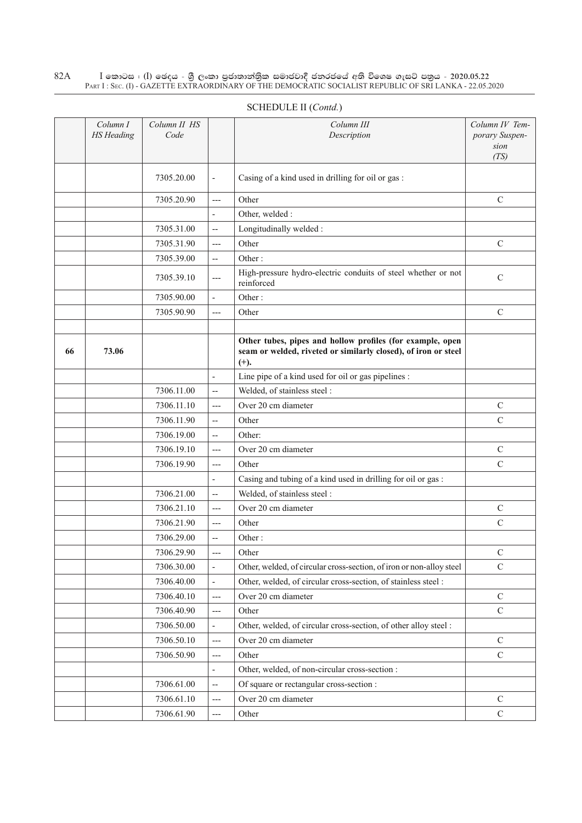$\rm I$  කොටස : ( $\rm I$ ) ඡෙදය - ශුී ලංකා පුජාතාන්තුික සමාජවාදී ජනරජයේ අති විශෙෂ ගැසට් පතුය - 2020.05.22 Part I : Sec. (I) - GAZETTE EXTRAORDINARY OF THE DEMOCRATIC SOCIALIST REPUBLIC OF SRI LANKA - 22.05.2020 82A

|    | Column I<br><b>HS</b> Heading | Column II HS<br>Code |                          | Column III<br>Description                                                                                                             | Column IV Tem-<br>porary Suspen-<br>sion<br>(TS) |
|----|-------------------------------|----------------------|--------------------------|---------------------------------------------------------------------------------------------------------------------------------------|--------------------------------------------------|
|    |                               | 7305.20.00           | $\blacksquare$           | Casing of a kind used in drilling for oil or gas:                                                                                     |                                                  |
|    |                               | 7305.20.90           | $---$                    | Other                                                                                                                                 | $\mathbf C$                                      |
|    |                               |                      | $\overline{\phantom{a}}$ | Other, welded :                                                                                                                       |                                                  |
|    |                               | 7305.31.00           | $\overline{\phantom{a}}$ | Longitudinally welded:                                                                                                                |                                                  |
|    |                               | 7305.31.90           | $---$                    | Other                                                                                                                                 | $\mathcal{C}$                                    |
|    |                               | 7305.39.00           | $\overline{\phantom{m}}$ | Other:                                                                                                                                |                                                  |
|    |                               | 7305.39.10           | $---$                    | High-pressure hydro-electric conduits of steel whether or not<br>reinforced                                                           | $\mathbf C$                                      |
|    |                               | 7305.90.00           | $\blacksquare$           | Other:                                                                                                                                |                                                  |
|    |                               | 7305.90.90           | $---$                    | Other                                                                                                                                 | $\mathcal{C}$                                    |
|    |                               |                      |                          |                                                                                                                                       |                                                  |
| 66 | 73.06                         |                      |                          | Other tubes, pipes and hollow profiles (for example, open<br>seam or welded, riveted or similarly closed), of iron or steel<br>$(+).$ |                                                  |
|    |                               |                      | $\blacksquare$           | Line pipe of a kind used for oil or gas pipelines :                                                                                   |                                                  |
|    |                               | 7306.11.00           | $\overline{\phantom{a}}$ | Welded, of stainless steel:                                                                                                           |                                                  |
|    |                               | 7306.11.10           | $---$                    | Over 20 cm diameter                                                                                                                   | $\mathbf C$                                      |
|    |                               | 7306.11.90           | $\overline{\phantom{a}}$ | Other                                                                                                                                 | $\mathcal{C}$                                    |
|    |                               | 7306.19.00           | $\overline{\phantom{a}}$ | Other:                                                                                                                                |                                                  |
|    |                               | 7306.19.10           | $---$                    | Over 20 cm diameter                                                                                                                   | $\mathcal{C}$                                    |
|    |                               | 7306.19.90           | $---$                    | Other                                                                                                                                 | $\mathcal{C}$                                    |
|    |                               |                      | $\overline{\phantom{a}}$ | Casing and tubing of a kind used in drilling for oil or gas :                                                                         |                                                  |
|    |                               | 7306.21.00           | $\overline{\phantom{a}}$ | Welded, of stainless steel :                                                                                                          |                                                  |
|    |                               | 7306.21.10           | $---$                    | Over 20 cm diameter                                                                                                                   | $\mathcal{C}$                                    |
|    |                               | 7306.21.90           | $---$                    | Other                                                                                                                                 | $\mathcal{C}$                                    |
|    |                               | 7306.29.00           | $\overline{\phantom{a}}$ | Other:                                                                                                                                |                                                  |
|    |                               | 7306.29.90           | $---$                    | Other                                                                                                                                 | C                                                |
|    |                               | 7306.30.00           | $\blacksquare$           | Other, welded, of circular cross-section, of iron or non-alloy steel                                                                  | $\mathsf C$                                      |
|    |                               | 7306.40.00           | $\Box$                   | Other, welded, of circular cross-section, of stainless steel :                                                                        |                                                  |
|    |                               | 7306.40.10           | $---$                    | Over 20 cm diameter                                                                                                                   | $\mathbf C$                                      |
|    |                               | 7306.40.90           | $---$                    | Other                                                                                                                                 | $\mathcal{C}$                                    |
|    |                               | 7306.50.00           | $\overline{\phantom{a}}$ | Other, welded, of circular cross-section, of other alloy steel :                                                                      |                                                  |
|    |                               | 7306.50.10           | $---$                    | Over 20 cm diameter                                                                                                                   | $\mathcal{C}$                                    |
|    |                               | 7306.50.90           | ---                      | Other                                                                                                                                 | $\mathbf C$                                      |
|    |                               |                      | $\blacksquare$           | Other, welded, of non-circular cross-section :                                                                                        |                                                  |
|    |                               | 7306.61.00           | $\overline{\phantom{a}}$ | Of square or rectangular cross-section :                                                                                              |                                                  |
|    |                               | 7306.61.10           | ---                      | Over 20 cm diameter                                                                                                                   | $\mathcal{C}$                                    |
|    |                               | 7306.61.90           | ---                      | Other                                                                                                                                 | $\mathbf C$                                      |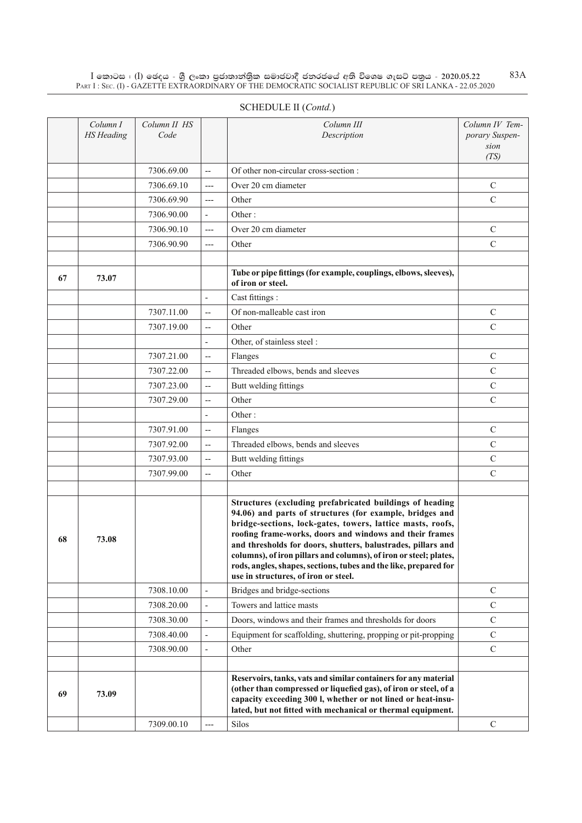$\rm I$  කොටස : ( $\rm I$ ) ඡෙදය - ශුී ලංකා පුජාතාන්තුික සමාජවාදී ජනරජයේ අති විශෙෂ ගැසට් පතුය - 2020.05.22 Part I : Sec. (I) - GAZETTE EXTRAORDINARY OF THE DEMOCRATIC SOCIALIST REPUBLIC OF SRI LANKA - 22.05.2020

|    | Column I<br><b>HS</b> Heading | Column II HS<br>Code |                          | Column III<br>Description                                                                                                                                                                                                                                                                                                                                                                                                                                                                      | Column IV Tem-<br>porary Suspen-<br>sion<br>(TS) |
|----|-------------------------------|----------------------|--------------------------|------------------------------------------------------------------------------------------------------------------------------------------------------------------------------------------------------------------------------------------------------------------------------------------------------------------------------------------------------------------------------------------------------------------------------------------------------------------------------------------------|--------------------------------------------------|
|    |                               | 7306.69.00           | $\overline{a}$           | Of other non-circular cross-section :                                                                                                                                                                                                                                                                                                                                                                                                                                                          |                                                  |
|    |                               | 7306.69.10           | $---$                    | Over 20 cm diameter                                                                                                                                                                                                                                                                                                                                                                                                                                                                            | $\mathbf C$                                      |
|    |                               | 7306.69.90           | $---$                    | Other                                                                                                                                                                                                                                                                                                                                                                                                                                                                                          | $\mathcal{C}$                                    |
|    |                               | 7306.90.00           | $\overline{\phantom{a}}$ | Other:                                                                                                                                                                                                                                                                                                                                                                                                                                                                                         |                                                  |
|    |                               | 7306.90.10           | $---$                    | Over 20 cm diameter                                                                                                                                                                                                                                                                                                                                                                                                                                                                            | C                                                |
|    |                               | 7306.90.90           | $---$                    | Other                                                                                                                                                                                                                                                                                                                                                                                                                                                                                          | $\mathcal{C}$                                    |
|    |                               |                      |                          |                                                                                                                                                                                                                                                                                                                                                                                                                                                                                                |                                                  |
| 67 | 73.07                         |                      |                          | Tube or pipe fittings (for example, couplings, elbows, sleeves),<br>of iron or steel.                                                                                                                                                                                                                                                                                                                                                                                                          |                                                  |
|    |                               |                      | $\overline{\phantom{a}}$ | Cast fittings :                                                                                                                                                                                                                                                                                                                                                                                                                                                                                |                                                  |
|    |                               | 7307.11.00           | $\overline{a}$           | Of non-malleable cast iron                                                                                                                                                                                                                                                                                                                                                                                                                                                                     | $\mathcal{C}$                                    |
|    |                               | 7307.19.00           | $\overline{\phantom{m}}$ | Other                                                                                                                                                                                                                                                                                                                                                                                                                                                                                          | $\mathcal{C}$                                    |
|    |                               |                      | $\frac{1}{2}$            | Other, of stainless steel :                                                                                                                                                                                                                                                                                                                                                                                                                                                                    |                                                  |
|    |                               | 7307.21.00           | $\overline{\phantom{a}}$ | Flanges                                                                                                                                                                                                                                                                                                                                                                                                                                                                                        | $\mathcal{C}$                                    |
|    |                               | 7307.22.00           | $\overline{a}$           | Threaded elbows, bends and sleeves                                                                                                                                                                                                                                                                                                                                                                                                                                                             | $\mathcal{C}$                                    |
|    |                               | 7307.23.00           | $\overline{\phantom{a}}$ | Butt welding fittings                                                                                                                                                                                                                                                                                                                                                                                                                                                                          | $\mathcal{C}$                                    |
|    |                               | 7307.29.00           | $\overline{a}$           | Other                                                                                                                                                                                                                                                                                                                                                                                                                                                                                          | $\mathcal{C}$                                    |
|    |                               |                      | $\overline{\phantom{m}}$ | Other:                                                                                                                                                                                                                                                                                                                                                                                                                                                                                         |                                                  |
|    |                               | 7307.91.00           | $\overline{\phantom{a}}$ | Flanges                                                                                                                                                                                                                                                                                                                                                                                                                                                                                        | $\mathcal{C}$                                    |
|    |                               | 7307.92.00           | $\overline{\phantom{a}}$ | Threaded elbows, bends and sleeves                                                                                                                                                                                                                                                                                                                                                                                                                                                             | $\mathsf{C}$                                     |
|    |                               | 7307.93.00           | $\overline{\phantom{a}}$ | Butt welding fittings                                                                                                                                                                                                                                                                                                                                                                                                                                                                          | $\mathsf{C}$                                     |
|    |                               | 7307.99.00           | $\overline{\phantom{a}}$ | Other                                                                                                                                                                                                                                                                                                                                                                                                                                                                                          | $\mathsf{C}$                                     |
|    |                               |                      |                          |                                                                                                                                                                                                                                                                                                                                                                                                                                                                                                |                                                  |
| 68 | 73.08                         |                      |                          | Structures (excluding prefabricated buildings of heading<br>94.06) and parts of structures (for example, bridges and<br>bridge-sections, lock-gates, towers, lattice masts, roofs,<br>roofing frame-works, doors and windows and their frames<br>and thresholds for doors, shutters, balustrades, pillars and<br>columns), of iron pillars and columns), of iron or steel; plates,<br>rods, angles, shapes, sections, tubes and the like, prepared for<br>use in structures, of iron or steel. |                                                  |
|    |                               | 7308.10.00           | $\overline{\phantom{a}}$ | Bridges and bridge-sections                                                                                                                                                                                                                                                                                                                                                                                                                                                                    | C                                                |
|    |                               | 7308.20.00           | $\overline{\phantom{a}}$ | Towers and lattice masts                                                                                                                                                                                                                                                                                                                                                                                                                                                                       | $\mathbf C$                                      |
|    |                               | 7308.30.00           | $\overline{\phantom{a}}$ | Doors, windows and their frames and thresholds for doors                                                                                                                                                                                                                                                                                                                                                                                                                                       | $\mathbf C$                                      |
|    |                               | 7308.40.00           | $\overline{\phantom{a}}$ | Equipment for scaffolding, shuttering, propping or pit-propping                                                                                                                                                                                                                                                                                                                                                                                                                                | C                                                |
|    |                               | 7308.90.00           | $\blacksquare$           | Other                                                                                                                                                                                                                                                                                                                                                                                                                                                                                          | $\mathbf C$                                      |
|    |                               |                      |                          |                                                                                                                                                                                                                                                                                                                                                                                                                                                                                                |                                                  |
| 69 | 73.09                         |                      |                          | Reservoirs, tanks, vats and similar containers for any material<br>(other than compressed or liquefied gas), of iron or steel, of a<br>capacity exceeding 300 l, whether or not lined or heat-insu-<br>lated, but not fitted with mechanical or thermal equipment.                                                                                                                                                                                                                             |                                                  |
|    |                               | 7309.00.10           | ---                      | Silos                                                                                                                                                                                                                                                                                                                                                                                                                                                                                          | $\mathsf{C}$                                     |

# SCHEDULE II (*Contd.*)

83A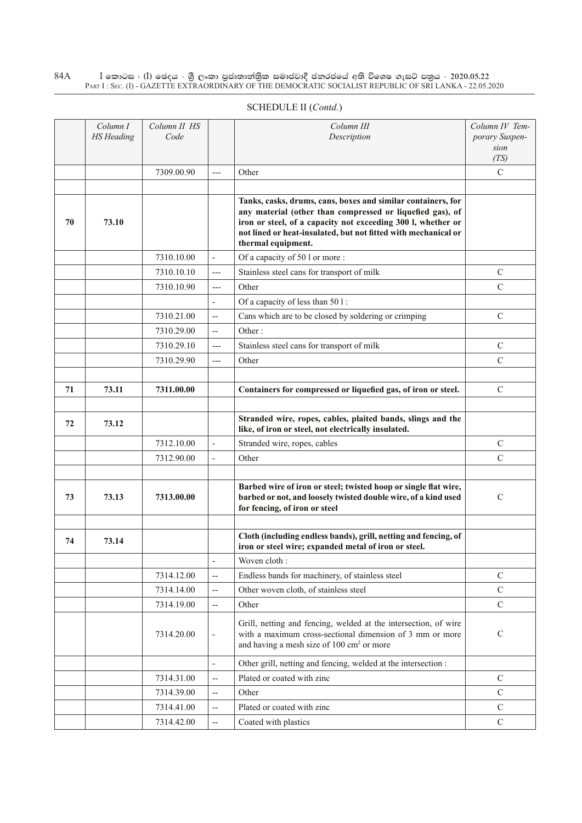#### $\rm I$  කොටස : ( $\rm I$ ) ඡෙදය - ශුී ලංකා පුජාතාන්තුික සමාජවාදී ජනරජයේ අති විශෙෂ ගැසට් පතුය - 2020.05.22 Part I : Sec. (I) - GAZETTE EXTRAORDINARY OF THE DEMOCRATIC SOCIALIST REPUBLIC OF SRI LANKA - 22.05.2020 84A

| SCHEDULE II (Contd.) |  |
|----------------------|--|
|                      |  |

|    | Column I<br><b>HS</b> Heading | Column II HS<br>Code |                          | Column III<br>Description                                                                                                                                                                                                                                                         | Column IV Tem-<br>porary Suspen-<br>sion<br>(TS) |
|----|-------------------------------|----------------------|--------------------------|-----------------------------------------------------------------------------------------------------------------------------------------------------------------------------------------------------------------------------------------------------------------------------------|--------------------------------------------------|
|    |                               | 7309.00.90           |                          | Other                                                                                                                                                                                                                                                                             | $\mathcal{C}$                                    |
|    |                               |                      |                          |                                                                                                                                                                                                                                                                                   |                                                  |
| 70 | 73.10                         |                      |                          | Tanks, casks, drums, cans, boxes and similar containers, for<br>any material (other than compressed or liquefied gas), of<br>iron or steel, of a capacity not exceeding 300 l, whether or<br>not lined or heat-insulated, but not fitted with mechanical or<br>thermal equipment. |                                                  |
|    |                               | 7310.10.00           | $\overline{\phantom{a}}$ | Of a capacity of 50 l or more :                                                                                                                                                                                                                                                   |                                                  |
|    |                               | 7310.10.10           | $---$                    | Stainless steel cans for transport of milk                                                                                                                                                                                                                                        | $\mathcal{C}$                                    |
|    |                               | 7310.10.90           | $---$                    | Other                                                                                                                                                                                                                                                                             | $\mathcal{C}$                                    |
|    |                               |                      | $\overline{a}$           | Of a capacity of less than 501:                                                                                                                                                                                                                                                   |                                                  |
|    |                               | 7310.21.00           | $\overline{\phantom{a}}$ | Cans which are to be closed by soldering or crimping                                                                                                                                                                                                                              | $\mathcal{C}$                                    |
|    |                               | 7310.29.00           | $\overline{a}$           | Other:                                                                                                                                                                                                                                                                            |                                                  |
|    |                               | 7310.29.10           | $---$                    | Stainless steel cans for transport of milk                                                                                                                                                                                                                                        | $\mathcal{C}$                                    |
|    |                               | 7310.29.90           | $---$                    | Other                                                                                                                                                                                                                                                                             | $\mathcal{C}$                                    |
|    |                               |                      |                          |                                                                                                                                                                                                                                                                                   |                                                  |
| 71 | 73.11                         | 7311.00.00           |                          | Containers for compressed or liquefied gas, of iron or steel.                                                                                                                                                                                                                     | $\mathcal{C}$                                    |
|    |                               |                      |                          |                                                                                                                                                                                                                                                                                   |                                                  |
| 72 | 73.12                         |                      |                          | Stranded wire, ropes, cables, plaited bands, slings and the<br>like, of iron or steel, not electrically insulated.                                                                                                                                                                |                                                  |
|    |                               | 7312.10.00           | $\overline{\phantom{a}}$ | Stranded wire, ropes, cables                                                                                                                                                                                                                                                      | $\mathsf{C}$                                     |
|    |                               | 7312.90.00           | $\overline{\phantom{a}}$ | Other                                                                                                                                                                                                                                                                             | $\mathcal{C}$                                    |
|    |                               |                      |                          |                                                                                                                                                                                                                                                                                   |                                                  |
| 73 | 73.13                         | 7313.00.00           |                          | Barbed wire of iron or steel; twisted hoop or single flat wire,<br>barbed or not, and loosely twisted double wire, of a kind used<br>for fencing, of iron or steel                                                                                                                | $\mathbf C$                                      |
|    |                               |                      |                          |                                                                                                                                                                                                                                                                                   |                                                  |
| 74 | 73.14                         |                      |                          | Cloth (including endless bands), grill, netting and fencing, of<br>iron or steel wire; expanded metal of iron or steel.                                                                                                                                                           |                                                  |
|    |                               |                      | ÷,                       | Woven cloth:                                                                                                                                                                                                                                                                      |                                                  |
|    |                               | 7314.12.00           | $\overline{\phantom{a}}$ | Endless bands for machinery, of stainless steel                                                                                                                                                                                                                                   | C                                                |
|    |                               | 7314.14.00           | $\overline{\phantom{a}}$ | Other woven cloth, of stainless steel                                                                                                                                                                                                                                             | $\mathbf C$                                      |
|    |                               | 7314.19.00           | $\overline{\phantom{m}}$ | Other                                                                                                                                                                                                                                                                             | $\mathbf C$                                      |
|    |                               | 7314.20.00           | $\overline{\phantom{a}}$ | Grill, netting and fencing, welded at the intersection, of wire<br>with a maximum cross-sectional dimension of 3 mm or more<br>and having a mesh size of 100 cm <sup>2</sup> or more                                                                                              | $\mathcal{C}$                                    |
|    |                               |                      | $\overline{\phantom{a}}$ | Other grill, netting and fencing, welded at the intersection :                                                                                                                                                                                                                    |                                                  |
|    |                               | 7314.31.00           | $\overline{\phantom{m}}$ | Plated or coated with zinc                                                                                                                                                                                                                                                        | $\mathcal{C}$                                    |
|    |                               | 7314.39.00           | $\overline{\phantom{m}}$ | Other                                                                                                                                                                                                                                                                             | $\mathcal{C}$                                    |
|    |                               | 7314.41.00           | $\overline{\phantom{m}}$ | Plated or coated with zinc                                                                                                                                                                                                                                                        | $\mathsf{C}$                                     |
|    |                               | 7314.42.00           | $\overline{\phantom{m}}$ | Coated with plastics                                                                                                                                                                                                                                                              | $\mathcal{C}$                                    |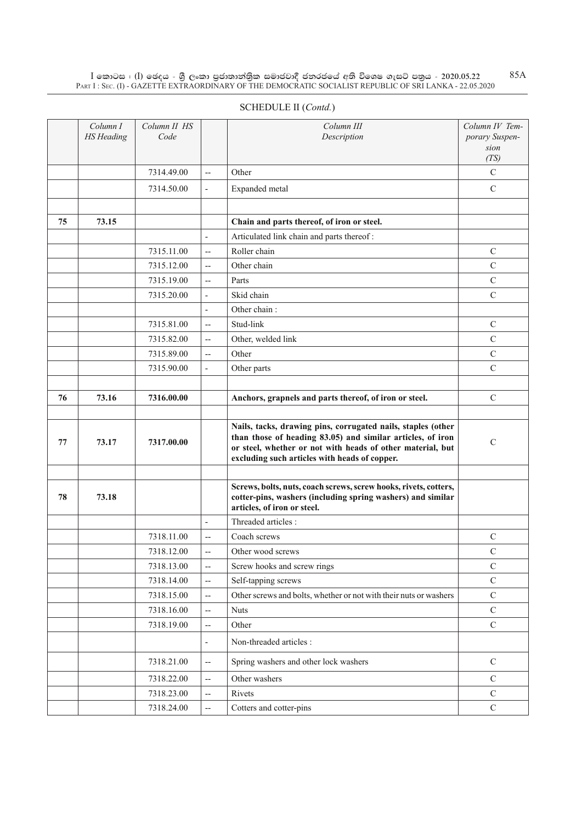$\rm I$  කොටස : ( $\rm I$ ) ඡෙදය - ශුී ලංකා පුජාතාන්තුික සමාජවාදී ජනරජයේ අති විශෙෂ ගැසට් පතුය - 2020.05.22 Part I : Sec. (I) - GAZETTE EXTRAORDINARY OF THE DEMOCRATIC SOCIALIST REPUBLIC OF SRI LANKA - 22.05.2020 85A

|    | Column I<br><b>HS</b> Heading | Column II HS<br>Code |                          | Column III<br>Description                                                                                                                                                                                                                 | Column IV Tem-<br>porary Suspen-<br>sion<br>(TS) |
|----|-------------------------------|----------------------|--------------------------|-------------------------------------------------------------------------------------------------------------------------------------------------------------------------------------------------------------------------------------------|--------------------------------------------------|
|    |                               | 7314.49.00           | $\overline{a}$           | Other                                                                                                                                                                                                                                     | $\mathcal{C}$                                    |
|    |                               | 7314.50.00           | $\frac{1}{2}$            | Expanded metal                                                                                                                                                                                                                            | $\mathbf C$                                      |
|    |                               |                      |                          |                                                                                                                                                                                                                                           |                                                  |
| 75 | 73.15                         |                      |                          | Chain and parts thereof, of iron or steel.                                                                                                                                                                                                |                                                  |
|    |                               |                      | $\overline{a}$           | Articulated link chain and parts thereof:                                                                                                                                                                                                 |                                                  |
|    |                               | 7315.11.00           | $\overline{\phantom{a}}$ | Roller chain                                                                                                                                                                                                                              | $\mathcal{C}$                                    |
|    |                               | 7315.12.00           | $\overline{\phantom{a}}$ | Other chain                                                                                                                                                                                                                               | $\mathcal{C}$                                    |
|    |                               | 7315.19.00           | $\overline{a}$           | Parts                                                                                                                                                                                                                                     | C                                                |
|    |                               | 7315.20.00           | $\overline{a}$           | Skid chain                                                                                                                                                                                                                                | $\mathcal{C}$                                    |
|    |                               |                      | L,                       | Other chain:                                                                                                                                                                                                                              |                                                  |
|    |                               | 7315.81.00           | $\overline{a}$           | Stud-link                                                                                                                                                                                                                                 | C                                                |
|    |                               | 7315.82.00           | $\overline{a}$           | Other, welded link                                                                                                                                                                                                                        | $\mathcal{C}$                                    |
|    |                               | 7315.89.00           | $\overline{a}$           | Other                                                                                                                                                                                                                                     | $\mathcal{C}$                                    |
|    |                               | 7315.90.00           | $\overline{a}$           | Other parts                                                                                                                                                                                                                               | $\mathcal{C}$                                    |
|    |                               |                      |                          |                                                                                                                                                                                                                                           |                                                  |
| 76 | 73.16                         | 7316.00.00           |                          | Anchors, grapnels and parts thereof, of iron or steel.                                                                                                                                                                                    | $\mathcal{C}$                                    |
|    |                               |                      |                          |                                                                                                                                                                                                                                           |                                                  |
| 77 | 73.17                         | 7317.00.00           |                          | Nails, tacks, drawing pins, corrugated nails, staples (other<br>than those of heading 83.05) and similar articles, of iron<br>or steel, whether or not with heads of other material, but<br>excluding such articles with heads of copper. | $\mathbf C$                                      |
|    |                               |                      |                          |                                                                                                                                                                                                                                           |                                                  |
| 78 | 73.18                         |                      |                          | Screws, bolts, nuts, coach screws, screw hooks, rivets, cotters,<br>cotter-pins, washers (including spring washers) and similar<br>articles, of iron or steel.                                                                            |                                                  |
|    |                               |                      |                          | Threaded articles:                                                                                                                                                                                                                        |                                                  |
|    |                               | 7318.11.00           | $\overline{a}$           | Coach screws                                                                                                                                                                                                                              | C                                                |
|    |                               | 7318.12.00           | --                       | Other wood screws                                                                                                                                                                                                                         | C                                                |
|    |                               | 7318.13.00           | $\overline{a}$           | Screw hooks and screw rings                                                                                                                                                                                                               | $\mathcal{C}$                                    |
|    |                               | 7318.14.00           | $\overline{a}$           | Self-tapping screws                                                                                                                                                                                                                       | $\mathsf{C}$                                     |
|    |                               | 7318.15.00           | $\overline{a}$           | Other screws and bolts, whether or not with their nuts or washers                                                                                                                                                                         | $\mathcal{C}$                                    |

 $7318.16.00$  -- Nuts C  $7318.19.00$   $\left| \begin{array}{c} \text{-} \\ \text{other} \end{array} \right|$  Other

 $7318.21.00$   $\left| \begin{array}{c} - \\ \end{array} \right|$  Spring washers and other lock washers  $\left| \begin{array}{c} \end{array} \right|$  C  $7318.22.00$   $\left| \begin{array}{ccc} - & \end{array} \right|$  Other washers C  $7318.23.00$  -- Rivets C  $7318.24.00$   $\left| \begin{array}{c} \text{-} \\ \text{C} \end{array} \right|$  Cotters and cotter-pins C

- Non-threaded articles :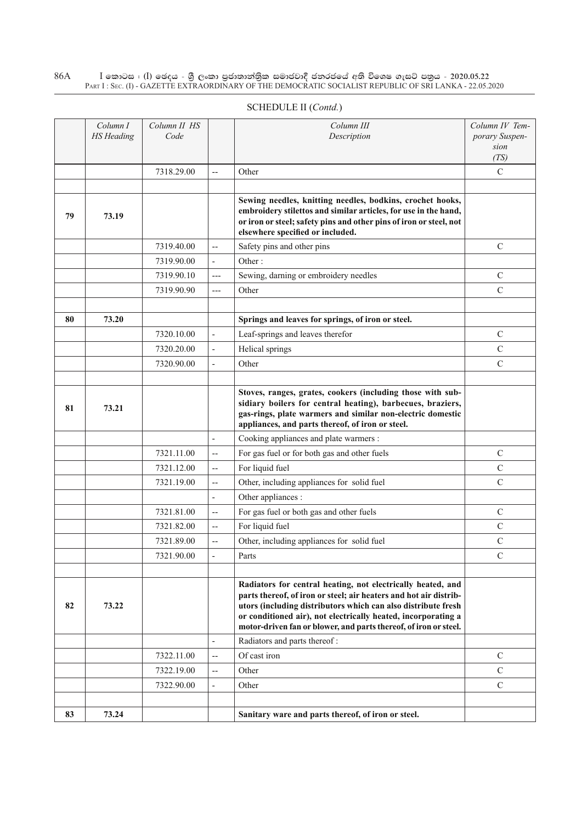$\rm I$  කොටස : ( $\rm I$ ) ඡෙදය - ශුී ලංකා පුජාතාන්තුික සමාජවාදී ජනරජයේ අති විශෙෂ ගැසට් පතුය - 2020.05.22 Part I : Sec. (I) - GAZETTE EXTRAORDINARY OF THE DEMOCRATIC SOCIALIST REPUBLIC OF SRI LANKA - 22.05.2020 86A

| SCHEDULE II (Contd.) |  |
|----------------------|--|
|                      |  |

|    | Column I<br><b>HS</b> Heading | Column II HS<br>Code |                          | Column III<br>Description                                                                                                                                                                                                                                               | Column IV Tem-<br>porary Suspen-<br>sion |
|----|-------------------------------|----------------------|--------------------------|-------------------------------------------------------------------------------------------------------------------------------------------------------------------------------------------------------------------------------------------------------------------------|------------------------------------------|
|    |                               |                      |                          |                                                                                                                                                                                                                                                                         | (TS)                                     |
|    |                               | 7318.29.00           | $\overline{a}$           | Other                                                                                                                                                                                                                                                                   | $\mathcal{C}$                            |
| 79 | 73.19                         |                      |                          | Sewing needles, knitting needles, bodkins, crochet hooks,<br>embroidery stilettos and similar articles, for use in the hand,<br>or iron or steel; safety pins and other pins of iron or steel, not<br>elsewhere specified or included.                                  |                                          |
|    |                               | 7319.40.00           | $\overline{\phantom{a}}$ | Safety pins and other pins                                                                                                                                                                                                                                              | $\mathsf{C}$                             |
|    |                               | 7319.90.00           | $\overline{\phantom{a}}$ | Other:                                                                                                                                                                                                                                                                  |                                          |
|    |                               | 7319.90.10           | $---$                    | Sewing, darning or embroidery needles                                                                                                                                                                                                                                   | $\mathcal{C}$                            |
|    |                               | 7319.90.90           | $---$                    | Other                                                                                                                                                                                                                                                                   | $\mathcal{C}$                            |
|    |                               |                      |                          |                                                                                                                                                                                                                                                                         |                                          |
| 80 | 73.20                         |                      |                          | Springs and leaves for springs, of iron or steel.                                                                                                                                                                                                                       |                                          |
|    |                               | 7320.10.00           | $\blacksquare$           | Leaf-springs and leaves therefor                                                                                                                                                                                                                                        | C                                        |
|    |                               | 7320.20.00           | $\blacksquare$           | Helical springs                                                                                                                                                                                                                                                         | $\mathcal{C}$                            |
|    |                               | 7320.90.00           | $\overline{\phantom{a}}$ | Other                                                                                                                                                                                                                                                                   | $\mathcal{C}$                            |
|    |                               |                      |                          |                                                                                                                                                                                                                                                                         |                                          |
| 81 | 73.21                         |                      |                          | Stoves, ranges, grates, cookers (including those with sub-<br>sidiary boilers for central heating), barbecues, braziers,<br>gas-rings, plate warmers and similar non-electric domestic<br>appliances, and parts thereof, of iron or steel.                              |                                          |
|    |                               |                      |                          | Cooking appliances and plate warmers :                                                                                                                                                                                                                                  |                                          |
|    |                               | 7321.11.00           | $\overline{a}$           | For gas fuel or for both gas and other fuels                                                                                                                                                                                                                            | $\mathcal{C}$                            |
|    |                               | 7321.12.00           | $\overline{a}$           | For liquid fuel                                                                                                                                                                                                                                                         | $\mathsf{C}$                             |
|    |                               | 7321.19.00           | $\overline{a}$           | Other, including appliances for solid fuel                                                                                                                                                                                                                              | $\mathcal{C}$                            |
|    |                               |                      |                          | Other appliances :                                                                                                                                                                                                                                                      |                                          |
|    |                               | 7321.81.00           | $\overline{a}$           | For gas fuel or both gas and other fuels                                                                                                                                                                                                                                | $\mathcal{C}$                            |
|    |                               | 7321.82.00           | $\overline{a}$           | For liquid fuel                                                                                                                                                                                                                                                         | $\mathcal{C}$                            |
|    |                               | 7321.89.00           | $\overline{a}$           | Other, including appliances for solid fuel                                                                                                                                                                                                                              | $\mathcal{C}$                            |
|    |                               | 7321.90.00           |                          | Parts                                                                                                                                                                                                                                                                   | C                                        |
|    |                               |                      |                          | Radiators for central heating, not electrically heated, and                                                                                                                                                                                                             |                                          |
| 82 | 73.22                         |                      |                          | parts thereof, of iron or steel; air heaters and hot air distrib-<br>utors (including distributors which can also distribute fresh<br>or conditioned air), not electrically heated, incorporating a<br>motor-driven fan or blower, and parts thereof, of iron or steel. |                                          |
|    |                               |                      | $\overline{\phantom{a}}$ | Radiators and parts thereof:                                                                                                                                                                                                                                            |                                          |
|    |                               | 7322.11.00           | $\overline{\phantom{a}}$ | Of cast iron                                                                                                                                                                                                                                                            | $\mathcal{C}$                            |
|    |                               | 7322.19.00           | $\overline{\phantom{a}}$ | Other                                                                                                                                                                                                                                                                   | $\mathcal{C}$                            |
|    |                               | 7322.90.00           | $\overline{\phantom{a}}$ | Other                                                                                                                                                                                                                                                                   | $\mathcal{C}$                            |
|    |                               |                      |                          |                                                                                                                                                                                                                                                                         |                                          |
| 83 | 73.24                         |                      |                          | Sanitary ware and parts thereof, of iron or steel.                                                                                                                                                                                                                      |                                          |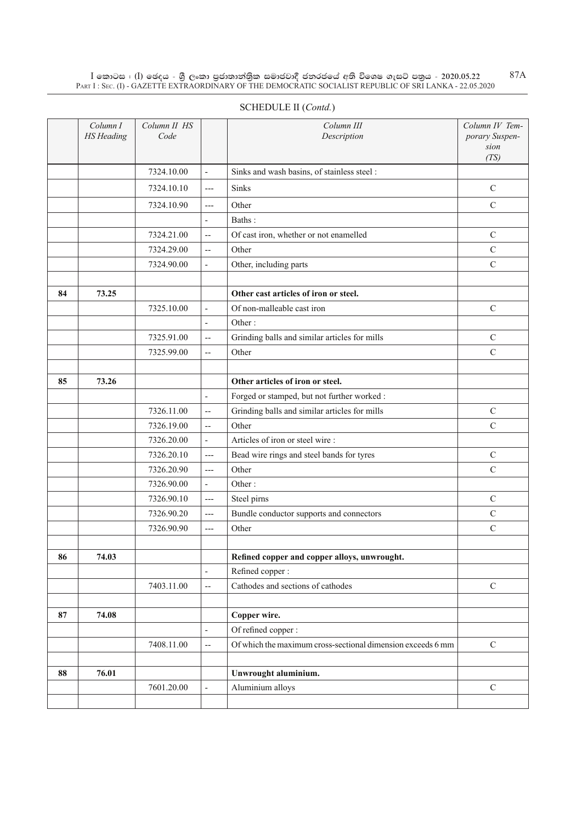$\rm I$  කොටස : ( $\rm I$ ) ඡෙදය - ශුී ලංකා පුජාතාන්තුික සමාජවාදී ජනරජයේ අති විශෙෂ ගැසට් පතුය - 2020.05.22 Part I : Sec. (I) - GAZETTE EXTRAORDINARY OF THE DEMOCRATIC SOCIALIST REPUBLIC OF SRI LANKA - 22.05.2020

|    | Column I<br><b>HS</b> Heading | Column II HS<br>Code |                           | Column III<br>Description                                   | Column IV Tem-<br>porary Suspen-<br>sion<br>(TS) |
|----|-------------------------------|----------------------|---------------------------|-------------------------------------------------------------|--------------------------------------------------|
|    |                               | 7324.10.00           | $\overline{\phantom{a}}$  | Sinks and wash basins, of stainless steel :                 |                                                  |
|    |                               | 7324.10.10           | $---$                     | Sinks                                                       | $\mathbf C$                                      |
|    |                               | 7324.10.90           | $\overline{a}$            | Other                                                       | $\mathbf C$                                      |
|    |                               |                      | $\overline{\phantom{a}}$  | Baths:                                                      |                                                  |
|    |                               | 7324.21.00           | $\overline{\phantom{a}}$  | Of cast iron, whether or not enamelled                      | $\mathsf{C}$                                     |
|    |                               | 7324.29.00           | $\overline{a}$            | Other                                                       | $\mathsf{C}$                                     |
|    |                               | 7324.90.00           | $\overline{\phantom{a}}$  | Other, including parts                                      | $\mathsf{C}$                                     |
|    |                               |                      |                           |                                                             |                                                  |
| 84 | 73.25                         |                      |                           | Other cast articles of iron or steel.                       |                                                  |
|    |                               | 7325.10.00           | $\frac{1}{2}$             | Of non-malleable cast iron                                  | $\mathsf{C}$                                     |
|    |                               |                      | $\overline{\phantom{a}}$  | Other:                                                      |                                                  |
|    |                               | 7325.91.00           | $\overline{\phantom{a}}$  | Grinding balls and similar articles for mills               | $\mathsf{C}$                                     |
|    |                               | 7325.99.00           | $\overline{\phantom{a}}$  | Other                                                       | $\mathsf{C}$                                     |
|    |                               |                      |                           |                                                             |                                                  |
| 85 | 73.26                         |                      |                           | Other articles of iron or steel.                            |                                                  |
|    |                               |                      | $\frac{1}{2}$             | Forged or stamped, but not further worked :                 |                                                  |
|    |                               | 7326.11.00           | $\overline{\phantom{a}}$  | Grinding balls and similar articles for mills               | $\mathbf C$                                      |
|    |                               | 7326.19.00           | $\overline{\phantom{a}}$  | Other                                                       | $\overline{C}$                                   |
|    |                               | 7326.20.00           | $\blacksquare$            | Articles of iron or steel wire:                             |                                                  |
|    |                               | 7326.20.10           | $---$                     | Bead wire rings and steel bands for tyres                   | $\mathbf C$                                      |
|    |                               | 7326.20.90           | $---$                     | Other                                                       | $\mathbf C$                                      |
|    |                               | 7326.90.00           | $\overline{\phantom{a}}$  | Other:                                                      |                                                  |
|    |                               | 7326.90.10           | $\qquad \qquad -\qquad -$ | Steel pirns                                                 | $\mathsf{C}$                                     |
|    |                               | 7326.90.20           | $---$                     | Bundle conductor supports and connectors                    | $\mathbf C$                                      |
|    |                               | 7326.90.90           | $---$                     | Other                                                       | $\mathsf{C}$                                     |
|    |                               |                      |                           |                                                             |                                                  |
| 86 | 74.03                         |                      |                           | Refined copper and copper alloys, unwrought.                |                                                  |
|    |                               |                      | $\frac{1}{2}$             | Refined copper:                                             |                                                  |
|    |                               | 7403.11.00           | $\overline{\phantom{a}}$  | Cathodes and sections of cathodes                           | $\mathbf C$                                      |
|    |                               |                      |                           |                                                             |                                                  |
| 87 | 74.08                         |                      |                           | Copper wire.                                                |                                                  |
|    |                               |                      | $\frac{1}{2}$             | Of refined copper :                                         |                                                  |
|    |                               | 7408.11.00           | $\overline{\phantom{a}}$  | Of which the maximum cross-sectional dimension exceeds 6 mm | $\mathcal{C}$                                    |
|    |                               |                      |                           |                                                             |                                                  |
| 88 | 76.01                         |                      |                           | Unwrought aluminium.                                        |                                                  |
|    |                               | 7601.20.00           | $\overline{\phantom{a}}$  | Aluminium alloys                                            | $\mathcal{C}$                                    |
|    |                               |                      |                           |                                                             |                                                  |

# SCHEDULE II (*Contd.*)

87A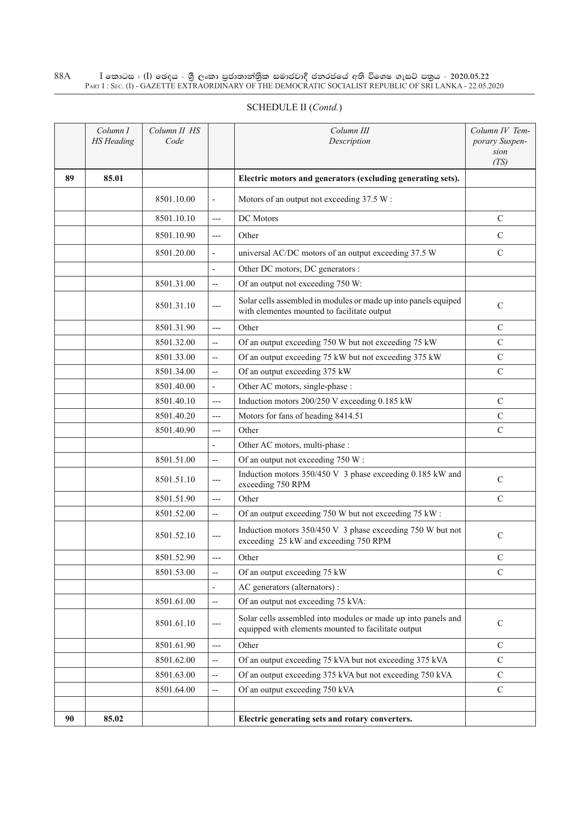#### $\rm I$  කොටස : ( $\rm I$ ) ඡෙදය - ශුී ලංකා පුජාතාන්තුික සමාජවාදී ජනරජයේ අති විශෙෂ ගැසට් පතුය - 2020.05.22 Part I : Sec. (I) - GAZETTE EXTRAORDINARY OF THE DEMOCRATIC SOCIALIST REPUBLIC OF SRI LANKA - 22.05.2020 88A

|    | Column I<br><b>HS</b> Heading | Column II HS<br>Code |                          | Column III<br>Description                                                                                            | Column IV Tem-<br>porary Suspen-<br>sion<br>(TS) |
|----|-------------------------------|----------------------|--------------------------|----------------------------------------------------------------------------------------------------------------------|--------------------------------------------------|
| 89 | 85.01                         |                      |                          | Electric motors and generators (excluding generating sets).                                                          |                                                  |
|    |                               | 8501.10.00           | $\overline{\phantom{a}}$ | Motors of an output not exceeding 37.5 W:                                                                            |                                                  |
|    |                               | 8501.10.10           | $---$                    | DC Motors                                                                                                            | C                                                |
|    |                               | 8501.10.90           | ---                      | Other                                                                                                                | $\mathcal{C}$                                    |
|    |                               | 8501.20.00           | $\blacksquare$           | universal AC/DC motors of an output exceeding 37.5 W                                                                 | $\mathcal{C}$                                    |
|    |                               |                      | $\overline{a}$           | Other DC motors; DC generators :                                                                                     |                                                  |
|    |                               | 8501.31.00           | $\overline{\phantom{a}}$ | Of an output not exceeding 750 W:                                                                                    |                                                  |
|    |                               | 8501.31.10           | $---$                    | Solar cells assembled in modules or made up into panels equiped<br>with elementes mounted to facilitate output       | $\mathcal{C}$                                    |
|    |                               | 8501.31.90           | $---$                    | Other                                                                                                                | $\mathsf{C}$                                     |
|    |                               | 8501.32.00           | $\overline{\phantom{a}}$ | Of an output exceeding 750 W but not exceeding 75 kW                                                                 | $\mathsf{C}$                                     |
|    |                               | 8501.33.00           | $\overline{\phantom{a}}$ | Of an output exceeding 75 kW but not exceeding 375 kW                                                                | $\mathcal{C}$                                    |
|    |                               | 8501.34.00           | $\overline{\phantom{a}}$ | Of an output exceeding 375 kW                                                                                        | $\mathcal{C}$                                    |
|    |                               | 8501.40.00           | $\blacksquare$           | Other AC motors, single-phase :                                                                                      |                                                  |
|    |                               | 8501.40.10           | $---$                    | Induction motors 200/250 V exceeding 0.185 kW                                                                        | $\mathcal{C}$                                    |
|    |                               | 8501.40.20           | $---$                    | Motors for fans of heading 8414.51                                                                                   | $\mathbf C$                                      |
|    |                               | 8501.40.90           | ---                      | Other                                                                                                                | $\mathcal{C}$                                    |
|    |                               |                      | $\overline{\phantom{a}}$ | Other AC motors, multi-phase :                                                                                       |                                                  |
|    |                               | 8501.51.00           | $\overline{\phantom{a}}$ | Of an output not exceeding 750 W:                                                                                    |                                                  |
|    |                               | 8501.51.10           | ---                      | Induction motors 350/450 V 3 phase exceeding 0.185 kW and<br>exceeding 750 RPM                                       | $\mathcal{C}$                                    |
|    |                               | 8501.51.90           | $---$                    | Other                                                                                                                | $\mathcal{C}$                                    |
|    |                               | 8501.52.00           | --                       | Of an output exceeding 750 W but not exceeding 75 kW:                                                                |                                                  |
|    |                               | 8501.52.10           | ---                      | Induction motors 350/450 V 3 phase exceeding 750 W but not<br>exceeding 25 kW and exceeding 750 RPM                  | $\mathcal{C}$                                    |
|    |                               | 8501.52.90           | $---$                    | Other                                                                                                                | C                                                |
|    |                               | 8501.53.00           | $- \, -$                 | Of an output exceeding 75 kW                                                                                         | $\mathcal{C}$                                    |
|    |                               |                      | $\overline{\phantom{a}}$ | AC generators (alternators) :                                                                                        |                                                  |
|    |                               | 8501.61.00           | $\overline{\phantom{a}}$ | Of an output not exceeding 75 kVA:                                                                                   |                                                  |
|    |                               | 8501.61.10           | ---                      | Solar cells assembled into modules or made up into panels and<br>equipped with elements mounted to facilitate output | $\mathbf C$                                      |
|    |                               | 8501.61.90           | ---                      | Other                                                                                                                | C                                                |
|    |                               | 8501.62.00           | $- -$                    | Of an output exceeding 75 kVA but not exceeding 375 kVA                                                              | $\mathsf{C}$                                     |
|    |                               | 8501.63.00           | --                       | Of an output exceeding 375 kVA but not exceeding 750 kVA                                                             | C                                                |
|    |                               | 8501.64.00           | $\overline{\phantom{a}}$ | Of an output exceeding 750 kVA                                                                                       | $\mathcal{C}$                                    |
|    |                               |                      |                          |                                                                                                                      |                                                  |
| 90 | 85.02                         |                      |                          | Electric generating sets and rotary converters.                                                                      |                                                  |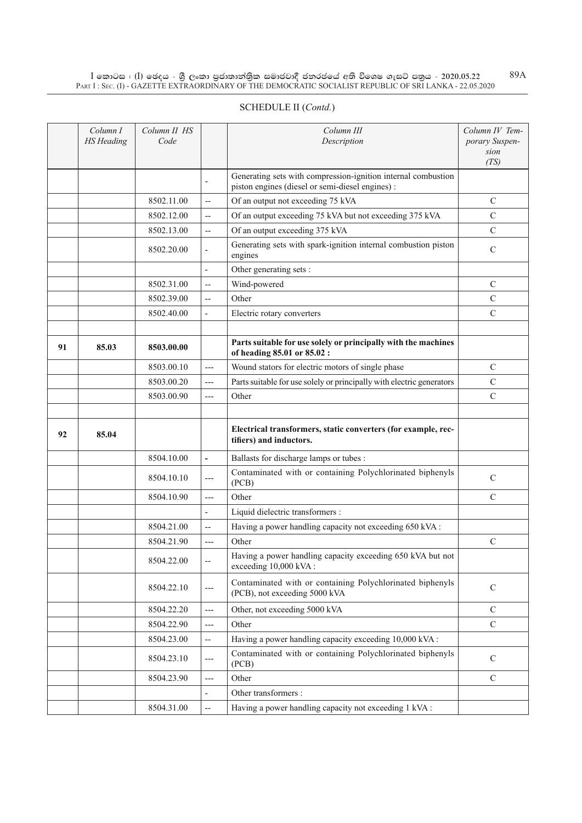$\rm I$  කොටස : ( $\rm I$ ) ඡෙදය - ශුී ලංකා පුජාතාන්තුික සමාජවාදී ජනරජයේ අති විශෙෂ ගැසට් පතුය - 2020.05.22 Part I : Sec. (I) - GAZETTE EXTRAORDINARY OF THE DEMOCRATIC SOCIALIST REPUBLIC OF SRI LANKA - 22.05.2020 89A

|    | Column I<br><b>HS</b> Heading | Column II HS<br>Code |                          | Column III<br>Description                                                                                         | Column IV Tem-<br>porary Suspen-<br>sion<br>(TS) |
|----|-------------------------------|----------------------|--------------------------|-------------------------------------------------------------------------------------------------------------------|--------------------------------------------------|
|    |                               |                      | $\blacksquare$           | Generating sets with compression-ignition internal combustion<br>piston engines (diesel or semi-diesel engines) : |                                                  |
|    |                               | 8502.11.00           | $\overline{\phantom{a}}$ | Of an output not exceeding 75 kVA                                                                                 | $\mathcal{C}$                                    |
|    |                               | 8502.12.00           | $\overline{\phantom{m}}$ | Of an output exceeding 75 kVA but not exceeding 375 kVA                                                           | $\mathbf C$                                      |
|    |                               | 8502.13.00           | $\overline{\phantom{m}}$ | Of an output exceeding 375 kVA                                                                                    | $\mathbf C$                                      |
|    |                               | 8502.20.00           | $\overline{\phantom{a}}$ | Generating sets with spark-ignition internal combustion piston<br>engines                                         | $\mathbf C$                                      |
|    |                               |                      | $\blacksquare$           | Other generating sets :                                                                                           |                                                  |
|    |                               | 8502.31.00           | $\overline{a}$           | Wind-powered                                                                                                      | $\mathcal{C}$                                    |
|    |                               | 8502.39.00           | $\overline{\phantom{a}}$ | Other                                                                                                             | $\mathbf C$                                      |
|    |                               | 8502.40.00           | $\overline{\phantom{a}}$ | Electric rotary converters                                                                                        | $\mathsf{C}$                                     |
|    |                               |                      |                          |                                                                                                                   |                                                  |
| 91 | 85.03                         | 8503.00.00           |                          | Parts suitable for use solely or principally with the machines<br>of heading 85.01 or 85.02 :                     |                                                  |
|    |                               | 8503.00.10           | $---$                    | Wound stators for electric motors of single phase                                                                 | $\mathbf C$                                      |
|    |                               | 8503.00.20           | $---$                    | Parts suitable for use solely or principally with electric generators                                             | $\mathbf C$                                      |
|    |                               | 8503.00.90           | ---                      | Other                                                                                                             | $\mathbf C$                                      |
|    |                               |                      |                          |                                                                                                                   |                                                  |
| 92 | 85.04                         |                      |                          | Electrical transformers, static converters (for example, rec-<br>tifiers) and inductors.                          |                                                  |
|    |                               | 8504.10.00           | $\overline{\phantom{a}}$ | Ballasts for discharge lamps or tubes :                                                                           |                                                  |
|    |                               | 8504.10.10           | $---$                    | Contaminated with or containing Polychlorinated biphenyls<br>(PCB)                                                | $\mathcal{C}$                                    |
|    |                               | 8504.10.90           | $---$                    | Other                                                                                                             | $\mathcal{C}$                                    |
|    |                               |                      | $\overline{a}$           | Liquid dielectric transformers :                                                                                  |                                                  |
|    |                               | 8504.21.00           | $\overline{\phantom{a}}$ | Having a power handling capacity not exceeding 650 kVA:                                                           |                                                  |
|    |                               | 8504.21.90           | $---$                    | Other                                                                                                             | $\mathbf C$                                      |
|    |                               | 8504.22.00           | --                       | Having a power handling capacity exceeding 650 kVA but not<br>exceeding 10,000 kVA:                               |                                                  |
|    |                               | 8504.22.10           | $---$                    | Contaminated with or containing Polychlorinated biphenyls<br>(PCB), not exceeding 5000 kVA                        | $\mathbf C$                                      |
|    |                               | 8504.22.20           | $---$                    | Other, not exceeding 5000 kVA                                                                                     | $\mathcal{C}$                                    |
|    |                               | 8504.22.90           | ---                      | Other                                                                                                             | $\mathbf C$                                      |
|    |                               | 8504.23.00           | $\overline{\phantom{a}}$ | Having a power handling capacity exceeding 10,000 kVA:                                                            |                                                  |
|    |                               | 8504.23.10           | $---$                    | Contaminated with or containing Polychlorinated biphenyls<br>(PCB)                                                | $\mathcal{C}$                                    |
|    |                               | 8504.23.90           | ---                      | Other                                                                                                             | $\mathcal{C}$                                    |
|    |                               |                      | $\overline{\phantom{0}}$ | Other transformers :                                                                                              |                                                  |
|    |                               | 8504.31.00           | --                       | Having a power handling capacity not exceeding 1 kVA:                                                             |                                                  |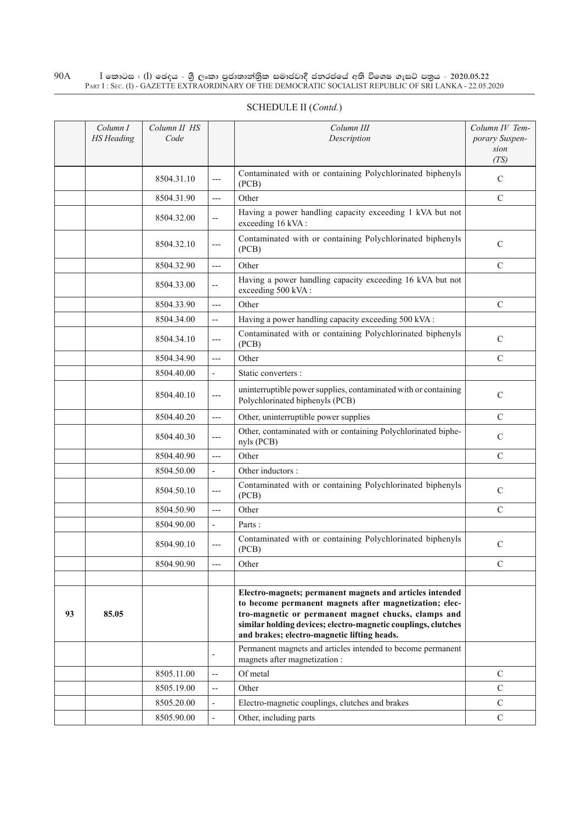#### $\rm I$  කොටස : ( $\rm I$ ) ඡෙදය - ශුී ලංකා පුජාතාන්තුික සමාජවාදී ජනරජයේ අති විශෙෂ ගැසට් පතුය - 2020.05.22 Part I : Sec. (I) - GAZETTE EXTRAORDINARY OF THE DEMOCRATIC SOCIALIST REPUBLIC OF SRI LANKA - 22.05.2020 90A

|    | Column I<br><b>HS</b> Heading | Column II HS<br>Code |                          | Column III<br>Description                                                                                                                                                                                                                                                                 | Column IV Tem-<br>porary Suspen- |
|----|-------------------------------|----------------------|--------------------------|-------------------------------------------------------------------------------------------------------------------------------------------------------------------------------------------------------------------------------------------------------------------------------------------|----------------------------------|
|    |                               |                      |                          |                                                                                                                                                                                                                                                                                           | sion<br>(TS)                     |
|    |                               | 8504.31.10           | $---$                    | Contaminated with or containing Polychlorinated biphenyls<br>(PCB)                                                                                                                                                                                                                        | $\mathcal{C}$                    |
|    |                               | 8504.31.90           | $---$                    | Other                                                                                                                                                                                                                                                                                     | $\mathcal{C}$                    |
|    |                               | 8504.32.00           | $\overline{\phantom{a}}$ | Having a power handling capacity exceeding 1 kVA but not<br>exceeding 16 kVA:                                                                                                                                                                                                             |                                  |
|    |                               | 8504.32.10           | ---                      | Contaminated with or containing Polychlorinated biphenyls<br>(PCB)                                                                                                                                                                                                                        | $\mathbf C$                      |
|    |                               | 8504.32.90           | $---$                    | Other                                                                                                                                                                                                                                                                                     | $\mathcal{C}$                    |
|    |                               | 8504.33.00           | $-$                      | Having a power handling capacity exceeding 16 kVA but not<br>exceeding 500 kVA:                                                                                                                                                                                                           |                                  |
|    |                               | 8504.33.90           | $---$                    | Other                                                                                                                                                                                                                                                                                     | $\mathcal{C}$                    |
|    |                               | 8504.34.00           | $\overline{\phantom{a}}$ | Having a power handling capacity exceeding 500 kVA :                                                                                                                                                                                                                                      |                                  |
|    |                               | 8504.34.10           | $---$                    | Contaminated with or containing Polychlorinated biphenyls<br>(PCB)                                                                                                                                                                                                                        | $\mathbf C$                      |
|    |                               | 8504.34.90           | $---$                    | Other                                                                                                                                                                                                                                                                                     | $\mathcal{C}$                    |
|    |                               | 8504.40.00           | $\frac{1}{2}$            | Static converters :                                                                                                                                                                                                                                                                       |                                  |
|    |                               | 8504.40.10           | ---                      | uninterruptible power supplies, contaminated with or containing<br>Polychlorinated biphenyls (PCB)                                                                                                                                                                                        | $\mathcal{C}$                    |
|    |                               | 8504.40.20           | $---$                    | Other, uninterruptible power supplies                                                                                                                                                                                                                                                     | $\mathcal{C}$                    |
|    |                               | 8504.40.30           | $---$                    | Other, contaminated with or containing Polychlorinated biphe-<br>nyls (PCB)                                                                                                                                                                                                               | $\mathcal{C}$                    |
|    |                               | 8504.40.90           | $---$                    | Other                                                                                                                                                                                                                                                                                     | $\mathcal{C}$                    |
|    |                               | 8504.50.00           | $\overline{\phantom{a}}$ | Other inductors :                                                                                                                                                                                                                                                                         |                                  |
|    |                               | 8504.50.10           | $---$                    | Contaminated with or containing Polychlorinated biphenyls<br>(PCB)                                                                                                                                                                                                                        | $\mathbf C$                      |
|    |                               | 8504.50.90           | $---$                    | Other                                                                                                                                                                                                                                                                                     | $\mathcal{C}$                    |
|    |                               | 8504.90.00           | ÷,                       | Parts:                                                                                                                                                                                                                                                                                    |                                  |
|    |                               | 8504.90.10           | $---$                    | Contaminated with or containing Polychlorinated biphenyls<br>(PCB)                                                                                                                                                                                                                        | $\mathcal{C}$                    |
|    |                               | 8504.90.90           |                          | Other                                                                                                                                                                                                                                                                                     | $\mathsf{C}$                     |
|    |                               |                      |                          |                                                                                                                                                                                                                                                                                           |                                  |
| 93 | 85.05                         |                      |                          | Electro-magnets; permanent magnets and articles intended<br>to become permanent magnets after magnetization; elec-<br>tro-magnetic or permanent magnet chucks, clamps and<br>similar holding devices; electro-magnetic couplings, clutches<br>and brakes; electro-magnetic lifting heads. |                                  |
|    |                               |                      |                          | Permanent magnets and articles intended to become permanent<br>magnets after magnetization :                                                                                                                                                                                              |                                  |
|    |                               | 8505.11.00           | --                       | Of metal                                                                                                                                                                                                                                                                                  | $\mathcal{C}$                    |
|    |                               | 8505.19.00           | $\overline{a}$           | Other                                                                                                                                                                                                                                                                                     | $\mathcal{C}$                    |
|    |                               | 8505.20.00           |                          | Electro-magnetic couplings, clutches and brakes                                                                                                                                                                                                                                           | $\mathbf C$                      |
|    |                               | 8505.90.00           |                          | Other, including parts                                                                                                                                                                                                                                                                    | $\mathbf C$                      |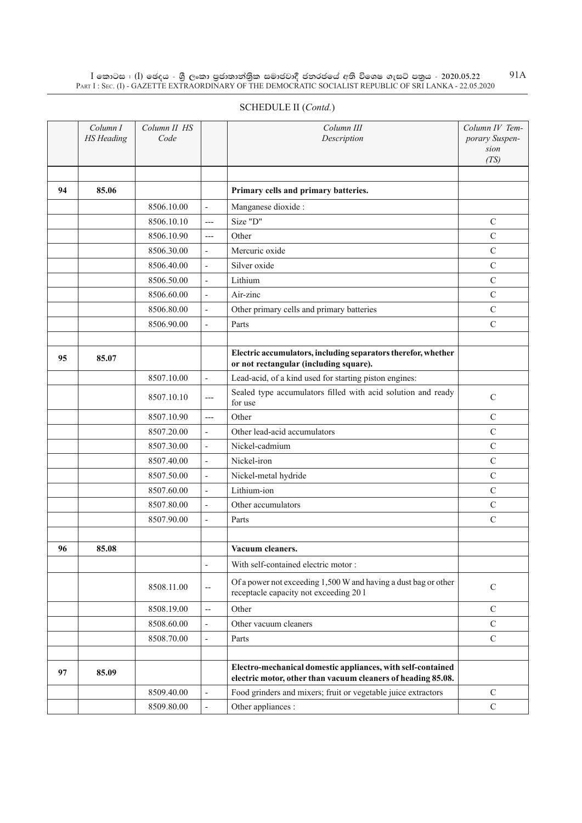$\rm I$  කොටස : ( $\rm I$ ) ඡෙදය - ශුී ලංකා පුජාතාන්තුික සමාජවාදී ජනරජයේ අති විශෙෂ ගැසට් පතුය - 2020.05.22 Part I : Sec. (I) - GAZETTE EXTRAORDINARY OF THE DEMOCRATIC SOCIALIST REPUBLIC OF SRI LANKA - 22.05.2020 91A

| SCHEDULE II (Contd.) |  |
|----------------------|--|
|----------------------|--|

|    | Column I<br><b>HS</b> Heading | Column II HS<br>Code |                          | Column III<br>Description                                                                                                   | Column IV Tem-<br>porary Suspen-<br>sion<br>(TS) |
|----|-------------------------------|----------------------|--------------------------|-----------------------------------------------------------------------------------------------------------------------------|--------------------------------------------------|
| 94 | 85.06                         |                      |                          | Primary cells and primary batteries.                                                                                        |                                                  |
|    |                               | 8506.10.00           | $\overline{\phantom{a}}$ | Manganese dioxide :                                                                                                         |                                                  |
|    |                               | 8506.10.10           | $---$                    | Size "D"                                                                                                                    | $\mathcal{C}$                                    |
|    |                               | 8506.10.90           | $---$                    | Other                                                                                                                       | $\mathbf C$                                      |
|    |                               | 8506.30.00           | $\frac{1}{2}$            | Mercuric oxide                                                                                                              | $\mathbf C$                                      |
|    |                               | 8506.40.00           | $\overline{a}$           | Silver oxide                                                                                                                | $\mathcal{C}$                                    |
|    |                               | 8506.50.00           | $\overline{\phantom{a}}$ | Lithium                                                                                                                     | $\mathbf C$                                      |
|    |                               | 8506.60.00           | $\frac{1}{2}$            | Air-zinc                                                                                                                    | $\mathbf C$                                      |
|    |                               | 8506.80.00           | $\frac{1}{2}$            | Other primary cells and primary batteries                                                                                   | $\mathbf C$                                      |
|    |                               | 8506.90.00           | $\overline{\phantom{m}}$ | Parts                                                                                                                       | $\mathbf C$                                      |
|    |                               |                      |                          |                                                                                                                             |                                                  |
| 95 | 85.07                         |                      |                          | Electric accumulators, including separators therefor, whether<br>or not rectangular (including square).                     |                                                  |
|    |                               | 8507.10.00           | $\overline{\phantom{a}}$ | Lead-acid, of a kind used for starting piston engines:                                                                      |                                                  |
|    |                               | 8507.10.10           | ---                      | Sealed type accumulators filled with acid solution and ready<br>for use                                                     | ${\bf C}$                                        |
|    |                               | 8507.10.90           | $---$                    | Other                                                                                                                       | $\mathbf C$                                      |
|    |                               | 8507.20.00           | $\overline{\phantom{a}}$ | Other lead-acid accumulators                                                                                                | $\mathcal{C}$                                    |
|    |                               | 8507.30.00           | $\frac{1}{2}$            | Nickel-cadmium                                                                                                              | $\mathbf C$                                      |
|    |                               | 8507.40.00           | $\overline{\phantom{a}}$ | Nickel-iron                                                                                                                 | ${\bf C}$                                        |
|    |                               | 8507.50.00           | $\overline{\phantom{a}}$ | Nickel-metal hydride                                                                                                        | $\mathcal{C}$                                    |
|    |                               | 8507.60.00           | $\overline{\phantom{a}}$ | Lithium-ion                                                                                                                 | $\mathcal{C}$                                    |
|    |                               | 8507.80.00           | $\overline{\phantom{a}}$ | Other accumulators                                                                                                          | $\mathbf C$                                      |
|    |                               | 8507.90.00           | $\overline{\phantom{a}}$ | Parts                                                                                                                       | $\mathcal{C}$                                    |
| 96 | 85.08                         |                      |                          | Vacuum cleaners.                                                                                                            |                                                  |
|    |                               |                      | $\overline{a}$           | With self-contained electric motor:                                                                                         |                                                  |
|    |                               | 8508.11.00           | $\overline{\phantom{a}}$ | Of a power not exceeding 1,500 W and having a dust bag or other<br>receptacle capacity not exceeding 201                    | $\mathbf C$                                      |
|    |                               | 8508.19.00           | $\overline{\phantom{a}}$ | Other                                                                                                                       | $\mathcal{C}$                                    |
|    |                               | 8508.60.00           | $\overline{a}$           | Other vacuum cleaners                                                                                                       | $\mathbf C$                                      |
|    |                               | 8508.70.00           | $\overline{\phantom{a}}$ | Parts                                                                                                                       | $\mathcal{C}$                                    |
|    |                               |                      |                          |                                                                                                                             |                                                  |
| 97 | 85.09                         |                      |                          | Electro-mechanical domestic appliances, with self-contained<br>electric motor, other than vacuum cleaners of heading 85.08. |                                                  |
|    |                               | 8509.40.00           | $\frac{1}{2}$            | Food grinders and mixers; fruit or vegetable juice extractors                                                               | $\mathbf C$                                      |
|    |                               | 8509.80.00           | $\overline{\phantom{a}}$ | Other appliances :                                                                                                          | $\mathbf C$                                      |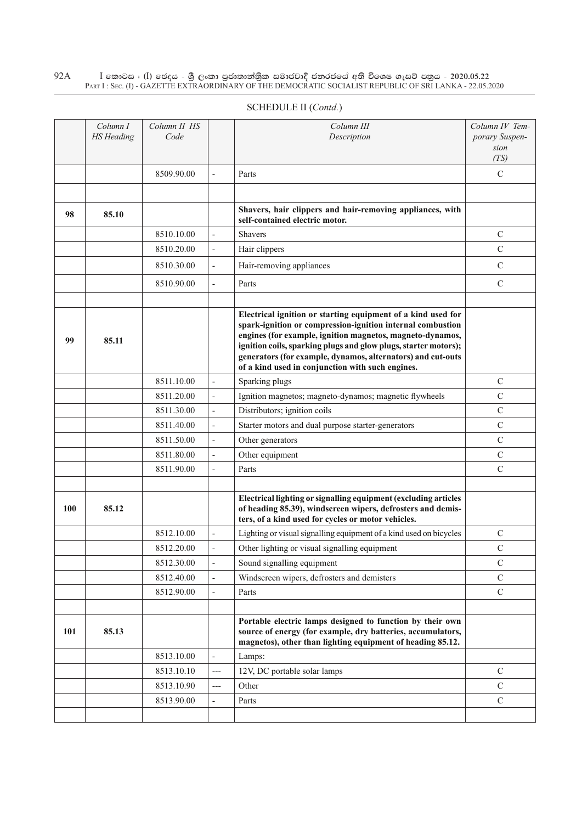$\rm I$  කොටස : ( $\rm I$ ) ඡෙදය - ශුී ලංකා පුජාතාන්තුික සමාජවාදී ජනරජයේ අති විශෙෂ ගැසට් පතුය - 2020.05.22 Part I : Sec. (I) - GAZETTE EXTRAORDINARY OF THE DEMOCRATIC SOCIALIST REPUBLIC OF SRI LANKA - 22.05.2020  $92A$ 

| 9 Z A | I කොටස : (I) මෙදය - ශු ලංකා පුපාතානකුක සමාපවාද පනරපයෙ අත වශෙෂ ගැසට පතුය - 2020.05.22<br>PART I: SEC. (I) - GAZETTE EXTRAORDINARY OF THE DEMOCRATIC SOCIALIST REPUBLIC OF SRI LANKA - 22.05.2020 |                      |  |                           |                                                  |  |  |  |  |  |  |
|-------|-------------------------------------------------------------------------------------------------------------------------------------------------------------------------------------------------|----------------------|--|---------------------------|--------------------------------------------------|--|--|--|--|--|--|
|       | SCHEDULE II (Contd.)                                                                                                                                                                            |                      |  |                           |                                                  |  |  |  |  |  |  |
|       | Column I<br>HS Heading                                                                                                                                                                          | Column II HS<br>Code |  | Column III<br>Description | Column IV Tem-<br>porary Suspen-<br>sion<br>(TS) |  |  |  |  |  |  |

|     |       | 8509.90.00 | $\overline{\phantom{a}}$ | Parts                                                                                                                                                                                                                                                                                                                                                                         | C             |
|-----|-------|------------|--------------------------|-------------------------------------------------------------------------------------------------------------------------------------------------------------------------------------------------------------------------------------------------------------------------------------------------------------------------------------------------------------------------------|---------------|
|     |       |            |                          |                                                                                                                                                                                                                                                                                                                                                                               |               |
| 98  | 85.10 |            |                          | Shavers, hair clippers and hair-removing appliances, with<br>self-contained electric motor.                                                                                                                                                                                                                                                                                   |               |
|     |       | 8510.10.00 | $\overline{a}$           | <b>Shavers</b>                                                                                                                                                                                                                                                                                                                                                                | $\mathcal{C}$ |
|     |       | 8510.20.00 | $\overline{\phantom{a}}$ | Hair clippers                                                                                                                                                                                                                                                                                                                                                                 | $\mathbf C$   |
|     |       | 8510.30.00 | $\overline{\phantom{a}}$ | Hair-removing appliances                                                                                                                                                                                                                                                                                                                                                      | $\mathcal{C}$ |
|     |       | 8510.90.00 | $\overline{\phantom{a}}$ | Parts                                                                                                                                                                                                                                                                                                                                                                         | ${\bf C}$     |
|     |       |            |                          |                                                                                                                                                                                                                                                                                                                                                                               |               |
| 99  | 85.11 |            |                          | Electrical ignition or starting equipment of a kind used for<br>spark-ignition or compression-ignition internal combustion<br>engines (for example, ignition magnetos, magneto-dynamos,<br>ignition coils, sparking plugs and glow plugs, starter motors);<br>generators (for example, dynamos, alternators) and cut-outs<br>of a kind used in conjunction with such engines. |               |
|     |       | 8511.10.00 | $\overline{\phantom{a}}$ | Sparking plugs                                                                                                                                                                                                                                                                                                                                                                | $\mathcal{C}$ |
|     |       | 8511.20.00 | $\overline{\phantom{a}}$ | Ignition magnetos; magneto-dynamos; magnetic flywheels                                                                                                                                                                                                                                                                                                                        | $\mathcal{C}$ |
|     |       | 8511.30.00 | $\overline{\phantom{a}}$ | Distributors; ignition coils                                                                                                                                                                                                                                                                                                                                                  | $\mathbf C$   |
|     |       | 8511.40.00 | $\overline{\phantom{a}}$ | Starter motors and dual purpose starter-generators                                                                                                                                                                                                                                                                                                                            | $\mathcal{C}$ |
|     |       | 8511.50.00 | $\overline{\phantom{a}}$ | Other generators                                                                                                                                                                                                                                                                                                                                                              | $\mathbf C$   |
|     |       | 8511.80.00 | $\overline{\phantom{a}}$ | Other equipment                                                                                                                                                                                                                                                                                                                                                               | $\mathbf C$   |
|     |       | 8511.90.00 | $\overline{\phantom{a}}$ | Parts                                                                                                                                                                                                                                                                                                                                                                         | $\mathbf C$   |
|     |       |            |                          |                                                                                                                                                                                                                                                                                                                                                                               |               |
| 100 | 85.12 |            |                          | Electrical lighting or signalling equipment (excluding articles<br>of heading 85.39), windscreen wipers, defrosters and demis-<br>ters, of a kind used for cycles or motor vehicles.                                                                                                                                                                                          |               |
|     |       | 8512.10.00 | $\overline{\phantom{a}}$ | Lighting or visual signalling equipment of a kind used on bicycles                                                                                                                                                                                                                                                                                                            | $\mathbf C$   |
|     |       | 8512.20.00 | $\overline{\phantom{a}}$ | Other lighting or visual signalling equipment                                                                                                                                                                                                                                                                                                                                 | $\mathbf C$   |
|     |       | 8512.30.00 | $\overline{a}$           | Sound signalling equipment                                                                                                                                                                                                                                                                                                                                                    | $\mathbf C$   |
|     |       | 8512.40.00 | $\overline{\phantom{a}}$ | Windscreen wipers, defrosters and demisters                                                                                                                                                                                                                                                                                                                                   | $\mathcal{C}$ |
|     |       | 8512.90.00 | $\overline{a}$           | Parts                                                                                                                                                                                                                                                                                                                                                                         | $\mathbf C$   |
|     |       |            |                          |                                                                                                                                                                                                                                                                                                                                                                               |               |
| 101 | 85.13 |            |                          | Portable electric lamps designed to function by their own<br>source of energy (for example, dry batteries, accumulators,<br>magnetos), other than lighting equipment of heading 85.12.                                                                                                                                                                                        |               |
|     |       | 8513.10.00 | $\overline{\phantom{a}}$ | Lamps:                                                                                                                                                                                                                                                                                                                                                                        |               |
|     |       | 8513.10.10 | $---$                    | 12V, DC portable solar lamps                                                                                                                                                                                                                                                                                                                                                  | ${\bf C}$     |
|     |       | 8513.10.90 | ---                      | Other                                                                                                                                                                                                                                                                                                                                                                         | $\mathcal{C}$ |
|     |       | 8513.90.00 | $\overline{\phantom{a}}$ | Parts                                                                                                                                                                                                                                                                                                                                                                         | ${\bf C}$     |
|     |       |            |                          |                                                                                                                                                                                                                                                                                                                                                                               |               |
|     |       |            |                          |                                                                                                                                                                                                                                                                                                                                                                               |               |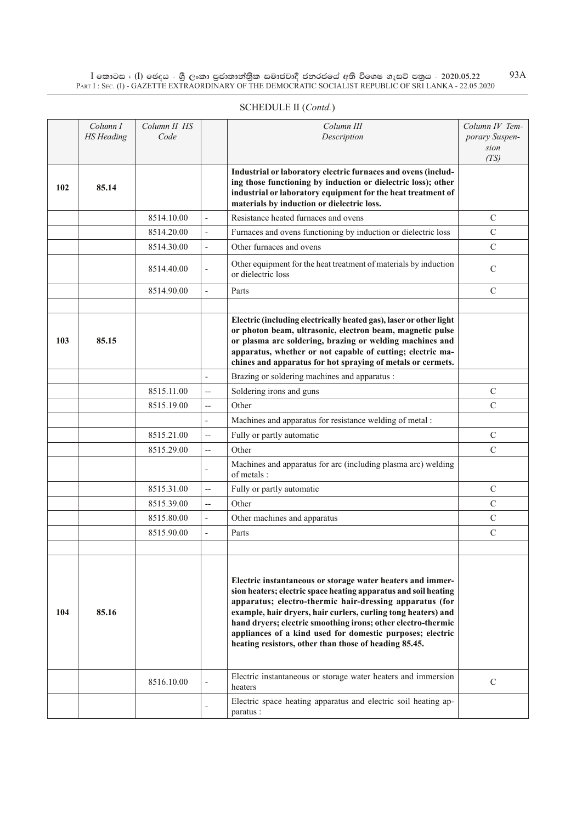$\rm I$  කොටස : ( $\rm I$ ) ඡෙදය - ශුී ලංකා පුජාතාන්තුික සමාජවාදී ජනරජයේ අති විශෙෂ ගැසට් පතුය - 2020.05.22 Part I : Sec. (I) - GAZETTE EXTRAORDINARY OF THE DEMOCRATIC SOCIALIST REPUBLIC OF SRI LANKA - 22.05.2020 93A

|     | Column I<br><b>HS</b> Heading | Column II HS<br>Code |                          | Column III<br>Description                                                                                                                                                                                                                                                                                                                                                                                                                                                                                        | Column IV Tem-<br>porary Suspen-<br>sion |
|-----|-------------------------------|----------------------|--------------------------|------------------------------------------------------------------------------------------------------------------------------------------------------------------------------------------------------------------------------------------------------------------------------------------------------------------------------------------------------------------------------------------------------------------------------------------------------------------------------------------------------------------|------------------------------------------|
| 102 | 85.14                         |                      |                          | Industrial or laboratory electric furnaces and ovens (includ-<br>ing those functioning by induction or dielectric loss); other<br>industrial or laboratory equipment for the heat treatment of<br>materials by induction or dielectric loss.                                                                                                                                                                                                                                                                     | (TS)                                     |
|     |                               | 8514.10.00           | $\overline{a}$           | Resistance heated furnaces and ovens                                                                                                                                                                                                                                                                                                                                                                                                                                                                             | $\mathsf{C}$                             |
|     |                               | 8514.20.00           | $\overline{\phantom{a}}$ | Furnaces and ovens functioning by induction or dielectric loss                                                                                                                                                                                                                                                                                                                                                                                                                                                   | $\mathcal{C}$                            |
|     |                               | 8514.30.00           | $\frac{1}{2}$            | Other furnaces and ovens                                                                                                                                                                                                                                                                                                                                                                                                                                                                                         | $\overline{C}$                           |
|     |                               | 8514.40.00           | ÷,                       | Other equipment for the heat treatment of materials by induction<br>or dielectric loss                                                                                                                                                                                                                                                                                                                                                                                                                           | $\mathcal{C}$                            |
|     |                               | 8514.90.00           | $\overline{\phantom{a}}$ | Parts                                                                                                                                                                                                                                                                                                                                                                                                                                                                                                            | $\mathcal{C}$                            |
|     |                               |                      |                          |                                                                                                                                                                                                                                                                                                                                                                                                                                                                                                                  |                                          |
| 103 | 85.15                         |                      |                          | Electric (including electrically heated gas), laser or other light<br>or photon beam, ultrasonic, electron beam, magnetic pulse<br>or plasma arc soldering, brazing or welding machines and<br>apparatus, whether or not capable of cutting; electric ma-<br>chines and apparatus for hot spraying of metals or cermets.                                                                                                                                                                                         |                                          |
|     |                               |                      | $\overline{\phantom{a}}$ | Brazing or soldering machines and apparatus :                                                                                                                                                                                                                                                                                                                                                                                                                                                                    |                                          |
|     |                               | 8515.11.00           | $\overline{a}$           | Soldering irons and guns                                                                                                                                                                                                                                                                                                                                                                                                                                                                                         | $\mathsf{C}$                             |
|     |                               | 8515.19.00           | $\overline{\phantom{a}}$ | Other                                                                                                                                                                                                                                                                                                                                                                                                                                                                                                            | $\mathcal{C}$                            |
|     |                               |                      | $\overline{\phantom{a}}$ | Machines and apparatus for resistance welding of metal :                                                                                                                                                                                                                                                                                                                                                                                                                                                         |                                          |
|     |                               | 8515.21.00           | $\overline{\phantom{a}}$ | Fully or partly automatic                                                                                                                                                                                                                                                                                                                                                                                                                                                                                        | $\mathsf{C}$                             |
|     |                               | 8515.29.00           | $\overline{a}$           | Other                                                                                                                                                                                                                                                                                                                                                                                                                                                                                                            | $\mathcal{C}$                            |
|     |                               |                      | $\overline{a}$           | Machines and apparatus for arc (including plasma arc) welding<br>of metals:                                                                                                                                                                                                                                                                                                                                                                                                                                      |                                          |
|     |                               | 8515.31.00           | $\overline{\phantom{a}}$ | Fully or partly automatic                                                                                                                                                                                                                                                                                                                                                                                                                                                                                        | $\mathcal{C}$                            |
|     |                               | 8515.39.00           | $\overline{a}$           | Other                                                                                                                                                                                                                                                                                                                                                                                                                                                                                                            | $\mathcal{C}$                            |
|     |                               | 8515.80.00           | $\overline{\phantom{a}}$ | Other machines and apparatus                                                                                                                                                                                                                                                                                                                                                                                                                                                                                     | $\mathbf C$                              |
|     |                               | 8515.90.00           | $\overline{\phantom{a}}$ | Parts                                                                                                                                                                                                                                                                                                                                                                                                                                                                                                            | $\mathcal{C}$                            |
| 104 | 85.16                         |                      |                          | Electric instantaneous or storage water heaters and immer-<br>sion heaters; electric space heating apparatus and soil heating<br>apparatus; electro-thermic hair-dressing apparatus (for<br>example, hair dryers, hair curlers, curling tong heaters) and<br>hand dryers; electric smoothing irons; other electro-thermic<br>appliances of a kind used for domestic purposes; electric<br>heating resistors, other than those of heading 85.45.<br>Electric instantaneous or storage water heaters and immersion |                                          |
|     |                               | 8516.10.00           |                          | heaters<br>Electric space heating apparatus and electric soil heating ap-                                                                                                                                                                                                                                                                                                                                                                                                                                        | C                                        |
|     |                               |                      |                          | paratus:                                                                                                                                                                                                                                                                                                                                                                                                                                                                                                         |                                          |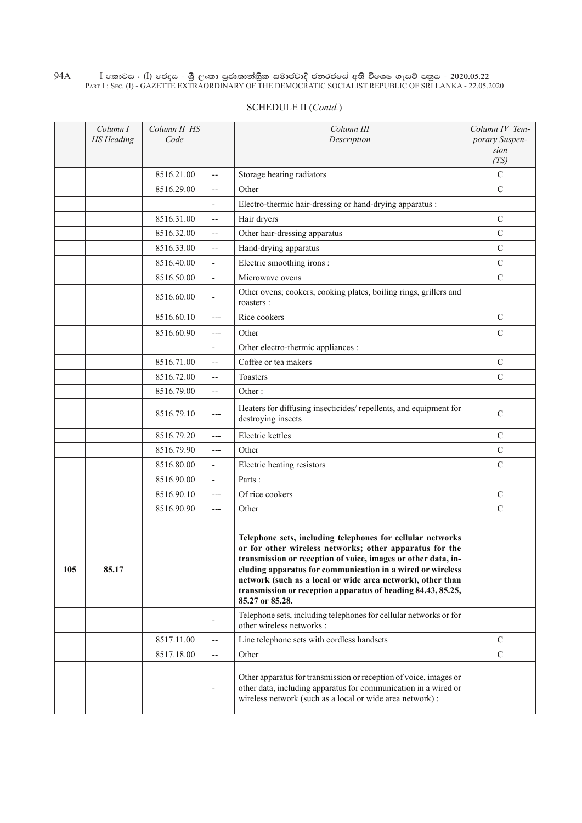#### $\rm I$  කොටස : ( $\rm I$ ) ඡෙදය - ශුී ලංකා පුජාතාන්තුික සමාජවාදී ජනරජයේ අති විශෙෂ ගැසට් පතුය - 2020.05.22 Part I : Sec. (I) - GAZETTE EXTRAORDINARY OF THE DEMOCRATIC SOCIALIST REPUBLIC OF SRI LANKA - 22.05.2020 94A

|     | Column I<br><b>HS</b> Heading | Column II HS<br>Code |                          | Column III<br>Description                                                                                                                                                                                                                                                                                                                                                                             | Column IV Tem-<br>porary Suspen-<br>sion |
|-----|-------------------------------|----------------------|--------------------------|-------------------------------------------------------------------------------------------------------------------------------------------------------------------------------------------------------------------------------------------------------------------------------------------------------------------------------------------------------------------------------------------------------|------------------------------------------|
|     |                               |                      |                          |                                                                                                                                                                                                                                                                                                                                                                                                       | (TS)                                     |
|     |                               | 8516.21.00           | $\overline{a}$           | Storage heating radiators                                                                                                                                                                                                                                                                                                                                                                             | $\mathbf C$                              |
|     |                               | 8516.29.00           | $\overline{a}$           | Other                                                                                                                                                                                                                                                                                                                                                                                                 | $\mathsf{C}$                             |
|     |                               |                      | $\overline{a}$           | Electro-thermic hair-dressing or hand-drying apparatus :                                                                                                                                                                                                                                                                                                                                              |                                          |
|     |                               | 8516.31.00           | $\overline{\phantom{a}}$ | Hair dryers                                                                                                                                                                                                                                                                                                                                                                                           | $\mathcal{C}$                            |
|     |                               | 8516.32.00           | $\overline{a}$           | Other hair-dressing apparatus                                                                                                                                                                                                                                                                                                                                                                         | $\mathsf{C}$                             |
|     |                               | 8516.33.00           | $\overline{a}$           | Hand-drying apparatus                                                                                                                                                                                                                                                                                                                                                                                 | $\mathsf{C}$                             |
|     |                               | 8516.40.00           | ÷,                       | Electric smoothing irons :                                                                                                                                                                                                                                                                                                                                                                            | $\mathsf{C}$                             |
|     |                               | 8516.50.00           | $\overline{a}$           | Microwave ovens                                                                                                                                                                                                                                                                                                                                                                                       | $\mathsf{C}$                             |
|     |                               | 8516.60.00           | $\overline{\phantom{a}}$ | Other ovens; cookers, cooking plates, boiling rings, grillers and<br>roasters:                                                                                                                                                                                                                                                                                                                        |                                          |
|     |                               | 8516.60.10           | $---$                    | Rice cookers                                                                                                                                                                                                                                                                                                                                                                                          | $\mathcal{C}$                            |
|     |                               | 8516.60.90           | $---$                    | Other                                                                                                                                                                                                                                                                                                                                                                                                 | $\mathbf C$                              |
|     |                               |                      |                          | Other electro-thermic appliances :                                                                                                                                                                                                                                                                                                                                                                    |                                          |
|     |                               | 8516.71.00           | $\overline{a}$           | Coffee or tea makers                                                                                                                                                                                                                                                                                                                                                                                  | $\mathcal{C}$                            |
|     |                               | 8516.72.00           | $\overline{a}$           | Toasters                                                                                                                                                                                                                                                                                                                                                                                              | $\mathbf C$                              |
|     |                               | 8516.79.00           | $\overline{a}$           | Other:                                                                                                                                                                                                                                                                                                                                                                                                |                                          |
|     |                               | 8516.79.10           | $---$                    | Heaters for diffusing insecticides/repellents, and equipment for<br>destroying insects                                                                                                                                                                                                                                                                                                                | $\mathsf{C}$                             |
|     |                               | 8516.79.20           | $---$                    | Electric kettles                                                                                                                                                                                                                                                                                                                                                                                      | $\mathcal{C}$                            |
|     |                               | 8516.79.90           | $---$                    | Other                                                                                                                                                                                                                                                                                                                                                                                                 | $\mathsf{C}$                             |
|     |                               | 8516.80.00           | $\overline{\phantom{a}}$ | Electric heating resistors                                                                                                                                                                                                                                                                                                                                                                            | $\mathcal{C}$                            |
|     |                               | 8516.90.00           | ÷,                       | Parts:                                                                                                                                                                                                                                                                                                                                                                                                |                                          |
|     |                               | 8516.90.10           | $---$                    | Of rice cookers                                                                                                                                                                                                                                                                                                                                                                                       | $\mathcal{C}$                            |
|     |                               | 8516.90.90           | $---$                    | Other                                                                                                                                                                                                                                                                                                                                                                                                 | $\mathcal{C}$                            |
|     |                               |                      |                          |                                                                                                                                                                                                                                                                                                                                                                                                       |                                          |
| 105 | 85.17                         |                      |                          | Telephone sets, including telephones for cellular networks<br>or for other wireless networks; other apparatus for the<br>transmission or reception of voice, images or other data, in-<br>cluding apparatus for communication in a wired or wireless<br>network (such as a local or wide area network), other than<br>transmission or reception apparatus of heading 84.43, 85.25,<br>85.27 or 85.28. |                                          |
|     |                               |                      |                          | Telephone sets, including telephones for cellular networks or for<br>other wireless networks :                                                                                                                                                                                                                                                                                                        |                                          |
|     |                               | 8517.11.00           | $\overline{\phantom{a}}$ | Line telephone sets with cordless handsets                                                                                                                                                                                                                                                                                                                                                            | $\mathcal{C}$                            |
|     |                               | 8517.18.00           | $\qquad \qquad -$        | Other                                                                                                                                                                                                                                                                                                                                                                                                 | $\mathcal{C}$                            |
|     |                               |                      | Ĭ.                       | Other apparatus for transmission or reception of voice, images or<br>other data, including apparatus for communication in a wired or<br>wireless network (such as a local or wide area network):                                                                                                                                                                                                      |                                          |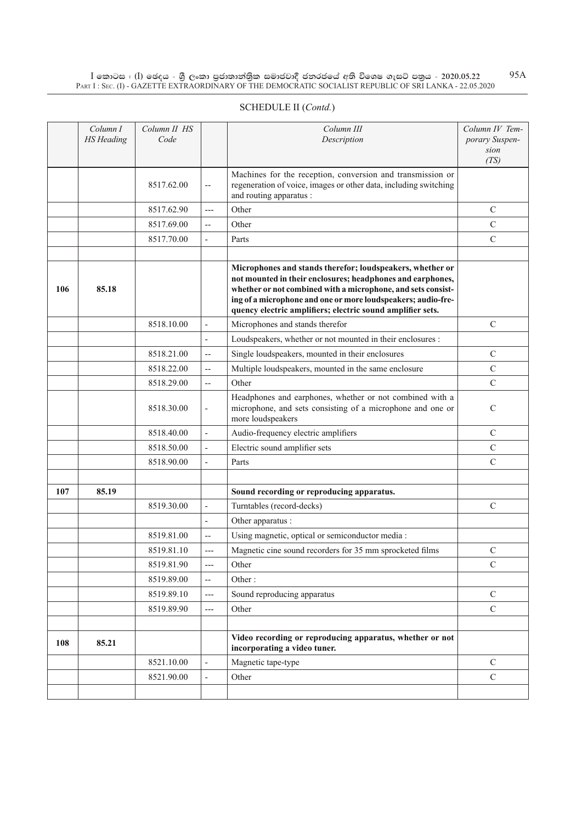$\rm I$  කොටස : ( $\rm I$ ) ඡෙදය - ශුී ලංකා පුජාතාන්තුික සමාජවාදී ජනරජයේ අති විශෙෂ ගැසට් පතුය - 2020.05.22 Part I : Sec. (I) - GAZETTE EXTRAORDINARY OF THE DEMOCRATIC SOCIALIST REPUBLIC OF SRI LANKA - 22.05.2020 95A

|     | Column I<br><b>HS</b> Heading | Column II HS<br>Code |                          | Column III<br>Description                                                                                                                                                                                                                                                                                             | Column IV Tem-<br>porary Suspen-<br>sion<br>(TS) |
|-----|-------------------------------|----------------------|--------------------------|-----------------------------------------------------------------------------------------------------------------------------------------------------------------------------------------------------------------------------------------------------------------------------------------------------------------------|--------------------------------------------------|
|     |                               | 8517.62.00           | $\overline{\phantom{m}}$ | Machines for the reception, conversion and transmission or<br>regeneration of voice, images or other data, including switching<br>and routing apparatus :                                                                                                                                                             |                                                  |
|     |                               | 8517.62.90           | $---$                    | Other                                                                                                                                                                                                                                                                                                                 | $\mathcal{C}$                                    |
|     |                               | 8517.69.00           | $-$                      | Other                                                                                                                                                                                                                                                                                                                 | $\mathsf{C}$                                     |
|     |                               | 8517.70.00           | $\overline{\phantom{0}}$ | Parts                                                                                                                                                                                                                                                                                                                 | $\mathbf C$                                      |
|     |                               |                      |                          |                                                                                                                                                                                                                                                                                                                       |                                                  |
| 106 | 85.18                         |                      |                          | Microphones and stands therefor; loudspeakers, whether or<br>not mounted in their enclosures; headphones and earphones,<br>whether or not combined with a microphone, and sets consist-<br>ing of a microphone and one or more loudspeakers; audio-fre-<br>quency electric amplifiers; electric sound amplifier sets. |                                                  |
|     |                               | 8518.10.00           | $\overline{\phantom{a}}$ | Microphones and stands therefor                                                                                                                                                                                                                                                                                       | $\mathbf C$                                      |
|     |                               |                      | $\overline{\phantom{a}}$ | Loudspeakers, whether or not mounted in their enclosures :                                                                                                                                                                                                                                                            |                                                  |
|     |                               | 8518.21.00           | $\overline{\phantom{a}}$ | Single loudspeakers, mounted in their enclosures                                                                                                                                                                                                                                                                      | $\mathcal{C}$                                    |
|     |                               | 8518.22.00           | $-$                      | Multiple loudspeakers, mounted in the same enclosure                                                                                                                                                                                                                                                                  | $\mathbf C$                                      |
|     |                               | 8518.29.00           | $\overline{a}$           | Other                                                                                                                                                                                                                                                                                                                 | $\mathsf{C}$                                     |
|     |                               | 8518.30.00           | $\overline{\phantom{a}}$ | Headphones and earphones, whether or not combined with a<br>microphone, and sets consisting of a microphone and one or<br>more loudspeakers                                                                                                                                                                           | $\mathcal{C}$                                    |
|     |                               | 8518.40.00           | $\overline{\phantom{a}}$ | Audio-frequency electric amplifiers                                                                                                                                                                                                                                                                                   | $\mathcal{C}$                                    |
|     |                               | 8518.50.00           | ÷,                       | Electric sound amplifier sets                                                                                                                                                                                                                                                                                         | $\mathbf C$                                      |
|     |                               | 8518.90.00           | $\overline{a}$           | Parts                                                                                                                                                                                                                                                                                                                 | $\mathbf C$                                      |
|     |                               |                      |                          |                                                                                                                                                                                                                                                                                                                       |                                                  |
| 107 | 85.19                         |                      |                          | Sound recording or reproducing apparatus.                                                                                                                                                                                                                                                                             |                                                  |
|     |                               | 8519.30.00           | $\overline{\phantom{a}}$ | Turntables (record-decks)                                                                                                                                                                                                                                                                                             | $\mathbf C$                                      |
|     |                               |                      | $\overline{\phantom{a}}$ | Other apparatus :                                                                                                                                                                                                                                                                                                     |                                                  |
|     |                               | 8519.81.00           | $-$                      | Using magnetic, optical or semiconductor media :                                                                                                                                                                                                                                                                      |                                                  |
|     |                               | 8519.81.10           | ---                      | Magnetic cine sound recorders for 35 mm sprocketed films                                                                                                                                                                                                                                                              | $\mathcal{C}$                                    |
|     |                               | 8519.81.90           | ---                      | Other                                                                                                                                                                                                                                                                                                                 | $\mathbf C$                                      |
|     |                               | 8519.89.00           | $\overline{\phantom{a}}$ | Other:                                                                                                                                                                                                                                                                                                                |                                                  |
|     |                               | 8519.89.10           | $---$                    | Sound reproducing apparatus                                                                                                                                                                                                                                                                                           | $\mathbf C$                                      |
|     |                               | 8519.89.90           | ---                      | Other                                                                                                                                                                                                                                                                                                                 | $\mathbf C$                                      |
|     |                               |                      |                          |                                                                                                                                                                                                                                                                                                                       |                                                  |
| 108 | 85.21                         |                      |                          | Video recording or reproducing apparatus, whether or not<br>incorporating a video tuner.                                                                                                                                                                                                                              |                                                  |
|     |                               | 8521.10.00           | $\overline{\phantom{a}}$ | Magnetic tape-type                                                                                                                                                                                                                                                                                                    | $\mathbf C$                                      |
|     |                               | 8521.90.00           | $\overline{\phantom{a}}$ | Other                                                                                                                                                                                                                                                                                                                 | $\mathcal{C}$                                    |
|     |                               |                      |                          |                                                                                                                                                                                                                                                                                                                       |                                                  |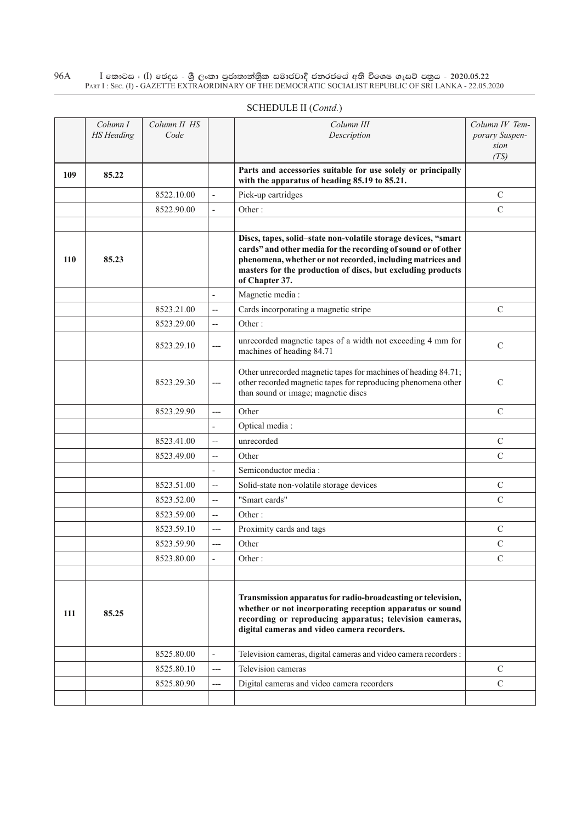$\rm I$  කොටස : ( $\rm I$ ) ඡෙදය - ශුී ලංකා පුජාතාන්තුික සමාජවාදී ජනරජයේ අති විශෙෂ ගැසට් පතුය - 2020.05.22 Part I : Sec. (I) - GAZETTE EXTRAORDINARY OF THE DEMOCRATIC SOCIALIST REPUBLIC OF SRI LANKA - 22.05.2020 96A

|     | Column I<br><b>HS</b> Heading | Column II HS<br>Code |                          | Column III<br>Description                                                                                                                                                                                                                                                      | Column IV Tem-<br>porary Suspen- |
|-----|-------------------------------|----------------------|--------------------------|--------------------------------------------------------------------------------------------------------------------------------------------------------------------------------------------------------------------------------------------------------------------------------|----------------------------------|
|     |                               |                      |                          |                                                                                                                                                                                                                                                                                | sion<br>(TS)                     |
| 109 | 85.22                         |                      |                          | Parts and accessories suitable for use solely or principally<br>with the apparatus of heading 85.19 to 85.21.                                                                                                                                                                  |                                  |
|     |                               | 8522.10.00           | $\overline{\phantom{a}}$ | Pick-up cartridges                                                                                                                                                                                                                                                             | $\mathcal{C}$                    |
|     |                               | 8522.90.00           | $\overline{\phantom{a}}$ | Other:                                                                                                                                                                                                                                                                         | $\mathcal{C}$                    |
|     |                               |                      |                          |                                                                                                                                                                                                                                                                                |                                  |
| 110 | 85.23                         |                      |                          | Discs, tapes, solid-state non-volatile storage devices, "smart<br>cards" and other media for the recording of sound or of other<br>phenomena, whether or not recorded, including matrices and<br>masters for the production of discs, but excluding products<br>of Chapter 37. |                                  |
|     |                               |                      | $\overline{\phantom{a}}$ | Magnetic media:                                                                                                                                                                                                                                                                |                                  |
|     |                               | 8523.21.00           | $\overline{\phantom{m}}$ | Cards incorporating a magnetic stripe                                                                                                                                                                                                                                          | $\mathcal{C}$                    |
|     |                               | 8523.29.00           | $\overline{a}$           | Other:                                                                                                                                                                                                                                                                         |                                  |
|     |                               | 8523.29.10           | $---$                    | unrecorded magnetic tapes of a width not exceeding 4 mm for<br>machines of heading 84.71                                                                                                                                                                                       | $\mathcal{C}$                    |
|     |                               | 8523.29.30           | $\cdots$                 | Other unrecorded magnetic tapes for machines of heading 84.71;<br>other recorded magnetic tapes for reproducing phenomena other<br>than sound or image; magnetic discs                                                                                                         | $\mathcal{C}$                    |
|     |                               | 8523.29.90           | $---$                    | Other                                                                                                                                                                                                                                                                          | $\mathcal{C}$                    |
|     |                               |                      | $\overline{a}$           | Optical media:                                                                                                                                                                                                                                                                 |                                  |
|     |                               | 8523.41.00           | $\overline{\phantom{m}}$ | unrecorded                                                                                                                                                                                                                                                                     | $\mathcal{C}$                    |
|     |                               | 8523.49.00           | $\overline{a}$           | Other                                                                                                                                                                                                                                                                          | $\mathcal{C}$                    |
|     |                               |                      | $\overline{\phantom{a}}$ | Semiconductor media:                                                                                                                                                                                                                                                           |                                  |
|     |                               | 8523.51.00           | $\overline{a}$           | Solid-state non-volatile storage devices                                                                                                                                                                                                                                       | $\mathcal{C}$                    |
|     |                               | 8523.52.00           | $\overline{\phantom{m}}$ | "Smart cards"                                                                                                                                                                                                                                                                  | $\mathcal{C}$                    |
|     |                               | 8523.59.00           | $\overline{a}$           | Other:                                                                                                                                                                                                                                                                         |                                  |
|     |                               | 8523.59.10           | $---$                    | Proximity cards and tags                                                                                                                                                                                                                                                       | $\mathcal{C}$                    |
|     |                               | 8523.59.90           | ---                      | Other                                                                                                                                                                                                                                                                          | $\mathbf C$                      |
|     |                               | 8523.80.00           |                          | Other:                                                                                                                                                                                                                                                                         | $\mathcal{C}$                    |
|     |                               |                      |                          |                                                                                                                                                                                                                                                                                |                                  |
| 111 | 85.25                         |                      |                          | Transmission apparatus for radio-broadcasting or television,<br>whether or not incorporating reception apparatus or sound<br>recording or reproducing apparatus; television cameras,<br>digital cameras and video camera recorders.                                            |                                  |
|     |                               | 8525.80.00           | $\overline{\phantom{a}}$ | Television cameras, digital cameras and video camera recorders :                                                                                                                                                                                                               |                                  |
|     |                               | 8525.80.10           | $---$                    | Television cameras                                                                                                                                                                                                                                                             | $\mathcal{C}$                    |
|     |                               | 8525.80.90           | ---                      | Digital cameras and video camera recorders                                                                                                                                                                                                                                     | $\mathcal{C}$                    |
|     |                               |                      |                          |                                                                                                                                                                                                                                                                                |                                  |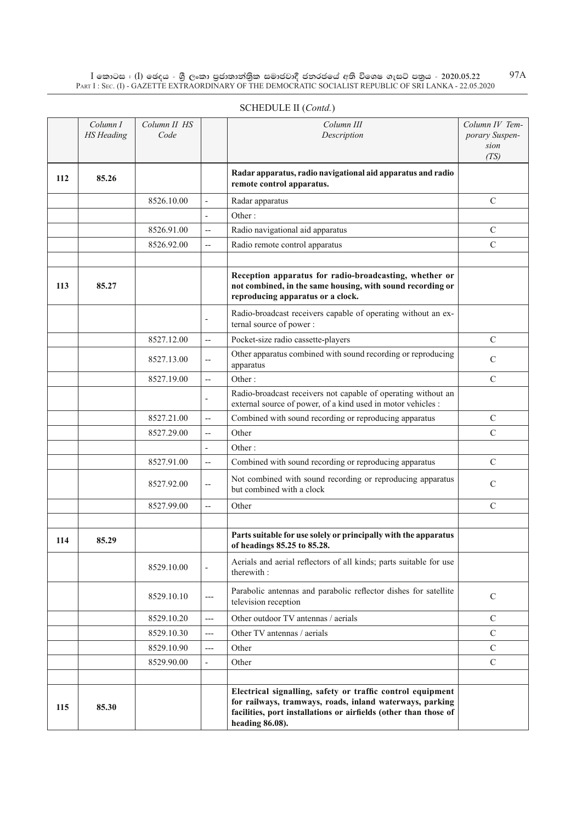$\rm I$  කොටස : ( $\rm I$ ) ඡෙදය - ශුී ලංකා පුජාතාන්තුික සමාජවාදී ජනරජයේ අති විශෙෂ ගැසට් පතුය - 2020.05.22 Part I : Sec. (I) - GAZETTE EXTRAORDINARY OF THE DEMOCRATIC SOCIALIST REPUBLIC OF SRI LANKA - 22.05.2020

|     | Column I<br><b>HS</b> Heading | Column II HS<br>Code |                          | Column III<br>Description                                                                                                                                                                                     | Column IV Tem-<br>porary Suspen-<br>sion<br>(TS) |
|-----|-------------------------------|----------------------|--------------------------|---------------------------------------------------------------------------------------------------------------------------------------------------------------------------------------------------------------|--------------------------------------------------|
| 112 | 85.26                         |                      |                          | Radar apparatus, radio navigational aid apparatus and radio<br>remote control apparatus.                                                                                                                      |                                                  |
|     |                               | 8526.10.00           | $\overline{\phantom{a}}$ | Radar apparatus                                                                                                                                                                                               | $\mathcal{C}$                                    |
|     |                               |                      | $\overline{a}$           | Other:                                                                                                                                                                                                        |                                                  |
|     |                               | 8526.91.00           | $\overline{a}$           | Radio navigational aid apparatus                                                                                                                                                                              | $\mathcal{C}$                                    |
|     |                               | 8526.92.00           | $\overline{\phantom{a}}$ | Radio remote control apparatus                                                                                                                                                                                | $\mathsf{C}$                                     |
|     |                               |                      |                          |                                                                                                                                                                                                               |                                                  |
| 113 | 85.27                         |                      |                          | Reception apparatus for radio-broadcasting, whether or<br>not combined, in the same housing, with sound recording or<br>reproducing apparatus or a clock.                                                     |                                                  |
|     |                               |                      | $\overline{\phantom{a}}$ | Radio-broadcast receivers capable of operating without an ex-<br>ternal source of power :                                                                                                                     |                                                  |
|     |                               | 8527.12.00           | $-$                      | Pocket-size radio cassette-players                                                                                                                                                                            | $\mathcal{C}$                                    |
|     |                               | 8527.13.00           | $\overline{\phantom{a}}$ | Other apparatus combined with sound recording or reproducing<br>apparatus                                                                                                                                     | $\mathcal{C}$                                    |
|     |                               | 8527.19.00           | $\overline{a}$           | Other:                                                                                                                                                                                                        | $\mathcal{C}$                                    |
|     |                               |                      | $\overline{\phantom{a}}$ | Radio-broadcast receivers not capable of operating without an<br>external source of power, of a kind used in motor vehicles :                                                                                 |                                                  |
|     |                               | 8527.21.00           | $\overline{a}$           | Combined with sound recording or reproducing apparatus                                                                                                                                                        | $\mathcal{C}$                                    |
|     |                               | 8527.29.00           | $\overline{\phantom{a}}$ | Other                                                                                                                                                                                                         | $\mathbf C$                                      |
|     |                               |                      | $\overline{\phantom{a}}$ | Other:                                                                                                                                                                                                        |                                                  |
|     |                               | 8527.91.00           | $\overline{\phantom{a}}$ | Combined with sound recording or reproducing apparatus                                                                                                                                                        | $\mathcal{C}$                                    |
|     |                               | 8527.92.00           | $\overline{\phantom{a}}$ | Not combined with sound recording or reproducing apparatus<br>but combined with a clock                                                                                                                       | C                                                |
|     |                               | 8527.99.00           | $\overline{\phantom{a}}$ | Other                                                                                                                                                                                                         | $\mathbf C$                                      |
|     |                               |                      |                          |                                                                                                                                                                                                               |                                                  |
| 114 | 85.29                         |                      |                          | Parts suitable for use solely or principally with the apparatus<br>of headings 85.25 to 85.28.                                                                                                                |                                                  |
|     |                               | 8529.10.00           | $\overline{\phantom{a}}$ | Aerials and aerial reflectors of all kinds; parts suitable for use<br>therewith :                                                                                                                             |                                                  |
|     |                               | 8529.10.10           | ---                      | Parabolic antennas and parabolic reflector dishes for satellite<br>television reception                                                                                                                       | $\mathcal{C}$                                    |
|     |                               | 8529.10.20           | ---                      | Other outdoor TV antennas / aerials                                                                                                                                                                           | $\mathcal{C}$                                    |
|     |                               | 8529.10.30           | ---                      | Other TV antennas / aerials                                                                                                                                                                                   | $\mathcal{C}$                                    |
|     |                               | 8529.10.90           | ---                      | Other                                                                                                                                                                                                         | $\mathbf C$                                      |
|     |                               | 8529.90.00           | $\overline{\phantom{a}}$ | Other                                                                                                                                                                                                         | $\mathcal{C}$                                    |
|     |                               |                      |                          |                                                                                                                                                                                                               |                                                  |
| 115 | 85.30                         |                      |                          | Electrical signalling, safety or traffic control equipment<br>for railways, tramways, roads, inland waterways, parking<br>facilities, port installations or airfields (other than those of<br>heading 86.08). |                                                  |

# SCHEDULE II (*Contd.*)

97A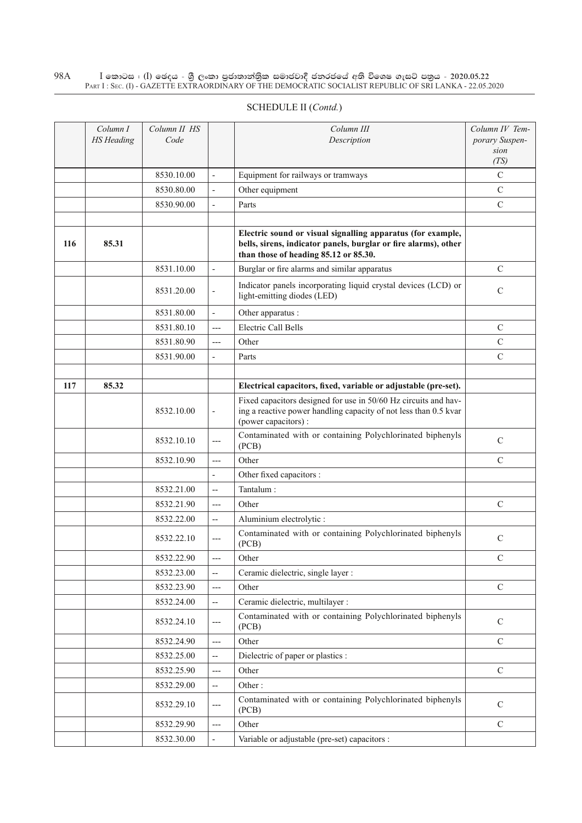#### $\rm I$  කොටස : ( $\rm I$ ) ඡෙදය - ශුී ලංකා පුජාතාන්තුික සමාජවාදී ජනරජයේ අති විශෙෂ ගැසට් පතුය - 2020.05.22 Part I : Sec. (I) - GAZETTE EXTRAORDINARY OF THE DEMOCRATIC SOCIALIST REPUBLIC OF SRI LANKA - 22.05.2020 98A

|     | Column I<br><b>HS</b> Heading | Column II HS<br>Code |                                     | Column III<br>Description                                                                                                                                               | Column IV Tem-<br>porary Suspen-<br>sion<br>(TS) |
|-----|-------------------------------|----------------------|-------------------------------------|-------------------------------------------------------------------------------------------------------------------------------------------------------------------------|--------------------------------------------------|
|     |                               | 8530.10.00           | ÷,                                  | Equipment for railways or tramways                                                                                                                                      | $\mathcal{C}$                                    |
|     |                               | 8530.80.00           | ÷,                                  | Other equipment                                                                                                                                                         | $\mathcal{C}$                                    |
|     |                               | 8530.90.00           | $\overline{\phantom{a}}$            | Parts                                                                                                                                                                   | $\mathsf{C}$                                     |
|     |                               |                      |                                     |                                                                                                                                                                         |                                                  |
| 116 | 85.31                         |                      |                                     | Electric sound or visual signalling apparatus (for example,<br>bells, sirens, indicator panels, burglar or fire alarms), other<br>than those of heading 85.12 or 85.30. |                                                  |
|     |                               | 8531.10.00           | $\overline{a}$                      | Burglar or fire alarms and similar apparatus                                                                                                                            | $\mathcal{C}$                                    |
|     |                               | 8531.20.00           | $\overline{\phantom{a}}$            | Indicator panels incorporating liquid crystal devices (LCD) or<br>light-emitting diodes (LED)                                                                           | $\mathsf{C}$                                     |
|     |                               | 8531.80.00           | $\overline{\phantom{a}}$            | Other apparatus :                                                                                                                                                       |                                                  |
|     |                               | 8531.80.10           | $---$                               | Electric Call Bells                                                                                                                                                     | $\mathcal{C}$                                    |
|     |                               | 8531.80.90           | $---$                               | Other                                                                                                                                                                   | $\mathsf{C}$                                     |
|     |                               | 8531.90.00           | $\overline{a}$                      | Parts                                                                                                                                                                   | $\mathcal{C}$                                    |
|     |                               |                      |                                     |                                                                                                                                                                         |                                                  |
| 117 | 85.32                         |                      |                                     | Electrical capacitors, fixed, variable or adjustable (pre-set).                                                                                                         |                                                  |
|     |                               | 8532.10.00           | $\overline{\phantom{a}}$            | Fixed capacitors designed for use in 50/60 Hz circuits and hav-<br>ing a reactive power handling capacity of not less than 0.5 kvar<br>(power capacitors) :             |                                                  |
|     |                               | 8532.10.10           | $---$                               | Contaminated with or containing Polychlorinated biphenyls<br>(PCB)                                                                                                      | $\mathbf C$                                      |
|     |                               | 8532.10.90           | $---$                               | Other                                                                                                                                                                   | $\mathcal{C}$                                    |
|     |                               |                      | $\overline{a}$                      | Other fixed capacitors :                                                                                                                                                |                                                  |
|     |                               | 8532.21.00           | $\overline{\phantom{a}}$            | Tantalum:                                                                                                                                                               |                                                  |
|     |                               | 8532.21.90           | $---$                               | Other                                                                                                                                                                   | $\mathsf{C}$                                     |
|     |                               | 8532.22.00           | $\overline{\phantom{m}}$            | Aluminium electrolytic :                                                                                                                                                |                                                  |
|     |                               | 8532.22.10           | $---$                               | Contaminated with or containing Polychlorinated biphenyls<br>(PCB)                                                                                                      | $\mathsf{C}$                                     |
|     |                               | 8532.22.90           | ---                                 | Other                                                                                                                                                                   | C                                                |
|     |                               | 8532.23.00           | $\overline{\phantom{m}}$            | Ceramic dielectric, single layer :                                                                                                                                      |                                                  |
|     |                               | 8532.23.90           | $---$                               | Other                                                                                                                                                                   | $\mathbf C$                                      |
|     |                               | 8532.24.00           | $\hspace{0.05cm}$ $\hspace{0.05cm}$ | Ceramic dielectric, multilayer :                                                                                                                                        |                                                  |
|     |                               | 8532.24.10           | $---$                               | Contaminated with or containing Polychlorinated biphenyls<br>(PCB)                                                                                                      | ${\bf C}$                                        |
|     |                               | 8532.24.90           | $---$                               | Other                                                                                                                                                                   | $\mathcal{C}$                                    |
|     |                               | 8532.25.00           | $\overline{\phantom{a}}$            | Dielectric of paper or plastics :                                                                                                                                       |                                                  |
|     |                               | 8532.25.90           | $---$                               | Other                                                                                                                                                                   | $\mathbf C$                                      |
|     |                               | 8532.29.00           | $\overline{\phantom{a}}$            | Other:                                                                                                                                                                  |                                                  |
|     |                               | 8532.29.10           | $---$                               | Contaminated with or containing Polychlorinated biphenyls<br>(PCB)                                                                                                      | $\mathcal{C}$                                    |
|     |                               | 8532.29.90           | $---$                               | Other                                                                                                                                                                   | $\mathcal{C}$                                    |
|     |                               | 8532.30.00           |                                     | Variable or adjustable (pre-set) capacitors :                                                                                                                           |                                                  |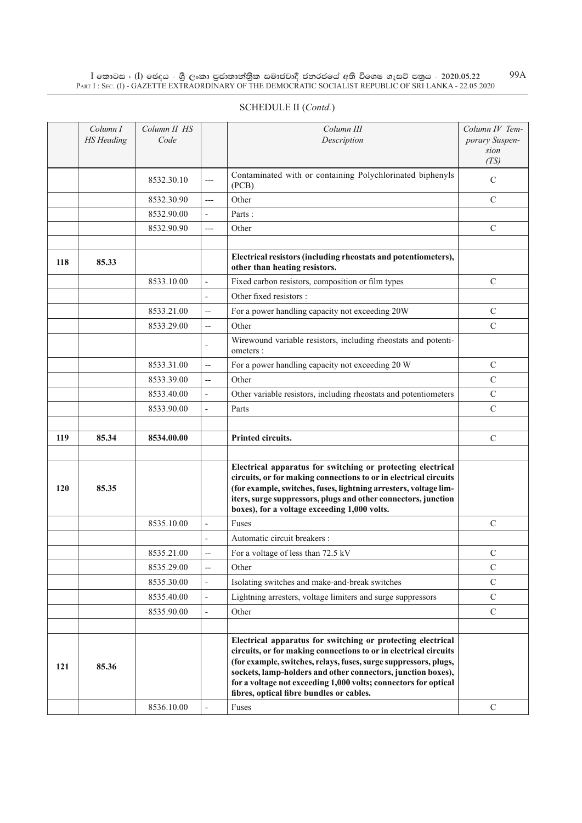$\rm I$  කොටස : ( $\rm I$ ) ඡෙදය - ශුී ලංකා පුජාතාන්තුික සමාජවාදී ජනරජයේ අති විශෙෂ ගැසට් පතුය - 2020.05.22 Part I : Sec. (I) - GAZETTE EXTRAORDINARY OF THE DEMOCRATIC SOCIALIST REPUBLIC OF SRI LANKA - 22.05.2020 99A

|     | SCHEDULE II (Contd.)          |                      |                          |                                                                                                 |                                                  |  |  |  |  |
|-----|-------------------------------|----------------------|--------------------------|-------------------------------------------------------------------------------------------------|--------------------------------------------------|--|--|--|--|
|     | Column I<br><b>HS</b> Heading | Column II HS<br>Code |                          | Column III<br>Description                                                                       | Column IV Tem-<br>porary Suspen-<br>sion<br>(TS) |  |  |  |  |
|     |                               | 8532.30.10           | $---$                    | Contaminated with or containing Polychlorinated biphenyls<br>(PCB)                              | $\mathcal{C}$                                    |  |  |  |  |
|     |                               | 8532.30.90           | $---$                    | Other                                                                                           | $\mathcal{C}$                                    |  |  |  |  |
|     |                               | 8532.90.00           | $\mathbf{r}$             | Parts:                                                                                          |                                                  |  |  |  |  |
|     |                               | 8532.90.90           | $---$                    | Other                                                                                           | $\mathcal{C}$                                    |  |  |  |  |
|     |                               |                      |                          |                                                                                                 |                                                  |  |  |  |  |
| 118 | 85.33                         |                      |                          | Electrical resistors (including rheostats and potentiometers),<br>other than heating resistors. |                                                  |  |  |  |  |
|     |                               | 8533.10.00           | $\overline{\phantom{a}}$ | Fixed carbon resistors, composition or film types                                               | $\mathcal{C}$                                    |  |  |  |  |
|     |                               |                      | $\blacksquare$           | Other fixed resistors:                                                                          |                                                  |  |  |  |  |
|     |                               | 8533.21.00           | $\overline{\phantom{a}}$ | For a power handling capacity not exceeding 20W                                                 | $\mathcal{C}$                                    |  |  |  |  |
|     |                               | 8533.29.00           | $\overline{\phantom{a}}$ | Other                                                                                           | $\mathbf C$                                      |  |  |  |  |
|     |                               |                      |                          | Wirewound variable resistors, including rheostats and potenti-<br>ometers :                     |                                                  |  |  |  |  |
|     |                               | 8533.31.00           | $\overline{\phantom{a}}$ | For a power handling capacity not exceeding 20 W                                                | $\mathcal{C}$                                    |  |  |  |  |
|     |                               | 8533.39.00           | $\overline{\phantom{a}}$ | Other                                                                                           | $\mathcal{C}$                                    |  |  |  |  |
|     |                               | 8533.40.00           | $\blacksquare$           | Other variable resistors, including rheostats and potentiometers                                | $\mathcal{C}$                                    |  |  |  |  |
|     |                               | 8533.90.00           | $\overline{\phantom{a}}$ | Parts                                                                                           | $\mathcal{C}$                                    |  |  |  |  |
|     |                               |                      |                          |                                                                                                 |                                                  |  |  |  |  |

| 119 | 85.34 | 8534.00.00 |                          | Printed circuits.                                                                                                                                                                                                                                                                                                                                                                  | $\mathcal{C}$ |
|-----|-------|------------|--------------------------|------------------------------------------------------------------------------------------------------------------------------------------------------------------------------------------------------------------------------------------------------------------------------------------------------------------------------------------------------------------------------------|---------------|
|     |       |            |                          |                                                                                                                                                                                                                                                                                                                                                                                    |               |
| 120 | 85.35 |            |                          | Electrical apparatus for switching or protecting electrical<br>circuits, or for making connections to or in electrical circuits<br>(for example, switches, fuses, lightning arresters, voltage lim-<br>iters, surge suppressors, plugs and other connectors, junction<br>boxes), for a voltage exceeding 1,000 volts.                                                              |               |
|     |       | 8535.10.00 | $\blacksquare$           | Fuses                                                                                                                                                                                                                                                                                                                                                                              | $\mathcal{C}$ |
|     |       |            | $\overline{\phantom{a}}$ | Automatic circuit breakers :                                                                                                                                                                                                                                                                                                                                                       |               |
|     |       | 8535.21.00 | $\overline{\phantom{a}}$ | For a voltage of less than 72.5 kV                                                                                                                                                                                                                                                                                                                                                 | $\mathcal{C}$ |
|     |       | 8535.29.00 | $\overline{\phantom{a}}$ | Other                                                                                                                                                                                                                                                                                                                                                                              | $\mathcal{C}$ |
|     |       | 8535.30.00 | $\blacksquare$           | Isolating switches and make-and-break switches                                                                                                                                                                                                                                                                                                                                     | $\mathcal{C}$ |
|     |       | 8535.40.00 | $\blacksquare$           | Lightning arresters, voltage limiters and surge suppressors                                                                                                                                                                                                                                                                                                                        | $\mathcal{C}$ |
|     |       | 8535.90.00 | $\overline{\phantom{a}}$ | Other                                                                                                                                                                                                                                                                                                                                                                              | $\mathcal{C}$ |
|     |       |            |                          |                                                                                                                                                                                                                                                                                                                                                                                    |               |
| 121 | 85.36 |            |                          | Electrical apparatus for switching or protecting electrical<br>circuits, or for making connections to or in electrical circuits<br>(for example, switches, relays, fuses, surge suppressors, plugs,<br>sockets, lamp-holders and other connectors, junction boxes),<br>for a voltage not exceeding 1,000 volts; connectors for optical<br>fibres, optical fibre bundles or cables. |               |
|     |       | 8536.10.00 | ۰                        | Fuses                                                                                                                                                                                                                                                                                                                                                                              | C             |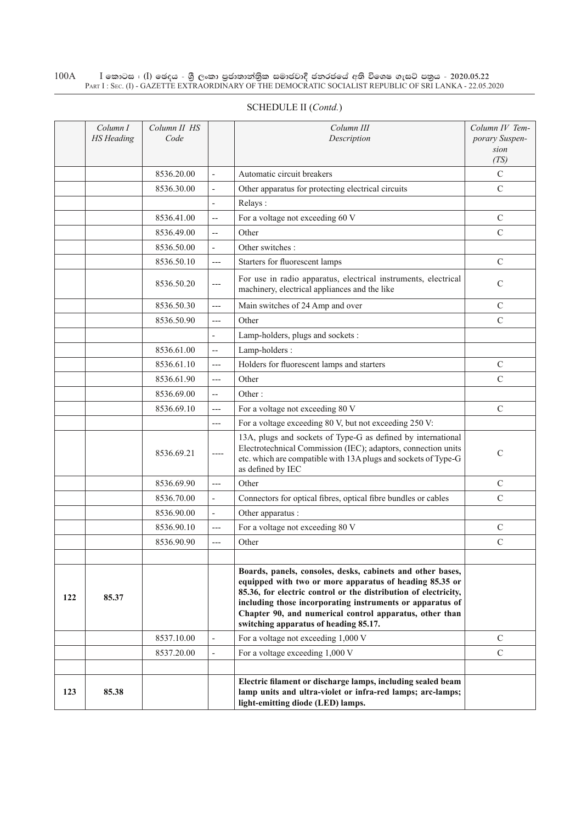#### $\rm I$  කොටස : ( $\rm I$ ) ඡෙදය - ශුී ලංකා පුජාතාන්තුික සමාජවාදී ජනරජයේ අති විශෙෂ ගැසට් පතුය - 2020.05.22 Part I : Sec. (I) - GAZETTE EXTRAORDINARY OF THE DEMOCRATIC SOCIALIST REPUBLIC OF SRI LANKA - 22.05.2020 100A

|     | Column I<br><b>HS</b> Heading | Column II HS<br>Code |                                   | Column III<br>Description                                                                                                                                                                                                                                                                                                                                 | Column IV Tem-<br>porary Suspen-<br>sion<br>(TS) |
|-----|-------------------------------|----------------------|-----------------------------------|-----------------------------------------------------------------------------------------------------------------------------------------------------------------------------------------------------------------------------------------------------------------------------------------------------------------------------------------------------------|--------------------------------------------------|
|     |                               | 8536.20.00           | $\overline{\phantom{a}}$          | Automatic circuit breakers                                                                                                                                                                                                                                                                                                                                | $\mathcal{C}$                                    |
|     |                               | 8536.30.00           | $\overline{\phantom{a}}$          | Other apparatus for protecting electrical circuits                                                                                                                                                                                                                                                                                                        | $\mathbf C$                                      |
|     |                               |                      | $\overline{\phantom{a}}$          | Relays:                                                                                                                                                                                                                                                                                                                                                   |                                                  |
|     |                               | 8536.41.00           | $\overline{\phantom{a}}$          | For a voltage not exceeding 60 V                                                                                                                                                                                                                                                                                                                          | $\mathbf C$                                      |
|     |                               | 8536.49.00           | $\overline{\phantom{a}}$          | Other                                                                                                                                                                                                                                                                                                                                                     | $\mathcal{C}$                                    |
|     |                               | 8536.50.00           | $\overline{\phantom{a}}$          | Other switches:                                                                                                                                                                                                                                                                                                                                           |                                                  |
|     |                               | 8536.50.10           | $---$                             | Starters for fluorescent lamps                                                                                                                                                                                                                                                                                                                            | $\mathsf{C}$                                     |
|     |                               | 8536.50.20           | $---$                             | For use in radio apparatus, electrical instruments, electrical<br>machinery, electrical appliances and the like                                                                                                                                                                                                                                           | C                                                |
|     |                               | 8536.50.30           | $---$                             | Main switches of 24 Amp and over                                                                                                                                                                                                                                                                                                                          | $\mathsf{C}$                                     |
|     |                               | 8536.50.90           | $---$                             | Other                                                                                                                                                                                                                                                                                                                                                     | $\mathcal{C}$                                    |
|     |                               |                      | $\overline{\phantom{a}}$          | Lamp-holders, plugs and sockets :                                                                                                                                                                                                                                                                                                                         |                                                  |
|     |                               | 8536.61.00           | $\hspace{0.05cm} \dashrightarrow$ | Lamp-holders:                                                                                                                                                                                                                                                                                                                                             |                                                  |
|     |                               | 8536.61.10           | $---$                             | Holders for fluorescent lamps and starters                                                                                                                                                                                                                                                                                                                | $\mathsf{C}$                                     |
|     |                               | 8536.61.90           | $---$                             | Other                                                                                                                                                                                                                                                                                                                                                     | $\mathcal{C}$                                    |
|     |                               | 8536.69.00           | $\overline{\phantom{a}}$          | Other:                                                                                                                                                                                                                                                                                                                                                    |                                                  |
|     |                               | 8536.69.10           | $---$                             | For a voltage not exceeding 80 V                                                                                                                                                                                                                                                                                                                          | $\mathcal{C}$                                    |
|     |                               |                      | ---                               | For a voltage exceeding 80 V, but not exceeding 250 V:                                                                                                                                                                                                                                                                                                    |                                                  |
|     |                               | 8536.69.21           | $---$                             | 13A, plugs and sockets of Type-G as defined by international<br>Electrotechnical Commission (IEC); adaptors, connection units<br>etc. which are compatible with 13A plugs and sockets of Type-G<br>as defined by IEC                                                                                                                                      | $\mathbf C$                                      |
|     |                               | 8536.69.90           | $---$                             | Other                                                                                                                                                                                                                                                                                                                                                     | $\mathcal{C}$                                    |
|     |                               | 8536.70.00           | $\frac{1}{2}$                     | Connectors for optical fibres, optical fibre bundles or cables                                                                                                                                                                                                                                                                                            | $\mathcal{C}$                                    |
|     |                               | 8536.90.00           | $\frac{1}{2}$                     | Other apparatus :                                                                                                                                                                                                                                                                                                                                         |                                                  |
|     |                               | 8536.90.10           | $---$                             | For a voltage not exceeding 80 V                                                                                                                                                                                                                                                                                                                          | C                                                |
|     |                               | 8536.90.90           | $---$                             | Other                                                                                                                                                                                                                                                                                                                                                     | $\mathcal{C}$                                    |
|     |                               |                      |                                   |                                                                                                                                                                                                                                                                                                                                                           |                                                  |
| 122 | 85.37                         |                      |                                   | Boards, panels, consoles, desks, cabinets and other bases,<br>equipped with two or more apparatus of heading 85.35 or<br>85.36, for electric control or the distribution of electricity,<br>including those incorporating instruments or apparatus of<br>Chapter 90, and numerical control apparatus, other than<br>switching apparatus of heading 85.17. |                                                  |
|     |                               | 8537.10.00           | $\overline{a}$                    | For a voltage not exceeding 1,000 V                                                                                                                                                                                                                                                                                                                       | $\mathcal{C}$                                    |
|     |                               | 8537.20.00           | $\overline{\phantom{a}}$          | For a voltage exceeding 1,000 V                                                                                                                                                                                                                                                                                                                           | $\mathbf C$                                      |
|     |                               |                      |                                   |                                                                                                                                                                                                                                                                                                                                                           |                                                  |
| 123 | 85.38                         |                      |                                   | Electric filament or discharge lamps, including sealed beam<br>lamp units and ultra-violet or infra-red lamps; arc-lamps;<br>light-emitting diode (LED) lamps.                                                                                                                                                                                            |                                                  |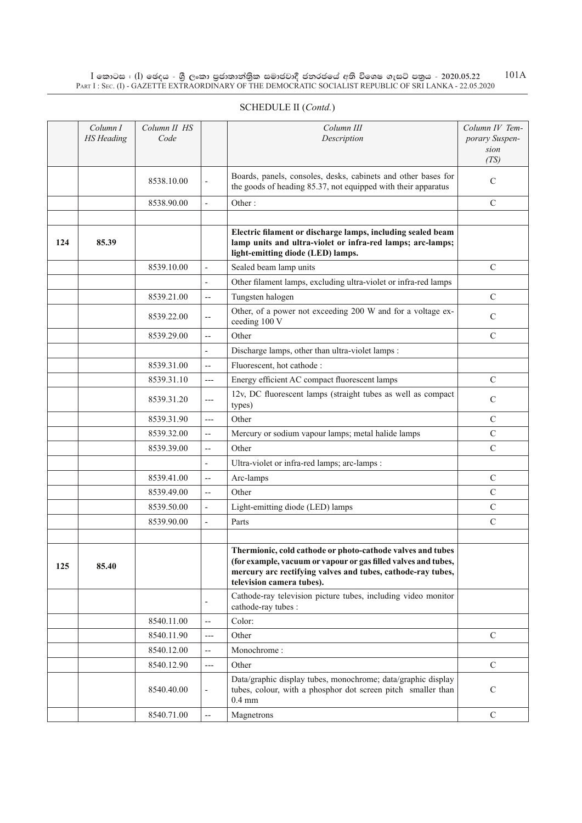$\rm I$  කොටස : ( $\rm I$ ) ඡෙදය - ශුී ලංකා පුජාතාන්තුික සමාජවාදී ජනරජයේ අති විශෙෂ ගැසට් පතුය - 2020.05.22 Part I : Sec. (I) - GAZETTE EXTRAORDINARY OF THE DEMOCRATIC SOCIALIST REPUBLIC OF SRI LANKA - 22.05.2020 101A

|     | Column I<br><b>HS</b> Heading | Column II HS<br>Code |                          | Column III<br>Description                                                                                                                                                                                                | Column IV Tem-<br>porary Suspen-<br>sion<br>(TS) |
|-----|-------------------------------|----------------------|--------------------------|--------------------------------------------------------------------------------------------------------------------------------------------------------------------------------------------------------------------------|--------------------------------------------------|
|     |                               | 8538.10.00           |                          | Boards, panels, consoles, desks, cabinets and other bases for<br>the goods of heading 85.37, not equipped with their apparatus                                                                                           | C                                                |
|     |                               | 8538.90.00           | $\overline{a}$           | Other:                                                                                                                                                                                                                   | $\mathcal{C}$                                    |
|     |                               |                      |                          |                                                                                                                                                                                                                          |                                                  |
| 124 | 85.39                         |                      |                          | Electric filament or discharge lamps, including sealed beam<br>lamp units and ultra-violet or infra-red lamps; arc-lamps;<br>light-emitting diode (LED) lamps.                                                           |                                                  |
|     |                               | 8539.10.00           | $\overline{\phantom{a}}$ | Sealed beam lamp units                                                                                                                                                                                                   | $\mathcal{C}$                                    |
|     |                               |                      | $\overline{\phantom{a}}$ | Other filament lamps, excluding ultra-violet or infra-red lamps                                                                                                                                                          |                                                  |
|     |                               | 8539.21.00           | $\overline{a}$           | Tungsten halogen                                                                                                                                                                                                         | $\mathcal{C}$                                    |
|     |                               | 8539.22.00           | $\overline{\phantom{a}}$ | Other, of a power not exceeding 200 W and for a voltage ex-<br>ceeding 100 V                                                                                                                                             | $\mathbf C$                                      |
|     |                               | 8539.29.00           | $\overline{\phantom{a}}$ | Other                                                                                                                                                                                                                    | $\mathcal{C}$                                    |
|     |                               |                      | $\overline{a}$           | Discharge lamps, other than ultra-violet lamps :                                                                                                                                                                         |                                                  |
|     |                               | 8539.31.00           | $\overline{a}$           | Fluorescent, hot cathode :                                                                                                                                                                                               |                                                  |
|     |                               | 8539.31.10           | $---$                    | Energy efficient AC compact fluorescent lamps                                                                                                                                                                            | $\mathcal{C}$                                    |
|     |                               | 8539.31.20           | $---$                    | 12v, DC fluorescent lamps (straight tubes as well as compact<br>types)                                                                                                                                                   | $\mathcal{C}$                                    |
|     |                               | 8539.31.90           | $---$                    | Other                                                                                                                                                                                                                    | C                                                |
|     |                               | 8539.32.00           | $\overline{\phantom{a}}$ | Mercury or sodium vapour lamps; metal halide lamps                                                                                                                                                                       | $\mathsf{C}$                                     |
|     |                               | 8539.39.00           | $\overline{a}$           | Other                                                                                                                                                                                                                    | $\mathbf C$                                      |
|     |                               |                      | $\overline{\phantom{a}}$ | Ultra-violet or infra-red lamps; arc-lamps :                                                                                                                                                                             |                                                  |
|     |                               | 8539.41.00           | $\overline{\phantom{a}}$ | Arc-lamps                                                                                                                                                                                                                | C                                                |
|     |                               | 8539.49.00           | $\overline{a}$           | Other                                                                                                                                                                                                                    | $\mathsf{C}$                                     |
|     |                               | 8539.50.00           | $\overline{\phantom{a}}$ | Light-emitting diode (LED) lamps                                                                                                                                                                                         | $\mathbf C$                                      |
|     |                               | 8539.90.00           | $\overline{\phantom{a}}$ | Parts                                                                                                                                                                                                                    | $\mathcal{C}$                                    |
|     |                               |                      |                          |                                                                                                                                                                                                                          |                                                  |
| 125 | 85.40                         |                      |                          | Thermionic, cold cathode or photo-cathode valves and tubes<br>(for example, vacuum or vapour or gas filled valves and tubes,<br>mercury arc rectifying valves and tubes, cathode-ray tubes,<br>television camera tubes). |                                                  |
|     |                               |                      |                          | Cathode-ray television picture tubes, including video monitor<br>cathode-ray tubes :                                                                                                                                     |                                                  |
|     |                               | 8540.11.00           | $\overline{\phantom{a}}$ | Color:                                                                                                                                                                                                                   |                                                  |
|     |                               | 8540.11.90           | ---                      | Other                                                                                                                                                                                                                    | $\mathbf C$                                      |
|     |                               | 8540.12.00           | $-$                      | Monochrome:                                                                                                                                                                                                              |                                                  |
|     |                               | 8540.12.90           | $---$                    | Other                                                                                                                                                                                                                    | $\mathcal{C}$                                    |
|     |                               | 8540.40.00           | $\overline{\phantom{a}}$ | Data/graphic display tubes, monochrome; data/graphic display<br>tubes, colour, with a phosphor dot screen pitch smaller than<br>$0.4 \text{ mm}$                                                                         | $\mathcal{C}$                                    |
|     |                               | 8540.71.00           | $\overline{a}$           | Magnetrons                                                                                                                                                                                                               | $\mathcal{C}$                                    |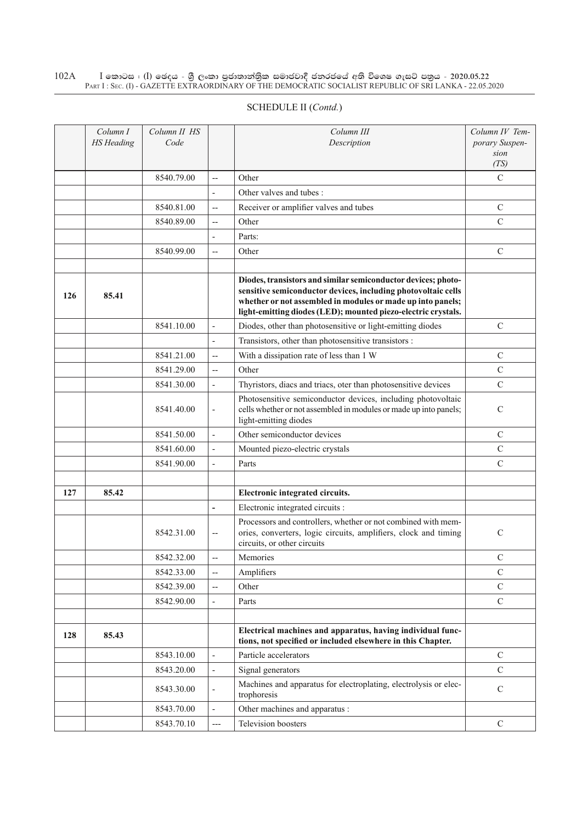#### $\rm I$  කොටස : ( $\rm I$ ) ඡෙදය - ශුී ලංකා පුජාතාන්තුික සමාජවාදී ජනරජයේ අති විශෙෂ ගැසට් පතුය - 2020.05.22 Part I : Sec. (I) - GAZETTE EXTRAORDINARY OF THE DEMOCRATIC SOCIALIST REPUBLIC OF SRI LANKA - 22.05.2020 102A

|     | Column I<br><b>HS</b> Heading | Column II HS<br>Code |                          | Column III<br>Description                                                                                                                                                                                                                                      | Column IV Tem-<br>porary Suspen-<br>sion<br>(TS) |
|-----|-------------------------------|----------------------|--------------------------|----------------------------------------------------------------------------------------------------------------------------------------------------------------------------------------------------------------------------------------------------------------|--------------------------------------------------|
|     |                               | 8540.79.00           | $\overline{\phantom{a}}$ | Other                                                                                                                                                                                                                                                          | $\mathcal{C}$                                    |
|     |                               |                      | $\overline{\phantom{a}}$ | Other valves and tubes:                                                                                                                                                                                                                                        |                                                  |
|     |                               | 8540.81.00           | $\overline{\phantom{a}}$ | Receiver or amplifier valves and tubes                                                                                                                                                                                                                         | $\mathcal{C}$                                    |
|     |                               | 8540.89.00           | $\overline{\phantom{a}}$ | Other                                                                                                                                                                                                                                                          | $\mathbf C$                                      |
|     |                               |                      | $\overline{a}$           | Parts:                                                                                                                                                                                                                                                         |                                                  |
|     |                               | 8540.99.00           | $\overline{\phantom{a}}$ | Other                                                                                                                                                                                                                                                          | $\mathcal{C}$                                    |
|     |                               |                      |                          |                                                                                                                                                                                                                                                                |                                                  |
| 126 | 85.41                         |                      |                          | Diodes, transistors and similar semiconductor devices; photo-<br>sensitive semiconductor devices, including photovoltaic cells<br>whether or not assembled in modules or made up into panels;<br>light-emitting diodes (LED); mounted piezo-electric crystals. |                                                  |
|     |                               | 8541.10.00           | $\overline{\phantom{a}}$ | Diodes, other than photosensitive or light-emitting diodes                                                                                                                                                                                                     | $\mathcal{C}$                                    |
|     |                               |                      | $\overline{\phantom{a}}$ | Transistors, other than photosensitive transistors :                                                                                                                                                                                                           |                                                  |
|     |                               | 8541.21.00           | $\overline{\phantom{a}}$ | With a dissipation rate of less than 1 W                                                                                                                                                                                                                       | $\mathcal{C}$                                    |
|     |                               | 8541.29.00           | $\overline{\phantom{a}}$ | Other                                                                                                                                                                                                                                                          | $\mathsf{C}$                                     |
|     |                               | 8541.30.00           | $\overline{\phantom{a}}$ | Thyristors, diacs and triacs, oter than photosensitive devices                                                                                                                                                                                                 | $\mathbf C$                                      |
|     |                               | 8541.40.00           | $\overline{\phantom{a}}$ | Photosensitive semiconductor devices, including photovoltaic<br>cells whether or not assembled in modules or made up into panels;<br>light-emitting diodes                                                                                                     | $\mathcal{C}$                                    |
|     |                               | 8541.50.00           | $\overline{\phantom{a}}$ | Other semiconductor devices                                                                                                                                                                                                                                    | $\mathsf{C}$                                     |
|     |                               | 8541.60.00           | $\overline{\phantom{a}}$ | Mounted piezo-electric crystals                                                                                                                                                                                                                                | $\mathsf{C}$                                     |
|     |                               | 8541.90.00           | $\overline{a}$           | Parts                                                                                                                                                                                                                                                          | $\mathsf{C}$                                     |
|     |                               |                      |                          |                                                                                                                                                                                                                                                                |                                                  |
| 127 | 85.42                         |                      |                          | Electronic integrated circuits.                                                                                                                                                                                                                                |                                                  |
|     |                               |                      | $\overline{a}$           | Electronic integrated circuits :                                                                                                                                                                                                                               |                                                  |
|     |                               | 8542.31.00           | $\overline{\phantom{a}}$ | Processors and controllers, whether or not combined with mem-<br>ories, converters, logic circuits, amplifiers, clock and timing<br>circuits, or other circuits                                                                                                | $\mathcal{C}$                                    |
|     |                               | 8542.32.00           | $-$                      | Memories                                                                                                                                                                                                                                                       | C                                                |
|     |                               | 8542.33.00           | $\overline{a}$           | Amplifiers                                                                                                                                                                                                                                                     | $\mathcal{C}$                                    |
|     |                               | 8542.39.00           | $\overline{\phantom{a}}$ | Other                                                                                                                                                                                                                                                          | $\mathcal{C}$                                    |
|     |                               | 8542.90.00           | $\overline{\phantom{a}}$ | Parts                                                                                                                                                                                                                                                          | $\mathcal{C}$                                    |
|     |                               |                      |                          |                                                                                                                                                                                                                                                                |                                                  |
| 128 | 85.43                         |                      |                          | Electrical machines and apparatus, having individual func-<br>tions, not specified or included elsewhere in this Chapter.                                                                                                                                      |                                                  |
|     |                               | 8543.10.00           | $\overline{a}$           | Particle accelerators                                                                                                                                                                                                                                          | $\mathbf C$                                      |
|     |                               | 8543.20.00           | $\blacksquare$           | Signal generators                                                                                                                                                                                                                                              | $\mathsf{C}$                                     |
|     |                               | 8543.30.00           | $\overline{\phantom{a}}$ | Machines and apparatus for electroplating, electrolysis or elec-<br>trophoresis                                                                                                                                                                                | $\mathbf C$                                      |
|     |                               | 8543.70.00           | $\overline{\phantom{a}}$ | Other machines and apparatus :                                                                                                                                                                                                                                 |                                                  |
|     |                               | 8543.70.10           | $---$                    | Television boosters                                                                                                                                                                                                                                            | $\mathbf C$                                      |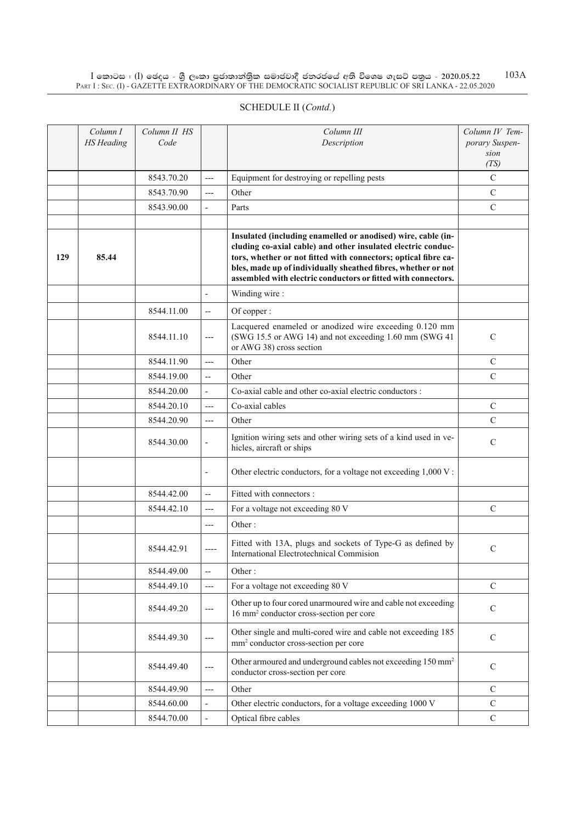$\rm I$  කොටස : ( $\rm I$ ) ඡෙදය - ශුී ලංකා පුජාතාන්තුික සමාජවාදී ජනරජයේ අති විශෙෂ ගැසට් පතුය - 2020.05.22 Part I : Sec. (I) - GAZETTE EXTRAORDINARY OF THE DEMOCRATIC SOCIALIST REPUBLIC OF SRI LANKA - 22.05.2020 103A

|     | Column I<br><b>HS</b> Heading | Column II HS<br>Code |                          | Column III<br>Description                                                                                                                                                                                                                                                                                                        | Column IV Tem-<br>porary Suspen-<br>sion<br>(TS) |
|-----|-------------------------------|----------------------|--------------------------|----------------------------------------------------------------------------------------------------------------------------------------------------------------------------------------------------------------------------------------------------------------------------------------------------------------------------------|--------------------------------------------------|
|     |                               | 8543.70.20           | $---$                    | Equipment for destroying or repelling pests                                                                                                                                                                                                                                                                                      | $\mathbf C$                                      |
|     |                               | 8543.70.90           | $---$                    | Other                                                                                                                                                                                                                                                                                                                            | $\mathbf C$                                      |
|     |                               | 8543.90.00           | $\frac{1}{2}$            | Parts                                                                                                                                                                                                                                                                                                                            | $\mathbf C$                                      |
|     |                               |                      |                          |                                                                                                                                                                                                                                                                                                                                  |                                                  |
| 129 | 85.44                         |                      |                          | Insulated (including enamelled or anodised) wire, cable (in-<br>cluding co-axial cable) and other insulated electric conduc-<br>tors, whether or not fitted with connectors; optical fibre ca-<br>bles, made up of individually sheathed fibres, whether or not<br>assembled with electric conductors or fitted with connectors. |                                                  |
|     |                               |                      |                          | Winding wire:                                                                                                                                                                                                                                                                                                                    |                                                  |
|     |                               | 8544.11.00           | $\overline{\phantom{a}}$ | Of copper:                                                                                                                                                                                                                                                                                                                       |                                                  |
|     |                               | 8544.11.10           | $---$                    | Lacquered enameled or anodized wire exceeding 0.120 mm<br>(SWG 15.5 or AWG 14) and not exceeding 1.60 mm (SWG 41<br>or AWG 38) cross section                                                                                                                                                                                     | $\mathbf C$                                      |
|     |                               | 8544.11.90           | $---$                    | Other                                                                                                                                                                                                                                                                                                                            | $\mathbf C$                                      |
|     |                               | 8544.19.00           | $\overline{\phantom{a}}$ | Other                                                                                                                                                                                                                                                                                                                            | $\mathbf C$                                      |
|     |                               | 8544.20.00           | $\overline{\phantom{a}}$ | Co-axial cable and other co-axial electric conductors :                                                                                                                                                                                                                                                                          |                                                  |
|     |                               | 8544.20.10           | $\overline{a}$           | Co-axial cables                                                                                                                                                                                                                                                                                                                  | $\mathsf{C}$                                     |
|     |                               | 8544.20.90           | $---$                    | Other                                                                                                                                                                                                                                                                                                                            | $\overline{C}$                                   |
|     |                               | 8544.30.00           |                          | Ignition wiring sets and other wiring sets of a kind used in ve-<br>hicles, aircraft or ships                                                                                                                                                                                                                                    | $\mathsf{C}$                                     |
|     |                               |                      | $\overline{a}$           | Other electric conductors, for a voltage not exceeding 1,000 V:                                                                                                                                                                                                                                                                  |                                                  |
|     |                               | 8544.42.00           | $\overline{\phantom{a}}$ | Fitted with connectors :                                                                                                                                                                                                                                                                                                         |                                                  |
|     |                               | 8544.42.10           | $---$                    | For a voltage not exceeding 80 V                                                                                                                                                                                                                                                                                                 | $\mathsf{C}$                                     |
|     |                               |                      | $---$                    | Other:                                                                                                                                                                                                                                                                                                                           |                                                  |
|     |                               | 8544.42.91           |                          | Fitted with 13A, plugs and sockets of Type-G as defined by<br>International Electrotechnical Commision                                                                                                                                                                                                                           | $\mathbf C$                                      |
|     |                               | 8544.49.00           | $\overline{\phantom{a}}$ | Other:                                                                                                                                                                                                                                                                                                                           |                                                  |
|     |                               | 8544.49.10           | $---$                    | For a voltage not exceeding 80 V                                                                                                                                                                                                                                                                                                 | $\mathbf C$                                      |
|     |                               | 8544.49.20           | $---$                    | Other up to four cored unarmoured wire and cable not exceeding<br>16 mm <sup>2</sup> conductor cross-section per core                                                                                                                                                                                                            | $\mathsf{C}$                                     |
|     |                               | 8544.49.30           | ---                      | Other single and multi-cored wire and cable not exceeding 185<br>mm <sup>2</sup> conductor cross-section per core                                                                                                                                                                                                                | ${\bf C}$                                        |
|     |                               | 8544.49.40           | $---$                    | Other armoured and underground cables not exceeding 150 mm <sup>2</sup><br>conductor cross-section per core                                                                                                                                                                                                                      | ${\bf C}$                                        |
|     |                               | 8544.49.90           | $---$                    | Other                                                                                                                                                                                                                                                                                                                            | $\mathsf{C}$                                     |
|     |                               | 8544.60.00           | $\overline{\phantom{a}}$ | Other electric conductors, for a voltage exceeding 1000 V                                                                                                                                                                                                                                                                        | $\mathbf C$                                      |
|     |                               | 8544.70.00           | $\overline{\phantom{a}}$ | Optical fibre cables                                                                                                                                                                                                                                                                                                             | $\mathbf C$                                      |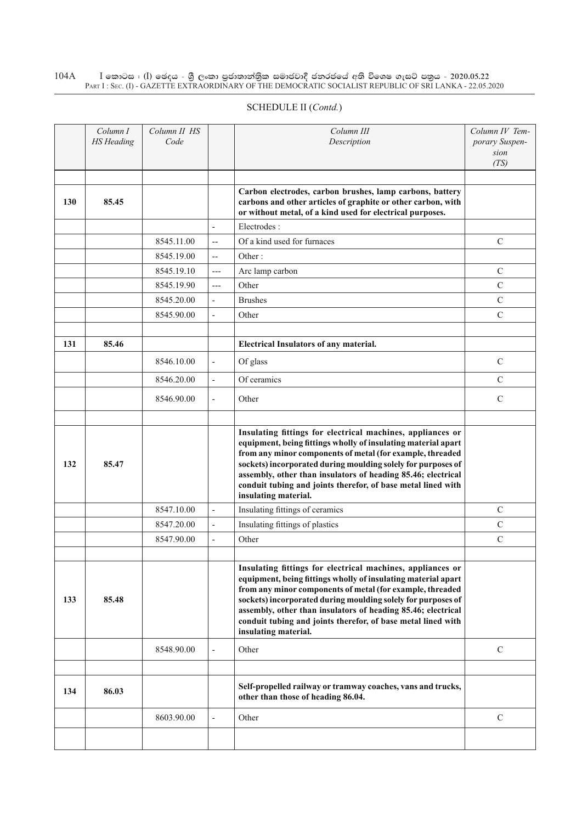#### $\rm I$  කොටස : ( $\rm I$ ) ඡෙදය - ශුී ලංකා පුජාතාන්තුික සමාජවාදී ජනරජයේ අති විශෙෂ ගැසට් පතුය - 2020.05.22 Part I : Sec. (I) - GAZETTE EXTRAORDINARY OF THE DEMOCRATIC SOCIALIST REPUBLIC OF SRI LANKA - 22.05.2020 104A

|     | Column I<br><b>HS</b> Heading | Column II HS<br>Code |                          | Column III<br>Description                                                                                                                                                                                                                                                                                                                                                                                        | Column IV Tem-<br>porary Suspen-<br>sion<br>(TS) |
|-----|-------------------------------|----------------------|--------------------------|------------------------------------------------------------------------------------------------------------------------------------------------------------------------------------------------------------------------------------------------------------------------------------------------------------------------------------------------------------------------------------------------------------------|--------------------------------------------------|
| 130 | 85.45                         |                      |                          | Carbon electrodes, carbon brushes, lamp carbons, battery<br>carbons and other articles of graphite or other carbon, with<br>or without metal, of a kind used for electrical purposes.                                                                                                                                                                                                                            |                                                  |
|     |                               |                      | $\overline{a}$           | Electrodes:                                                                                                                                                                                                                                                                                                                                                                                                      |                                                  |
|     |                               | 8545.11.00           | $\overline{\phantom{a}}$ | Of a kind used for furnaces                                                                                                                                                                                                                                                                                                                                                                                      | $\mathcal{C}$                                    |
|     |                               | 8545.19.00           | $\overline{a}$           | Other:                                                                                                                                                                                                                                                                                                                                                                                                           |                                                  |
|     |                               | 8545.19.10           | $---$                    | Arc lamp carbon                                                                                                                                                                                                                                                                                                                                                                                                  | $\mathcal{C}$                                    |
|     |                               | 8545.19.90           | $---$                    | Other                                                                                                                                                                                                                                                                                                                                                                                                            | $\mathbf C$                                      |
|     |                               | 8545.20.00           | $\overline{\phantom{a}}$ | <b>Brushes</b>                                                                                                                                                                                                                                                                                                                                                                                                   | $\mathcal{C}$                                    |
|     |                               | 8545.90.00           | $\overline{\phantom{a}}$ | Other                                                                                                                                                                                                                                                                                                                                                                                                            | $\overline{C}$                                   |
|     |                               |                      |                          |                                                                                                                                                                                                                                                                                                                                                                                                                  |                                                  |
| 131 | 85.46                         |                      |                          | <b>Electrical Insulators of any material.</b>                                                                                                                                                                                                                                                                                                                                                                    |                                                  |
|     |                               | 8546.10.00           | $\overline{a}$           | Of glass                                                                                                                                                                                                                                                                                                                                                                                                         | $\mathcal{C}$                                    |
|     |                               | 8546.20.00           | $\overline{a}$           | Of ceramics                                                                                                                                                                                                                                                                                                                                                                                                      | $\mathcal{C}$                                    |
|     |                               | 8546.90.00           | $\overline{\phantom{a}}$ | Other                                                                                                                                                                                                                                                                                                                                                                                                            | $\mathsf{C}$                                     |
|     |                               |                      |                          |                                                                                                                                                                                                                                                                                                                                                                                                                  |                                                  |
| 132 | 85.47                         |                      |                          | Insulating fittings for electrical machines, appliances or<br>equipment, being fittings wholly of insulating material apart<br>from any minor components of metal (for example, threaded<br>sockets) incorporated during moulding solely for purposes of<br>assembly, other than insulators of heading 85.46; electrical<br>conduit tubing and joints therefor, of base metal lined with<br>insulating material. |                                                  |
|     |                               | 8547.10.00           | $\overline{\phantom{a}}$ | Insulating fittings of ceramics                                                                                                                                                                                                                                                                                                                                                                                  | $\mathcal{C}$                                    |
|     |                               | 8547.20.00           | $\overline{\phantom{a}}$ | Insulating fittings of plastics                                                                                                                                                                                                                                                                                                                                                                                  | $\mathsf{C}$                                     |
|     |                               | 8547.90.00           | $\overline{\phantom{a}}$ | Other                                                                                                                                                                                                                                                                                                                                                                                                            | $\mathcal{C}$                                    |
|     |                               |                      |                          |                                                                                                                                                                                                                                                                                                                                                                                                                  |                                                  |
| 133 | 85.48                         |                      |                          | Insulating fittings for electrical machines, appliances or<br>equipment, being fittings wholly of insulating material apart<br>from any minor components of metal (for example, threaded<br>sockets) incorporated during moulding solely for purposes of<br>assembly, other than insulators of heading 85.46; electrical<br>conduit tubing and joints therefor, of base metal lined with<br>insulating material. |                                                  |
|     |                               | 8548.90.00           |                          | Other                                                                                                                                                                                                                                                                                                                                                                                                            | $\mathcal{C}$                                    |
|     |                               |                      |                          |                                                                                                                                                                                                                                                                                                                                                                                                                  |                                                  |
| 134 | 86.03                         |                      |                          | Self-propelled railway or tramway coaches, vans and trucks,<br>other than those of heading 86.04.                                                                                                                                                                                                                                                                                                                |                                                  |
|     |                               | 8603.90.00           | $\overline{\phantom{a}}$ | Other                                                                                                                                                                                                                                                                                                                                                                                                            | $\mathcal{C}$                                    |
|     |                               |                      |                          |                                                                                                                                                                                                                                                                                                                                                                                                                  |                                                  |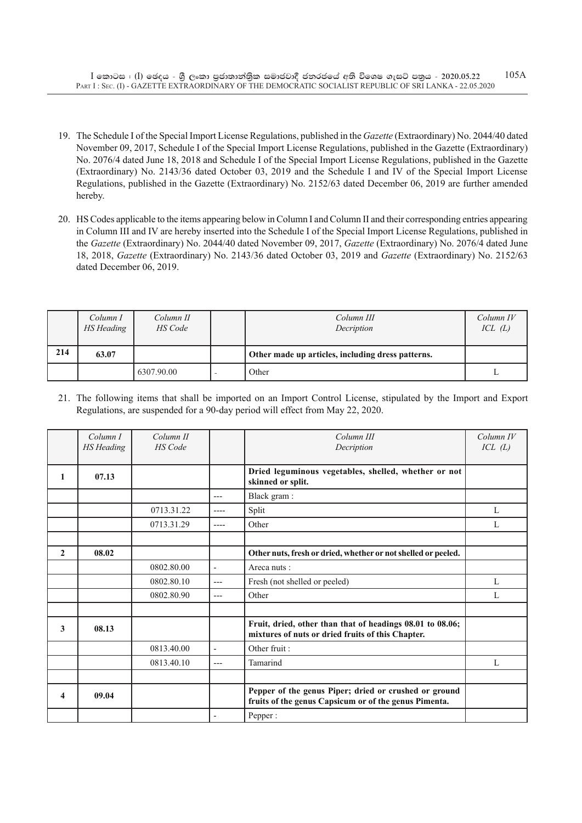- 19. The Schedule I of the Special Import License Regulations, published in the *Gazette* (Extraordinary) No. 2044/40 dated November 09, 2017, Schedule I of the Special Import License Regulations, published in the Gazette (Extraordinary) No. 2076/4 dated June 18, 2018 and Schedule I of the Special Import License Regulations, published in the Gazette (Extraordinary) No. 2143/36 dated October 03, 2019 and the Schedule I and IV of the Special Import License Regulations, published in the Gazette (Extraordinary) No. 2152/63 dated December 06, 2019 are further amended hereby.
- 20. HS Codes applicable to the items appearing below in Column I and Column II and their corresponding entries appearing in Column III and IV are hereby inserted into the Schedule I of the Special Import License Regulations, published in the *Gazette* (Extraordinary) No. 2044/40 dated November 09, 2017, *Gazette* (Extraordinary) No. 2076/4 dated June 18, 2018, *Gazette* (Extraordinary) No. 2143/36 dated October 03, 2019 and *Gazette* (Extraordinary) No. 2152/63 dated December 06, 2019.

|     | Column I<br>HS Heading | Column II<br>HS Code | Column III<br>Decription                          | Column IV<br>ICL(L) |
|-----|------------------------|----------------------|---------------------------------------------------|---------------------|
| 214 | 63.07                  |                      | Other made up articles, including dress patterns. |                     |
|     |                        | 6307.90.00           | Other                                             |                     |

21. The following items that shall be imported on an Import Control License, stipulated by the Import and Export Regulations, are suspended for a 90-day period will effect from May 22, 2020.

|              | Column I   | Column II<br><b>HS</b> Code |                          | Column III                                                                                                     | $Column\ IV$ |
|--------------|------------|-----------------------------|--------------------------|----------------------------------------------------------------------------------------------------------------|--------------|
|              | HS Heading |                             |                          | Decription                                                                                                     | ICL(L)       |
| 1            | 07.13      |                             |                          | Dried leguminous vegetables, shelled, whether or not<br>skinned or split.                                      |              |
|              |            |                             | $---$                    | Black gram:                                                                                                    |              |
|              |            | 0713.31.22                  | $---$                    | Split                                                                                                          | L            |
|              |            | 0713.31.29                  | ----                     | Other                                                                                                          | L            |
|              |            |                             |                          |                                                                                                                |              |
| $\mathbf{2}$ | 08.02      |                             |                          | Other nuts, fresh or dried, whether or not shelled or peeled.                                                  |              |
|              |            | 0802.80.00                  | $\overline{\phantom{a}}$ | Areca nuts:                                                                                                    |              |
|              |            | 0802.80.10                  | $---$                    | Fresh (not shelled or peeled)                                                                                  | L            |
|              |            | 0802.80.90                  | $---$                    | Other                                                                                                          | L            |
|              |            |                             |                          |                                                                                                                |              |
| 3            | 08.13      |                             |                          | Fruit, dried, other than that of headings 08.01 to 08.06;<br>mixtures of nuts or dried fruits of this Chapter. |              |
|              |            | 0813.40.00                  | $\blacksquare$           | Other fruit:                                                                                                   |              |
|              |            | 0813.40.10                  | $---$                    | Tamarind                                                                                                       | L            |
|              |            |                             |                          |                                                                                                                |              |
| 4            | 09.04      |                             |                          | Pepper of the genus Piper; dried or crushed or ground<br>fruits of the genus Capsicum or of the genus Pimenta. |              |
|              |            |                             |                          | Pepper:                                                                                                        |              |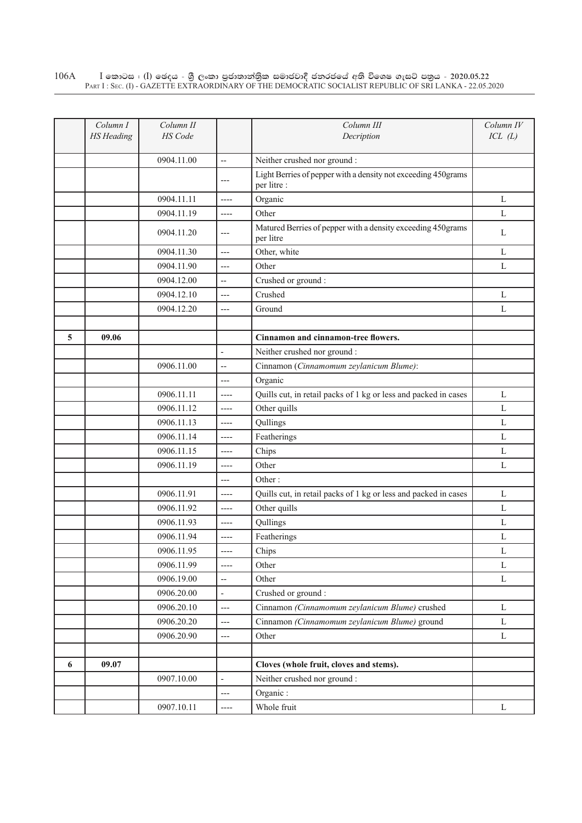$\rm I$  කොටස : ( $\rm I$ ) ඡෙදය - ශුී ලංකා පුජාතාන්තුික සමාජවාදී ජනරජයේ අති විශෙෂ ගැසට් පතුය - 2020.05.22 Part I : Sec. (I) - GAZETTE EXTRAORDINARY OF THE DEMOCRATIC SOCIALIST REPUBLIC OF SRI LANKA - 22.05.2020 106A

|   | Column I<br><b>HS</b> Heading | Column II<br>HS Code |                          | Column III                                                                   | Column IV<br>ICL(L) |
|---|-------------------------------|----------------------|--------------------------|------------------------------------------------------------------------------|---------------------|
|   |                               |                      |                          | Decription                                                                   |                     |
|   |                               | 0904.11.00           | $\overline{\phantom{a}}$ | Neither crushed nor ground :                                                 |                     |
|   |                               |                      | $---$                    | Light Berries of pepper with a density not exceeding 450grams<br>per litre : |                     |
|   |                               | 0904.11.11           | $---$                    | Organic                                                                      | L                   |
|   |                               | 0904.11.19           | $---$                    | Other                                                                        | L                   |
|   |                               | 0904.11.20           | $---$                    | Matured Berries of pepper with a density exceeding 450grams<br>per litre     | L                   |
|   |                               | 0904.11.30           | $---$                    | Other, white                                                                 | L                   |
|   |                               | 0904.11.90           | $---$                    | Other                                                                        | L                   |
|   |                               | 0904.12.00           | $\overline{\phantom{a}}$ | Crushed or ground:                                                           |                     |
|   |                               | 0904.12.10           | $---$                    | Crushed                                                                      | L                   |
|   |                               | 0904.12.20           | $---$                    | Ground                                                                       | L                   |
|   |                               |                      |                          |                                                                              |                     |
| 5 | 09.06                         |                      |                          | Cinnamon and cinnamon-tree flowers.                                          |                     |
|   |                               |                      | $\overline{a}$           | Neither crushed nor ground :                                                 |                     |
|   |                               | 0906.11.00           | $\overline{a}$           | Cinnamon (Cinnamomum zeylanicum Blume):                                      |                     |
|   |                               |                      | $---$                    | Organic                                                                      |                     |
|   |                               | 0906.11.11           | ----                     | Quills cut, in retail packs of 1 kg or less and packed in cases              | L                   |
|   |                               | 0906.11.12           | $-----$                  | Other quills                                                                 | L                   |
|   |                               | 0906.11.13           | $---$                    | Qullings                                                                     | L                   |
|   |                               | 0906.11.14           | $-----$                  | Featherings                                                                  | L                   |
|   |                               | 0906.11.15           | $---$                    | Chips                                                                        | L                   |
|   |                               | 0906.11.19           | $---$                    | Other                                                                        | L                   |
|   |                               |                      | $---$                    | Other:                                                                       |                     |
|   |                               | 0906.11.91           | $-----$                  | Quills cut, in retail packs of 1 kg or less and packed in cases              | L                   |
|   |                               | 0906.11.92           | $---$                    | Other quills                                                                 | L                   |
|   |                               | 0906.11.93           | $-----$                  | Qullings                                                                     | L                   |
|   |                               | 0906.11.94           | $---$                    | Featherings                                                                  | L                   |
|   |                               | 0906.11.95           |                          | Chips                                                                        | L                   |
|   |                               | 0906.11.99           | $-----$                  | Other                                                                        | $\mathbf L$         |
|   |                               | 0906.19.00           | $\overline{\phantom{a}}$ | Other                                                                        | $\mathbf L$         |
|   |                               | 0906.20.00           | $\blacksquare$           | Crushed or ground:                                                           |                     |
|   |                               | 0906.20.10           | $\overline{a}$           | Cinnamon (Cinnamomum zeylanicum Blume) crushed                               | L                   |
|   |                               | 0906.20.20           | $---$                    | Cinnamon (Cinnamomum zeylanicum Blume) ground                                | L                   |
|   |                               | 0906.20.90           | $\overline{\phantom{a}}$ | Other                                                                        | L                   |
|   |                               |                      |                          |                                                                              |                     |
| 6 | 09.07                         |                      |                          | Cloves (whole fruit, cloves and stems).                                      |                     |
|   |                               | 0907.10.00           | $\blacksquare$           | Neither crushed nor ground :                                                 |                     |
|   |                               |                      | $\overline{a}$           | Organic:                                                                     |                     |
|   |                               | 0907.10.11           | ----                     | Whole fruit                                                                  | $\mathbf L$         |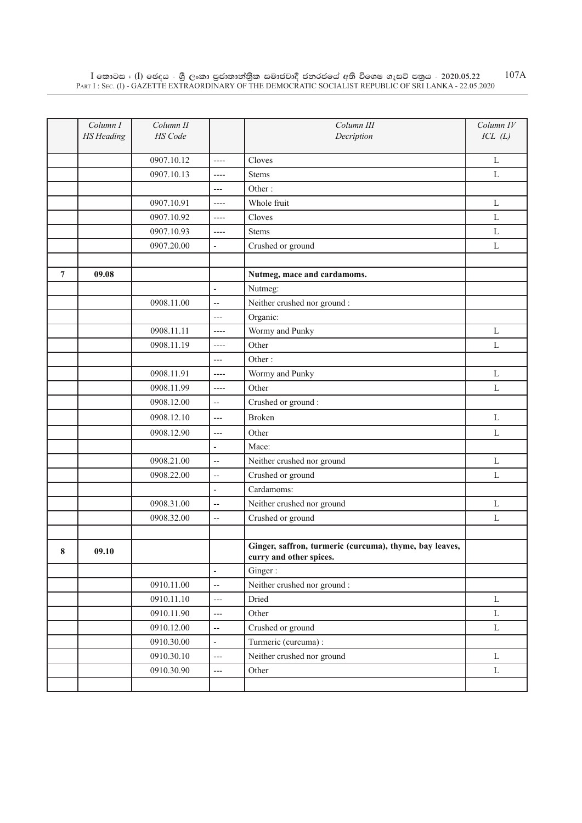|   | Column I<br><b>HS</b> Heading | Column II<br>HS Code |                          | Column III<br>Decription                                                           | Column IV<br>ICL(L) |
|---|-------------------------------|----------------------|--------------------------|------------------------------------------------------------------------------------|---------------------|
|   |                               |                      |                          |                                                                                    |                     |
|   |                               | 0907.10.12           | $---$                    | Cloves                                                                             | L                   |
|   |                               | 0907.10.13           | $-----$                  | <b>Stems</b>                                                                       | L                   |
|   |                               |                      | $---$                    | Other:                                                                             |                     |
|   |                               | 0907.10.91           | ----                     | Whole fruit                                                                        | L                   |
|   |                               | 0907.10.92           | $---$                    | Cloves                                                                             | L                   |
|   |                               | 0907.10.93           | $-----$                  | <b>Stems</b>                                                                       | $\mathbf L$         |
|   |                               | 0907.20.00           | $\overline{\phantom{a}}$ | Crushed or ground                                                                  | $\mathbf L$         |
|   |                               |                      |                          |                                                                                    |                     |
| 7 | 09.08                         |                      |                          | Nutmeg, mace and cardamoms.                                                        |                     |
|   |                               |                      | $\overline{a}$           | Nutmeg:                                                                            |                     |
|   |                               | 0908.11.00           | $\overline{\phantom{a}}$ | Neither crushed nor ground :                                                       |                     |
|   |                               |                      | $---$                    | Organic:                                                                           |                     |
|   |                               | 0908.11.11           | $---$                    | Wormy and Punky                                                                    | L                   |
|   |                               | 0908.11.19           | $---$                    | Other                                                                              | $\mathbf L$         |
|   |                               |                      | $---$                    | Other:                                                                             |                     |
|   |                               | 0908.11.91           | $-----$                  | Wormy and Punky                                                                    | L                   |
|   |                               | 0908.11.99           | $-----$                  | Other                                                                              | L                   |
|   |                               | 0908.12.00           | $\overline{\phantom{a}}$ | Crushed or ground:                                                                 |                     |
|   |                               | 0908.12.10           | $---$                    | <b>Broken</b>                                                                      | L                   |
|   |                               | 0908.12.90           | $---$                    | Other                                                                              | L                   |
|   |                               |                      | $\frac{1}{2}$            | Mace:                                                                              |                     |
|   |                               | 0908.21.00           | $\overline{a}$           | Neither crushed nor ground                                                         | $\mathbf L$         |
|   |                               | 0908.22.00           | $\overline{\phantom{a}}$ | Crushed or ground                                                                  | $\mathbf L$         |
|   |                               |                      | $\overline{a}$           | Cardamoms:                                                                         |                     |
|   |                               | 0908.31.00           | $\overline{\phantom{a}}$ | Neither crushed nor ground                                                         | $\mathbf L$         |
|   |                               | 0908.32.00           | $\overline{a}$           | Crushed or ground                                                                  | L                   |
|   |                               |                      |                          |                                                                                    |                     |
| 8 | 09.10                         |                      |                          | Ginger, saffron, turmeric (curcuma), thyme, bay leaves,<br>curry and other spices. |                     |
|   |                               |                      | $\frac{1}{2}$            | Ginger:                                                                            |                     |
|   |                               | 0910.11.00           | $\overline{\phantom{a}}$ | Neither crushed nor ground :                                                       |                     |
|   |                               | 0910.11.10           | $\overline{a}$           | Dried                                                                              | $\mathbf L$         |
|   |                               | 0910.11.90           | ---                      | Other                                                                              | $\mathbf L$         |
|   |                               | 0910.12.00           | $\ddotsc$                | Crushed or ground                                                                  | $\mathbf L$         |
|   |                               | 0910.30.00           | $\frac{1}{2}$            | Turmeric (curcuma) :                                                               |                     |
|   |                               | 0910.30.10           | $\overline{a}$           | Neither crushed nor ground                                                         | $\mathbf L$         |
|   |                               | 0910.30.90           | ---                      | Other                                                                              | L                   |
|   |                               |                      |                          |                                                                                    |                     |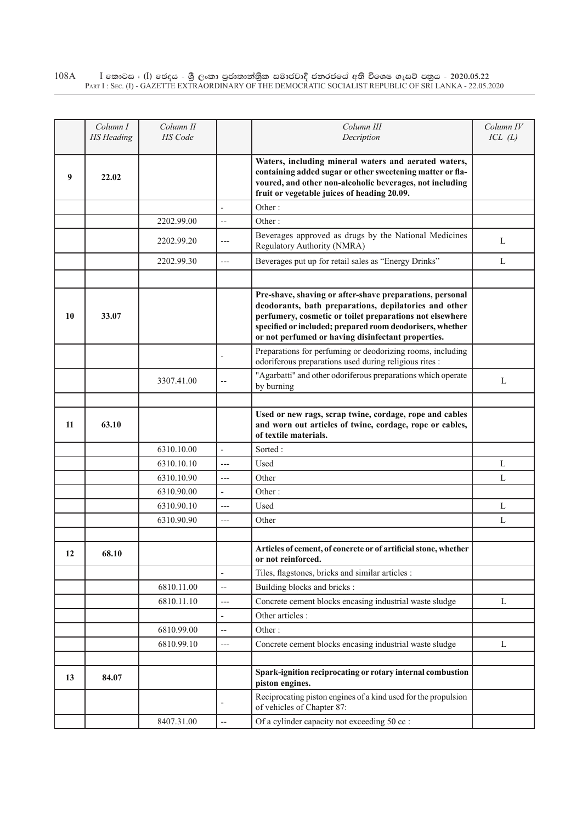$\rm I$  කොටස : ( $\rm I$ ) ඡෙදය - ශුී ලංකා පුජාතාන්තුික සමාජවාදී ජනරජයේ අති විශෙෂ ගැසට් පතුය - 2020.05.22 Part I : Sec. (I) - GAZETTE EXTRAORDINARY OF THE DEMOCRATIC SOCIALIST REPUBLIC OF SRI LANKA - 22.05.2020 108A

|    | Column I<br><b>HS</b> Heading | Column II<br>HS Code |                          | Column III<br>Decription                                                                                                                                                                                                                                                                         | Column IV<br>ICL(L) |
|----|-------------------------------|----------------------|--------------------------|--------------------------------------------------------------------------------------------------------------------------------------------------------------------------------------------------------------------------------------------------------------------------------------------------|---------------------|
| 9  | 22.02                         |                      |                          | Waters, including mineral waters and aerated waters,<br>containing added sugar or other sweetening matter or fla-<br>voured, and other non-alcoholic beverages, not including                                                                                                                    |                     |
|    |                               |                      |                          | fruit or vegetable juices of heading 20.09.                                                                                                                                                                                                                                                      |                     |
|    |                               |                      |                          | Other:                                                                                                                                                                                                                                                                                           |                     |
|    |                               | 2202.99.00           | $\overline{a}$           | Other:                                                                                                                                                                                                                                                                                           |                     |
|    |                               | 2202.99.20           | ---                      | Beverages approved as drugs by the National Medicines<br>Regulatory Authority (NMRA)                                                                                                                                                                                                             | L                   |
|    |                               | 2202.99.30           | $---$                    | Beverages put up for retail sales as "Energy Drinks"                                                                                                                                                                                                                                             | L                   |
|    |                               |                      |                          |                                                                                                                                                                                                                                                                                                  |                     |
| 10 | 33.07                         |                      |                          | Pre-shave, shaving or after-shave preparations, personal<br>deodorants, bath preparations, depilatories and other<br>perfumery, cosmetic or toilet preparations not elsewhere<br>specified or included; prepared room deodorisers, whether<br>or not perfumed or having disinfectant properties. |                     |
|    |                               |                      |                          | Preparations for perfuming or deodorizing rooms, including<br>odoriferous preparations used during religious rites :                                                                                                                                                                             |                     |
|    |                               | 3307.41.00           | $-$                      | "Agarbatti" and other odoriferous preparations which operate<br>by burning                                                                                                                                                                                                                       | L                   |
|    |                               |                      |                          | Used or new rags, scrap twine, cordage, rope and cables                                                                                                                                                                                                                                          |                     |
| 11 | 63.10                         |                      |                          | and worn out articles of twine, cordage, rope or cables,<br>of textile materials.                                                                                                                                                                                                                |                     |
|    |                               | 6310.10.00           | $\overline{a}$           | Sorted:                                                                                                                                                                                                                                                                                          |                     |
|    |                               | 6310.10.10           | $---$                    | Used                                                                                                                                                                                                                                                                                             | L                   |
|    |                               | 6310.10.90           | $---$                    | Other                                                                                                                                                                                                                                                                                            | L                   |
|    |                               | 6310.90.00           | $\overline{\phantom{a}}$ | Other:                                                                                                                                                                                                                                                                                           |                     |
|    |                               | 6310.90.10           | $---$                    | Used                                                                                                                                                                                                                                                                                             | L                   |
|    |                               | 6310.90.90           | ---                      | Other                                                                                                                                                                                                                                                                                            | L                   |
|    |                               |                      |                          |                                                                                                                                                                                                                                                                                                  |                     |
| 12 | 68.10                         |                      |                          | Articles of cement, of concrete or of artificial stone, whether<br>or not reinforced.                                                                                                                                                                                                            |                     |
|    |                               |                      | $\overline{a}$           | Tiles, flagstones, bricks and similar articles :                                                                                                                                                                                                                                                 |                     |
|    |                               | 6810.11.00           | $\overline{\phantom{a}}$ | Building blocks and bricks :                                                                                                                                                                                                                                                                     |                     |
|    |                               | 6810.11.10           | $---$                    | Concrete cement blocks encasing industrial waste sludge                                                                                                                                                                                                                                          | L                   |
|    |                               |                      | $\overline{\phantom{a}}$ | Other articles :                                                                                                                                                                                                                                                                                 |                     |
|    |                               | 6810.99.00           | $\overline{\phantom{a}}$ | Other:                                                                                                                                                                                                                                                                                           |                     |
|    |                               | 6810.99.10           | ---                      | Concrete cement blocks encasing industrial waste sludge                                                                                                                                                                                                                                          | L                   |
|    |                               |                      |                          |                                                                                                                                                                                                                                                                                                  |                     |
| 13 | 84.07                         |                      |                          | Spark-ignition reciprocating or rotary internal combustion<br>piston engines.                                                                                                                                                                                                                    |                     |
|    |                               |                      | ÷                        | Reciprocating piston engines of a kind used for the propulsion<br>of vehicles of Chapter 87:                                                                                                                                                                                                     |                     |
|    |                               | 8407.31.00           | $\overline{\phantom{a}}$ | Of a cylinder capacity not exceeding 50 cc :                                                                                                                                                                                                                                                     |                     |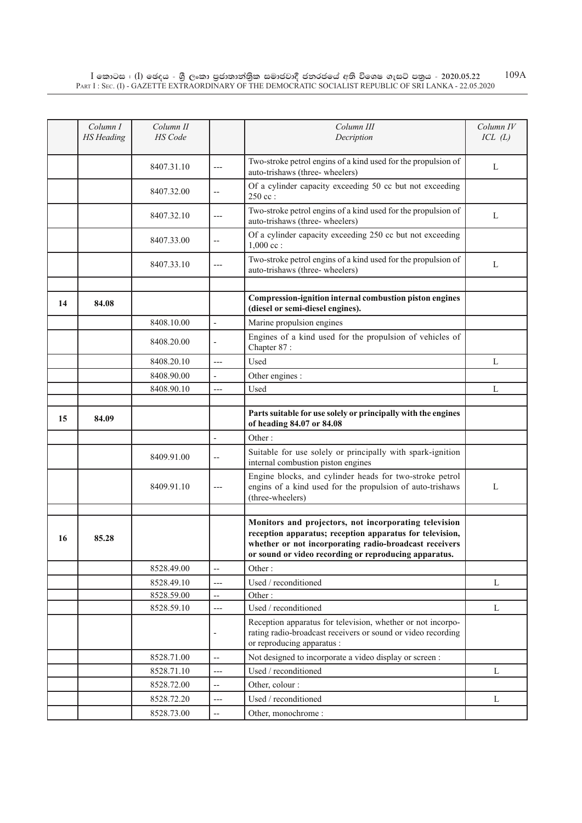|    | Column I          | Column II  |                          | Column III                                                                                                                                                                                                                           | Column IV |
|----|-------------------|------------|--------------------------|--------------------------------------------------------------------------------------------------------------------------------------------------------------------------------------------------------------------------------------|-----------|
|    | <b>HS</b> Heading | HS Code    |                          | Decription                                                                                                                                                                                                                           | ICL(L)    |
|    |                   |            |                          |                                                                                                                                                                                                                                      |           |
|    |                   | 8407.31.10 | ---                      | Two-stroke petrol engins of a kind used for the propulsion of<br>auto-trishaws (three-wheelers)                                                                                                                                      | L         |
|    |                   |            |                          | Of a cylinder capacity exceeding 50 cc but not exceeding                                                                                                                                                                             |           |
|    |                   | 8407.32.00 | $\qquad \qquad -$        | $250$ cc:                                                                                                                                                                                                                            |           |
|    |                   | 8407.32.10 | $---$                    | Two-stroke petrol engins of a kind used for the propulsion of<br>auto-trishaws (three-wheelers)                                                                                                                                      | L         |
|    |                   | 8407.33.00 | $-$                      | Of a cylinder capacity exceeding 250 cc but not exceeding<br>$1,000$ cc :                                                                                                                                                            |           |
|    |                   | 8407.33.10 | ---                      | Two-stroke petrol engins of a kind used for the propulsion of<br>auto-trishaws (three-wheelers)                                                                                                                                      | L         |
|    |                   |            |                          |                                                                                                                                                                                                                                      |           |
| 14 | 84.08             |            |                          | Compression-ignition internal combustion piston engines<br>(diesel or semi-diesel engines).                                                                                                                                          |           |
|    |                   | 8408.10.00 | $\overline{\phantom{a}}$ | Marine propulsion engines                                                                                                                                                                                                            |           |
|    |                   | 8408.20.00 |                          | Engines of a kind used for the propulsion of vehicles of<br>Chapter 87:                                                                                                                                                              |           |
|    |                   | 8408.20.10 | $---$                    | Used                                                                                                                                                                                                                                 | L         |
|    |                   | 8408.90.00 | $\overline{\phantom{a}}$ | Other engines :                                                                                                                                                                                                                      |           |
|    |                   | 8408.90.10 | $---$                    | Used                                                                                                                                                                                                                                 | L         |
|    |                   |            |                          |                                                                                                                                                                                                                                      |           |
| 15 | 84.09             |            |                          | Parts suitable for use solely or principally with the engines<br>of heading 84.07 or 84.08                                                                                                                                           |           |
|    |                   |            | $\overline{a}$           | Other:                                                                                                                                                                                                                               |           |
|    |                   | 8409.91.00 | $-$                      | Suitable for use solely or principally with spark-ignition<br>internal combustion piston engines                                                                                                                                     |           |
|    |                   | 8409.91.10 | ---                      | Engine blocks, and cylinder heads for two-stroke petrol<br>engins of a kind used for the propulsion of auto-trishaws<br>(three-wheelers)                                                                                             | L         |
|    |                   |            |                          |                                                                                                                                                                                                                                      |           |
| 16 | 85.28             |            |                          | Monitors and projectors, not incorporating television<br>reception apparatus; reception apparatus for television,<br>whether or not incorporating radio-broadcast receivers<br>or sound or video recording or reproducing apparatus. |           |
|    |                   | 8528.49.00 | $\overline{\phantom{a}}$ | Other:                                                                                                                                                                                                                               |           |
|    |                   | 8528.49.10 | ---                      | Used / reconditioned                                                                                                                                                                                                                 | L         |
|    |                   | 8528.59.00 | $-$                      | Other:                                                                                                                                                                                                                               |           |
|    |                   | 8528.59.10 | $---$                    | Used / reconditioned                                                                                                                                                                                                                 | L         |
|    |                   |            | ÷                        | Reception apparatus for television, whether or not incorpo-<br>rating radio-broadcast receivers or sound or video recording<br>or reproducing apparatus :                                                                            |           |
|    |                   | 8528.71.00 | $\overline{\phantom{a}}$ | Not designed to incorporate a video display or screen :                                                                                                                                                                              |           |
|    |                   | 8528.71.10 | $---$                    | Used / reconditioned                                                                                                                                                                                                                 | L         |
|    |                   | 8528.72.00 | $\overline{\phantom{a}}$ | Other, colour :                                                                                                                                                                                                                      |           |
|    |                   | 8528.72.20 | $---$                    | Used / reconditioned                                                                                                                                                                                                                 | L         |
|    |                   | 8528.73.00 | --                       | Other, monochrome:                                                                                                                                                                                                                   |           |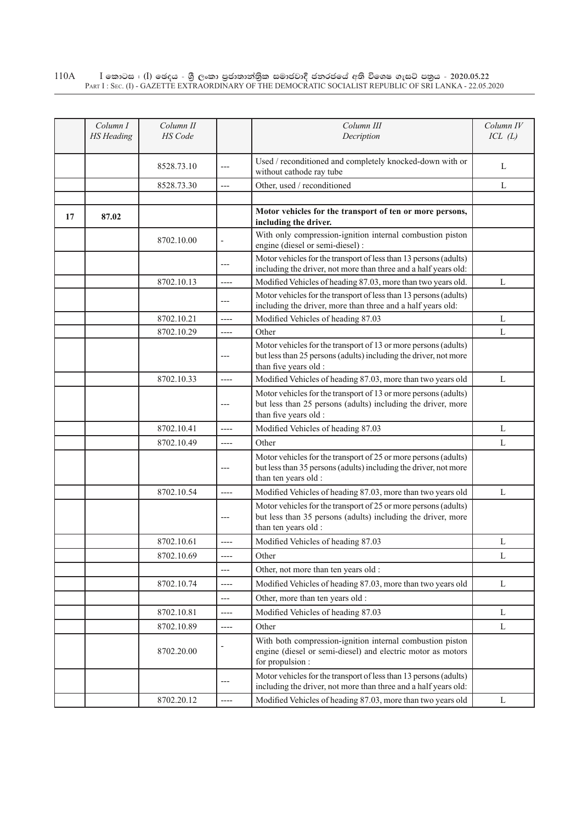## $\rm I$  කොටස : ( $\rm I$ ) ඡෙදය - ශුී ලංකා පුජාතාන්තුික සමාජවාදී ජනරජයේ අති විශෙෂ ගැසට් පතුය - 2020.05.22 Part I : Sec. (I) - GAZETTE EXTRAORDINARY OF THE DEMOCRATIC SOCIALIST REPUBLIC OF SRI LANKA - 22.05.2020 110A

|    | Column I          | Column II      |                          | Column III                                                                                                                                                   | Column IV   |
|----|-------------------|----------------|--------------------------|--------------------------------------------------------------------------------------------------------------------------------------------------------------|-------------|
|    | <b>HS</b> Heading | <b>HS</b> Code |                          | Decription                                                                                                                                                   | ICL(L)      |
|    |                   |                |                          |                                                                                                                                                              |             |
|    |                   | 8528.73.10     | $---$                    | Used / reconditioned and completely knocked-down with or<br>without cathode ray tube                                                                         | L           |
|    |                   | 8528.73.30     | $---$                    | Other, used / reconditioned                                                                                                                                  | L           |
|    |                   |                |                          |                                                                                                                                                              |             |
| 17 | 87.02             |                |                          | Motor vehicles for the transport of ten or more persons,<br>including the driver.                                                                            |             |
|    |                   | 8702.10.00     | $\overline{\phantom{a}}$ | With only compression-ignition internal combustion piston<br>engine (diesel or semi-diesel) :                                                                |             |
|    |                   |                | ---                      | Motor vehicles for the transport of less than 13 persons (adults)<br>including the driver, not more than three and a half years old:                         |             |
|    |                   | 8702.10.13     | $---$                    | Modified Vehicles of heading 87.03, more than two years old.                                                                                                 | L           |
|    |                   |                | $---$                    | Motor vehicles for the transport of less than 13 persons (adults)<br>including the driver, more than three and a half years old:                             |             |
|    |                   | 8702.10.21     | $---$                    | Modified Vehicles of heading 87.03                                                                                                                           | L           |
|    |                   | 8702.10.29     | ----                     | Other                                                                                                                                                        | L           |
|    |                   |                | ---                      | Motor vehicles for the transport of 13 or more persons (adults)<br>but less than 25 persons (adults) including the driver, not more<br>than five years old : |             |
|    |                   | 8702.10.33     | $---$                    | Modified Vehicles of heading 87.03, more than two years old                                                                                                  | L           |
|    |                   |                | ---                      | Motor vehicles for the transport of 13 or more persons (adults)<br>but less than 25 persons (adults) including the driver, more<br>than five years old :     |             |
|    |                   | 8702.10.41     | ----                     | Modified Vehicles of heading 87.03                                                                                                                           | L           |
|    |                   | 8702.10.49     | $---$                    | Other                                                                                                                                                        | L           |
|    |                   |                |                          | Motor vehicles for the transport of 25 or more persons (adults)<br>but less than 35 persons (adults) including the driver, not more<br>than ten years old :  |             |
|    |                   | 8702.10.54     | ----                     | Modified Vehicles of heading 87.03, more than two years old                                                                                                  | L           |
|    |                   |                | ---                      | Motor vehicles for the transport of 25 or more persons (adults)<br>but less than 35 persons (adults) including the driver, more<br>than ten years old :      |             |
|    |                   | 8702.10.61     | ----                     | Modified Vehicles of heading 87.03                                                                                                                           | L           |
|    |                   | 8702.10.69     | $---$                    | Other                                                                                                                                                        | L           |
|    |                   |                | ---                      | Other, not more than ten years old :                                                                                                                         |             |
|    |                   | 8702.10.74     | ----                     | Modified Vehicles of heading 87.03, more than two years old                                                                                                  | L           |
|    |                   |                | ---                      | Other, more than ten years old :                                                                                                                             |             |
|    |                   | 8702.10.81     | $---$                    | Modified Vehicles of heading 87.03                                                                                                                           | L           |
|    |                   | 8702.10.89     | ----                     | Other                                                                                                                                                        | L           |
|    |                   | 8702.20.00     |                          | With both compression-ignition internal combustion piston<br>engine (diesel or semi-diesel) and electric motor as motors<br>for propulsion :                 |             |
|    |                   |                | ---                      | Motor vehicles for the transport of less than 13 persons (adults)<br>including the driver, not more than three and a half years old:                         |             |
|    |                   | 8702.20.12     | $---$                    | Modified Vehicles of heading 87.03, more than two years old                                                                                                  | $\mathbf L$ |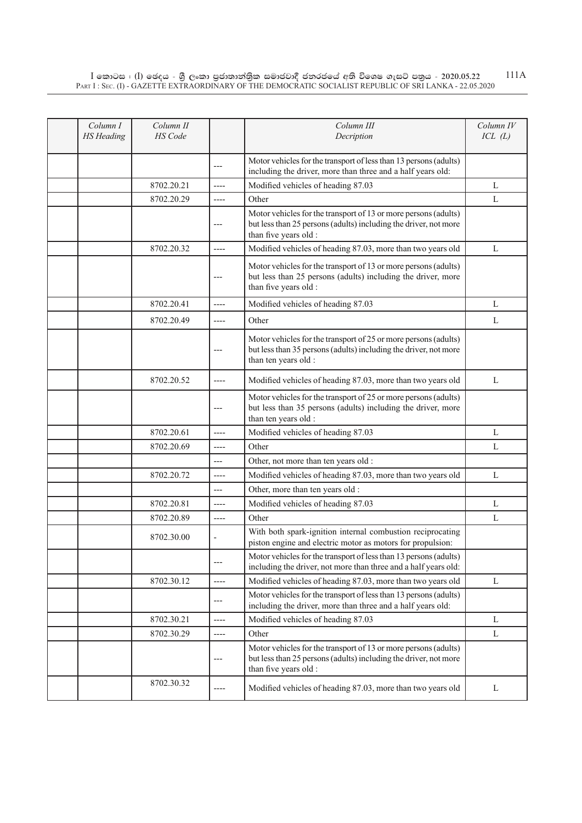$\rm I$  කොටස : ( $\rm I$ ) ඡෙදය - ශුී ලංකා පුජාතාන්තුික සමාජවාදී ජනරජයේ අති විශෙෂ ගැසට් පතුය - 2020.05.22 Part I : Sec. (I) - GAZETTE EXTRAORDINARY OF THE DEMOCRATIC SOCIALIST REPUBLIC OF SRI LANKA - 22.05.2020 111A

| Column I<br><b>HS</b> Heading | Column II<br><b>HS</b> Code |                | Column III<br>Decription                                                                                                                                     | Column IV<br>ICL(L) |
|-------------------------------|-----------------------------|----------------|--------------------------------------------------------------------------------------------------------------------------------------------------------------|---------------------|
|                               |                             | ---            | Motor vehicles for the transport of less than 13 persons (adults)<br>including the driver, more than three and a half years old:                             |                     |
|                               | 8702.20.21                  | $---$          | Modified vehicles of heading 87.03                                                                                                                           | L                   |
|                               | 8702.20.29                  | $---$          | Other                                                                                                                                                        | L                   |
|                               |                             | ---            | Motor vehicles for the transport of 13 or more persons (adults)<br>but less than 25 persons (adults) including the driver, not more<br>than five years old : |                     |
|                               | 8702.20.32                  | ----           | Modified vehicles of heading 87.03, more than two years old                                                                                                  | L                   |
|                               |                             | ---            | Motor vehicles for the transport of 13 or more persons (adults)<br>but less than 25 persons (adults) including the driver, more<br>than five years old :     |                     |
|                               | 8702.20.41                  | $---$          | Modified vehicles of heading 87.03                                                                                                                           | L                   |
|                               | 8702.20.49                  | $---$          | Other                                                                                                                                                        | L                   |
|                               |                             | $---$          | Motor vehicles for the transport of 25 or more persons (adults)<br>but less than 35 persons (adults) including the driver, not more<br>than ten years old :  |                     |
|                               | 8702.20.52                  | ----           | Modified vehicles of heading 87.03, more than two years old                                                                                                  | L                   |
|                               |                             | ---            | Motor vehicles for the transport of 25 or more persons (adults)<br>but less than 35 persons (adults) including the driver, more<br>than ten years old :      |                     |
|                               | 8702.20.61                  | $---$          | Modified vehicles of heading 87.03                                                                                                                           | L                   |
|                               | 8702.20.69                  | ----           | Other                                                                                                                                                        | L                   |
|                               |                             | $---$          | Other, not more than ten years old :                                                                                                                         |                     |
|                               | 8702.20.72                  | ----           | Modified vehicles of heading 87.03, more than two years old                                                                                                  | L                   |
|                               |                             | ---            | Other, more than ten years old :                                                                                                                             |                     |
|                               | 8702.20.81                  | $---$          | Modified vehicles of heading 87.03                                                                                                                           | L                   |
|                               | 8702.20.89                  | ----           | Other                                                                                                                                                        | L                   |
|                               | 8702.30.00                  | $\overline{a}$ | With both spark-ignition internal combustion reciprocating<br>piston engine and electric motor as motors for propulsion:                                     |                     |
|                               |                             | ---            | Motor vehicles for the transport of less than 13 persons (adults)<br>including the driver, not more than three and a half years old:                         |                     |
|                               | 8702.30.12                  | $-----$        | Modified vehicles of heading 87.03, more than two years old                                                                                                  | L                   |
|                               |                             | ---            | Motor vehicles for the transport of less than 13 persons (adults)<br>including the driver, more than three and a half years old:                             |                     |
|                               | 8702.30.21                  | $---$          | Modified vehicles of heading 87.03                                                                                                                           | L                   |
|                               | 8702.30.29                  | $---$          | Other                                                                                                                                                        | L                   |
|                               |                             | ---            | Motor vehicles for the transport of 13 or more persons (adults)<br>but less than 25 persons (adults) including the driver, not more<br>than five years old : |                     |
|                               | 8702.30.32                  | ----           | Modified vehicles of heading 87.03, more than two years old                                                                                                  | L                   |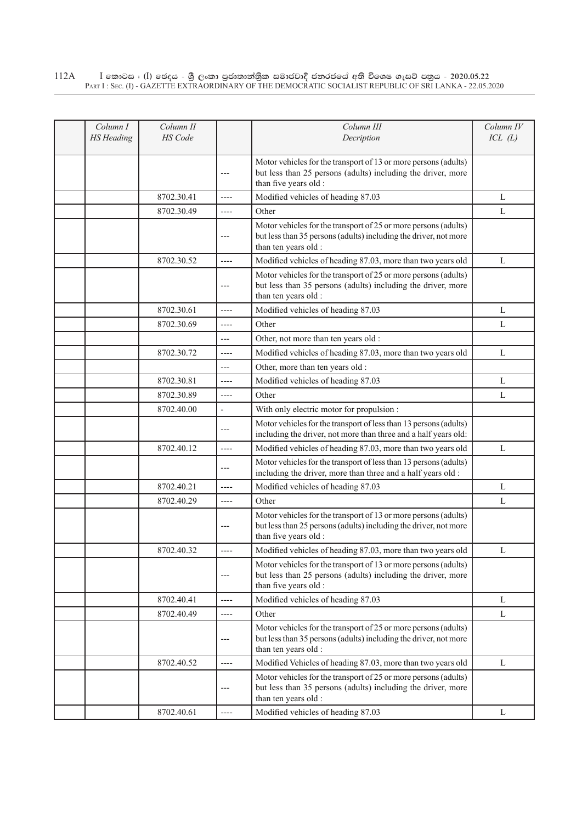$\rm I$  කොටස : ( $\rm I$ ) ඡෙදය - ශුී ලංකා පුජාතාන්තුික සමාජවාදී ජනරජයේ අති විශෙෂ ගැසට් පතුය - 2020.05.22 Part I : Sec. (I) - GAZETTE EXTRAORDINARY OF THE DEMOCRATIC SOCIALIST REPUBLIC OF SRI LANKA - 22.05.2020 112A

| Column I<br><b>HS</b> Heading | Column II<br><b>HS</b> Code |                | Column III<br>Decription                                                                                                                                     | Column IV<br>ICL(L) |
|-------------------------------|-----------------------------|----------------|--------------------------------------------------------------------------------------------------------------------------------------------------------------|---------------------|
|                               |                             | ---            | Motor vehicles for the transport of 13 or more persons (adults)<br>but less than 25 persons (adults) including the driver, more<br>than five years old :     |                     |
|                               | 8702.30.41                  | $---$          | Modified vehicles of heading 87.03                                                                                                                           | L                   |
|                               | 8702.30.49                  | $-----$        | Other                                                                                                                                                        | L                   |
|                               |                             | ---            | Motor vehicles for the transport of 25 or more persons (adults)<br>but less than 35 persons (adults) including the driver, not more<br>than ten years old :  |                     |
|                               | 8702.30.52                  | $---$          | Modified vehicles of heading 87.03, more than two years old                                                                                                  | L                   |
|                               |                             | ---            | Motor vehicles for the transport of 25 or more persons (adults)<br>but less than 35 persons (adults) including the driver, more<br>than ten years old :      |                     |
|                               | 8702.30.61                  | ----           | Modified vehicles of heading 87.03                                                                                                                           | L                   |
|                               | 8702.30.69                  | ----           | Other                                                                                                                                                        | L                   |
|                               |                             | ---            | Other, not more than ten years old :                                                                                                                         |                     |
|                               | 8702.30.72                  | $---$          | Modified vehicles of heading 87.03, more than two years old                                                                                                  | L                   |
|                               |                             | ---            | Other, more than ten years old :                                                                                                                             |                     |
|                               | 8702.30.81                  | $-----$        | Modified vehicles of heading 87.03                                                                                                                           | L                   |
|                               | 8702.30.89                  | ----           | Other                                                                                                                                                        | L                   |
|                               | 8702.40.00                  | $\overline{a}$ | With only electric motor for propulsion :                                                                                                                    |                     |
|                               |                             | $---$          | Motor vehicles for the transport of less than 13 persons (adults)<br>including the driver, not more than three and a half years old:                         |                     |
|                               | 8702.40.12                  | $---$          | Modified vehicles of heading 87.03, more than two years old                                                                                                  | L                   |
|                               |                             | ---            | Motor vehicles for the transport of less than 13 persons (adults)<br>including the driver, more than three and a half years old :                            |                     |
|                               | 8702.40.21                  | ----           | Modified vehicles of heading 87.03                                                                                                                           | L                   |
|                               | 8702.40.29                  | ----           | Other                                                                                                                                                        | L                   |
|                               |                             |                | Motor vehicles for the transport of 13 or more persons (adults)<br>but less than 25 persons (adults) including the driver, not more<br>than five years old : |                     |
|                               | 8702.40.32                  | $---$          | Modified vehicles of heading 87.03, more than two years old                                                                                                  | L                   |
|                               |                             | ---            | Motor vehicles for the transport of 13 or more persons (adults)<br>but less than 25 persons (adults) including the driver, more<br>than five years old :     |                     |
|                               | 8702.40.41                  | $\cdots$       | Modified vehicles of heading 87.03                                                                                                                           | L                   |
|                               | 8702.40.49                  | $-----$        | Other                                                                                                                                                        | L                   |
|                               |                             | ---            | Motor vehicles for the transport of 25 or more persons (adults)<br>but less than 35 persons (adults) including the driver, not more<br>than ten years old :  |                     |
|                               | 8702.40.52                  | $---$          | Modified Vehicles of heading 87.03, more than two years old                                                                                                  | L                   |
|                               |                             | ---            | Motor vehicles for the transport of 25 or more persons (adults)<br>but less than 35 persons (adults) including the driver, more<br>than ten years old :      |                     |
|                               | 8702.40.61                  | $---$          | Modified vehicles of heading 87.03                                                                                                                           | L                   |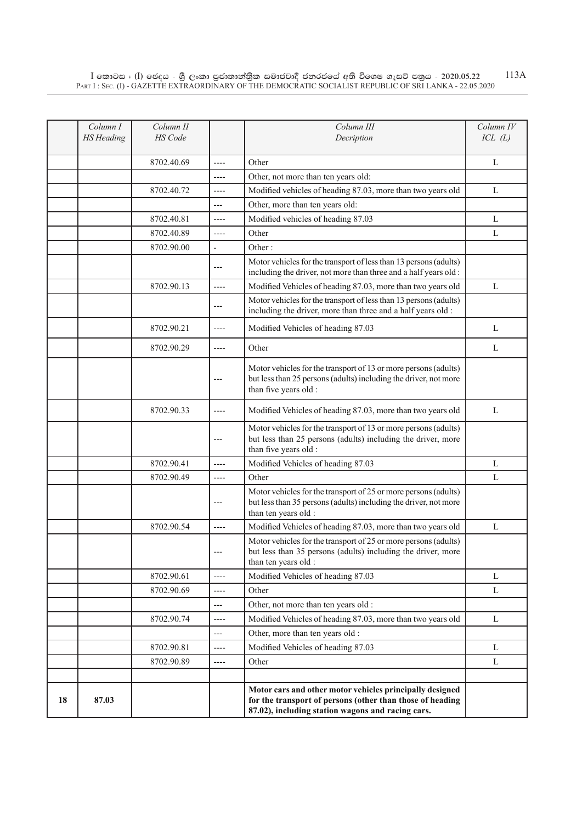|    | Column I<br><b>HS</b> Heading | Column II<br>HS Code |                | Column III<br>Decription                                                                                                                                                   | Column IV<br>ICL(L) |
|----|-------------------------------|----------------------|----------------|----------------------------------------------------------------------------------------------------------------------------------------------------------------------------|---------------------|
|    |                               |                      |                |                                                                                                                                                                            |                     |
|    |                               | 8702.40.69           | $---$          | Other                                                                                                                                                                      | L                   |
|    |                               |                      | ----           | Other, not more than ten years old:                                                                                                                                        |                     |
|    |                               | 8702.40.72           | $-----$        | Modified vehicles of heading 87.03, more than two years old                                                                                                                | L                   |
|    |                               |                      | $---$          | Other, more than ten years old:                                                                                                                                            |                     |
|    |                               | 8702.40.81           | ----           | Modified vehicles of heading 87.03                                                                                                                                         | L                   |
|    |                               | 8702.40.89           | ----           | Other                                                                                                                                                                      | L                   |
|    |                               | 8702.90.00           | $\blacksquare$ | Other:                                                                                                                                                                     |                     |
|    |                               |                      | ---            | Motor vehicles for the transport of less than 13 persons (adults)<br>including the driver, not more than three and a half years old:                                       |                     |
|    |                               | 8702.90.13           | $\overline{a}$ | Modified Vehicles of heading 87.03, more than two years old                                                                                                                | L                   |
|    |                               |                      | ---            | Motor vehicles for the transport of less than 13 persons (adults)<br>including the driver, more than three and a half years old :                                          |                     |
|    |                               | 8702.90.21           | ----           | Modified Vehicles of heading 87.03                                                                                                                                         | L                   |
|    |                               | 8702.90.29           | $-----$        | Other                                                                                                                                                                      | L                   |
|    |                               |                      |                | Motor vehicles for the transport of 13 or more persons (adults)<br>but less than 25 persons (adults) including the driver, not more<br>than five years old :               |                     |
|    |                               | 8702.90.33           | $---$          | Modified Vehicles of heading 87.03, more than two years old                                                                                                                | L                   |
|    |                               |                      | ---            | Motor vehicles for the transport of 13 or more persons (adults)<br>but less than 25 persons (adults) including the driver, more<br>than five years old :                   |                     |
|    |                               | 8702.90.41           | $---$          | Modified Vehicles of heading 87.03                                                                                                                                         | L                   |
|    |                               | 8702.90.49           | $---$          | Other                                                                                                                                                                      | L                   |
|    |                               |                      | ---            | Motor vehicles for the transport of 25 or more persons (adults)<br>but less than 35 persons (adults) including the driver, not more<br>than ten years old :                |                     |
|    |                               | 8702.90.54           | ----           | Modified Vehicles of heading 87.03, more than two years old                                                                                                                | L                   |
|    |                               |                      | $---$          | Motor vehicles for the transport of 25 or more persons (adults)<br>but less than 35 persons (adults) including the driver, more<br>than ten years old :                    |                     |
|    |                               | 8702.90.61           | $-----$        | Modified Vehicles of heading 87.03                                                                                                                                         | L                   |
|    |                               | 8702.90.69           | ----           | Other                                                                                                                                                                      | L                   |
|    |                               |                      | $---$          | Other, not more than ten years old :                                                                                                                                       |                     |
|    |                               | 8702.90.74           | ----           | Modified Vehicles of heading 87.03, more than two years old                                                                                                                | $\mathbf{L}$        |
|    |                               |                      | ---            | Other, more than ten years old :                                                                                                                                           |                     |
|    |                               | 8702.90.81           | $-----$        | Modified Vehicles of heading 87.03                                                                                                                                         | L                   |
|    |                               | 8702.90.89           | ----           | Other                                                                                                                                                                      | L                   |
|    |                               |                      |                |                                                                                                                                                                            |                     |
| 18 | 87.03                         |                      |                | Motor cars and other motor vehicles principally designed<br>for the transport of persons (other than those of heading<br>87.02), including station wagons and racing cars. |                     |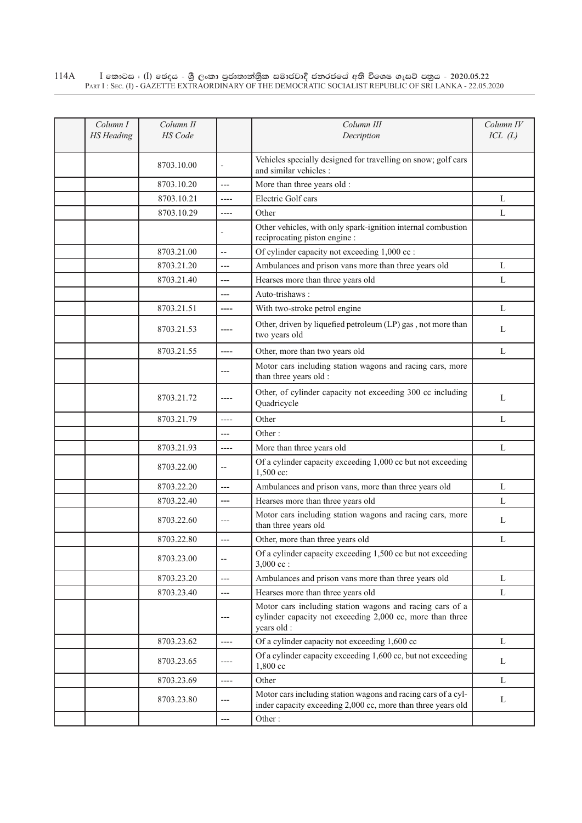$\rm I$  කොටස : ( $\rm I$ ) ඡෙදය - ශුී ලංකා පුජාතාන්තුික සමාජවාදී ජනරජයේ අති විශෙෂ ගැසට් පතුය - 2020.05.22 Part I : Sec. (I) - GAZETTE EXTRAORDINARY OF THE DEMOCRATIC SOCIALIST REPUBLIC OF SRI LANKA - 22.05.2020 114A

| Column I<br><b>HS</b> Heading | Column II<br>HS Code |                          | Column III<br>Decription                                                                                                             | Column IV<br>ICL(L) |
|-------------------------------|----------------------|--------------------------|--------------------------------------------------------------------------------------------------------------------------------------|---------------------|
|                               | 8703.10.00           |                          | Vehicles specially designed for travelling on snow; golf cars<br>and similar vehicles :                                              |                     |
|                               | 8703.10.20           | $---$                    | More than three years old :                                                                                                          |                     |
|                               | 8703.10.21           | $---$                    | Electric Golf cars                                                                                                                   | L                   |
|                               | 8703.10.29           | ----                     | Other                                                                                                                                | L                   |
|                               |                      |                          | Other vehicles, with only spark-ignition internal combustion<br>reciprocating piston engine :                                        |                     |
|                               | 8703.21.00           | $\overline{a}$           | Of cylinder capacity not exceeding 1,000 cc :                                                                                        |                     |
|                               | 8703.21.20           | $---$                    | Ambulances and prison vans more than three years old                                                                                 | L                   |
|                               | 8703.21.40           | ---                      | Hearses more than three years old                                                                                                    | L                   |
|                               |                      | ---                      | Auto-trishaws:                                                                                                                       |                     |
|                               | 8703.21.51           | $---$                    | With two-stroke petrol engine                                                                                                        | L                   |
|                               | 8703.21.53           |                          | Other, driven by liquefied petroleum (LP) gas, not more than<br>two years old                                                        | L                   |
|                               | 8703.21.55           | ----                     | Other, more than two years old                                                                                                       | $\mathbf{L}$        |
|                               |                      | $---$                    | Motor cars including station wagons and racing cars, more<br>than three years old :                                                  |                     |
|                               | 8703.21.72           | $--- -$                  | Other, of cylinder capacity not exceeding 300 cc including<br>Quadricycle                                                            | L                   |
|                               | 8703.21.79           | $---$                    | Other                                                                                                                                | L                   |
|                               |                      | $---$                    | Other:                                                                                                                               |                     |
|                               | 8703.21.93           | ----                     | More than three years old                                                                                                            | L                   |
|                               | 8703.22.00           | $\overline{\phantom{a}}$ | Of a cylinder capacity exceeding 1,000 cc but not exceeding<br>1,500 cc:                                                             |                     |
|                               | 8703.22.20           | ---                      | Ambulances and prison vans, more than three years old                                                                                | L                   |
|                               | 8703.22.40           | ---                      | Hearses more than three years old                                                                                                    | L                   |
|                               | 8703.22.60           | $---$                    | Motor cars including station wagons and racing cars, more<br>than three years old                                                    | L                   |
|                               | 8703.22.80           | ---                      | Other, more than three years old                                                                                                     | L                   |
|                               | 8703.23.00           | --                       | Of a cylinder capacity exceeding 1,500 cc but not exceeding<br>$3,000$ cc :                                                          |                     |
|                               | 8703.23.20           | $---$                    | Ambulances and prison vans more than three years old                                                                                 | L                   |
|                               | 8703.23.40           | ---                      | Hearses more than three years old                                                                                                    | L                   |
|                               |                      | $---$                    | Motor cars including station wagons and racing cars of a<br>cylinder capacity not exceeding 2,000 cc, more than three<br>years old : |                     |
|                               | 8703.23.62           | $---$                    | Of a cylinder capacity not exceeding 1,600 cc                                                                                        | L                   |
|                               | 8703.23.65           | ----                     | Of a cylinder capacity exceeding 1,600 cc, but not exceeding<br>1,800 cc                                                             | L                   |
|                               | 8703.23.69           | $---$                    | Other                                                                                                                                | L                   |
|                               | 8703.23.80           | $---$                    | Motor cars including station wagons and racing cars of a cyl-<br>inder capacity exceeding 2,000 cc, more than three years old        | L                   |
|                               |                      | $\overline{\phantom{a}}$ | Other:                                                                                                                               |                     |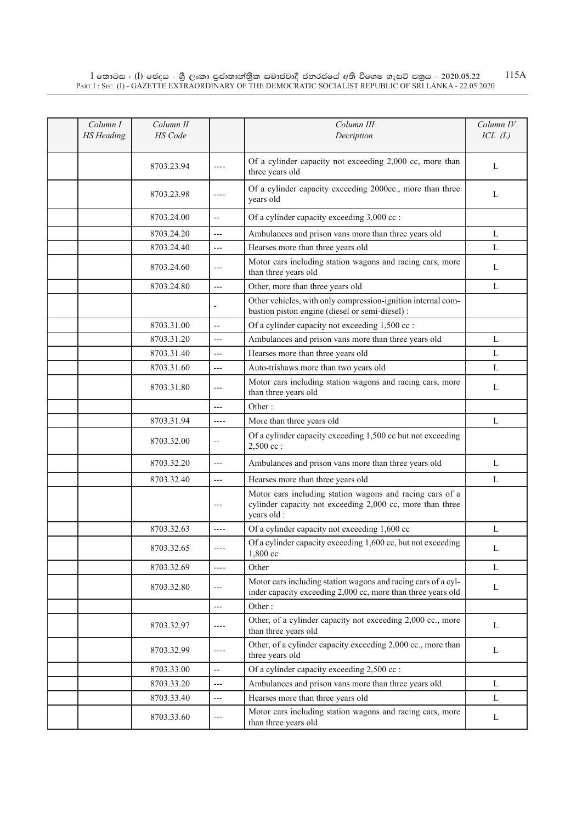$\rm I$  කොටස : ( $\rm I$ ) ඡෙදය - ශුී ලංකා පුජාතාන්තුික සමාජවාදී ජනරජයේ අති විශෙෂ ගැසට් පතුය - 2020.05.22 Part I : Sec. (I) - GAZETTE EXTRAORDINARY OF THE DEMOCRATIC SOCIALIST REPUBLIC OF SRI LANKA - 22.05.2020 115A

| Column I<br><b>HS</b> Heading | Column II<br><b>HS</b> Code |                | Column III<br>Decription                                                                                                             | Column IV<br>ICL(L) |
|-------------------------------|-----------------------------|----------------|--------------------------------------------------------------------------------------------------------------------------------------|---------------------|
|                               | 8703.23.94                  | ----           | Of a cylinder capacity not exceeding 2,000 cc, more than<br>three years old                                                          | $\mathbf{L}$        |
|                               | 8703.23.98                  |                | Of a cylinder capacity exceeding 2000cc., more than three<br>years old                                                               | L                   |
|                               | 8703.24.00                  | $\overline{a}$ | Of a cylinder capacity exceeding 3,000 cc :                                                                                          |                     |
|                               | 8703.24.20                  | $---$          | Ambulances and prison vans more than three years old                                                                                 | L                   |
|                               | 8703.24.40                  | $---$          | Hearses more than three years old                                                                                                    | L                   |
|                               | 8703.24.60                  | ---            | Motor cars including station wagons and racing cars, more<br>than three years old                                                    | L                   |
|                               | 8703.24.80                  | $\overline{a}$ | Other, more than three years old                                                                                                     | L                   |
|                               |                             |                | Other vehicles, with only compression-ignition internal com-<br>bustion piston engine (diesel or semi-diesel) :                      |                     |
|                               | 8703.31.00                  | --             | Of a cylinder capacity not exceeding 1,500 cc :                                                                                      |                     |
|                               | 8703.31.20                  | $---$          | Ambulances and prison vans more than three years old                                                                                 | L                   |
|                               | 8703.31.40                  | $---$          | Hearses more than three years old                                                                                                    | L                   |
|                               | 8703.31.60                  | $---$          | Auto-trishaws more than two years old                                                                                                | L                   |
|                               | 8703.31.80                  | ---            | Motor cars including station wagons and racing cars, more<br>than three years old                                                    | L                   |
|                               |                             | $---$          | Other:                                                                                                                               |                     |
|                               | 8703.31.94                  | $---$          | More than three years old                                                                                                            | L                   |
|                               | 8703.32.00                  | --             | Of a cylinder capacity exceeding 1,500 cc but not exceeding<br>$2,500$ cc:                                                           |                     |
|                               | 8703.32.20                  | $---$          | Ambulances and prison vans more than three years old                                                                                 | L                   |
|                               | 8703.32.40                  | $---$          | Hearses more than three years old                                                                                                    | L                   |
|                               |                             | ---            | Motor cars including station wagons and racing cars of a<br>cylinder capacity not exceeding 2,000 cc, more than three<br>years old : |                     |
|                               | 8703.32.63                  | ----           | Of a cylinder capacity not exceeding 1,600 cc                                                                                        | $\mathbf{L}$        |
|                               | 8703.32.65                  |                | Of a cylinder capacity exceeding 1,600 cc, but not exceeding<br>1,800 cc                                                             | L                   |
|                               | 8703.32.69                  | $---$          | Other                                                                                                                                | L                   |
|                               | 8703.32.80                  | ---            | Motor cars including station wagons and racing cars of a cyl-<br>inder capacity exceeding 2,000 cc, more than three years old        | L                   |
|                               |                             | ---            | Other:                                                                                                                               |                     |
|                               | 8703.32.97                  | ----           | Other, of a cylinder capacity not exceeding 2,000 cc., more<br>than three years old                                                  | L                   |
|                               | 8703.32.99                  | ----           | Other, of a cylinder capacity exceeding 2,000 cc., more than<br>three years old                                                      | L                   |
|                               | 8703.33.00                  | $\overline{a}$ | Of a cylinder capacity exceeding 2,500 cc :                                                                                          |                     |
|                               | 8703.33.20                  | $---$          | Ambulances and prison vans more than three years old                                                                                 | L                   |
|                               | 8703.33.40                  | ---            | Hearses more than three years old                                                                                                    | L                   |
|                               | 8703.33.60                  | ---            | Motor cars including station wagons and racing cars, more<br>than three years old                                                    | L                   |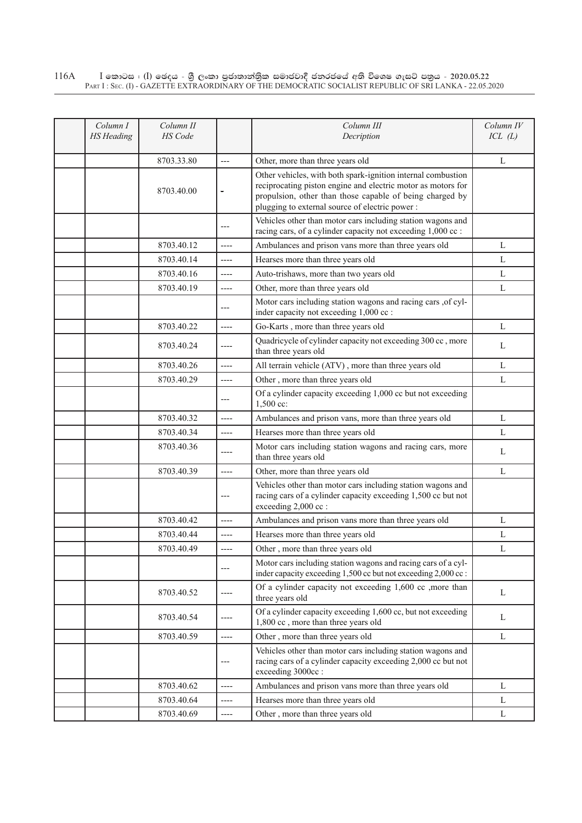## $\rm I$  කොටස : ( $\rm I$ ) ඡෙදය - ශුී ලංකා පුජාතාන්තුික සමාජවාදී ජනරජයේ අති විශෙෂ ගැසට් පතුය - 2020.05.22 Part I : Sec. (I) - GAZETTE EXTRAORDINARY OF THE DEMOCRATIC SOCIALIST REPUBLIC OF SRI LANKA - 22.05.2020 116A

| Column I          | Column II      |         | Column III                                                                                                                      | Column IV |
|-------------------|----------------|---------|---------------------------------------------------------------------------------------------------------------------------------|-----------|
| <b>HS</b> Heading | <b>HS</b> Code |         | Decription                                                                                                                      | ICL(L)    |
|                   |                |         |                                                                                                                                 |           |
|                   | 8703.33.80     | $---$   | Other, more than three years old                                                                                                | L         |
|                   |                |         | Other vehicles, with both spark-ignition internal combustion                                                                    |           |
|                   | 8703.40.00     | $=$     | reciprocating piston engine and electric motor as motors for                                                                    |           |
|                   |                |         | propulsion, other than those capable of being charged by                                                                        |           |
|                   |                |         | plugging to external source of electric power:                                                                                  |           |
|                   |                | $---$   | Vehicles other than motor cars including station wagons and<br>racing cars, of a cylinder capacity not exceeding 1,000 cc :     |           |
|                   | 8703.40.12     | $---$   | Ambulances and prison vans more than three years old                                                                            | L         |
|                   | 8703.40.14     | ----    | Hearses more than three years old                                                                                               | L         |
|                   | 8703.40.16     | ----    | Auto-trishaws, more than two years old                                                                                          | L         |
|                   | 8703.40.19     | $---$   | Other, more than three years old                                                                                                | L         |
|                   |                |         | Motor cars including station wagons and racing cars , of cyl-                                                                   |           |
|                   |                | ---     | inder capacity not exceeding 1,000 cc :                                                                                         |           |
|                   | 8703.40.22     | $-----$ | Go-Karts, more than three years old                                                                                             | L         |
|                   | 8703.40.24     | ----    | Quadricycle of cylinder capacity not exceeding 300 cc, more                                                                     | L         |
|                   |                |         | than three years old                                                                                                            |           |
|                   | 8703.40.26     | $---$   | All terrain vehicle (ATV), more than three years old                                                                            | L         |
|                   | 8703.40.29     | $-----$ | Other, more than three years old                                                                                                | L         |
|                   |                | $---$   | Of a cylinder capacity exceeding 1,000 cc but not exceeding<br>1,500 cc:                                                        |           |
|                   | 8703.40.32     | $---$   | Ambulances and prison vans, more than three years old                                                                           | L         |
|                   | 8703.40.34     | $---$   | Hearses more than three years old                                                                                               | L         |
|                   | 8703.40.36     |         | Motor cars including station wagons and racing cars, more                                                                       |           |
|                   |                | $---$   | than three years old                                                                                                            | L         |
|                   | 8703.40.39     | $---$   | Other, more than three years old                                                                                                | L         |
|                   |                |         | Vehicles other than motor cars including station wagons and                                                                     |           |
|                   |                | $---$   | racing cars of a cylinder capacity exceeding 1,500 cc but not                                                                   |           |
|                   |                |         | exceeding 2,000 cc :                                                                                                            |           |
|                   | 8703.40.42     | $-----$ | Ambulances and prison vans more than three years old                                                                            | L         |
|                   | 8703.40.44     | $-----$ | Hearses more than three years old                                                                                               | L         |
|                   | 8703.40.49     | $---$   | Other, more than three years old                                                                                                | L         |
|                   |                | $---$   | Motor cars including station wagons and racing cars of a cyl-<br>inder capacity exceeding 1,500 cc but not exceeding 2,000 cc : |           |
|                   | 8703.40.52     |         | Of a cylinder capacity not exceeding 1,600 cc ,more than<br>three years old                                                     | L         |
|                   |                |         | Of a cylinder capacity exceeding 1,600 cc, but not exceeding                                                                    |           |
|                   | 8703.40.54     | ----    | 1,800 cc, more than three years old                                                                                             | L         |
|                   | 8703.40.59     | $-----$ | Other, more than three years old                                                                                                | L         |
|                   |                |         | Vehicles other than motor cars including station wagons and                                                                     |           |
|                   |                | ---     | racing cars of a cylinder capacity exceeding 2,000 cc but not<br>exceeding 3000cc:                                              |           |
|                   | 8703.40.62     | $---$   | Ambulances and prison vans more than three years old                                                                            | L         |
|                   | 8703.40.64     | ----    | Hearses more than three years old                                                                                               | L         |
|                   | 8703.40.69     | ----    | Other, more than three years old                                                                                                | L         |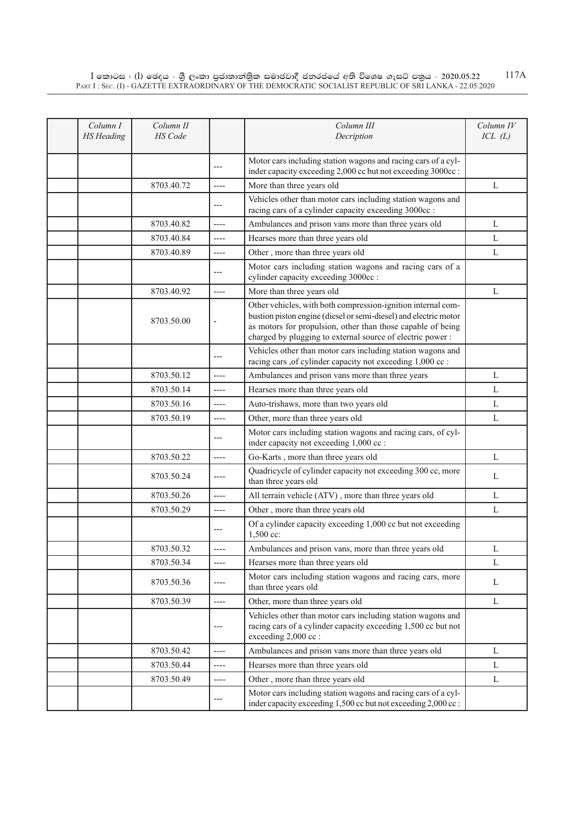$\rm I$  කොටස : ( $\rm I$ ) ඡෙදය - ශුී ලංකා පුජාතාන්තුික සමාජවාදී ජනරජයේ අති විශෙෂ ගැසට් පතුය - 2020.05.22 Part I : Sec. (I) - GAZETTE EXTRAORDINARY OF THE DEMOCRATIC SOCIALIST REPUBLIC OF SRI LANKA - 22.05.2020 117A

| Column I<br><b>HS</b> Heading | Column II<br><b>HS</b> Code |                          | Column III<br>Decription                                                                                                                                                                                                                                     | Column IV<br>ICL(L) |
|-------------------------------|-----------------------------|--------------------------|--------------------------------------------------------------------------------------------------------------------------------------------------------------------------------------------------------------------------------------------------------------|---------------------|
|                               |                             | $---$                    | Motor cars including station wagons and racing cars of a cyl-<br>inder capacity exceeding 2,000 cc but not exceeding 3000cc :                                                                                                                                |                     |
|                               | 8703.40.72                  | $---$                    | More than three years old                                                                                                                                                                                                                                    | L                   |
|                               |                             | ---                      | Vehicles other than motor cars including station wagons and<br>racing cars of a cylinder capacity exceeding 3000cc :                                                                                                                                         |                     |
|                               | 8703.40.82                  | ----                     | Ambulances and prison vans more than three years old                                                                                                                                                                                                         | L                   |
|                               | 8703.40.84                  | ----                     | Hearses more than three years old                                                                                                                                                                                                                            | L                   |
|                               | 8703.40.89                  | ----                     | Other, more than three years old                                                                                                                                                                                                                             | L                   |
|                               |                             | ---                      | Motor cars including station wagons and racing cars of a<br>cylinder capacity exceeding 3000cc :                                                                                                                                                             |                     |
|                               | 8703.40.92                  | $-----$                  | More than three years old                                                                                                                                                                                                                                    | L                   |
|                               | 8703.50.00                  | $\overline{\phantom{a}}$ | Other vehicles, with both compression-ignition internal com-<br>bustion piston engine (diesel or semi-diesel) and electric motor<br>as motors for propulsion, other than those capable of being<br>charged by plugging to external source of electric power: |                     |
|                               |                             | ---                      | Vehicles other than motor cars including station wagons and<br>racing cars ,of cylinder capacity not exceeding 1,000 cc :                                                                                                                                    |                     |
|                               | 8703.50.12                  | $---$                    | Ambulances and prison vans more than three years                                                                                                                                                                                                             | L                   |
|                               | 8703.50.14                  | ----                     | Hearses more than three years old                                                                                                                                                                                                                            | L                   |
|                               | 8703.50.16                  | $-----$                  | Auto-trishaws, more than two years old                                                                                                                                                                                                                       | L                   |
|                               | 8703.50.19                  | ----                     | Other, more than three years old                                                                                                                                                                                                                             | L                   |
|                               |                             | ---                      | Motor cars including station wagons and racing cars, of cyl-<br>inder capacity not exceeding 1,000 cc :                                                                                                                                                      |                     |
|                               | 8703.50.22                  | $---$                    | Go-Karts, more than three years old                                                                                                                                                                                                                          | L                   |
|                               | 8703.50.24                  | ----                     | Quadricycle of cylinder capacity not exceeding 300 cc, more<br>than three years old                                                                                                                                                                          | L                   |
|                               | 8703.50.26                  | ----                     | All terrain vehicle (ATV), more than three years old                                                                                                                                                                                                         | L                   |
|                               | 8703.50.29                  | ----                     | Other, more than three years old                                                                                                                                                                                                                             | L                   |
|                               |                             | ---                      | Of a cylinder capacity exceeding 1,000 cc but not exceeding<br>1,500 cc:                                                                                                                                                                                     |                     |
|                               | 8703.50.32                  | ----                     | Ambulances and prison vans, more than three years old                                                                                                                                                                                                        | L                   |
|                               | 8703.50.34                  | $---$                    | Hearses more than three years old                                                                                                                                                                                                                            | L                   |
|                               | 8703.50.36                  | ----                     | Motor cars including station wagons and racing cars, more<br>than three years old                                                                                                                                                                            | L                   |
|                               | 8703.50.39                  | ----                     | Other, more than three years old                                                                                                                                                                                                                             | L                   |
|                               |                             | ---                      | Vehicles other than motor cars including station wagons and<br>racing cars of a cylinder capacity exceeding 1,500 cc but not<br>exceeding 2,000 cc :                                                                                                         |                     |
|                               | 8703.50.42                  | ----                     | Ambulances and prison vans more than three years old                                                                                                                                                                                                         | L                   |
|                               | 8703.50.44                  | ----                     | Hearses more than three years old                                                                                                                                                                                                                            | L                   |
|                               | 8703.50.49                  | ----                     | Other, more than three years old                                                                                                                                                                                                                             | L                   |
|                               |                             | ---                      | Motor cars including station wagons and racing cars of a cyl-<br>inder capacity exceeding 1,500 cc but not exceeding 2,000 cc :                                                                                                                              |                     |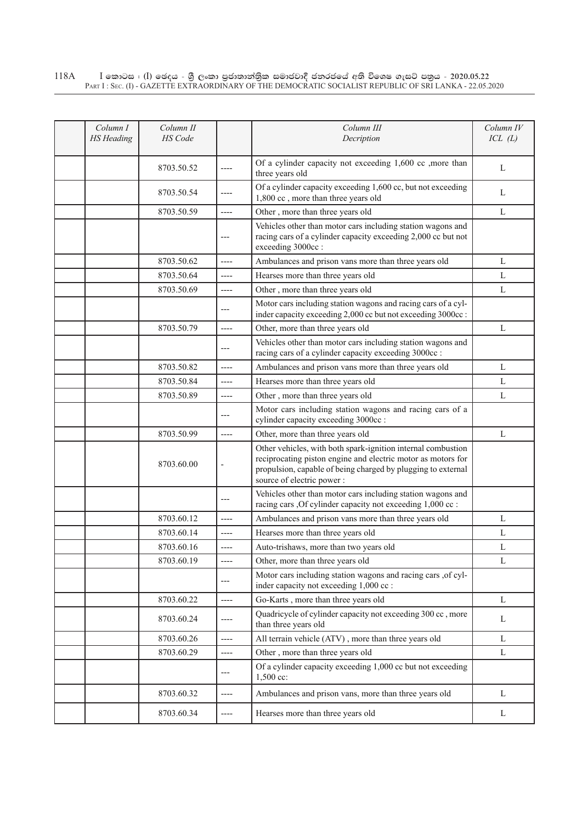| Column I<br><b>HS</b> Heading | Column II<br><b>HS</b> Code |                       | Column III<br>Decription                                                                                                                                                                                                   | Column IV<br>ICL(L) |
|-------------------------------|-----------------------------|-----------------------|----------------------------------------------------------------------------------------------------------------------------------------------------------------------------------------------------------------------------|---------------------|
|                               | 8703.50.52                  | ----                  | Of a cylinder capacity not exceeding 1,600 cc ,more than<br>three years old                                                                                                                                                | L                   |
|                               | 8703.50.54                  | ----                  | Of a cylinder capacity exceeding 1,600 cc, but not exceeding<br>1,800 cc, more than three years old                                                                                                                        | L                   |
|                               | 8703.50.59                  | $-----$               | Other, more than three years old                                                                                                                                                                                           | L                   |
|                               |                             | ---                   | Vehicles other than motor cars including station wagons and<br>racing cars of a cylinder capacity exceeding 2,000 cc but not<br>exceeding 3000cc:                                                                          |                     |
|                               | 8703.50.62                  | ----                  | Ambulances and prison vans more than three years old                                                                                                                                                                       | L                   |
|                               | 8703.50.64                  | ----                  | Hearses more than three years old                                                                                                                                                                                          | L                   |
|                               | 8703.50.69                  | $---$                 | Other, more than three years old                                                                                                                                                                                           | L                   |
|                               |                             | ---                   | Motor cars including station wagons and racing cars of a cyl-<br>inder capacity exceeding 2,000 cc but not exceeding 3000cc :                                                                                              |                     |
|                               | 8703.50.79                  | ----                  | Other, more than three years old                                                                                                                                                                                           | L                   |
|                               |                             | $---$                 | Vehicles other than motor cars including station wagons and<br>racing cars of a cylinder capacity exceeding 3000cc :                                                                                                       |                     |
|                               | 8703.50.82                  | $-----$               | Ambulances and prison vans more than three years old                                                                                                                                                                       | L                   |
|                               | 8703.50.84                  | ----                  | Hearses more than three years old                                                                                                                                                                                          | L                   |
|                               | 8703.50.89                  | $---$                 | Other, more than three years old                                                                                                                                                                                           | L                   |
|                               |                             | $---$                 | Motor cars including station wagons and racing cars of a<br>cylinder capacity exceeding 3000cc :                                                                                                                           |                     |
|                               | 8703.50.99                  | $-----$               | Other, more than three years old                                                                                                                                                                                           | L                   |
|                               | 8703.60.00                  | ÷                     | Other vehicles, with both spark-ignition internal combustion<br>reciprocating piston engine and electric motor as motors for<br>propulsion, capable of being charged by plugging to external<br>source of electric power : |                     |
|                               |                             | $---$                 | Vehicles other than motor cars including station wagons and<br>racing cars , Of cylinder capacity not exceeding 1,000 cc :                                                                                                 |                     |
|                               | 8703.60.12                  | ----                  | Ambulances and prison vans more than three years old                                                                                                                                                                       | L                   |
|                               | 8703.60.14                  | $---$                 | Hearses more than three years old                                                                                                                                                                                          | L                   |
|                               | 8703.60.16                  | $---$                 | Auto-trishaws, more than two years old                                                                                                                                                                                     | L                   |
|                               | 8703.60.19                  | $-----$               | Other, more than three years old                                                                                                                                                                                           | L                   |
|                               |                             | $---$                 | Motor cars including station wagons and racing cars , of cyl-<br>inder capacity not exceeding 1,000 cc :                                                                                                                   |                     |
|                               | 8703.60.22                  | $\qquad \qquad - - -$ | Go-Karts, more than three years old                                                                                                                                                                                        | L                   |
|                               | 8703.60.24                  | ----                  | Quadricycle of cylinder capacity not exceeding 300 cc, more<br>than three years old                                                                                                                                        | L                   |
|                               | 8703.60.26                  | $---$                 | All terrain vehicle (ATV), more than three years old                                                                                                                                                                       | L                   |
|                               | 8703.60.29                  | $\cdots$              | Other, more than three years old                                                                                                                                                                                           | L                   |
|                               |                             | $---$                 | Of a cylinder capacity exceeding 1,000 cc but not exceeding<br>1,500 cc:                                                                                                                                                   |                     |
|                               | 8703.60.32                  | $---$                 | Ambulances and prison vans, more than three years old                                                                                                                                                                      | L                   |
|                               | 8703.60.34                  | $-----$               | Hearses more than three years old                                                                                                                                                                                          | L                   |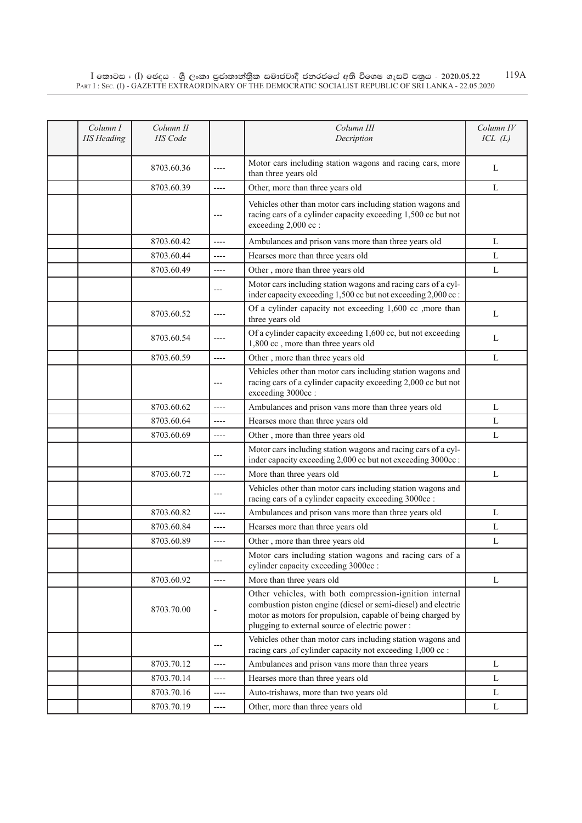| Column I<br><b>HS</b> Heading | Column II<br>HS Code |         | Column III<br>Decription                                                                                                                                                                                                                  | Column IV<br>ICL(L) |
|-------------------------------|----------------------|---------|-------------------------------------------------------------------------------------------------------------------------------------------------------------------------------------------------------------------------------------------|---------------------|
|                               | 8703.60.36           | ----    | Motor cars including station wagons and racing cars, more<br>than three years old                                                                                                                                                         | L                   |
|                               | 8703.60.39           | ----    | Other, more than three years old                                                                                                                                                                                                          | L                   |
|                               |                      | ---     | Vehicles other than motor cars including station wagons and<br>racing cars of a cylinder capacity exceeding 1,500 cc but not<br>exceeding 2,000 cc :                                                                                      |                     |
|                               | 8703.60.42           | $-----$ | Ambulances and prison vans more than three years old                                                                                                                                                                                      | L                   |
|                               | 8703.60.44           | ----    | Hearses more than three years old                                                                                                                                                                                                         | L                   |
|                               | 8703.60.49           | ----    | Other, more than three years old                                                                                                                                                                                                          | L                   |
|                               |                      | $---$   | Motor cars including station wagons and racing cars of a cyl-<br>inder capacity exceeding 1,500 cc but not exceeding 2,000 cc:                                                                                                            |                     |
|                               | 8703.60.52           | ----    | Of a cylinder capacity not exceeding 1,600 cc ,more than<br>three years old                                                                                                                                                               | L                   |
|                               | 8703.60.54           |         | Of a cylinder capacity exceeding 1,600 cc, but not exceeding<br>1,800 cc, more than three years old                                                                                                                                       | L                   |
|                               | 8703.60.59           | ----    | Other, more than three years old                                                                                                                                                                                                          | L                   |
|                               |                      | ---     | Vehicles other than motor cars including station wagons and<br>racing cars of a cylinder capacity exceeding 2,000 cc but not<br>exceeding 3000cc:                                                                                         |                     |
|                               | 8703.60.62           | $-----$ | Ambulances and prison vans more than three years old                                                                                                                                                                                      | L                   |
|                               | 8703.60.64           | $---$   | Hearses more than three years old                                                                                                                                                                                                         | L                   |
|                               | 8703.60.69           | ----    | Other, more than three years old                                                                                                                                                                                                          | L                   |
|                               |                      | ---     | Motor cars including station wagons and racing cars of a cyl-<br>inder capacity exceeding 2,000 cc but not exceeding 3000cc :                                                                                                             |                     |
|                               | 8703.60.72           | ----    | More than three years old                                                                                                                                                                                                                 | L                   |
|                               |                      | ---     | Vehicles other than motor cars including station wagons and<br>racing cars of a cylinder capacity exceeding 3000cc :                                                                                                                      |                     |
|                               | 8703.60.82           | $---$   | Ambulances and prison vans more than three years old                                                                                                                                                                                      | L                   |
|                               | 8703.60.84           | ----    | Hearses more than three years old                                                                                                                                                                                                         | L                   |
|                               | 8703.60.89           | ----    | Other, more than three years old                                                                                                                                                                                                          | L                   |
|                               |                      |         | Motor cars including station wagons and racing cars of a<br>cylinder capacity exceeding 3000cc :                                                                                                                                          |                     |
|                               | 8703.60.92           | ----    | More than three years old                                                                                                                                                                                                                 | L                   |
|                               | 8703.70.00           | -       | Other vehicles, with both compression-ignition internal<br>combustion piston engine (diesel or semi-diesel) and electric<br>motor as motors for propulsion, capable of being charged by<br>plugging to external source of electric power: |                     |
|                               |                      | ---     | Vehicles other than motor cars including station wagons and<br>racing cars , of cylinder capacity not exceeding 1,000 cc :                                                                                                                |                     |
|                               | 8703.70.12           | $-----$ | Ambulances and prison vans more than three years                                                                                                                                                                                          | L                   |
|                               | 8703.70.14           | ----    | Hearses more than three years old                                                                                                                                                                                                         | L                   |
|                               | 8703.70.16           | ----    | Auto-trishaws, more than two years old                                                                                                                                                                                                    | L                   |
|                               | 8703.70.19           | ----    | Other, more than three years old                                                                                                                                                                                                          | L                   |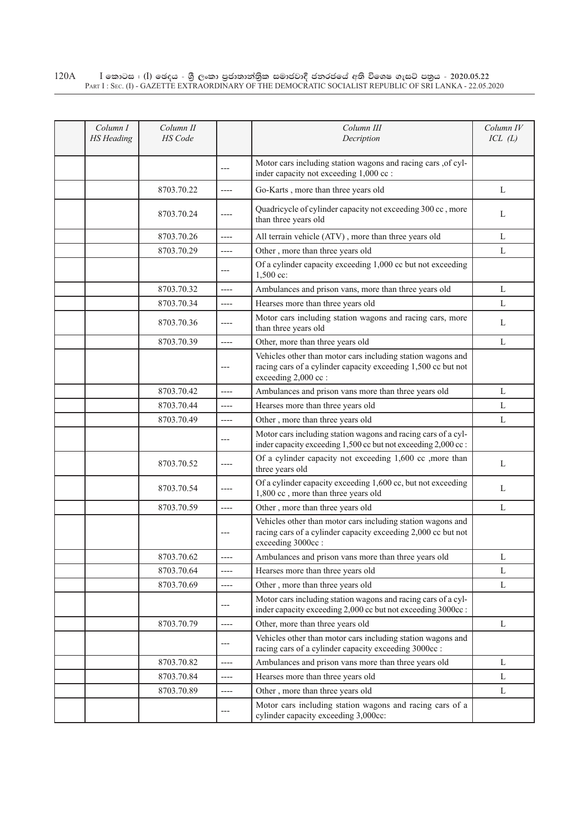## $\rm I$  කොටස : ( $\rm I$ ) ඡෙදය - ශුී ලංකා පුජාතාන්තුික සමාජවාදී ජනරජයේ අති විශෙෂ ගැසට් පතුය - 2020.05.22 Part I : Sec. (I) - GAZETTE EXTRAORDINARY OF THE DEMOCRATIC SOCIALIST REPUBLIC OF SRI LANKA - 22.05.2020 120A

| Column I<br><b>HS</b> Heading | Column II<br>HS Code |         | Column III<br>Decription                                                                                                                             | Column IV<br>ICL(L) |
|-------------------------------|----------------------|---------|------------------------------------------------------------------------------------------------------------------------------------------------------|---------------------|
|                               |                      | ---     | Motor cars including station wagons and racing cars , of cyl-<br>inder capacity not exceeding 1,000 cc :                                             |                     |
|                               | 8703.70.22           | ----    | Go-Karts, more than three years old                                                                                                                  | L                   |
|                               | 8703.70.24           | ----    | Quadricycle of cylinder capacity not exceeding 300 cc, more<br>than three years old                                                                  | L                   |
|                               | 8703.70.26           | $-----$ | All terrain vehicle (ATV), more than three years old                                                                                                 | L                   |
|                               | 8703.70.29           | ----    | Other, more than three years old                                                                                                                     | L                   |
|                               |                      | $---$   | Of a cylinder capacity exceeding 1,000 cc but not exceeding<br>1,500 cc:                                                                             |                     |
|                               | 8703.70.32           | $-----$ | Ambulances and prison vans, more than three years old                                                                                                | L                   |
|                               | 8703.70.34           | $---$   | Hearses more than three years old                                                                                                                    | L                   |
|                               | 8703.70.36           | $-----$ | Motor cars including station wagons and racing cars, more<br>than three years old                                                                    | L                   |
|                               | 8703.70.39           | $---$   | Other, more than three years old                                                                                                                     | L                   |
|                               |                      | ---     | Vehicles other than motor cars including station wagons and<br>racing cars of a cylinder capacity exceeding 1,500 cc but not<br>exceeding 2,000 cc : |                     |
|                               | 8703.70.42           | $---$   | Ambulances and prison vans more than three years old                                                                                                 | L                   |
|                               | 8703.70.44           | ----    | Hearses more than three years old                                                                                                                    | L                   |
|                               | 8703.70.49           | $---$   | Other, more than three years old                                                                                                                     | L                   |
|                               |                      | $---$   | Motor cars including station wagons and racing cars of a cyl-<br>inder capacity exceeding 1,500 cc but not exceeding 2,000 cc :                      |                     |
|                               | 8703.70.52           | ----    | Of a cylinder capacity not exceeding 1,600 cc ,more than<br>three years old                                                                          | L                   |
|                               | 8703.70.54           | ----    | Of a cylinder capacity exceeding 1,600 cc, but not exceeding<br>1,800 cc, more than three years old                                                  | L                   |
|                               | 8703.70.59           | $-----$ | Other, more than three years old                                                                                                                     | L                   |
|                               |                      | ---     | Vehicles other than motor cars including station wagons and<br>racing cars of a cylinder capacity exceeding 2,000 cc but not<br>exceeding 3000cc:    |                     |
|                               | 8703.70.62           | ----    | Ambulances and prison vans more than three years old                                                                                                 | L                   |
|                               | 8703.70.64           | $-----$ | Hearses more than three years old                                                                                                                    | L                   |
|                               | 8703.70.69           | $---$   | Other, more than three years old                                                                                                                     | L                   |
|                               |                      | ---     | Motor cars including station wagons and racing cars of a cyl-<br>inder capacity exceeding 2,000 cc but not exceeding 3000cc :                        |                     |
|                               | 8703.70.79           | $---$   | Other, more than three years old                                                                                                                     | L                   |
|                               |                      | $---$   | Vehicles other than motor cars including station wagons and<br>racing cars of a cylinder capacity exceeding 3000cc :                                 |                     |
|                               | 8703.70.82           | $---$   | Ambulances and prison vans more than three years old                                                                                                 | L                   |
|                               | 8703.70.84           | $-----$ | Hearses more than three years old                                                                                                                    | L                   |
|                               | 8703.70.89           | ----    | Other, more than three years old                                                                                                                     | L                   |
|                               |                      | ---     | Motor cars including station wagons and racing cars of a<br>cylinder capacity exceeding 3,000cc:                                                     |                     |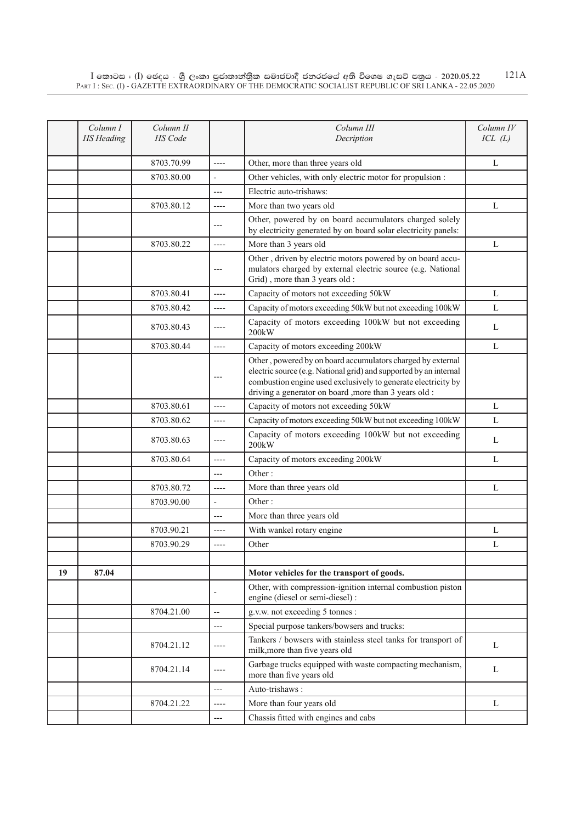|    | Column I          | Column II<br><b>HS</b> Code |                          | Column III                                                                                                                                                                                                                                                  | Column IV    |
|----|-------------------|-----------------------------|--------------------------|-------------------------------------------------------------------------------------------------------------------------------------------------------------------------------------------------------------------------------------------------------------|--------------|
|    | <b>HS</b> Heading |                             |                          | Decription                                                                                                                                                                                                                                                  | ICL(L)       |
|    |                   | 8703.70.99                  | $---$                    | Other, more than three years old                                                                                                                                                                                                                            | L            |
|    |                   | 8703.80.00                  | $\overline{\phantom{a}}$ | Other vehicles, with only electric motor for propulsion :                                                                                                                                                                                                   |              |
|    |                   |                             | $---$                    | Electric auto-trishaws:                                                                                                                                                                                                                                     |              |
|    |                   | 8703.80.12                  | $-----$                  | More than two years old                                                                                                                                                                                                                                     | L            |
|    |                   |                             | ---                      | Other, powered by on board accumulators charged solely<br>by electricity generated by on board solar electricity panels:                                                                                                                                    |              |
|    |                   | 8703.80.22                  | $-----$                  | More than 3 years old                                                                                                                                                                                                                                       | L            |
|    |                   |                             | ---                      | Other, driven by electric motors powered by on board accu-<br>mulators charged by external electric source (e.g. National<br>Grid), more than 3 years old :                                                                                                 |              |
|    |                   | 8703.80.41                  | ----                     | Capacity of motors not exceeding 50kW                                                                                                                                                                                                                       | L            |
|    |                   | 8703.80.42                  | $-----$                  | Capacity of motors exceeding 50kW but not exceeding 100kW                                                                                                                                                                                                   | L            |
|    |                   | 8703.80.43                  |                          | Capacity of motors exceeding 100kW but not exceeding<br>200kW                                                                                                                                                                                               | L            |
|    |                   | 8703.80.44                  | ----                     | Capacity of motors exceeding 200kW                                                                                                                                                                                                                          | $\mathbf{L}$ |
|    |                   |                             | ---                      | Other, powered by on board accumulators charged by external<br>electric source (e.g. National grid) and supported by an internal<br>combustion engine used exclusively to generate electricity by<br>driving a generator on board , more than 3 years old : |              |
|    |                   | 8703.80.61                  | ----                     | Capacity of motors not exceeding 50kW                                                                                                                                                                                                                       | L            |
|    |                   | 8703.80.62                  | ----                     | Capacity of motors exceeding 50kW but not exceeding 100kW                                                                                                                                                                                                   | L            |
|    |                   | 8703.80.63                  | ----                     | Capacity of motors exceeding 100kW but not exceeding<br>200kW                                                                                                                                                                                               | L            |
|    |                   | 8703.80.64                  | ----                     | Capacity of motors exceeding 200kW                                                                                                                                                                                                                          | L            |
|    |                   |                             | ---                      | Other:                                                                                                                                                                                                                                                      |              |
|    |                   | 8703.80.72                  | ----                     | More than three years old                                                                                                                                                                                                                                   | L            |
|    |                   | 8703.90.00                  | $\overline{a}$           | Other:                                                                                                                                                                                                                                                      |              |
|    |                   |                             | ---                      | More than three years old                                                                                                                                                                                                                                   |              |
|    |                   | 8703.90.21                  | ----                     | With wankel rotary engine                                                                                                                                                                                                                                   | L            |
|    |                   | 8703.90.29                  | ----                     | Other                                                                                                                                                                                                                                                       | L            |
|    |                   |                             |                          |                                                                                                                                                                                                                                                             |              |
| 19 | 87.04             |                             |                          | Motor vehicles for the transport of goods.                                                                                                                                                                                                                  |              |
|    |                   |                             |                          | Other, with compression-ignition internal combustion piston<br>engine (diesel or semi-diesel) :                                                                                                                                                             |              |
|    |                   | 8704.21.00                  | $\overline{\phantom{a}}$ | g.v.w. not exceeding 5 tonnes :                                                                                                                                                                                                                             |              |
|    |                   |                             | ---                      | Special purpose tankers/bowsers and trucks:                                                                                                                                                                                                                 |              |
|    |                   | 8704.21.12                  | ----                     | Tankers / bowsers with stainless steel tanks for transport of<br>milk, more than five years old                                                                                                                                                             | L            |
|    |                   | 8704.21.14                  | ----                     | Garbage trucks equipped with waste compacting mechanism,<br>more than five years old                                                                                                                                                                        | L            |
|    |                   |                             | ---                      | Auto-trishaws:                                                                                                                                                                                                                                              |              |
|    |                   | 8704.21.22                  | ----                     | More than four years old                                                                                                                                                                                                                                    | L            |
|    |                   |                             | ---                      | Chassis fitted with engines and cabs                                                                                                                                                                                                                        |              |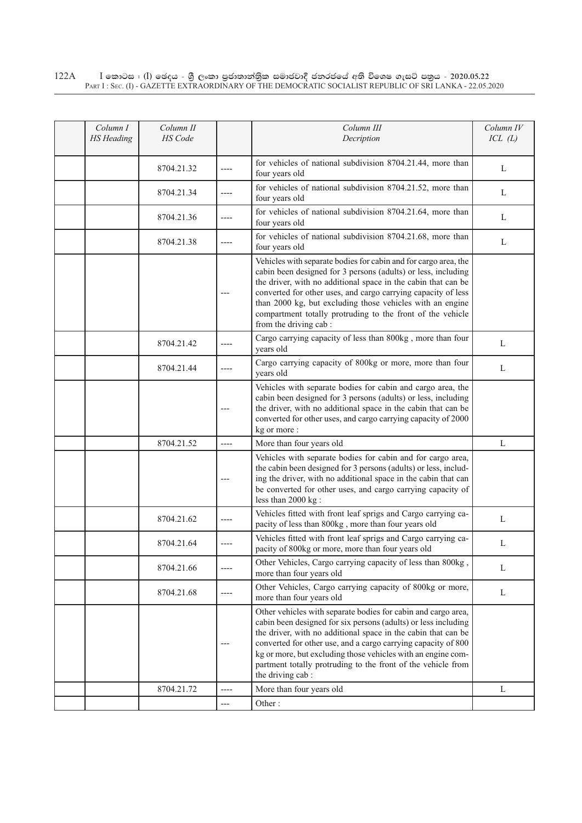| Column I<br><b>HS</b> Heading | Column II<br>HS Code |       | Column III<br>Decription                                                                                                                                                                                                                                                                                                                                                                                                | Column IV<br>ICL(L) |
|-------------------------------|----------------------|-------|-------------------------------------------------------------------------------------------------------------------------------------------------------------------------------------------------------------------------------------------------------------------------------------------------------------------------------------------------------------------------------------------------------------------------|---------------------|
|                               | 8704.21.32           | ----  | for vehicles of national subdivision 8704.21.44, more than<br>four years old                                                                                                                                                                                                                                                                                                                                            | L                   |
|                               | 8704.21.34           | $---$ | for vehicles of national subdivision 8704.21.52, more than<br>four years old                                                                                                                                                                                                                                                                                                                                            | L                   |
|                               | 8704.21.36           | $---$ | for vehicles of national subdivision 8704.21.64, more than<br>four years old                                                                                                                                                                                                                                                                                                                                            | L                   |
|                               | 8704.21.38           | ----  | for vehicles of national subdivision 8704.21.68, more than<br>four years old                                                                                                                                                                                                                                                                                                                                            | L                   |
|                               |                      |       | Vehicles with separate bodies for cabin and for cargo area, the<br>cabin been designed for 3 persons (adults) or less, including<br>the driver, with no additional space in the cabin that can be<br>converted for other uses, and cargo carrying capacity of less<br>than 2000 kg, but excluding those vehicles with an engine<br>compartment totally protruding to the front of the vehicle<br>from the driving cab : |                     |
|                               | 8704.21.42           | ----  | Cargo carrying capacity of less than 800kg, more than four<br>years old                                                                                                                                                                                                                                                                                                                                                 | L                   |
|                               | 8704.21.44           | ----  | Cargo carrying capacity of 800kg or more, more than four<br>years old                                                                                                                                                                                                                                                                                                                                                   | L                   |
|                               |                      | ---   | Vehicles with separate bodies for cabin and cargo area, the<br>cabin been designed for 3 persons (adults) or less, including<br>the driver, with no additional space in the cabin that can be<br>converted for other uses, and cargo carrying capacity of 2000<br>kg or more:                                                                                                                                           |                     |
|                               | 8704.21.52           | ----  | More than four years old                                                                                                                                                                                                                                                                                                                                                                                                | L                   |
|                               |                      | ---   | Vehicles with separate bodies for cabin and for cargo area,<br>the cabin been designed for 3 persons (adults) or less, includ-<br>ing the driver, with no additional space in the cabin that can<br>be converted for other uses, and cargo carrying capacity of<br>less than 2000 kg :                                                                                                                                  |                     |
|                               | 8704.21.62           | ----  | Vehicles fitted with front leaf sprigs and Cargo carrying ca-<br>pacity of less than 800kg, more than four years old                                                                                                                                                                                                                                                                                                    | L                   |
|                               | 8704.21.64           | ----  | Vehicles fitted with front leaf sprigs and Cargo carrying ca-<br>pacity of 800kg or more, more than four years old                                                                                                                                                                                                                                                                                                      | L                   |
|                               | 8704.21.66           |       | Other Vehicles, Cargo carrying capacity of less than 800kg,<br>more than four years old                                                                                                                                                                                                                                                                                                                                 | L                   |
|                               | 8704.21.68           |       | Other Vehicles, Cargo carrying capacity of 800kg or more,<br>more than four years old                                                                                                                                                                                                                                                                                                                                   | L                   |
|                               |                      | ---   | Other vehicles with separate bodies for cabin and cargo area,<br>cabin been designed for six persons (adults) or less including<br>the driver, with no additional space in the cabin that can be<br>converted for other use, and a cargo carrying capacity of 800<br>kg or more, but excluding those vehicles with an engine com-<br>partment totally protruding to the front of the vehicle from<br>the driving cab:   |                     |
|                               | 8704.21.72           | $---$ | More than four years old                                                                                                                                                                                                                                                                                                                                                                                                | L                   |
|                               |                      | ---   | Other:                                                                                                                                                                                                                                                                                                                                                                                                                  |                     |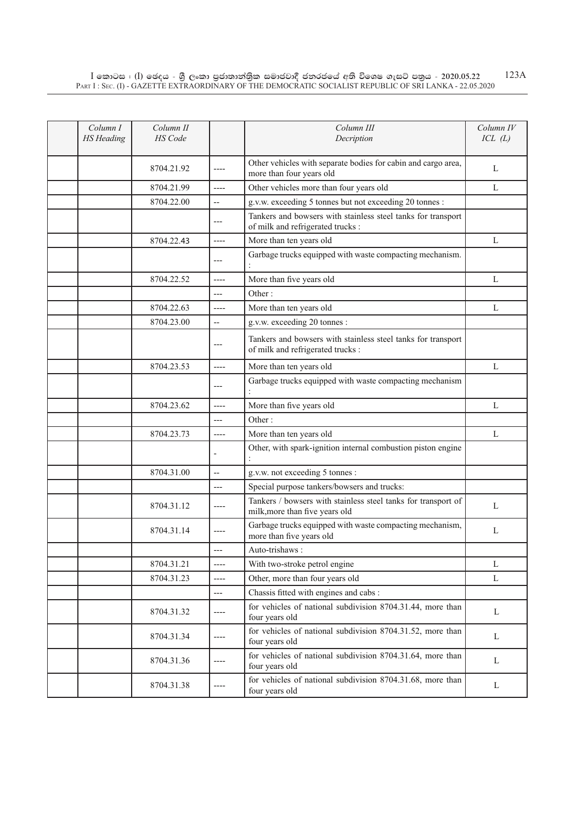| Column I<br><b>HS</b> Heading | Column II<br>HS Code |                          | Column III<br>Decription                                                                          | Column IV<br>ICL(L) |
|-------------------------------|----------------------|--------------------------|---------------------------------------------------------------------------------------------------|---------------------|
|                               | 8704.21.92           | $---$                    | Other vehicles with separate bodies for cabin and cargo area,<br>more than four years old         | L                   |
|                               | 8704.21.99           | $---$                    | Other vehicles more than four years old                                                           | L                   |
|                               | 8704.22.00           | $\overline{\phantom{a}}$ | g.v.w. exceeding 5 tonnes but not exceeding 20 tonnes :                                           |                     |
|                               |                      | ---                      | Tankers and bowsers with stainless steel tanks for transport<br>of milk and refrigerated trucks : |                     |
|                               | 8704.22.43           | $---$                    | More than ten years old                                                                           | L                   |
|                               |                      | $---$                    | Garbage trucks equipped with waste compacting mechanism.                                          |                     |
|                               | 8704.22.52           | $---$                    | More than five years old                                                                          | L                   |
|                               |                      | $---$                    | Other:                                                                                            |                     |
|                               | 8704.22.63           | $---$                    | More than ten years old                                                                           | L                   |
|                               | 8704.23.00           | $-$                      | g.v.w. exceeding 20 tonnes :                                                                      |                     |
|                               |                      | ---                      | Tankers and bowsers with stainless steel tanks for transport<br>of milk and refrigerated trucks : |                     |
|                               | 8704.23.53           | $---$                    | More than ten years old                                                                           | L                   |
|                               |                      | ---                      | Garbage trucks equipped with waste compacting mechanism                                           |                     |
|                               | 8704.23.62           | $---$                    | More than five years old                                                                          | L                   |
|                               |                      | ---                      | Other:                                                                                            |                     |
|                               | 8704.23.73           | ----                     | More than ten years old                                                                           | L                   |
|                               |                      |                          | Other, with spark-ignition internal combustion piston engine                                      |                     |
|                               | 8704.31.00           | $\overline{a}$           | g.v.w. not exceeding 5 tonnes :                                                                   |                     |
|                               |                      |                          | Special purpose tankers/bowsers and trucks:                                                       |                     |
|                               | 8704.31.12           | $---$                    | Tankers / bowsers with stainless steel tanks for transport of<br>milk, more than five years old   | L                   |
|                               | 8704.31.14           | $---$                    | Garbage trucks equipped with waste compacting mechanism,<br>more than five years old              | L                   |
|                               |                      |                          | Auto-trishaws:                                                                                    |                     |
|                               | 8704.31.21           | $---$                    | With two-stroke petrol engine                                                                     | L                   |
|                               | 8704.31.23           | $---$                    | Other, more than four years old                                                                   | L                   |
|                               |                      | $---$                    | Chassis fitted with engines and cabs:                                                             |                     |
|                               | 8704.31.32           | $\cdots$                 | for vehicles of national subdivision 8704.31.44, more than<br>four years old                      | L                   |
|                               | 8704.31.34           | $---$                    | for vehicles of national subdivision 8704.31.52, more than<br>four years old                      | L                   |
|                               | 8704.31.36           | ----                     | for vehicles of national subdivision 8704.31.64, more than<br>four years old                      | L                   |
|                               | 8704.31.38           | $\cdots$                 | for vehicles of national subdivision 8704.31.68, more than<br>four years old                      | L                   |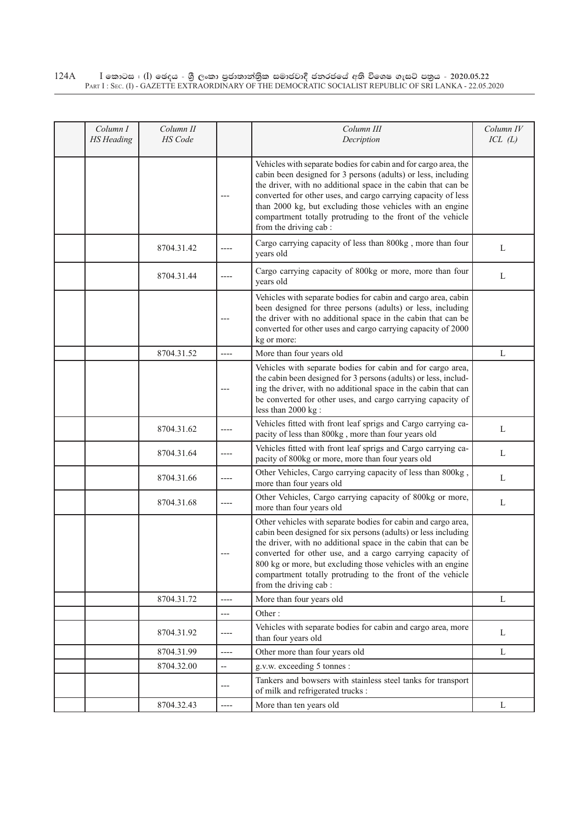## $\rm I$  කොටස : ( $\rm I$ ) ඡෙදය - ශුී ලංකා පුජාතාන්තුික සමාජවාදී ජනරජයේ අති විශෙෂ ගැසට් පතුය - 2020.05.22 Part I : Sec. (I) - GAZETTE EXTRAORDINARY OF THE DEMOCRATIC SOCIALIST REPUBLIC OF SRI LANKA - 22.05.2020 124A

| Column I<br><b>HS</b> Heading | Column II<br><b>HS</b> Code |                          | Column III<br>Decription                                                                                                                                                                                                                                                                                                                                                                                               | Column IV<br>ICL(L) |
|-------------------------------|-----------------------------|--------------------------|------------------------------------------------------------------------------------------------------------------------------------------------------------------------------------------------------------------------------------------------------------------------------------------------------------------------------------------------------------------------------------------------------------------------|---------------------|
|                               |                             |                          | Vehicles with separate bodies for cabin and for cargo area, the<br>cabin been designed for 3 persons (adults) or less, including<br>the driver, with no additional space in the cabin that can be<br>converted for other uses, and cargo carrying capacity of less<br>than 2000 kg, but excluding those vehicles with an engine<br>compartment totally protruding to the front of the vehicle<br>from the driving cab: |                     |
|                               | 8704.31.42                  |                          | Cargo carrying capacity of less than 800kg, more than four<br>years old                                                                                                                                                                                                                                                                                                                                                | L                   |
|                               | 8704.31.44                  | ----                     | Cargo carrying capacity of 800kg or more, more than four<br>years old                                                                                                                                                                                                                                                                                                                                                  | L                   |
|                               |                             |                          | Vehicles with separate bodies for cabin and cargo area, cabin<br>been designed for three persons (adults) or less, including<br>the driver with no additional space in the cabin that can be<br>converted for other uses and cargo carrying capacity of 2000<br>kg or more:                                                                                                                                            |                     |
|                               | 8704.31.52                  | $---$                    | More than four years old                                                                                                                                                                                                                                                                                                                                                                                               | L                   |
|                               |                             |                          | Vehicles with separate bodies for cabin and for cargo area,<br>the cabin been designed for 3 persons (adults) or less, includ-<br>ing the driver, with no additional space in the cabin that can<br>be converted for other uses, and cargo carrying capacity of<br>less than 2000 kg :                                                                                                                                 |                     |
|                               | 8704.31.62                  | ----                     | Vehicles fitted with front leaf sprigs and Cargo carrying ca-<br>pacity of less than 800kg, more than four years old                                                                                                                                                                                                                                                                                                   | L                   |
|                               | 8704.31.64                  | ----                     | Vehicles fitted with front leaf sprigs and Cargo carrying ca-<br>pacity of 800kg or more, more than four years old                                                                                                                                                                                                                                                                                                     | L                   |
|                               | 8704.31.66                  | ----                     | Other Vehicles, Cargo carrying capacity of less than 800kg,<br>more than four years old                                                                                                                                                                                                                                                                                                                                | L                   |
|                               | 8704.31.68                  | ----                     | Other Vehicles, Cargo carrying capacity of 800kg or more,<br>more than four years old                                                                                                                                                                                                                                                                                                                                  | L                   |
|                               |                             |                          | Other vehicles with separate bodies for cabin and cargo area,<br>cabin been designed for six persons (adults) or less including<br>the driver, with no additional space in the cabin that can be<br>converted for other use, and a cargo carrying capacity of<br>800 kg or more, but excluding those vehicles with an engine<br>compartment totally protruding to the front of the vehicle<br>from the driving cab :   |                     |
|                               | 8704.31.72                  | $---$                    | More than four years old                                                                                                                                                                                                                                                                                                                                                                                               | L                   |
|                               |                             | ---                      | Other:                                                                                                                                                                                                                                                                                                                                                                                                                 |                     |
|                               | 8704.31.92                  | ----                     | Vehicles with separate bodies for cabin and cargo area, more<br>than four years old                                                                                                                                                                                                                                                                                                                                    | L                   |
|                               | 8704.31.99                  | $---$                    | Other more than four years old                                                                                                                                                                                                                                                                                                                                                                                         | L                   |
|                               | 8704.32.00                  | $\overline{\phantom{a}}$ | g.v.w. exceeding 5 tonnes :                                                                                                                                                                                                                                                                                                                                                                                            |                     |
|                               |                             | ---                      | Tankers and bowsers with stainless steel tanks for transport<br>of milk and refrigerated trucks :                                                                                                                                                                                                                                                                                                                      |                     |
|                               | 8704.32.43                  | ----                     | More than ten years old                                                                                                                                                                                                                                                                                                                                                                                                | L                   |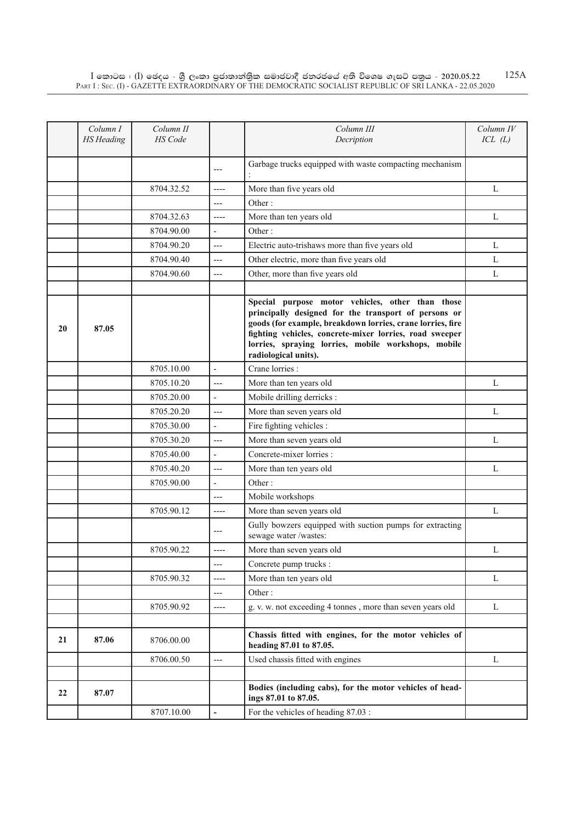|    | Column I          | Column II  |                          | Column III                                                                                                                                                                                                                                                                                                       | Column IV |
|----|-------------------|------------|--------------------------|------------------------------------------------------------------------------------------------------------------------------------------------------------------------------------------------------------------------------------------------------------------------------------------------------------------|-----------|
|    | <b>HS</b> Heading | HS Code    |                          | Decription                                                                                                                                                                                                                                                                                                       | ICL(L)    |
|    |                   |            | ---                      | Garbage trucks equipped with waste compacting mechanism                                                                                                                                                                                                                                                          |           |
|    |                   | 8704.32.52 | $---$                    | More than five years old                                                                                                                                                                                                                                                                                         | L         |
|    |                   |            | $---$                    | Other:                                                                                                                                                                                                                                                                                                           |           |
|    |                   | 8704.32.63 | $---$                    | More than ten years old                                                                                                                                                                                                                                                                                          | L         |
|    |                   | 8704.90.00 | $\overline{\phantom{a}}$ | Other:                                                                                                                                                                                                                                                                                                           |           |
|    |                   | 8704.90.20 | $---$                    | Electric auto-trishaws more than five years old                                                                                                                                                                                                                                                                  | L         |
|    |                   | 8704.90.40 | $---$                    | Other electric, more than five years old                                                                                                                                                                                                                                                                         | L         |
|    |                   | 8704.90.60 | $---$                    | Other, more than five years old                                                                                                                                                                                                                                                                                  | L         |
|    |                   |            |                          |                                                                                                                                                                                                                                                                                                                  |           |
| 20 | 87.05             |            |                          | Special purpose motor vehicles, other than those<br>principally designed for the transport of persons or<br>goods (for example, breakdown lorries, crane lorries, fire<br>fighting vehicles, concrete-mixer lorries, road sweeper<br>lorries, spraying lorries, mobile workshops, mobile<br>radiological units). |           |
|    |                   | 8705.10.00 | $\Box$                   | Crane lorries :                                                                                                                                                                                                                                                                                                  |           |
|    |                   | 8705.10.20 | $---$                    | More than ten years old                                                                                                                                                                                                                                                                                          | L         |
|    |                   | 8705.20.00 | $\blacksquare$           | Mobile drilling derricks :                                                                                                                                                                                                                                                                                       |           |
|    |                   | 8705.20.20 | $---$                    | More than seven years old                                                                                                                                                                                                                                                                                        | L         |
|    |                   | 8705.30.00 | $\overline{\phantom{a}}$ | Fire fighting vehicles :                                                                                                                                                                                                                                                                                         |           |
|    |                   | 8705.30.20 | $---$                    | More than seven years old                                                                                                                                                                                                                                                                                        | L         |
|    |                   | 8705.40.00 | $\overline{\phantom{a}}$ | Concrete-mixer lorries :                                                                                                                                                                                                                                                                                         |           |
|    |                   | 8705.40.20 | $---$                    | More than ten years old                                                                                                                                                                                                                                                                                          | L         |
|    |                   | 8705.90.00 | $\overline{a}$           | Other:                                                                                                                                                                                                                                                                                                           |           |
|    |                   |            | $---$                    | Mobile workshops                                                                                                                                                                                                                                                                                                 |           |
|    |                   | 8705.90.12 | ----                     | More than seven years old                                                                                                                                                                                                                                                                                        | L         |
|    |                   |            | ---                      | Gully bowzers equipped with suction pumps for extracting<br>sewage water /wastes:                                                                                                                                                                                                                                |           |
|    |                   | 8705.90.22 |                          | More than seven years old                                                                                                                                                                                                                                                                                        | L         |
|    |                   |            | ---                      | Concrete pump trucks:                                                                                                                                                                                                                                                                                            |           |
|    |                   | 8705.90.32 | $---$                    | More than ten years old                                                                                                                                                                                                                                                                                          | L         |
|    |                   |            | ---                      | Other:                                                                                                                                                                                                                                                                                                           |           |
|    |                   | 8705.90.92 | ----                     | g. v. w. not exceeding 4 tonnes, more than seven years old                                                                                                                                                                                                                                                       | L         |
|    |                   |            |                          |                                                                                                                                                                                                                                                                                                                  |           |
| 21 | 87.06             | 8706.00.00 |                          | Chassis fitted with engines, for the motor vehicles of<br>heading 87.01 to 87.05.                                                                                                                                                                                                                                |           |
|    |                   | 8706.00.50 | ---                      | Used chassis fitted with engines                                                                                                                                                                                                                                                                                 | L         |
| 22 | 87.07             |            |                          | Bodies (including cabs), for the motor vehicles of head-<br>ings 87.01 to 87.05.                                                                                                                                                                                                                                 |           |
|    |                   | 8707.10.00 | $\overline{\phantom{a}}$ | For the vehicles of heading 87.03 :                                                                                                                                                                                                                                                                              |           |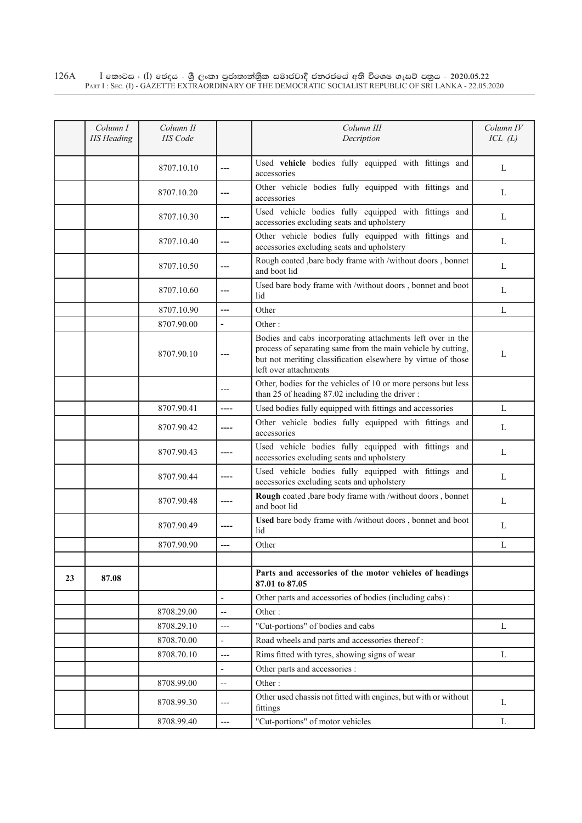|    | Column I<br><b>HS</b> Heading | Column II<br><b>HS</b> Code |                          | Column III<br>Decription                                                                                                                                                                                            | Column IV<br>ICL(L) |
|----|-------------------------------|-----------------------------|--------------------------|---------------------------------------------------------------------------------------------------------------------------------------------------------------------------------------------------------------------|---------------------|
|    |                               |                             |                          |                                                                                                                                                                                                                     |                     |
|    |                               | 8707.10.10                  | ---                      | Used vehicle bodies fully equipped with fittings and<br>accessories                                                                                                                                                 | L                   |
|    |                               | 8707.10.20                  | ---                      | Other vehicle bodies fully equipped with fittings and<br>accessories                                                                                                                                                | L                   |
|    |                               | 8707.10.30                  |                          | Used vehicle bodies fully equipped with fittings and<br>accessories excluding seats and upholstery                                                                                                                  | L                   |
|    |                               | 8707.10.40                  | ---                      | Other vehicle bodies fully equipped with fittings and<br>accessories excluding seats and upholstery                                                                                                                 | L                   |
|    |                               | 8707.10.50                  | ---                      | Rough coated , bare body frame with /without doors, bonnet<br>and boot lid                                                                                                                                          | L                   |
|    |                               | 8707.10.60                  | ---                      | Used bare body frame with /without doors, bonnet and boot<br>lid                                                                                                                                                    | L                   |
|    |                               | 8707.10.90                  | ---                      | Other                                                                                                                                                                                                               | L                   |
|    |                               | 8707.90.00                  | $\overline{\phantom{0}}$ | Other:                                                                                                                                                                                                              |                     |
|    |                               | 8707.90.10                  | ---                      | Bodies and cabs incorporating attachments left over in the<br>process of separating same from the main vehicle by cutting,<br>but not meriting classification elsewhere by virtue of those<br>left over attachments | L                   |
|    |                               |                             | ---                      | Other, bodies for the vehicles of 10 or more persons but less<br>than 25 of heading 87.02 including the driver:                                                                                                     |                     |
|    |                               | 8707.90.41                  | $---$                    | Used bodies fully equipped with fittings and accessories                                                                                                                                                            | L                   |
|    |                               | 8707.90.42                  |                          | Other vehicle bodies fully equipped with fittings and<br>accessories                                                                                                                                                | L                   |
|    |                               | 8707.90.43                  |                          | Used vehicle bodies fully equipped with fittings and<br>accessories excluding seats and upholstery                                                                                                                  | L                   |
|    |                               | 8707.90.44                  |                          | Used vehicle bodies fully equipped with fittings and<br>accessories excluding seats and upholstery                                                                                                                  | L                   |
|    |                               | 8707.90.48                  |                          | Rough coated , bare body frame with /without doors, bonnet<br>and boot lid                                                                                                                                          | L                   |
|    |                               | 8707.90.49                  |                          | Used bare body frame with /without doors, bonnet and boot<br>lid                                                                                                                                                    | L                   |
|    |                               | 8707.90.90                  | ---                      | Other                                                                                                                                                                                                               | L                   |
|    |                               |                             |                          |                                                                                                                                                                                                                     |                     |
| 23 | 87.08                         |                             |                          | Parts and accessories of the motor vehicles of headings<br>87.01 to 87.05                                                                                                                                           |                     |
|    |                               |                             | $\frac{1}{2}$            | Other parts and accessories of bodies (including cabs):                                                                                                                                                             |                     |
|    |                               | 8708.29.00                  | $\overline{a}$           | Other:                                                                                                                                                                                                              |                     |
|    |                               | 8708.29.10                  | ---                      | "Cut-portions" of bodies and cabs                                                                                                                                                                                   | L                   |
|    |                               | 8708.70.00                  | $\overline{\phantom{a}}$ | Road wheels and parts and accessories thereof:                                                                                                                                                                      |                     |
|    |                               | 8708.70.10                  | $---$                    | Rims fitted with tyres, showing signs of wear                                                                                                                                                                       | L                   |
|    |                               |                             | $\overline{a}$           | Other parts and accessories :                                                                                                                                                                                       |                     |
|    |                               | 8708.99.00                  | $\overline{\phantom{a}}$ | Other:                                                                                                                                                                                                              |                     |
|    |                               | 8708.99.30                  | ---                      | Other used chassis not fitted with engines, but with or without<br>fittings                                                                                                                                         | L                   |
|    |                               | 8708.99.40                  | $---$                    | "Cut-portions" of motor vehicles                                                                                                                                                                                    | L                   |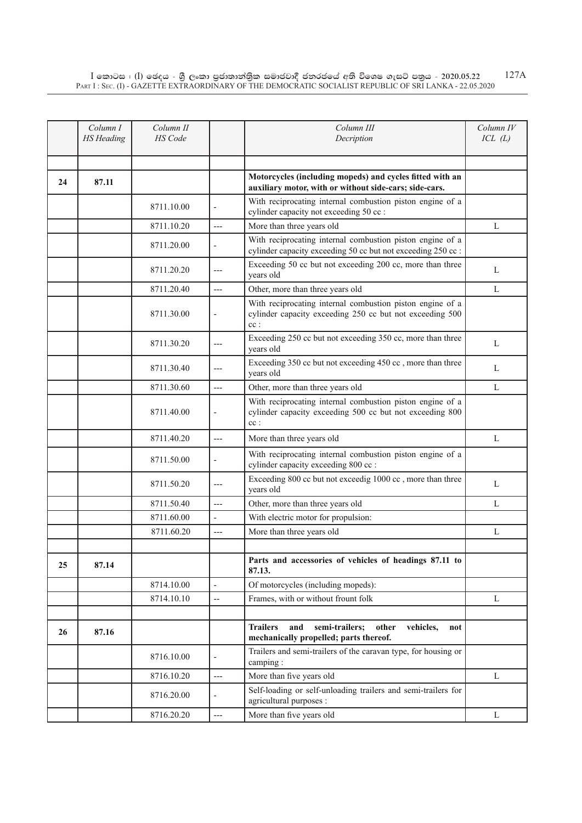|    | Column I<br><b>HS</b> Heading | Column II<br><b>HS</b> Code |                              | Column III<br>Decription                                                                                                        | Column IV<br>ICL(L) |
|----|-------------------------------|-----------------------------|------------------------------|---------------------------------------------------------------------------------------------------------------------------------|---------------------|
|    |                               |                             |                              |                                                                                                                                 |                     |
| 24 | 87.11                         |                             |                              | Motorcycles (including mopeds) and cycles fitted with an<br>auxiliary motor, with or without side-cars; side-cars.              |                     |
|    |                               | 8711.10.00                  | $\overline{a}$               | With reciprocating internal combustion piston engine of a<br>cylinder capacity not exceeding 50 cc :                            |                     |
|    |                               | 8711.10.20                  | $---$                        | More than three years old                                                                                                       | L                   |
|    |                               | 8711.20.00                  |                              | With reciprocating internal combustion piston engine of a<br>cylinder capacity exceeding 50 cc but not exceeding 250 cc:        |                     |
|    |                               | 8711.20.20                  | ---                          | Exceeding 50 cc but not exceeding 200 cc, more than three<br>years old                                                          | L                   |
|    |                               | 8711.20.40                  | $---$                        | Other, more than three years old                                                                                                | L                   |
|    |                               | 8711.30.00                  | $\qquad \qquad \blacksquare$ | With reciprocating internal combustion piston engine of a<br>cylinder capacity exceeding 250 cc but not exceeding 500<br>$cc$ : |                     |
|    |                               | 8711.30.20                  | ---                          | Exceeding 250 cc but not exceeding 350 cc, more than three<br>years old                                                         | L                   |
|    |                               | 8711.30.40                  | ---                          | Exceeding 350 cc but not exceeding 450 cc, more than three<br>years old                                                         | L                   |
|    |                               | 8711.30.60                  | $---$                        | Other, more than three years old                                                                                                | L                   |
|    |                               | 8711.40.00                  | ÷                            | With reciprocating internal combustion piston engine of a<br>cylinder capacity exceeding 500 cc but not exceeding 800<br>$cc$ : |                     |
|    |                               | 8711.40.20                  | $---$                        | More than three years old                                                                                                       | L                   |
|    |                               | 8711.50.00                  | $\overline{\phantom{a}}$     | With reciprocating internal combustion piston engine of a<br>cylinder capacity exceeding 800 cc :                               |                     |
|    |                               | 8711.50.20                  | $---$                        | Exceeding 800 cc but not exceedig 1000 cc, more than three<br>years old                                                         | L                   |
|    |                               | 8711.50.40                  | $---$                        | Other, more than three years old                                                                                                | L                   |
|    |                               | 8711.60.00                  | $\overline{\phantom{a}}$     | With electric motor for propulsion:                                                                                             |                     |
|    |                               | 8711.60.20                  | ---                          | More than three years old                                                                                                       | L                   |
|    |                               |                             |                              |                                                                                                                                 |                     |
| 25 | 87.14                         |                             |                              | Parts and accessories of vehicles of headings 87.11 to<br>87.13.                                                                |                     |
|    |                               | 8714.10.00                  | $\overline{\phantom{a}}$     | Of motorcycles (including mopeds):                                                                                              |                     |
|    |                               | 8714.10.10                  | $\overline{a}$               | Frames, with or without frount folk                                                                                             | L                   |
| 26 | 87.16                         |                             |                              | semi-trailers;<br><b>Trailers</b><br>and<br>other<br>vehicles,<br>not<br>mechanically propelled; parts thereof.                 |                     |
|    |                               | 8716.10.00                  |                              | Trailers and semi-trailers of the caravan type, for housing or<br>camping:                                                      |                     |
|    |                               | 8716.10.20                  | $---$                        | More than five years old                                                                                                        | L                   |
|    |                               | 8716.20.00                  | $\overline{\phantom{a}}$     | Self-loading or self-unloading trailers and semi-trailers for<br>agricultural purposes :                                        |                     |
|    |                               | 8716.20.20                  | $\overline{a}$               | More than five years old                                                                                                        | L                   |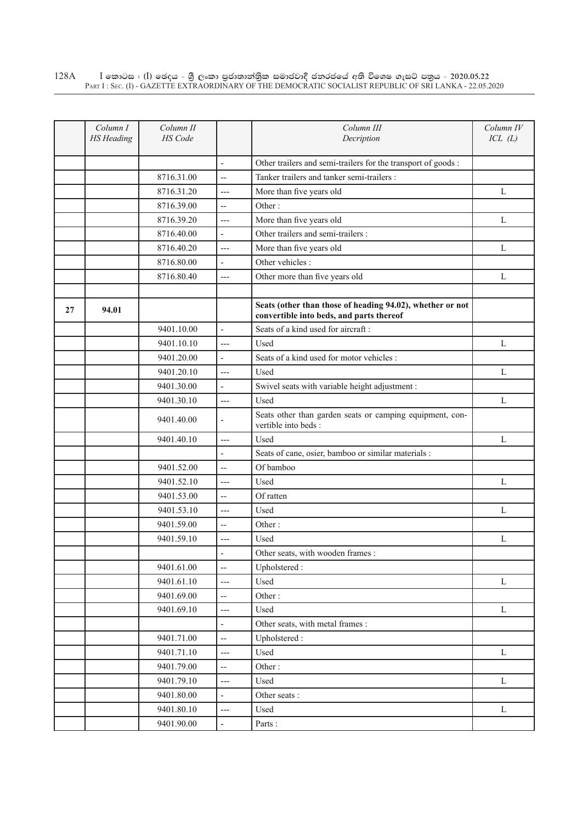$\rm I$  කොටස : ( $\rm I$ ) ඡෙදය - ශුී ලංකා පුජාතාන්තුික සමාජවාදී ජනරජයේ අති විශෙෂ ගැසට් පතුය - 2020.05.22 Part I : Sec. (I) - GAZETTE EXTRAORDINARY OF THE DEMOCRATIC SOCIALIST REPUBLIC OF SRI LANKA - 22.05.2020 128A

|    | Column I<br><b>HS</b> Heading | Column II<br>HS Code |                          | Column III<br>Decription                                                                              | Column IV<br>ICL(L) |
|----|-------------------------------|----------------------|--------------------------|-------------------------------------------------------------------------------------------------------|---------------------|
|    |                               |                      |                          |                                                                                                       |                     |
|    |                               |                      | $\overline{\phantom{a}}$ | Other trailers and semi-trailers for the transport of goods :                                         |                     |
|    |                               | 8716.31.00           | $\overline{\phantom{a}}$ | Tanker trailers and tanker semi-trailers :                                                            |                     |
|    |                               | 8716.31.20           | ---                      | More than five years old                                                                              | L                   |
|    |                               | 8716.39.00           | $\overline{\phantom{a}}$ | Other:                                                                                                |                     |
|    |                               | 8716.39.20           | $\overline{a}$           | More than five years old                                                                              | L                   |
|    |                               | 8716.40.00           | $\frac{1}{2}$            | Other trailers and semi-trailers :                                                                    |                     |
|    |                               | 8716.40.20           | $---$                    | More than five years old                                                                              | L                   |
|    |                               | 8716.80.00           | $\overline{a}$           | Other vehicles :                                                                                      |                     |
|    |                               | 8716.80.40           | $---$                    | Other more than five years old                                                                        | L                   |
|    |                               |                      |                          |                                                                                                       |                     |
| 27 | 94.01                         |                      |                          | Seats (other than those of heading 94.02), whether or not<br>convertible into beds, and parts thereof |                     |
|    |                               | 9401.10.00           | $\overline{\phantom{a}}$ | Seats of a kind used for aircraft:                                                                    |                     |
|    |                               | 9401.10.10           | $---$                    | Used                                                                                                  | L                   |
|    |                               | 9401.20.00           | $\overline{\phantom{a}}$ | Seats of a kind used for motor vehicles :                                                             |                     |
|    |                               | 9401.20.10           | $\overline{a}$           | Used                                                                                                  | L                   |
|    |                               | 9401.30.00           | $\overline{a}$           | Swivel seats with variable height adjustment :                                                        |                     |
|    |                               | 9401.30.10           | $---$                    | Used                                                                                                  | L                   |
|    |                               | 9401.40.00           |                          | Seats other than garden seats or camping equipment, con-<br>vertible into beds :                      |                     |
|    |                               | 9401.40.10           | ---                      | Used                                                                                                  | L                   |
|    |                               |                      | $\overline{\phantom{a}}$ | Seats of cane, osier, bamboo or similar materials :                                                   |                     |
|    |                               | 9401.52.00           | Ш,                       | Of bamboo                                                                                             |                     |
|    |                               | 9401.52.10           | $---$                    | Used                                                                                                  | L                   |
|    |                               | 9401.53.00           | $\overline{\phantom{a}}$ | Of ratten                                                                                             |                     |
|    |                               | 9401.53.10           | $---$                    | Used                                                                                                  | L                   |
|    |                               | 9401.59.00           | $\overline{a}$           | Other:                                                                                                |                     |
|    |                               | 9401.59.10           | ---                      | Used                                                                                                  | L                   |
|    |                               |                      |                          | Other seats, with wooden frames :                                                                     |                     |
|    |                               | 9401.61.00           | --                       | Upholstered:                                                                                          |                     |
|    |                               | 9401.61.10           | $\overline{a}$           | Used                                                                                                  | $\mathbf L$         |
|    |                               | 9401.69.00           | $\overline{\phantom{a}}$ | Other:                                                                                                |                     |
|    |                               | 9401.69.10           | ---                      | Used                                                                                                  | $\mathbf{L}$        |
|    |                               |                      | $\frac{1}{2}$            | Other seats, with metal frames :                                                                      |                     |
|    |                               | 9401.71.00           | $\overline{a}$           | Upholstered:                                                                                          |                     |
|    |                               | 9401.71.10           | ---                      | Used                                                                                                  | $\mathbf L$         |
|    |                               | 9401.79.00           | $\overline{\phantom{a}}$ | Other:                                                                                                |                     |
|    |                               | 9401.79.10           | ---                      | Used                                                                                                  | L                   |
|    |                               | 9401.80.00           | $\blacksquare$           | Other seats:                                                                                          |                     |
|    |                               | 9401.80.10           | $---$                    | Used                                                                                                  | L                   |
|    |                               | 9401.90.00           | $\blacksquare$           | Parts:                                                                                                |                     |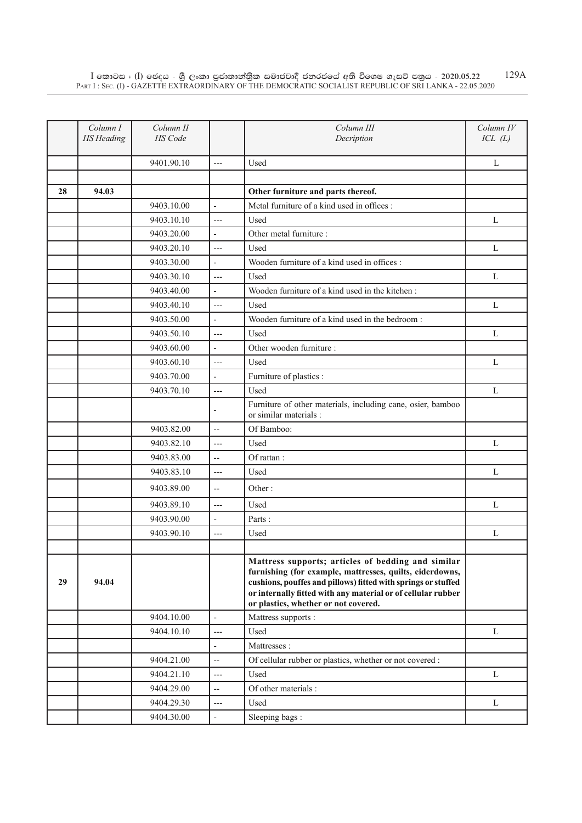|    | Column I<br><b>HS</b> Heading | Column II<br>HS Code |                              | Column III<br>Decription                                                                                                                                                                                                                                                                | Column IV<br>ICL(L) |
|----|-------------------------------|----------------------|------------------------------|-----------------------------------------------------------------------------------------------------------------------------------------------------------------------------------------------------------------------------------------------------------------------------------------|---------------------|
|    |                               | 9401.90.10           | $---$                        | Used                                                                                                                                                                                                                                                                                    | L                   |
|    |                               |                      |                              |                                                                                                                                                                                                                                                                                         |                     |
| 28 | 94.03                         |                      |                              | Other furniture and parts thereof.                                                                                                                                                                                                                                                      |                     |
|    |                               | 9403.10.00           | $\overline{a}$               | Metal furniture of a kind used in offices :                                                                                                                                                                                                                                             |                     |
|    |                               | 9403.10.10           | $---$                        | Used                                                                                                                                                                                                                                                                                    | L                   |
|    |                               | 9403.20.00           | $\overline{a}$               | Other metal furniture :                                                                                                                                                                                                                                                                 |                     |
|    |                               | 9403.20.10           | $---$                        | Used                                                                                                                                                                                                                                                                                    | L                   |
|    |                               | 9403.30.00           | $\blacksquare$               | Wooden furniture of a kind used in offices :                                                                                                                                                                                                                                            |                     |
|    |                               | 9403.30.10           | $---$                        | Used                                                                                                                                                                                                                                                                                    | L                   |
|    |                               | 9403.40.00           | $\blacksquare$               | Wooden furniture of a kind used in the kitchen:                                                                                                                                                                                                                                         |                     |
|    |                               | 9403.40.10           | $---$                        | Used                                                                                                                                                                                                                                                                                    | L                   |
|    |                               | 9403.50.00           | $\overline{\phantom{a}}$     | Wooden furniture of a kind used in the bedroom:                                                                                                                                                                                                                                         |                     |
|    |                               | 9403.50.10           | $---$                        | Used                                                                                                                                                                                                                                                                                    | L                   |
|    |                               | 9403.60.00           | $\overline{a}$               | Other wooden furniture :                                                                                                                                                                                                                                                                |                     |
|    |                               | 9403.60.10           | $---$                        | Used                                                                                                                                                                                                                                                                                    | L                   |
|    |                               | 9403.70.00           | $\frac{1}{2}$                | Furniture of plastics :                                                                                                                                                                                                                                                                 |                     |
|    |                               | 9403.70.10           | $---$                        | Used                                                                                                                                                                                                                                                                                    | $\mathbf L$         |
|    |                               |                      |                              | Furniture of other materials, including cane, osier, bamboo<br>or similar materials :                                                                                                                                                                                                   |                     |
|    |                               | 9403.82.00           | $\overline{a}$               | Of Bamboo:                                                                                                                                                                                                                                                                              |                     |
|    |                               | 9403.82.10           | $---$                        | Used                                                                                                                                                                                                                                                                                    | L                   |
|    |                               | 9403.83.00           | $\overline{a}$               | Of rattan:                                                                                                                                                                                                                                                                              |                     |
|    |                               | 9403.83.10           | $\qquad \qquad - -$          | Used                                                                                                                                                                                                                                                                                    | L                   |
|    |                               | 9403.89.00           | $\overline{\phantom{a}}$     | Other:                                                                                                                                                                                                                                                                                  |                     |
|    |                               | 9403.89.10           | $---$                        | Used                                                                                                                                                                                                                                                                                    | L                   |
|    |                               | 9403.90.00           | $\blacksquare$               | Parts:                                                                                                                                                                                                                                                                                  |                     |
|    |                               | 9403.90.10           | $---$                        | Used                                                                                                                                                                                                                                                                                    | L                   |
|    |                               |                      |                              |                                                                                                                                                                                                                                                                                         |                     |
| 29 | 94.04                         |                      |                              | Mattress supports; articles of bedding and similar<br>furnishing (for example, mattresses, quilts, eiderdowns,<br>cushions, pouffes and pillows) fitted with springs or stuffed<br>or internally fitted with any material or of cellular rubber<br>or plastics, whether or not covered. |                     |
|    |                               | 9404.10.00           | $\overline{a}$               | Mattress supports :                                                                                                                                                                                                                                                                     |                     |
|    |                               | 9404.10.10           | $\qquad \qquad - -$          | Used                                                                                                                                                                                                                                                                                    | L                   |
|    |                               |                      | $\overline{a}$               | Mattresses:                                                                                                                                                                                                                                                                             |                     |
|    |                               | 9404.21.00           | $\overline{\phantom{a}}$     | Of cellular rubber or plastics, whether or not covered :                                                                                                                                                                                                                                |                     |
|    |                               | 9404.21.10           | $---$                        | Used                                                                                                                                                                                                                                                                                    | L                   |
|    |                               | 9404.29.00           | $\overline{\phantom{a}}$     | Of other materials :                                                                                                                                                                                                                                                                    |                     |
|    |                               | 9404.29.30           | $---$                        | Used                                                                                                                                                                                                                                                                                    | L                   |
|    |                               | 9404.30.00           | $\qquad \qquad \blacksquare$ | Sleeping bags:                                                                                                                                                                                                                                                                          |                     |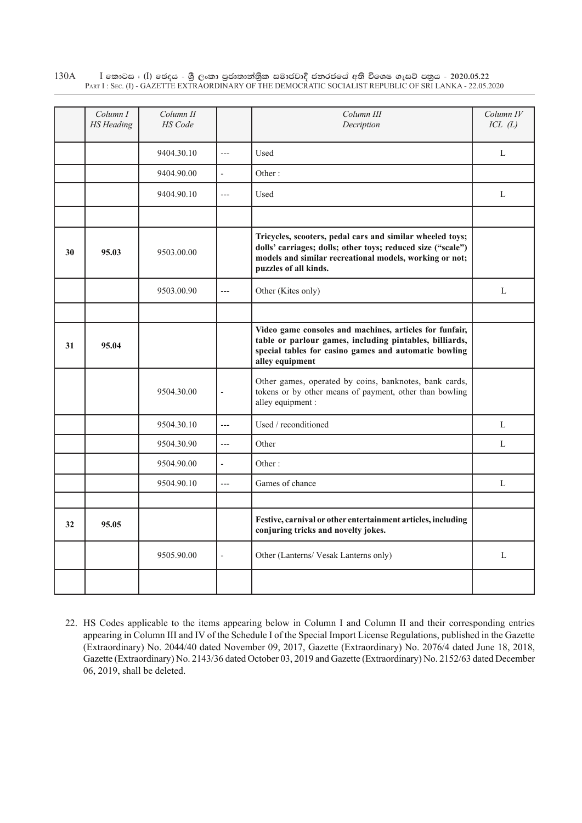$I$  කොටස : (I) ඡෙදය - ශුී ලංකා පුජාතාන්තිුක සමාජවාදී ජනරජයේ අති විශෙෂ ගැසට් පතුය - 2020.05.22 Part I : Sec. (I) - GAZETTE EXTRAORDINARY OF THE DEMOCRATIC SOCIALIST REPUBLIC OF SRI LANKA - 22.05.2020 130A

|    | Column I<br><b>HS</b> Heading | Column II<br><b>HS</b> Code |                          | Column III<br>Decription                                                                                                                                                                                     | Column IV<br>ICL(L) |
|----|-------------------------------|-----------------------------|--------------------------|--------------------------------------------------------------------------------------------------------------------------------------------------------------------------------------------------------------|---------------------|
|    |                               | 9404.30.10                  | $---$                    | Used                                                                                                                                                                                                         | L                   |
|    |                               | 9404.90.00                  | $\blacksquare$           | Other:                                                                                                                                                                                                       |                     |
|    |                               | 9404.90.10                  | $\overline{a}$           | Used                                                                                                                                                                                                         | L                   |
|    |                               |                             |                          |                                                                                                                                                                                                              |                     |
| 30 | 95.03                         | 9503.00.00                  |                          | Tricycles, scooters, pedal cars and similar wheeled toys;<br>dolls' carriages; dolls; other toys; reduced size ("scale")<br>models and similar recreational models, working or not;<br>puzzles of all kinds. |                     |
|    |                               | 9503.00.90                  | $---$                    | Other (Kites only)                                                                                                                                                                                           | $\mathbf{L}$        |
|    |                               |                             |                          |                                                                                                                                                                                                              |                     |
| 31 | 95.04                         |                             |                          | Video game consoles and machines, articles for funfair,<br>table or parlour games, including pintables, billiards,<br>special tables for casino games and automatic bowling<br>alley equipment               |                     |
|    |                               | 9504.30.00                  | $\frac{1}{2}$            | Other games, operated by coins, banknotes, bank cards,<br>tokens or by other means of payment, other than bowling<br>alley equipment :                                                                       |                     |
|    |                               | 9504.30.10                  | $\overline{a}$           | Used / reconditioned                                                                                                                                                                                         | L                   |
|    |                               | 9504.30.90                  | $---$                    | Other                                                                                                                                                                                                        | L                   |
|    |                               | 9504.90.00                  | $\overline{a}$           | Other:                                                                                                                                                                                                       |                     |
|    |                               | 9504.90.10                  | $---$                    | Games of chance                                                                                                                                                                                              | L                   |
|    |                               |                             |                          |                                                                                                                                                                                                              |                     |
| 32 | 95.05                         |                             |                          | Festive, carnival or other entertainment articles, including<br>conjuring tricks and novelty jokes.                                                                                                          |                     |
|    |                               | 9505.90.00                  | $\overline{\phantom{a}}$ | Other (Lanterns/ Vesak Lanterns only)                                                                                                                                                                        | L                   |
|    |                               |                             |                          |                                                                                                                                                                                                              |                     |

22. HS Codes applicable to the items appearing below in Column I and Column II and their corresponding entries appearing in Column III and IV of the Schedule I of the Special Import License Regulations, published in the Gazette (Extraordinary) No. 2044/40 dated November 09, 2017, Gazette (Extraordinary) No. 2076/4 dated June 18, 2018, Gazette (Extraordinary) No. 2143/36 dated October 03, 2019 and Gazette (Extraordinary) No. 2152/63 dated December 06, 2019, shall be deleted.